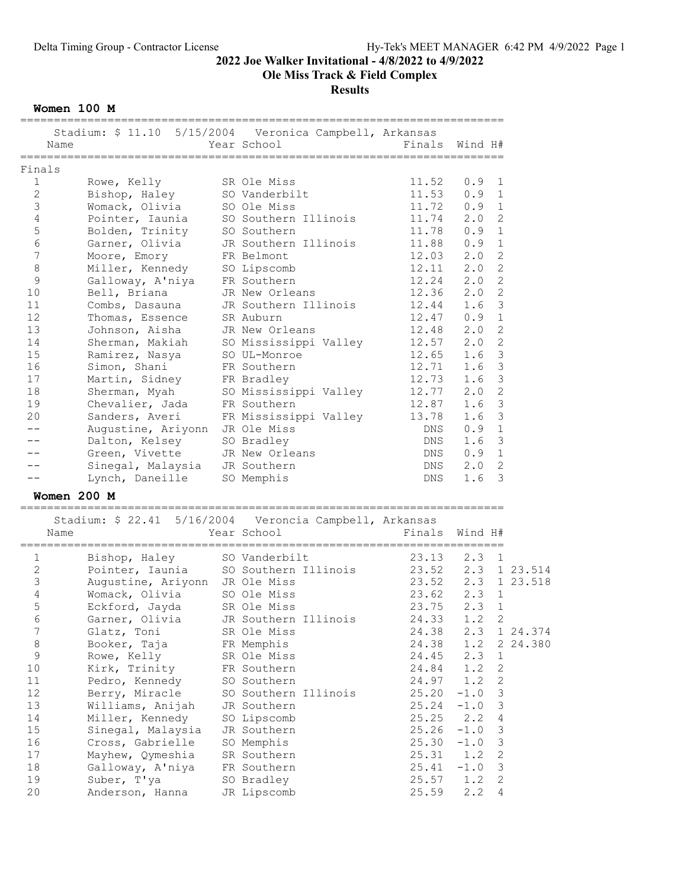Ole Miss Track & Field Complex

**Results** 

Women 100 M

| Name<br>====================== |                                | Stadium: \$ 11.10 5/15/2004 Veronica Campbell, Arkansas<br>Year School | Finals             | Wind H# |                |          |
|--------------------------------|--------------------------------|------------------------------------------------------------------------|--------------------|---------|----------------|----------|
| Finals                         |                                |                                                                        |                    |         |                |          |
| 1<br>Rowe, Kelly               |                                | SR Ole Miss                                                            | 11.52              | $0.9$ 1 |                |          |
| $\mathbf{2}$<br>Bishop, Haley  |                                | SO Vanderbilt                                                          | 11.53              | 0.9     | 1              |          |
| 3                              | Womack, Olivia                 | SO Ole Miss                                                            | 11.72              | 0.9     | $\mathbf{1}$   |          |
| 4                              | Pointer, Iaunia                | SO Southern Illinois                                                   | 11.74              | 2.0     | $\mathbf{2}$   |          |
| 5                              | Bolden, Trinity                | SO Southern                                                            | 11.78              | 0.9     | $\mathbf{1}$   |          |
| $\epsilon$                     | Garner, Olivia                 | JR Southern Illinois                                                   | 11.88              | 0.9     | $1\,$          |          |
| $\overline{7}$                 | Moore, Emory                   | FR Belmont                                                             | 12.03              | 2.0     | $\overline{c}$ |          |
| 8                              | Miller, Kennedy SO Lipscomb    |                                                                        | 12.11              | 2.0     | $\overline{2}$ |          |
| 9                              | Galloway, A'niya FR Southern   |                                                                        | 12.24              | 2.0     | $\mathbf{2}$   |          |
|                                |                                |                                                                        |                    |         |                |          |
| 10<br>Bell, Briana             |                                | JR New Orleans                                                         | 12.36              | 2.0     | $\overline{c}$ |          |
| 11<br>Combs, Dasauna           |                                | JR Southern Illinois                                                   | 12.44              | 1.6     | 3              |          |
| 12                             | Thomas, Essence                | SR Auburn                                                              | 12.47              | 0.9     | $\mathbf{1}$   |          |
| 13                             | Johnson, Aisha                 | JR New Orleans                                                         | 12.48              | 2.0     | $\overline{c}$ |          |
| 14                             | Sherman, Makiah                | SO Mississippi Valley                                                  | 12.57              | 2.0     | $\overline{c}$ |          |
| 15<br>Ramirez, Nasya           |                                | SO UL-Monroe                                                           | 12.65              | 1.6     | $\mathcal{S}$  |          |
| 16<br>Simon, Shani             |                                | FR Southern                                                            | 12.71              | 1.6     | 3              |          |
| 17                             | Martin, Sidney                 | FR Bradley                                                             | 12.73              | 1.6     | $\mathcal{S}$  |          |
| 18<br>Sherman, Myah            |                                | SO Mississippi Valley                                                  | 12.77              | 2.0     | $\overline{c}$ |          |
| 19                             | Chevalier, Jada                | FR Southern                                                            | 12.87              | 1.6     | 3              |          |
| 20<br>Sanders, Averi           |                                | FR Mississippi Valley 13.78                                            |                    | 1.6     | 3              |          |
| --                             | Augustine, Ariyonn JR Ole Miss |                                                                        | DNS                | 0.9     | $\mathbf{1}$   |          |
|                                | Dalton, Kelsey SO Bradley      |                                                                        | DNS                | 1.6     | 3              |          |
|                                | Green, Vivette                 | JR New Orleans                                                         | DNS                | 0.9 1   |                |          |
|                                | Sinegal, Malaysia JR Southern  |                                                                        | DNS                | 2.0     | $\overline{c}$ |          |
|                                | Lynch, Daneille                | SO Memphis                                                             | DNS                | 1.6     | 3              |          |
| Women 200 M                    |                                |                                                                        |                    |         |                |          |
|                                |                                | Stadium: \$ 22.41 5/16/2004  Veroncia Campbell, Arkansas               |                    |         |                |          |
| Name                           |                                | Year School                                                            | Finals             | Wind H# |                |          |
| 1                              | Bishop, Haley SO Vanderbilt    |                                                                        | 23.13              | 2.3     | 1              |          |
| $\mathbf{2}$                   |                                | Pointer, Iaunia 50 Southern Illinois 23.52 2.3 1 23.514                |                    |         |                |          |
| 3                              | Augustine, Ariyonn JR Ole Miss |                                                                        | 23.52 2.3 1 23.518 |         |                |          |
| $\sqrt{4}$                     | Womack, Olivia SO Ole Miss     |                                                                        | $23.62$ $2.3$ 1    |         |                |          |
| 5                              | Eckford, Jayda SR Ole Miss     |                                                                        | 23.75              | 2.3 1   |                |          |
|                                |                                |                                                                        |                    |         |                |          |
|                                |                                |                                                                        |                    |         |                |          |
| $\epsilon$                     |                                | Garner, Olivia JR Southern Illinois                                    | 24.33 1.2 2        |         |                |          |
| 7<br>Glatz, Toni               |                                | SR Ole Miss                                                            | 24.38              | 2.3     |                | 1 24.374 |
| $\,8\,$<br>Booker, Taja        |                                | FR Memphis                                                             | 24.38              | 1.2     |                | 2 24.380 |
| $\mathsf 9$<br>Rowe, Kelly     |                                | SR Ole Miss                                                            | 24.45              | 2.3     | 1              |          |
| 10<br>Kirk, Trinity            |                                | FR Southern                                                            | 24.84              | 1.2     | $\sqrt{2}$     |          |
| Pedro, Kennedy                 |                                | SO Southern                                                            | 24.97              | 1.2     | $\mathbf{2}$   |          |
| Berry, Miracle                 |                                | SO Southern Illinois                                                   | 25.20              | $-1.0$  | 3              |          |
| 11<br>12<br>13                 | Williams, Anijah               | JR Southern                                                            | 25.24              | $-1.0$  | 3              |          |
| 14                             | Miller, Kennedy                | SO Lipscomb                                                            | 25.25              | 2.2     | 4              |          |
| 15                             | Sinegal, Malaysia              | JR Southern                                                            | 25.26              | $-1.0$  | 3              |          |
| 16                             | Cross, Gabrielle               | SO Memphis                                                             | 25.30              | $-1.0$  | 3              |          |
| 17                             | Mayhew, Qymeshia               | SR Southern                                                            | 25.31              | 1.2     | $\overline{c}$ |          |
| 18                             | Galloway, A'niya               | FR Southern                                                            | 25.41              | $-1.0$  | 3              |          |
| Suber, T'ya<br>19              |                                | SO Bradley                                                             | 25.57              | 1.2     | 2              |          |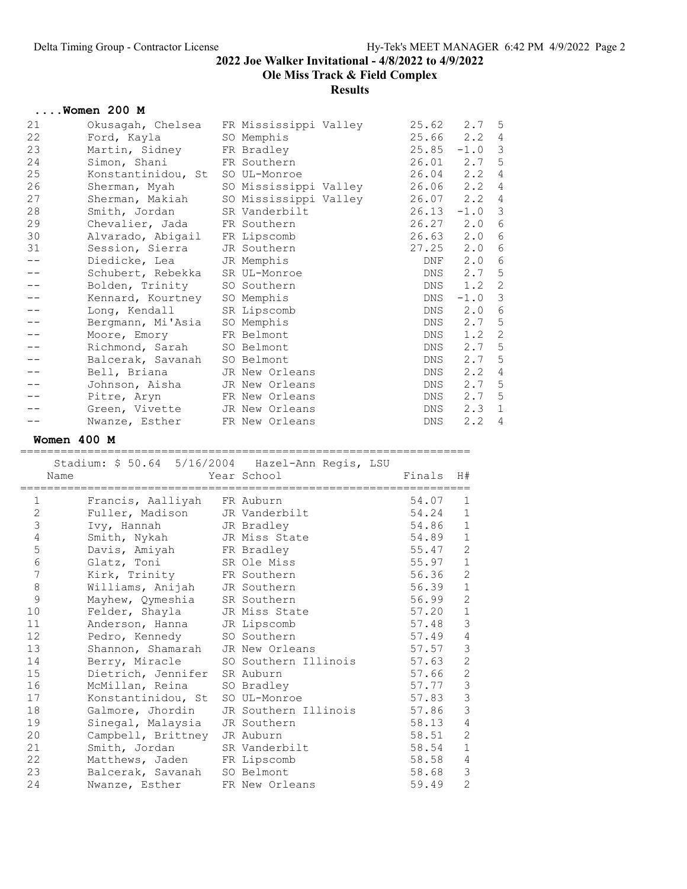Ole Miss Track & Field Complex

Results

|       | $\ldots$ Women 200 M                        |            |                 |                  |   |
|-------|---------------------------------------------|------------|-----------------|------------------|---|
| 21    | Okusagah, Chelsea - FR Mississippi Valley   |            | $25.62$ $2.7$ 5 |                  |   |
| 22    | Ford, Kayla                                 | SO Memphis | $25.66$ $2.2$ 4 |                  |   |
| 23    | Martin, Sidney FR Bradley                   |            | 25.85           | $-1.0$           | 3 |
| 24    | Simon, Shani FR Southern                    |            | $26.01$ $2.7$ 5 |                  |   |
| 25    | Konstantinidou, St SO UL-Monroe             |            | $26.04$ $2.2$ 4 |                  |   |
| 26    | Sherman, Myah         SO Mississippi Valley |            | $26.06$ $2.2$ 4 |                  |   |
| 27    | Sherman, Makiah SO Mississippi Valley       |            | $26.07$ $2.2$ 4 |                  |   |
| 28    | Smith, Jordan SR Vanderbilt                 |            | 26.13           | $-1.0$           | 3 |
| 29    | Chevalier, Jada FR Southern                 |            | 26.27 2.0 6     |                  |   |
| 30    | Alvarado, Abigail FR Lipscomb               |            | 26.63           | 2.0              | 6 |
| 31    | Session, Sierra JR Southern                 |            | 27.25           | 2.0              | 6 |
| $- -$ | Diedicke, Lea JR Memphis                    |            | DNF             | 2.0              | 6 |
|       | Schubert, Rebekka SR UL-Monroe              |            | DNS             | 2.7 <sub>5</sub> |   |
|       | Bolden, Trinity SO Southern                 |            |                 | DNS 1.2 2        |   |
|       | Kennard, Kourtney SO Memphis                |            | DNS             | $-1.0$ 3         |   |
|       | Long, Kendall SR Lipscomb                   |            | DNS             | $2.0\quad 6$     |   |
|       | Bergmann, Mi'Asia SO Memphis                |            | DNS             | $2.7 - 5$        |   |
|       | Moore, Emory FR Belmont                     |            | DNS             | $1.2 \quad 2$    |   |
|       | Richmond, Sarah                             | SO Belmont | DNS             | 2.7              | 5 |
|       | Balcerak, Savanah                           | SO Belmont | DNS             | 2.7 <sub>5</sub> |   |
|       | Bell, Briana JR New Orleans                 |            | DNS             | $2.2 \quad 4$    |   |
|       | Johnson, Aisha JR New Orleans               |            | DNS             | $2.7 - 5$        |   |
| ——    | Pitre, Aryn FR New Orleans                  |            | DNS             | 2.7 <sub>5</sub> |   |
|       | Green, Vivette JR New Orleans               |            | DNS             | $2.3 \quad 1$    |   |
|       | Nwanze, Esther FR New Orleans               |            | DNS             | $2.2$ 4          |   |

#### Women 400 M

=================================================================== Stadium: \$ 50.64 5/16/2004 Hazel-Ann Regis, LSU Name Year School Finals H# =================================================================== 1 Francis, Aalliyah FR Auburn 54.07 1 2 Fuller, Madison JR Vanderbilt 54.24 1 3 Ivy, Hannah JR Bradley 54.86 1 4 Smith, Nykah JR Miss State 54.89 1 5 Davis, Amiyah FR Bradley 55.47 2 6 Glatz, Toni SR Ole Miss 55.97 1 7 Kirk, Trinity FR Southern 56.36 2 8 Williams, Anijah JR Southern 56.39 1 9 Mayhew, Qymeshia SR Southern 56.99 2 10 Felder, Shayla JR Miss State 57.20 1 11 Anderson, Hanna JR Lipscomb 57.48 3 12 Pedro, Kennedy SO Southern 57.49 4 13 Shannon, Shamarah JR New Orleans 57.57 3 14 Berry, Miracle SO Southern Illinois 57.63 2 15 Dietrich, Jennifer SR Auburn 57.66 2 16 McMillan, Reina SO Bradley 57.77 3 17 Konstantinidou, St SO UL-Monroe 57.83 3 18 Galmore, Jhordin JR Southern Illinois 57.86 3 19 Sinegal, Malaysia JR Southern 58.13 4 20 Campbell, Brittney JR Auburn 58.51 2 21 Smith, Jordan SR Vanderbilt 58.54 1 22 Matthews, Jaden FR Lipscomb 58.58 4 23 Balcerak, Savanah SO Belmont 58.68 3 24 Nwanze, Esther FR New Orleans 59.49 2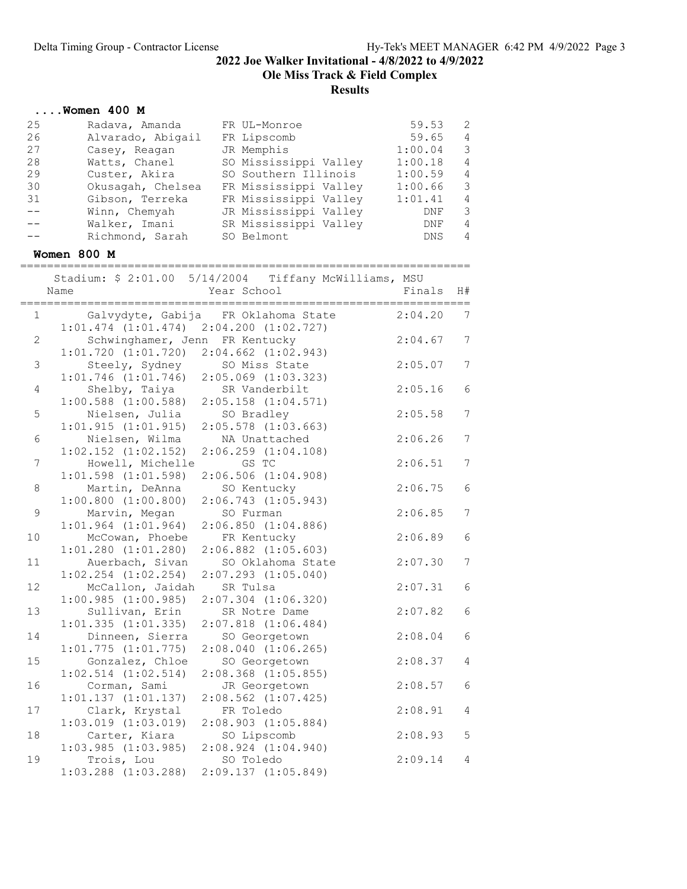# 2022 Joe Walker Invitational - 4/8/2022 to 4/9/2022 Ole Miss Track & Field Complex

|       | $\ldots$ Women 400 M                            |                                     |         |                |
|-------|-------------------------------------------------|-------------------------------------|---------|----------------|
| 25    | Radava, Amanda                                  | FR UL-Monroe                        | 59.53   | 2              |
| 26    | Alvarado, Abigail                               | FR Lipscomb                         | 59.65   | 4              |
| 27    | Casey, Reagan                                   | JR Memphis                          | 1:00.04 | 3              |
| 28    | Watts, Chanel                                   | SO Mississippi Valley               | 1:00.18 | $\overline{4}$ |
| 29    | Custer, Akira                                   | SO Southern Illinois                | 1:00.59 | $\overline{4}$ |
| 30    | Okusagah, Chelsea                               | FR Mississippi Valley               | 1:00.66 | 3              |
| 31    | Gibson, Terreka                                 | FR Mississippi Valley               | 1:01.41 | $\overline{4}$ |
| $- -$ | Winn, Chemyah                                   | JR Mississippi Valley               | DNF     | 3              |
| $-$   | Walker, Imani                                   | SR Mississippi Valley               | DNF     | $\overline{4}$ |
|       | Richmond, Sarah                                 | SO Belmont                          | DNS     | 4              |
|       |                                                 |                                     |         |                |
|       | Women 800 M                                     |                                     |         |                |
|       | Stadium: \$ 2:01.00 5/14/2004                   | Tiffany McWilliams, MSU             |         |                |
|       | Name                                            | Year School                         | Finals  | H#             |
|       |                                                 |                                     |         |                |
| 1     |                                                 | Galvydyte, Gabija FR Oklahoma State | 2:04.20 | 7              |
|       | $1:01.474$ $(1:01.474)$ $2:04.200$ $(1:02.727)$ |                                     |         |                |
| 2     | Schwinghamer, Jenn FR Kentucky                  |                                     | 2:04.67 | 7              |
|       | $1:01.720$ $(1:01.720)$                         | $2:04.662$ $(1:02.943)$             |         |                |
| 3     | Steely, Sydney                                  | SO Miss State                       | 2:05.07 | 7              |
|       | $1:01.746$ $(1:01.746)$                         | $2:05.069$ $(1:03.323)$             |         |                |
| 4     | Shelby, Taiya                                   | SR Vanderbilt                       | 2:05.16 | 6              |
|       | $1:00.588$ $(1:00.588)$                         | $2:05.158$ $(1:04.571)$             |         |                |
| 5     | Nielsen, Julia                                  | SO Bradley                          | 2:05.58 | 7              |
|       | 1:01.915(1:01.915)                              | $2:05.578$ $(1:03.663)$             |         |                |
| 6     | Nielsen, Wilma                                  | NA Unattached                       | 2:06.26 | 7              |
|       | $1:02.152$ $(1:02.152)$                         | $2:06.259$ $(1:04.108)$             |         |                |
| 7     | Howell, Michelle                                | GS TC                               | 2:06.51 | 7              |
|       | $1:01.598$ $(1:01.598)$                         | 2:06.506(1:04.908)                  |         |                |
| 8     | Martin, DeAnna                                  | SO Kentucky                         | 2:06.75 | 6              |
|       | $1:00.800$ $(1:00.800)$                         | 2:06.743(1:05.943)                  |         |                |
| 9     | Marvin, Megan                                   | SO Furman                           | 2:06.85 | 7              |
|       | $1:01.964$ $(1:01.964)$                         | $2:06.850$ $(1:04.886)$             |         |                |
| 10    | McCowan, Phoebe                                 | FR Kentucky                         | 2:06.89 | 6              |
|       | $1:01.280$ $(1:01.280)$                         | $2:06.882$ $(1:05.603)$             |         |                |
| 11    | Auerbach, Sivan                                 | SO Oklahoma State                   | 2:07.30 | 7              |
|       | $1:02.254$ $(1:02.254)$                         | $2:07.293$ $(1:05.040)$             |         |                |
| 12    | McCallon, Jaidah                                | SR Tulsa                            | 2:07.31 | 6              |
|       | 1:00.985(1:00.985)                              | $2:07.304$ $(1:06.320)$             |         |                |
| 13    | Sullivan, Erin                                  | SR Notre Dame                       | 2:07.82 | 6              |
|       | $1:01.335$ $(1:01.335)$                         | $2:07.818$ $(1:06.484)$             |         |                |
| 14    | Dinneen, Sierra                                 | SO Georgetown                       | 2:08.04 | 6              |
|       | 1:01.775(1:01.775)                              | $2:08.040$ $(1:06.265)$             |         |                |
| 15    | Gonzalez, Chloe                                 | SO Georgetown                       | 2:08.37 | 4              |
|       | $1:02.514$ $(1:02.514)$                         | $2:08.368$ $(1:05.855)$             |         |                |
| 16    | Corman, Sami                                    | JR Georgetown                       | 2:08.57 | 6              |
|       | $1:01.137$ $(1:01.137)$                         | $2:08.562$ $(1:07.425)$             |         |                |
| 17    | Clark, Krystal                                  | FR Toledo                           | 2:08.91 | 4              |
|       | $1:03.019$ $(1:03.019)$                         | $2:08.903$ $(1:05.884)$             |         |                |
| 18    | Carter, Kiara                                   | SO Lipscomb                         | 2:08.93 | 5              |
|       | $1:03.985$ $(1:03.985)$                         | $2:08.924$ $(1:04.940)$             |         |                |
| 19    | Trois, Lou                                      | SO Toledo                           | 2:09.14 | 4              |
|       | $1:03.288$ $(1:03.288)$                         | 2:09.137 (1:05.849)                 |         |                |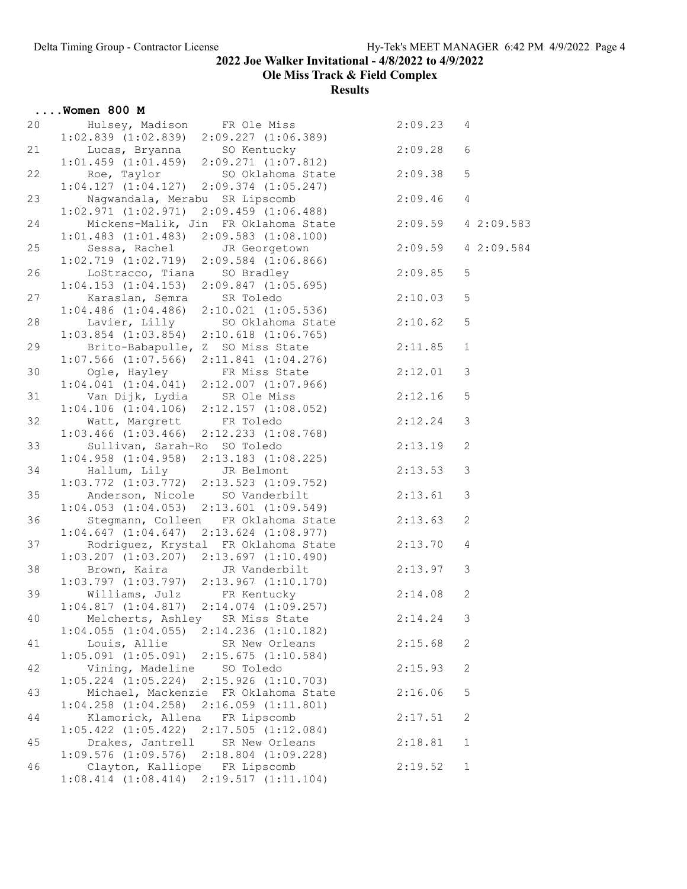Ole Miss Track & Field Complex

|    | $\ldots$ Women 800 M                                                                                                            |         |                |
|----|---------------------------------------------------------------------------------------------------------------------------------|---------|----------------|
| 20 | 2:09.23<br>Hulsey, Madison FR Ole Miss<br>$1:02.839$ $(1:02.839)$<br>2:09.227 (1:06.389)                                        |         | 4              |
| 21 | Lucas, Bryanna<br>SO Kentucky<br>$1:01.459$ $(1:01.459)$<br>2:09.271(1:07.812)                                                  | 2:09.28 | 6              |
| 22 | Roe, Taylor<br>SO Oklahoma State<br>1:04.127(1:04.127)<br>$2:09.374$ $(1:05.247)$                                               | 2:09.38 | 5              |
| 23 | Nagwandala, Merabu SR Lipscomb<br>$1:02.971$ $(1:02.971)$<br>2:09.459(1:06.488)                                                 | 2:09.46 | $\overline{4}$ |
| 24 | Mickens-Malik, Jin FR Oklahoma State<br>2:09.583(1:08.100)<br>$1:01.483$ $(1:01.483)$                                           | 2:09.59 | 4 2:09.583     |
| 25 | Sessa, Rachel<br>JR Georgetown<br>$2:09.584$ $(1:06.866)$<br>$1:02.719$ $(1:02.719)$                                            | 2:09.59 | 4 2:09.584     |
| 26 | LoStracco, Tiana<br>SO Bradley<br>$1:04.153$ $(1:04.153)$ $2:09.847$ $(1:05.695)$                                               | 2:09.85 | 5              |
| 27 | Karaslan, Semra<br>SR Toledo<br>$1:04.486$ $(1:04.486)$<br>$2:10.021$ $(1:05.536)$                                              | 2:10.03 | 5              |
| 28 | Lavier, Lilly<br>SO Oklahoma State<br>$1:03.854$ $(1:03.854)$ $2:10.618$ $(1:06.765)$                                           | 2:10.62 | 5              |
| 29 | Brito-Babapulle, Z SO Miss State<br>$1:07.566$ $(1:07.566)$<br>$2:11.841$ $(1:04.276)$                                          | 2:11.85 | $\mathbf 1$    |
| 30 | Ogle, Hayley FR Miss State<br>2:12.01<br>$1:04.041$ $(1:04.041)$<br>2:12.007(1:07.966)                                          |         | $\mathcal{S}$  |
| 31 | 1:04.106 (1:04.106) SR Ole Miss 2:12.16<br>Matt, Margrett FR Tolods 1.04.052)                                                   |         | 5              |
| 32 | $1:03.466$ $(1:03.466)$<br>2:12.233 (1:08.768)                                                                                  |         | $\mathcal{S}$  |
| 33 | Sullivan, Sarah-Ro SO Toledo<br>Sullivan, Saran-Ro Contractor<br>1:04.958 (1:04.958) 2:13.183 (1:08.225)<br>The Polmont 2:13.53 | 2:13.19 | $\mathbf{2}$   |
| 34 | $1:03.772$ $(1:03.772)$ $2:13.523$ $(1:09.752)$                                                                                 |         | $\mathcal{S}$  |
| 35 | Anderson, Nicole<br>SO Vanderbilt<br>$1:04.053$ $(1:04.053)$<br>$2:13.601$ $(1:09.549)$                                         | 2:13.61 | $\mathfrak{Z}$ |
| 36 | Stegmann, Colleen FR Oklahoma State<br>$1:04.647$ $(1:04.647)$ $2:13.624$ $(1:08.977)$                                          | 2:13.63 | $\mathbf{2}$   |
| 37 | Rodriguez, Krystal FR Oklahoma State<br>$1:03.207$ $(1:03.207)$ $2:13.697$ $(1:10.490)$                                         | 2:13.70 | $\overline{4}$ |
| 38 | Brown, Kaira<br>JR Vanderbilt<br>$1:03.797$ $(1:03.797)$ $2:13.967$ $(1:10.170)$                                                | 2:13.97 | $\mathcal{S}$  |
| 39 | 2:14.08<br>Williams, Julz FR Kentucky<br>$1:04.817$ $(1:04.817)$ $2:14.074$ $(1:09.257)$                                        |         | $\mathbf{2}$   |
| 40 | Melcherts, Ashley SR Miss State<br>$1:04.055$ $(1:04.055)$ $2:14.236$ $(1:10.182)$                                              | 2:14.24 | 3              |
| 41 | Louis, Allie<br>SR New Orleans<br>$1:05.091$ $(1:05.091)$<br>2:15.675(1:10.584)                                                 | 2:15.68 | $\mathbf{2}$   |
| 42 | Vining, Madeline<br>SO Toledo<br>$1:05.224$ $(1:05.224)$<br>$2:15.926$ $(1:10.703)$                                             | 2:15.93 | 2              |
| 43 | Michael, Mackenzie FR Oklahoma State<br>$1:04.258$ $(1:04.258)$<br>$2:16.059$ $(1:11.801)$                                      | 2:16.06 | 5              |
| 44 | Klamorick, Allena<br>FR Lipscomb<br>$2:17.505$ $(1:12.084)$<br>$1:05.422$ $(1:05.422)$                                          | 2:17.51 | $\mathbf{2}$   |
| 45 | Drakes, Jantrell<br>SR New Orleans<br>$1:09.576$ $(1:09.576)$<br>$2:18.804$ $(1:09.228)$                                        | 2:18.81 | 1              |
| 46 | Clayton, Kalliope FR Lipscomb<br>$1:08.414$ $(1:08.414)$ $2:19.517$ $(1:11.104)$                                                | 2:19.52 | $\mathbf 1$    |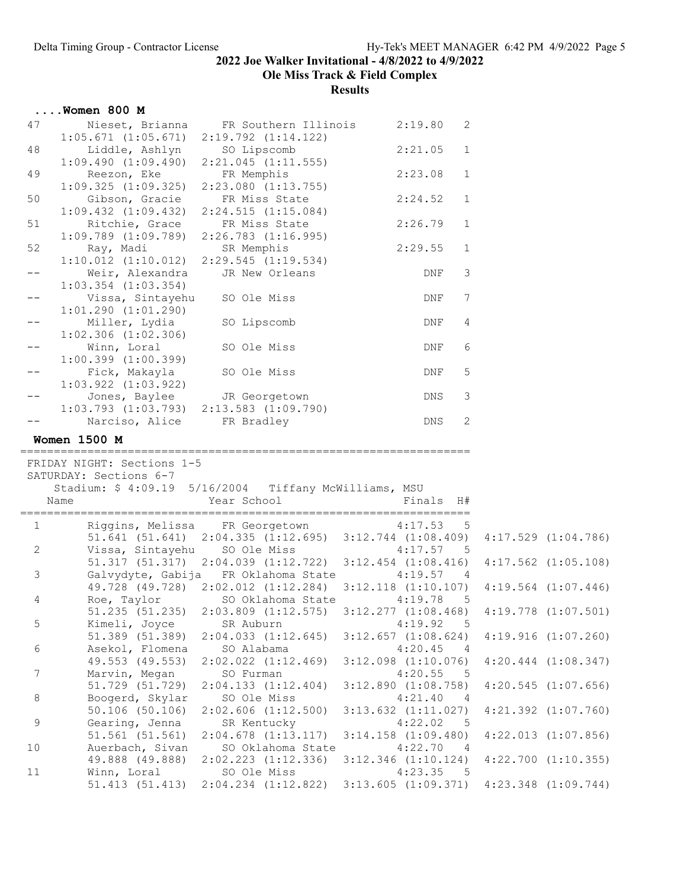Ole Miss Track & Field Complex

|             | $\ldots$ Women 800 M                                                  |                                                                                                             |                                    |              |                         |
|-------------|-----------------------------------------------------------------------|-------------------------------------------------------------------------------------------------------------|------------------------------------|--------------|-------------------------|
| 47          | $1:05.671$ $(1:05.671)$ $2:19.792$ $(1:14.122)$                       | Nieset, Brianna FR Southern Illinois                                                                        | 2:19.80                            | 2            |                         |
| 48          | Liddle, Ashlyn SO Lipscomb<br>1:09.490 (1:09.490) 2:21.045 (1:11.555) |                                                                                                             | 2:21.05                            | $\mathbf{1}$ |                         |
| 49          | Reezon, Eke FR Memphis<br>1:09.325 (1:09.325) 2:23.080 (1:13.755)     |                                                                                                             | 2:23.08                            | $\mathbf{1}$ |                         |
| 50          | Gibson, Gracie                                                        | FR Miss State                                                                                               | 2:24.52                            | $\mathbf 1$  |                         |
|             |                                                                       | $1:09.432$ $(1:09.432)$ $2:24.515$ $(1:15.084)$                                                             |                                    |              |                         |
| 51          | Ritchie, Grace<br>$1:09.789$ $(1:09.789)$ $2:26.783$ $(1:16.995)$     | FR Miss State                                                                                               | 2:26.79                            | $\mathbf 1$  |                         |
| 52          |                                                                       |                                                                                                             | 2:29.55                            | 1            |                         |
|             |                                                                       | Ray, Madi SR Memphis<br>1:10.012 (1:10.012) 2:29.545 (1:19.534)                                             |                                    |              |                         |
| $- -$       | Weir, Alexandra                                                       | JR New Orleans                                                                                              | DNF                                | 3            |                         |
|             | $1:03.354$ $(1:03.354)$                                               |                                                                                                             |                                    |              |                         |
| $- -$       | Vissa, Sintayehu<br>$1:01.290$ $(1:01.290)$                           | SO Ole Miss                                                                                                 | DNF                                | 7            |                         |
| $-\,-$      | Miller, Lydia<br>$1:02.306$ $(1:02.306)$                              | SO Lipscomb                                                                                                 | DNF                                | 4            |                         |
| $- -$       | Winn, Loral<br>$1:00.399$ $(1:00.399)$                                | SO Ole Miss                                                                                                 | DNF                                | 6            |                         |
|             | Fick, Makayla<br>$1:03.922$ $(1:03.922)$                              | SO Ole Miss                                                                                                 | DNF                                | 5            |                         |
| $- -$       |                                                                       |                                                                                                             | DNS                                | 3            |                         |
|             |                                                                       | Jones, Baylee JR Georgetown<br>1:03.793 (1:03.793) 2:13.583 (1:09.790)                                      |                                    |              |                         |
|             | Narciso, Alice FR Bradley                                             |                                                                                                             | DNS                                | 2            |                         |
|             |                                                                       |                                                                                                             |                                    |              |                         |
|             |                                                                       |                                                                                                             |                                    |              |                         |
|             | <b>Women 1500 M</b>                                                   |                                                                                                             |                                    |              |                         |
|             | FRIDAY NIGHT: Sections 1-5                                            |                                                                                                             |                                    |              |                         |
|             | SATURDAY: Sections 6-7                                                |                                                                                                             |                                    |              |                         |
|             | Stadium: \$ 4:09.19 5/16/2004 Tiffany McWilliams, MSU                 |                                                                                                             |                                    |              |                         |
|             | Name                                                                  | Year School                                                                                                 | Finals H#                          |              |                         |
|             |                                                                       |                                                                                                             |                                    |              |                         |
| 1           |                                                                       | Riggins, Melissa FR Georgetown 4:17.53 5                                                                    |                                    |              |                         |
|             |                                                                       | 51.641 (51.641) 2:04.335 (1:12.695) 3:12.744 (1:08.409) 4:17.529 (1:04.786)                                 |                                    |              |                         |
| 2           |                                                                       | Vissa, Sintayehu SO Ole Miss<br>51.317 (51.317) 2:04.039 (1:12.722) 3:12.454 (1:08.416) 4:17.562 (1:05.108) | 4:17.57 5                          |              |                         |
| 3           |                                                                       | Galvydyte, Gabija FR Oklahoma State 4:19.57 4                                                               |                                    |              |                         |
|             |                                                                       | 49.728 (49.728) 2:02.012 (1:12.284) 3:12.118 (1:10.107) 4:19.564 (1:07.446)                                 |                                    |              |                         |
| 4           | Roe, Taylor                                                           | SO Oklahoma State                                                                                           | 4:19.78                            | $-5$         |                         |
|             | 51.235 (51.235)                                                       | $2:03.809$ $(1:12.575)$                                                                                     | $3:12.277$ $(1:08.468)$            |              | $4:19.778$ $(1:07.501)$ |
| 5           | Kimeli, Joyce                                                         | SR Auburn                                                                                                   | 4:19.92                            | - 5          |                         |
|             | 51.389 (51.389)                                                       | $2:04.033$ $(1:12.645)$                                                                                     | $3:12.657$ $(1:08.624)$            |              | 4:19.916(1:07.260)      |
| 6           | Asekol, Flomena                                                       | SO Alabama                                                                                                  | 4:20.45                            | - 4          |                         |
|             | 49.553 (49.553)                                                       | $2:02.022$ $(1:12.469)$                                                                                     | $3:12.098$ $(1:10.076)$            | - 5          | $4:20.444$ $(1:08.347)$ |
| 7           | Marvin, Megan                                                         | SO Furman                                                                                                   | 4:20.55                            |              |                         |
| $\,8\,$     | 51.729 (51.729)<br>Boogerd, Skylar                                    | 2:04.133(1:12.404)<br>SO Ole Miss                                                                           | 3:12.890(1:08.758)<br>4:21.40      | - 4          | $4:20.545$ $(1:07.656)$ |
|             | $50.106$ (50.106)                                                     | $2:02.606$ $(1:12.500)$                                                                                     | $3:13.632$ $(1:11.027)$            |              | $4:21.392$ $(1:07.760)$ |
| $\mathsf 9$ | Gearing, Jenna                                                        | SR Kentucky                                                                                                 | 4:22.02                            | $-5$         |                         |
|             | 51.561(51.561)                                                        | $2:04.678$ $(1:13.117)$                                                                                     | $3:14.158$ $(1:09.480)$            |              | $4:22.013$ $(1:07.856)$ |
| 10          | Auerbach, Sivan                                                       | SO Oklahoma State                                                                                           | 4:22.70                            | - 4          |                         |
| 11          | 49.888 (49.888)<br>Winn, Loral                                        | $2:02.223$ $(1:12.336)$<br>SO Ole Miss                                                                      | $3:12.346$ $(1:10.124)$<br>4:23.35 | $-5$         | $4:22.700$ $(1:10.355)$ |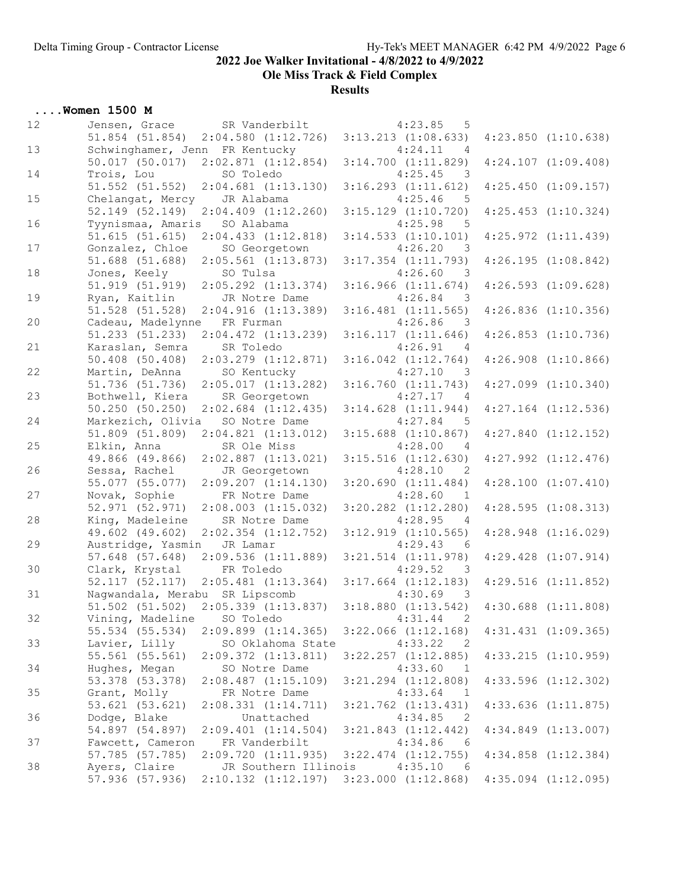Ole Miss Track & Field Complex

**Results** 

## ....Women 1500 M

| 12 | Jensen, Grace                         | SR Vanderbilt                            | 4:23.85<br>5                                                   |                         |
|----|---------------------------------------|------------------------------------------|----------------------------------------------------------------|-------------------------|
|    | $51.854$ $(51.854)$                   | $2:04.580$ $(1:12.726)$                  | $3:13.213$ $(1:08.633)$                                        | $4:23.850$ $(1:10.638)$ |
| 13 | Schwinghamer, Jenn FR Kentucky        |                                          | 4:24.11<br>$\overline{4}$                                      |                         |
|    | $50.017$ (50.017)                     | 2:02.871(1:12.854)                       | $3:14.700$ $(1:11.829)$                                        | $4:24.107$ $(1:09.408)$ |
| 14 | Trois, Lou                            | SO Toledo                                | 4:25.45<br>- 3                                                 |                         |
|    | 51.552 (51.552)                       | $2:04.681$ $(1:13.130)$<br>JR Alabama    | $3:16.293$ $(1:11.612)$<br>4:25.46                             | $4:25.450$ $(1:09.157)$ |
| 15 | Chelangat, Mercy<br>52.149 (52.149)   | $2:04.409$ $(1:12.260)$                  | 5<br>$3:15.129$ $(1:10.720)$                                   | $4:25.453$ $(1:10.324)$ |
| 16 | Tyynismaa, Amaris                     | SO Alabama                               | 4:25.98<br>5                                                   |                         |
|    | 51.615(51.615)                        | $2:04.433$ $(1:12.818)$                  | $3:14.533$ $(1:10.101)$                                        | $4:25.972$ $(1:11.439)$ |
| 17 | Gonzalez, Chloe                       | SO Georgetown                            | 4:26.20<br>- 3                                                 |                         |
|    | 51.688 (51.688)                       | $2:05.561$ $(1:13.873)$                  | $3:17.354$ $(1:11.793)$                                        | $4:26.195$ $(1:08.842)$ |
| 18 | Jones, Keely                          | SO Tulsa                                 | 4:26.60<br>- 3                                                 |                         |
|    | 51.919 (51.919)                       | $2:05.292$ $(1:13.374)$                  | 3:16.966(1:11.674)                                             | $4:26.593$ $(1:09.628)$ |
| 19 | Ryan, Kaitlin                         | JR Notre Dame                            | 4:26.84<br>$\overline{\phantom{a}}$                            |                         |
|    | $51.528$ $(51.528)$                   | 2:04.916(1:13.389)                       | $3:16.481$ $(1:11.565)$                                        | $4:26.836$ $(1:10.356)$ |
| 20 | Cadeau, Madelynne                     | FR Furman                                | 4:26.86<br>- 3                                                 |                         |
|    | 51.233 (51.233)                       | $2:04.472$ $(1:13.239)$                  | 3:16.117(1:11.646)                                             | $4:26.853$ $(1:10.736)$ |
| 21 | Karaslan, Semra                       | SR Toledo                                | 4:26.91<br>4                                                   |                         |
| 22 | 50.408 (50.408)                       | $2:03.279$ $(1:12.871)$                  | $3:16.042$ $(1:12.764)$                                        | $4:26.908$ $(1:10.866)$ |
|    | Martin, DeAnna<br>$51.736$ $(51.736)$ | SO Kentucky<br>2:05.017(1:13.282)        | 4:27.10<br>$\overline{\phantom{a}}$<br>$3:16.760$ $(1:11.743)$ | $4:27.099$ $(1:10.340)$ |
| 23 | Bothwell, Kiera                       | SR Georgetown                            | 4:27.17<br>4                                                   |                         |
|    | 50.250(50.250)                        | $2:02.684$ $(1:12.435)$                  | $3:14.628$ $(1:11.944)$                                        | $4:27.164$ $(1:12.536)$ |
| 24 | Markezich, Olivia                     | SO Notre Dame                            | 4:27.84<br>- 5                                                 |                         |
|    | 51.809 (51.809)                       | $2:04.821$ $(1:13.012)$                  | $3:15.688$ $(1:10.867)$                                        | $4:27.840$ $(1:12.152)$ |
| 25 | Elkin, Anna                           | SR Ole Miss                              | 4:28.00<br>4                                                   |                         |
|    | 49.866 (49.866)                       | $2:02.887$ $(1:13.021)$                  | $3:15.516$ $(1:12.630)$                                        | $4:27.992$ $(1:12.476)$ |
| 26 | Sessa, Rachel                         | JR Georgetown                            | 4:28.10<br>-2                                                  |                         |
|    | 55.077 (55.077)                       | $2:09.207$ $(1:14.130)$                  | 3:20.690(1:11.484)                                             | $4:28.100$ $(1:07.410)$ |
| 27 | Novak, Sophie                         | FR Notre Dame                            | 4:28.60<br>$\mathbf{1}$                                        |                         |
|    | 52.971 (52.971)                       | $2:08.003$ $(1:15.032)$                  | $3:20.282$ $(1:12.280)$                                        | 4:28.595(1:08.313)      |
| 28 | King, Madeleine                       | SR Notre Dame                            | 4:28.95<br>4                                                   |                         |
| 29 | 49.602 (49.602)                       | $2:02.354$ $(1:12.752)$                  | $3:12.919$ $(1:10.565)$<br>4:29.43                             | $4:28.948$ $(1:16.029)$ |
|    | Austridge, Yasmin<br>57.648 (57.648)  | JR Lamar<br>2:09.536(1:11.889)           | - 6<br>$3:21.514$ $(1:11.978)$                                 | $4:29.428$ $(1:07.914)$ |
| 30 | Clark, Krystal                        | FR Toledo                                | 4:29.52<br>- 3                                                 |                         |
|    |                                       | 52.117 (52.117) 2:05.481 (1:13.364)      | $3:17.664$ $(1:12.183)$                                        | $4:29.516$ $(1:11.852)$ |
| 31 | Naqwandala, Merabu SR Lipscomb        |                                          | 4:30.69<br>$\overline{\phantom{a}}$                            |                         |
|    |                                       | 51.502 (51.502) 2:05.339 (1:13.837)      | $3:18.880$ $(1:13.542)$                                        | $4:30.688$ $(1:11.808)$ |
| 32 | Vining, Madeline SO Toledo            |                                          | 4:31.44<br>$\overline{2}$                                      |                         |
|    | 55.534 (55.534)                       | $2:09.899$ $(1:14.365)$                  | $3:22.066$ $(1:12.168)$                                        | $4:31.431$ $(1:09.365)$ |
| 33 | Lavier, Lilly                         | SO Oklahoma State                        | 4:33.22<br>- 2                                                 |                         |
|    | 55.561 (55.561)                       | 2:09.372(1:13.811)                       | $3:22.257$ $(1:12.885)$                                        | $4:33.215$ $(1:10.959)$ |
| 34 | Hughes, Megan                         | SO Notre Dame                            | 4:33.60<br>$\overline{1}$                                      |                         |
|    | 53.378 (53.378)                       | $2:08.487$ $(1:15.109)$                  | $3:21.294$ $(1:12.808)$                                        | $4:33.596$ $(1:12.302)$ |
| 35 | Grant, Molly                          | FR Notre Dame                            | 4:33.64<br>$\overline{1}$                                      |                         |
|    | 53.621 (53.621)                       | 2:08.331(1:14.711)                       | $3:21.762$ $(1:13.431)$                                        | $4:33.636$ $(1:11.875)$ |
| 36 | Dodge, Blake                          | Unattached                               | 4:34.85<br>$\overline{\phantom{0}}^2$                          |                         |
| 37 | 54.897 (54.897)<br>Fawcett, Cameron   | $2:09.401$ $(1:14.504)$<br>FR Vanderbilt | $3:21.843$ $(1:12.442)$<br>4:34.86<br>- 6                      | $4:34.849$ $(1:13.007)$ |
|    | 57.785 (57.785)                       | 2:09.720(1:11.935)                       | $3:22.474$ $(1:12.755)$                                        | $4:34.858$ $(1:12.384)$ |
| 38 | Ayers, Claire                         | JR Southern Illinois                     | 4:35.10<br>- 6                                                 |                         |
|    | 57.936 (57.936)                       | $2:10.132$ $(1:12.197)$                  | $3:23.000$ $(1:12.868)$                                        | $4:35.094$ $(1:12.095)$ |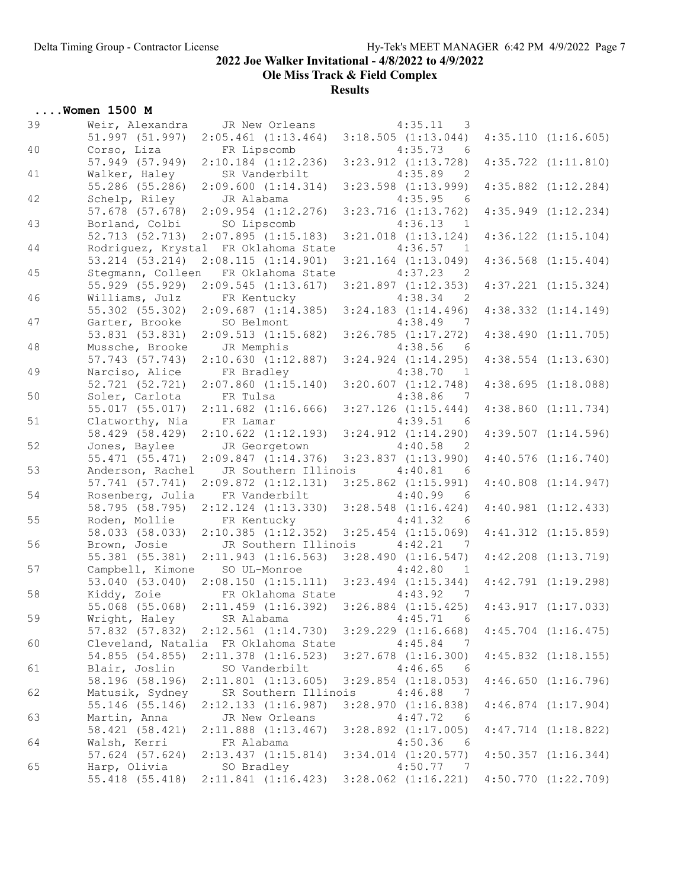Ole Miss Track & Field Complex

| 39<br>Weir, Alexandra<br>JR New Orleans<br>4:35.11<br>$\overline{\mathbf{3}}$<br>51.997 (51.997)<br>$3:18.505$ $(1:13.044)$<br>4:35.110(1:16.605)<br>$2:05.461$ $(1:13.464)$<br>40<br>Corso, Liza<br>FR Lipscomb<br>4:35.73<br>- 6<br>57.949 (57.949)<br>$2:10.184$ $(1:12.236)$<br>$3:23.912$ $(1:13.728)$<br>$4:35.722$ $(1:11.810)$<br>Walker, Haley<br>4:35.89<br>41<br>SR Vanderbilt<br>2<br>55.286 (55.286)<br>2:09.600(1:14.314)<br>$3:23.598$ $(1:13.999)$<br>$4:35.882$ $(1:12.284)$<br>42<br>Schelp, Riley<br>4:35.95<br>JR Alabama<br>- 6<br>57.678 (57.678)<br>$2:09.954$ $(1:12.276)$<br>$3:23.716$ $(1:13.762)$<br>$4:35.949$ $(1:12.234)$<br>43<br>Borland, Colbi<br>SO Lipscomb<br>4:36.13<br>$\overline{1}$<br>2:07.895(1:15.183)<br>52.713 (52.713)<br>$3:21.018$ $(1:13.124)$<br>$4:36.122$ $(1:15.104)$<br>44<br>Rodriguez, Krystal FR Oklahoma State<br>4:36.57<br>$\overline{1}$<br>53.214 (53.214)<br>2:08.115(1:14.901)<br>$3:21.164$ $(1:13.049)$<br>$4:36.568$ $(1:15.404)$<br>FR Oklahoma State<br>4:37.23<br>45<br>Stegmann, Colleen<br>$\overline{2}$<br>55.929 (55.929)<br>$4:37.221$ $(1:15.324)$<br>2:09.545(1:13.617)<br>$3:21.897$ $(1:12.353)$<br>Williams, Julz<br>FR Kentucky<br>4:38.34<br>46<br>$\overline{2}$<br>2:09.687(1:14.385)<br>55.302 (55.302)<br>$3:24.183$ $(1:14.496)$<br>$4:38.332$ $(1:14.149)$<br>4:38.49<br>47<br>Garter, Brooke<br>SO Belmont<br>7<br>53.831 (53.831)<br>2:09.513(1:15.682)<br>$3:26.785$ $(1:17.272)$<br>4:38.490(1:11.705)<br>48<br>JR Memphis<br>4:38.56<br>Mussche, Brooke<br>- 6<br>57.743 (57.743)<br>2:10.630(1:12.887)<br>$3:24.924$ $(1:14.295)$<br>$4:38.554$ $(1:13.630)$<br>49<br>Narciso, Alice<br>4:38.70<br>FR Bradley<br>$\overline{1}$<br>52.721 (52.721)<br>$2:07.860$ $(1:15.140)$<br>$3:20.607$ $(1:12.748)$<br>4:38.695(1:18.088)<br>50<br>4:38.86<br>Soler, Carlota<br>FR Tulsa<br>- 7<br>55.017 (55.017)<br>$2:11.682$ $(1:16.666)$<br>$3:27.126$ $(1:15.444)$<br>$4:38.860$ $(1:11.734)$<br>51<br>Clatworthy, Nia<br>FR Lamar<br>4:39.51<br>- 6<br>58.429 (58.429)<br>2:10.622 (1:12.193)<br>$4:39.507$ $(1:14.596)$<br>$3:24.912$ $(1:14.290)$<br>52<br>Jones, Baylee<br>JR Georgetown<br>4:40.58<br>$\overline{2}$<br>55.471 (55.471)<br>2:09.847(1:14.376)<br>$3:23.837$ $(1:13.990)$<br>$4:40.576$ $(1:16.740)$<br>53<br>Anderson, Rachel<br>4:40.81<br>JR Southern Illinois<br>- 6<br>57.741 (57.741)<br>$2:09.872$ $(1:12.131)$<br>$3:25.862$ $(1:15.991)$<br>$4:40.808$ $(1:14.947)$<br>54<br>Rosenberg, Julia<br>4:40.99<br>FR Vanderbilt<br>- 6<br>58.795 (58.795)<br>$2:12.124$ $(1:13.330)$<br>$3:28.548$ $(1:16.424)$<br>$4:40.981$ $(1:12.433)$<br>55<br>Roden, Mollie<br>FR Kentucky<br>4:41.32<br>- 6<br>58.033 (58.033)<br>$2:10.385$ $(1:12.352)$<br>$3:25.454$ $(1:15.069)$<br>$4:41.312$ $(1:15.859)$<br>56<br>Brown, Josie<br>JR Southern Illinois<br>4:42.21<br>7<br>55.381 (55.381)<br>2:11.943(1:16.563)<br>$3:28.490$ $(1:16.547)$<br>$4:42.208$ $(1:13.719)$<br>57<br>4:42.80<br>Campbell, Kimone<br>SO UL-Monroe<br>$\overline{1}$<br>53.040 (53.040)<br>2:08.150(1:15.111)<br>$3:23.494$ $(1:15.344)$<br>$4:42.791$ $(1:19.298)$<br>58<br>Kiddy, Zoie<br>FR Oklahoma State<br>4:43.92<br>$\overline{7}$<br>55.068 (55.068) 2:11.459 (1:16.392) 3:26.884 (1:15.425) 4:43.917 (1:17.033)<br>59<br>Wright, Haley<br>4:45.71<br>SR Alabama<br>- 6<br>57.832 (57.832)<br>$2:12.561$ $(1:14.730)$<br>$3:29.229$ $(1:16.668)$<br>$4:45.704$ $(1:16.475)$<br>60<br>FR Oklahoma State<br>4:45.84<br>Cleveland, Natalia<br>- 7<br>54.855 (54.855)<br>$2:11.378$ $(1:16.523)$<br>$4:45.832$ $(1:18.155)$<br>$3:27.678$ $(1:16.300)$<br>Blair, Joslin<br>SO Vanderbilt<br>61<br>4:46.65<br>- 6<br>58.196 (58.196)<br>$2:11.801$ $(1:13.605)$<br>$3:29.854$ $(1:18.053)$<br>$4:46.650$ $(1:16.796)$<br>62<br>Matusik, Sydney<br>SR Southern Illinois<br>4:46.88<br>-7<br>55.146 (55.146)<br>$2:12.133$ $(1:16.987)$<br>3:28.970(1:16.838)<br>$4:46.874$ $(1:17.904)$<br>63<br>Martin, Anna<br>JR New Orleans<br>4:47.72<br>6<br>$4:47.714$ $(1:18.822)$<br>58.421 (58.421)<br>$2:11.888$ $(1:13.467)$<br>$3:28.892$ $(1:17.005)$<br>64<br>Walsh, Kerri<br>4:50.36<br>FR Alabama<br>- 6<br>57.624 (57.624)<br>$2:13.437$ $(1:15.814)$<br>$3:34.014$ $(1:20.577)$<br>$4:50.357$ $(1:16.344)$<br>65<br>Harp, Olivia<br>4:50.77<br>SO Bradley<br>- 7<br>55.418 (55.418)<br>$2:11.841$ $(1:16.423)$<br>$3:28.062$ $(1:16.221)$<br>$4:50.770$ $(1:22.709)$ | $\ldots$ Women 1500 M |  |  |
|--------------------------------------------------------------------------------------------------------------------------------------------------------------------------------------------------------------------------------------------------------------------------------------------------------------------------------------------------------------------------------------------------------------------------------------------------------------------------------------------------------------------------------------------------------------------------------------------------------------------------------------------------------------------------------------------------------------------------------------------------------------------------------------------------------------------------------------------------------------------------------------------------------------------------------------------------------------------------------------------------------------------------------------------------------------------------------------------------------------------------------------------------------------------------------------------------------------------------------------------------------------------------------------------------------------------------------------------------------------------------------------------------------------------------------------------------------------------------------------------------------------------------------------------------------------------------------------------------------------------------------------------------------------------------------------------------------------------------------------------------------------------------------------------------------------------------------------------------------------------------------------------------------------------------------------------------------------------------------------------------------------------------------------------------------------------------------------------------------------------------------------------------------------------------------------------------------------------------------------------------------------------------------------------------------------------------------------------------------------------------------------------------------------------------------------------------------------------------------------------------------------------------------------------------------------------------------------------------------------------------------------------------------------------------------------------------------------------------------------------------------------------------------------------------------------------------------------------------------------------------------------------------------------------------------------------------------------------------------------------------------------------------------------------------------------------------------------------------------------------------------------------------------------------------------------------------------------------------------------------------------------------------------------------------------------------------------------------------------------------------------------------------------------------------------------------------------------------------------------------------------------------------------------------------------------------------------------------------------------------------------------------------------------------------------------------------------------------------------------------------------------------------------------------------------------------------------------------------------------------------------------------------------------------------------------------------------------------------------------------------------------------------------------------------------------------------------------------------------------------------------------------------------------------------------------------------------------------------------------------------------------------------------------------------------------------------------------------------------------------------------------------------------------------------------------------------------------------|-----------------------|--|--|
|                                                                                                                                                                                                                                                                                                                                                                                                                                                                                                                                                                                                                                                                                                                                                                                                                                                                                                                                                                                                                                                                                                                                                                                                                                                                                                                                                                                                                                                                                                                                                                                                                                                                                                                                                                                                                                                                                                                                                                                                                                                                                                                                                                                                                                                                                                                                                                                                                                                                                                                                                                                                                                                                                                                                                                                                                                                                                                                                                                                                                                                                                                                                                                                                                                                                                                                                                                                                                                                                                                                                                                                                                                                                                                                                                                                                                                                                                                                                                                                                                                                                                                                                                                                                                                                                                                                                                                                                                                                                    |                       |  |  |
|                                                                                                                                                                                                                                                                                                                                                                                                                                                                                                                                                                                                                                                                                                                                                                                                                                                                                                                                                                                                                                                                                                                                                                                                                                                                                                                                                                                                                                                                                                                                                                                                                                                                                                                                                                                                                                                                                                                                                                                                                                                                                                                                                                                                                                                                                                                                                                                                                                                                                                                                                                                                                                                                                                                                                                                                                                                                                                                                                                                                                                                                                                                                                                                                                                                                                                                                                                                                                                                                                                                                                                                                                                                                                                                                                                                                                                                                                                                                                                                                                                                                                                                                                                                                                                                                                                                                                                                                                                                                    |                       |  |  |
|                                                                                                                                                                                                                                                                                                                                                                                                                                                                                                                                                                                                                                                                                                                                                                                                                                                                                                                                                                                                                                                                                                                                                                                                                                                                                                                                                                                                                                                                                                                                                                                                                                                                                                                                                                                                                                                                                                                                                                                                                                                                                                                                                                                                                                                                                                                                                                                                                                                                                                                                                                                                                                                                                                                                                                                                                                                                                                                                                                                                                                                                                                                                                                                                                                                                                                                                                                                                                                                                                                                                                                                                                                                                                                                                                                                                                                                                                                                                                                                                                                                                                                                                                                                                                                                                                                                                                                                                                                                                    |                       |  |  |
|                                                                                                                                                                                                                                                                                                                                                                                                                                                                                                                                                                                                                                                                                                                                                                                                                                                                                                                                                                                                                                                                                                                                                                                                                                                                                                                                                                                                                                                                                                                                                                                                                                                                                                                                                                                                                                                                                                                                                                                                                                                                                                                                                                                                                                                                                                                                                                                                                                                                                                                                                                                                                                                                                                                                                                                                                                                                                                                                                                                                                                                                                                                                                                                                                                                                                                                                                                                                                                                                                                                                                                                                                                                                                                                                                                                                                                                                                                                                                                                                                                                                                                                                                                                                                                                                                                                                                                                                                                                                    |                       |  |  |
|                                                                                                                                                                                                                                                                                                                                                                                                                                                                                                                                                                                                                                                                                                                                                                                                                                                                                                                                                                                                                                                                                                                                                                                                                                                                                                                                                                                                                                                                                                                                                                                                                                                                                                                                                                                                                                                                                                                                                                                                                                                                                                                                                                                                                                                                                                                                                                                                                                                                                                                                                                                                                                                                                                                                                                                                                                                                                                                                                                                                                                                                                                                                                                                                                                                                                                                                                                                                                                                                                                                                                                                                                                                                                                                                                                                                                                                                                                                                                                                                                                                                                                                                                                                                                                                                                                                                                                                                                                                                    |                       |  |  |
|                                                                                                                                                                                                                                                                                                                                                                                                                                                                                                                                                                                                                                                                                                                                                                                                                                                                                                                                                                                                                                                                                                                                                                                                                                                                                                                                                                                                                                                                                                                                                                                                                                                                                                                                                                                                                                                                                                                                                                                                                                                                                                                                                                                                                                                                                                                                                                                                                                                                                                                                                                                                                                                                                                                                                                                                                                                                                                                                                                                                                                                                                                                                                                                                                                                                                                                                                                                                                                                                                                                                                                                                                                                                                                                                                                                                                                                                                                                                                                                                                                                                                                                                                                                                                                                                                                                                                                                                                                                                    |                       |  |  |
|                                                                                                                                                                                                                                                                                                                                                                                                                                                                                                                                                                                                                                                                                                                                                                                                                                                                                                                                                                                                                                                                                                                                                                                                                                                                                                                                                                                                                                                                                                                                                                                                                                                                                                                                                                                                                                                                                                                                                                                                                                                                                                                                                                                                                                                                                                                                                                                                                                                                                                                                                                                                                                                                                                                                                                                                                                                                                                                                                                                                                                                                                                                                                                                                                                                                                                                                                                                                                                                                                                                                                                                                                                                                                                                                                                                                                                                                                                                                                                                                                                                                                                                                                                                                                                                                                                                                                                                                                                                                    |                       |  |  |
|                                                                                                                                                                                                                                                                                                                                                                                                                                                                                                                                                                                                                                                                                                                                                                                                                                                                                                                                                                                                                                                                                                                                                                                                                                                                                                                                                                                                                                                                                                                                                                                                                                                                                                                                                                                                                                                                                                                                                                                                                                                                                                                                                                                                                                                                                                                                                                                                                                                                                                                                                                                                                                                                                                                                                                                                                                                                                                                                                                                                                                                                                                                                                                                                                                                                                                                                                                                                                                                                                                                                                                                                                                                                                                                                                                                                                                                                                                                                                                                                                                                                                                                                                                                                                                                                                                                                                                                                                                                                    |                       |  |  |
|                                                                                                                                                                                                                                                                                                                                                                                                                                                                                                                                                                                                                                                                                                                                                                                                                                                                                                                                                                                                                                                                                                                                                                                                                                                                                                                                                                                                                                                                                                                                                                                                                                                                                                                                                                                                                                                                                                                                                                                                                                                                                                                                                                                                                                                                                                                                                                                                                                                                                                                                                                                                                                                                                                                                                                                                                                                                                                                                                                                                                                                                                                                                                                                                                                                                                                                                                                                                                                                                                                                                                                                                                                                                                                                                                                                                                                                                                                                                                                                                                                                                                                                                                                                                                                                                                                                                                                                                                                                                    |                       |  |  |
|                                                                                                                                                                                                                                                                                                                                                                                                                                                                                                                                                                                                                                                                                                                                                                                                                                                                                                                                                                                                                                                                                                                                                                                                                                                                                                                                                                                                                                                                                                                                                                                                                                                                                                                                                                                                                                                                                                                                                                                                                                                                                                                                                                                                                                                                                                                                                                                                                                                                                                                                                                                                                                                                                                                                                                                                                                                                                                                                                                                                                                                                                                                                                                                                                                                                                                                                                                                                                                                                                                                                                                                                                                                                                                                                                                                                                                                                                                                                                                                                                                                                                                                                                                                                                                                                                                                                                                                                                                                                    |                       |  |  |
|                                                                                                                                                                                                                                                                                                                                                                                                                                                                                                                                                                                                                                                                                                                                                                                                                                                                                                                                                                                                                                                                                                                                                                                                                                                                                                                                                                                                                                                                                                                                                                                                                                                                                                                                                                                                                                                                                                                                                                                                                                                                                                                                                                                                                                                                                                                                                                                                                                                                                                                                                                                                                                                                                                                                                                                                                                                                                                                                                                                                                                                                                                                                                                                                                                                                                                                                                                                                                                                                                                                                                                                                                                                                                                                                                                                                                                                                                                                                                                                                                                                                                                                                                                                                                                                                                                                                                                                                                                                                    |                       |  |  |
|                                                                                                                                                                                                                                                                                                                                                                                                                                                                                                                                                                                                                                                                                                                                                                                                                                                                                                                                                                                                                                                                                                                                                                                                                                                                                                                                                                                                                                                                                                                                                                                                                                                                                                                                                                                                                                                                                                                                                                                                                                                                                                                                                                                                                                                                                                                                                                                                                                                                                                                                                                                                                                                                                                                                                                                                                                                                                                                                                                                                                                                                                                                                                                                                                                                                                                                                                                                                                                                                                                                                                                                                                                                                                                                                                                                                                                                                                                                                                                                                                                                                                                                                                                                                                                                                                                                                                                                                                                                                    |                       |  |  |
|                                                                                                                                                                                                                                                                                                                                                                                                                                                                                                                                                                                                                                                                                                                                                                                                                                                                                                                                                                                                                                                                                                                                                                                                                                                                                                                                                                                                                                                                                                                                                                                                                                                                                                                                                                                                                                                                                                                                                                                                                                                                                                                                                                                                                                                                                                                                                                                                                                                                                                                                                                                                                                                                                                                                                                                                                                                                                                                                                                                                                                                                                                                                                                                                                                                                                                                                                                                                                                                                                                                                                                                                                                                                                                                                                                                                                                                                                                                                                                                                                                                                                                                                                                                                                                                                                                                                                                                                                                                                    |                       |  |  |
|                                                                                                                                                                                                                                                                                                                                                                                                                                                                                                                                                                                                                                                                                                                                                                                                                                                                                                                                                                                                                                                                                                                                                                                                                                                                                                                                                                                                                                                                                                                                                                                                                                                                                                                                                                                                                                                                                                                                                                                                                                                                                                                                                                                                                                                                                                                                                                                                                                                                                                                                                                                                                                                                                                                                                                                                                                                                                                                                                                                                                                                                                                                                                                                                                                                                                                                                                                                                                                                                                                                                                                                                                                                                                                                                                                                                                                                                                                                                                                                                                                                                                                                                                                                                                                                                                                                                                                                                                                                                    |                       |  |  |
|                                                                                                                                                                                                                                                                                                                                                                                                                                                                                                                                                                                                                                                                                                                                                                                                                                                                                                                                                                                                                                                                                                                                                                                                                                                                                                                                                                                                                                                                                                                                                                                                                                                                                                                                                                                                                                                                                                                                                                                                                                                                                                                                                                                                                                                                                                                                                                                                                                                                                                                                                                                                                                                                                                                                                                                                                                                                                                                                                                                                                                                                                                                                                                                                                                                                                                                                                                                                                                                                                                                                                                                                                                                                                                                                                                                                                                                                                                                                                                                                                                                                                                                                                                                                                                                                                                                                                                                                                                                                    |                       |  |  |
|                                                                                                                                                                                                                                                                                                                                                                                                                                                                                                                                                                                                                                                                                                                                                                                                                                                                                                                                                                                                                                                                                                                                                                                                                                                                                                                                                                                                                                                                                                                                                                                                                                                                                                                                                                                                                                                                                                                                                                                                                                                                                                                                                                                                                                                                                                                                                                                                                                                                                                                                                                                                                                                                                                                                                                                                                                                                                                                                                                                                                                                                                                                                                                                                                                                                                                                                                                                                                                                                                                                                                                                                                                                                                                                                                                                                                                                                                                                                                                                                                                                                                                                                                                                                                                                                                                                                                                                                                                                                    |                       |  |  |
|                                                                                                                                                                                                                                                                                                                                                                                                                                                                                                                                                                                                                                                                                                                                                                                                                                                                                                                                                                                                                                                                                                                                                                                                                                                                                                                                                                                                                                                                                                                                                                                                                                                                                                                                                                                                                                                                                                                                                                                                                                                                                                                                                                                                                                                                                                                                                                                                                                                                                                                                                                                                                                                                                                                                                                                                                                                                                                                                                                                                                                                                                                                                                                                                                                                                                                                                                                                                                                                                                                                                                                                                                                                                                                                                                                                                                                                                                                                                                                                                                                                                                                                                                                                                                                                                                                                                                                                                                                                                    |                       |  |  |
|                                                                                                                                                                                                                                                                                                                                                                                                                                                                                                                                                                                                                                                                                                                                                                                                                                                                                                                                                                                                                                                                                                                                                                                                                                                                                                                                                                                                                                                                                                                                                                                                                                                                                                                                                                                                                                                                                                                                                                                                                                                                                                                                                                                                                                                                                                                                                                                                                                                                                                                                                                                                                                                                                                                                                                                                                                                                                                                                                                                                                                                                                                                                                                                                                                                                                                                                                                                                                                                                                                                                                                                                                                                                                                                                                                                                                                                                                                                                                                                                                                                                                                                                                                                                                                                                                                                                                                                                                                                                    |                       |  |  |
|                                                                                                                                                                                                                                                                                                                                                                                                                                                                                                                                                                                                                                                                                                                                                                                                                                                                                                                                                                                                                                                                                                                                                                                                                                                                                                                                                                                                                                                                                                                                                                                                                                                                                                                                                                                                                                                                                                                                                                                                                                                                                                                                                                                                                                                                                                                                                                                                                                                                                                                                                                                                                                                                                                                                                                                                                                                                                                                                                                                                                                                                                                                                                                                                                                                                                                                                                                                                                                                                                                                                                                                                                                                                                                                                                                                                                                                                                                                                                                                                                                                                                                                                                                                                                                                                                                                                                                                                                                                                    |                       |  |  |
|                                                                                                                                                                                                                                                                                                                                                                                                                                                                                                                                                                                                                                                                                                                                                                                                                                                                                                                                                                                                                                                                                                                                                                                                                                                                                                                                                                                                                                                                                                                                                                                                                                                                                                                                                                                                                                                                                                                                                                                                                                                                                                                                                                                                                                                                                                                                                                                                                                                                                                                                                                                                                                                                                                                                                                                                                                                                                                                                                                                                                                                                                                                                                                                                                                                                                                                                                                                                                                                                                                                                                                                                                                                                                                                                                                                                                                                                                                                                                                                                                                                                                                                                                                                                                                                                                                                                                                                                                                                                    |                       |  |  |
|                                                                                                                                                                                                                                                                                                                                                                                                                                                                                                                                                                                                                                                                                                                                                                                                                                                                                                                                                                                                                                                                                                                                                                                                                                                                                                                                                                                                                                                                                                                                                                                                                                                                                                                                                                                                                                                                                                                                                                                                                                                                                                                                                                                                                                                                                                                                                                                                                                                                                                                                                                                                                                                                                                                                                                                                                                                                                                                                                                                                                                                                                                                                                                                                                                                                                                                                                                                                                                                                                                                                                                                                                                                                                                                                                                                                                                                                                                                                                                                                                                                                                                                                                                                                                                                                                                                                                                                                                                                                    |                       |  |  |
|                                                                                                                                                                                                                                                                                                                                                                                                                                                                                                                                                                                                                                                                                                                                                                                                                                                                                                                                                                                                                                                                                                                                                                                                                                                                                                                                                                                                                                                                                                                                                                                                                                                                                                                                                                                                                                                                                                                                                                                                                                                                                                                                                                                                                                                                                                                                                                                                                                                                                                                                                                                                                                                                                                                                                                                                                                                                                                                                                                                                                                                                                                                                                                                                                                                                                                                                                                                                                                                                                                                                                                                                                                                                                                                                                                                                                                                                                                                                                                                                                                                                                                                                                                                                                                                                                                                                                                                                                                                                    |                       |  |  |
|                                                                                                                                                                                                                                                                                                                                                                                                                                                                                                                                                                                                                                                                                                                                                                                                                                                                                                                                                                                                                                                                                                                                                                                                                                                                                                                                                                                                                                                                                                                                                                                                                                                                                                                                                                                                                                                                                                                                                                                                                                                                                                                                                                                                                                                                                                                                                                                                                                                                                                                                                                                                                                                                                                                                                                                                                                                                                                                                                                                                                                                                                                                                                                                                                                                                                                                                                                                                                                                                                                                                                                                                                                                                                                                                                                                                                                                                                                                                                                                                                                                                                                                                                                                                                                                                                                                                                                                                                                                                    |                       |  |  |
|                                                                                                                                                                                                                                                                                                                                                                                                                                                                                                                                                                                                                                                                                                                                                                                                                                                                                                                                                                                                                                                                                                                                                                                                                                                                                                                                                                                                                                                                                                                                                                                                                                                                                                                                                                                                                                                                                                                                                                                                                                                                                                                                                                                                                                                                                                                                                                                                                                                                                                                                                                                                                                                                                                                                                                                                                                                                                                                                                                                                                                                                                                                                                                                                                                                                                                                                                                                                                                                                                                                                                                                                                                                                                                                                                                                                                                                                                                                                                                                                                                                                                                                                                                                                                                                                                                                                                                                                                                                                    |                       |  |  |
|                                                                                                                                                                                                                                                                                                                                                                                                                                                                                                                                                                                                                                                                                                                                                                                                                                                                                                                                                                                                                                                                                                                                                                                                                                                                                                                                                                                                                                                                                                                                                                                                                                                                                                                                                                                                                                                                                                                                                                                                                                                                                                                                                                                                                                                                                                                                                                                                                                                                                                                                                                                                                                                                                                                                                                                                                                                                                                                                                                                                                                                                                                                                                                                                                                                                                                                                                                                                                                                                                                                                                                                                                                                                                                                                                                                                                                                                                                                                                                                                                                                                                                                                                                                                                                                                                                                                                                                                                                                                    |                       |  |  |
|                                                                                                                                                                                                                                                                                                                                                                                                                                                                                                                                                                                                                                                                                                                                                                                                                                                                                                                                                                                                                                                                                                                                                                                                                                                                                                                                                                                                                                                                                                                                                                                                                                                                                                                                                                                                                                                                                                                                                                                                                                                                                                                                                                                                                                                                                                                                                                                                                                                                                                                                                                                                                                                                                                                                                                                                                                                                                                                                                                                                                                                                                                                                                                                                                                                                                                                                                                                                                                                                                                                                                                                                                                                                                                                                                                                                                                                                                                                                                                                                                                                                                                                                                                                                                                                                                                                                                                                                                                                                    |                       |  |  |
|                                                                                                                                                                                                                                                                                                                                                                                                                                                                                                                                                                                                                                                                                                                                                                                                                                                                                                                                                                                                                                                                                                                                                                                                                                                                                                                                                                                                                                                                                                                                                                                                                                                                                                                                                                                                                                                                                                                                                                                                                                                                                                                                                                                                                                                                                                                                                                                                                                                                                                                                                                                                                                                                                                                                                                                                                                                                                                                                                                                                                                                                                                                                                                                                                                                                                                                                                                                                                                                                                                                                                                                                                                                                                                                                                                                                                                                                                                                                                                                                                                                                                                                                                                                                                                                                                                                                                                                                                                                                    |                       |  |  |
|                                                                                                                                                                                                                                                                                                                                                                                                                                                                                                                                                                                                                                                                                                                                                                                                                                                                                                                                                                                                                                                                                                                                                                                                                                                                                                                                                                                                                                                                                                                                                                                                                                                                                                                                                                                                                                                                                                                                                                                                                                                                                                                                                                                                                                                                                                                                                                                                                                                                                                                                                                                                                                                                                                                                                                                                                                                                                                                                                                                                                                                                                                                                                                                                                                                                                                                                                                                                                                                                                                                                                                                                                                                                                                                                                                                                                                                                                                                                                                                                                                                                                                                                                                                                                                                                                                                                                                                                                                                                    |                       |  |  |
|                                                                                                                                                                                                                                                                                                                                                                                                                                                                                                                                                                                                                                                                                                                                                                                                                                                                                                                                                                                                                                                                                                                                                                                                                                                                                                                                                                                                                                                                                                                                                                                                                                                                                                                                                                                                                                                                                                                                                                                                                                                                                                                                                                                                                                                                                                                                                                                                                                                                                                                                                                                                                                                                                                                                                                                                                                                                                                                                                                                                                                                                                                                                                                                                                                                                                                                                                                                                                                                                                                                                                                                                                                                                                                                                                                                                                                                                                                                                                                                                                                                                                                                                                                                                                                                                                                                                                                                                                                                                    |                       |  |  |
|                                                                                                                                                                                                                                                                                                                                                                                                                                                                                                                                                                                                                                                                                                                                                                                                                                                                                                                                                                                                                                                                                                                                                                                                                                                                                                                                                                                                                                                                                                                                                                                                                                                                                                                                                                                                                                                                                                                                                                                                                                                                                                                                                                                                                                                                                                                                                                                                                                                                                                                                                                                                                                                                                                                                                                                                                                                                                                                                                                                                                                                                                                                                                                                                                                                                                                                                                                                                                                                                                                                                                                                                                                                                                                                                                                                                                                                                                                                                                                                                                                                                                                                                                                                                                                                                                                                                                                                                                                                                    |                       |  |  |
|                                                                                                                                                                                                                                                                                                                                                                                                                                                                                                                                                                                                                                                                                                                                                                                                                                                                                                                                                                                                                                                                                                                                                                                                                                                                                                                                                                                                                                                                                                                                                                                                                                                                                                                                                                                                                                                                                                                                                                                                                                                                                                                                                                                                                                                                                                                                                                                                                                                                                                                                                                                                                                                                                                                                                                                                                                                                                                                                                                                                                                                                                                                                                                                                                                                                                                                                                                                                                                                                                                                                                                                                                                                                                                                                                                                                                                                                                                                                                                                                                                                                                                                                                                                                                                                                                                                                                                                                                                                                    |                       |  |  |
|                                                                                                                                                                                                                                                                                                                                                                                                                                                                                                                                                                                                                                                                                                                                                                                                                                                                                                                                                                                                                                                                                                                                                                                                                                                                                                                                                                                                                                                                                                                                                                                                                                                                                                                                                                                                                                                                                                                                                                                                                                                                                                                                                                                                                                                                                                                                                                                                                                                                                                                                                                                                                                                                                                                                                                                                                                                                                                                                                                                                                                                                                                                                                                                                                                                                                                                                                                                                                                                                                                                                                                                                                                                                                                                                                                                                                                                                                                                                                                                                                                                                                                                                                                                                                                                                                                                                                                                                                                                                    |                       |  |  |
|                                                                                                                                                                                                                                                                                                                                                                                                                                                                                                                                                                                                                                                                                                                                                                                                                                                                                                                                                                                                                                                                                                                                                                                                                                                                                                                                                                                                                                                                                                                                                                                                                                                                                                                                                                                                                                                                                                                                                                                                                                                                                                                                                                                                                                                                                                                                                                                                                                                                                                                                                                                                                                                                                                                                                                                                                                                                                                                                                                                                                                                                                                                                                                                                                                                                                                                                                                                                                                                                                                                                                                                                                                                                                                                                                                                                                                                                                                                                                                                                                                                                                                                                                                                                                                                                                                                                                                                                                                                                    |                       |  |  |
|                                                                                                                                                                                                                                                                                                                                                                                                                                                                                                                                                                                                                                                                                                                                                                                                                                                                                                                                                                                                                                                                                                                                                                                                                                                                                                                                                                                                                                                                                                                                                                                                                                                                                                                                                                                                                                                                                                                                                                                                                                                                                                                                                                                                                                                                                                                                                                                                                                                                                                                                                                                                                                                                                                                                                                                                                                                                                                                                                                                                                                                                                                                                                                                                                                                                                                                                                                                                                                                                                                                                                                                                                                                                                                                                                                                                                                                                                                                                                                                                                                                                                                                                                                                                                                                                                                                                                                                                                                                                    |                       |  |  |
|                                                                                                                                                                                                                                                                                                                                                                                                                                                                                                                                                                                                                                                                                                                                                                                                                                                                                                                                                                                                                                                                                                                                                                                                                                                                                                                                                                                                                                                                                                                                                                                                                                                                                                                                                                                                                                                                                                                                                                                                                                                                                                                                                                                                                                                                                                                                                                                                                                                                                                                                                                                                                                                                                                                                                                                                                                                                                                                                                                                                                                                                                                                                                                                                                                                                                                                                                                                                                                                                                                                                                                                                                                                                                                                                                                                                                                                                                                                                                                                                                                                                                                                                                                                                                                                                                                                                                                                                                                                                    |                       |  |  |
|                                                                                                                                                                                                                                                                                                                                                                                                                                                                                                                                                                                                                                                                                                                                                                                                                                                                                                                                                                                                                                                                                                                                                                                                                                                                                                                                                                                                                                                                                                                                                                                                                                                                                                                                                                                                                                                                                                                                                                                                                                                                                                                                                                                                                                                                                                                                                                                                                                                                                                                                                                                                                                                                                                                                                                                                                                                                                                                                                                                                                                                                                                                                                                                                                                                                                                                                                                                                                                                                                                                                                                                                                                                                                                                                                                                                                                                                                                                                                                                                                                                                                                                                                                                                                                                                                                                                                                                                                                                                    |                       |  |  |
|                                                                                                                                                                                                                                                                                                                                                                                                                                                                                                                                                                                                                                                                                                                                                                                                                                                                                                                                                                                                                                                                                                                                                                                                                                                                                                                                                                                                                                                                                                                                                                                                                                                                                                                                                                                                                                                                                                                                                                                                                                                                                                                                                                                                                                                                                                                                                                                                                                                                                                                                                                                                                                                                                                                                                                                                                                                                                                                                                                                                                                                                                                                                                                                                                                                                                                                                                                                                                                                                                                                                                                                                                                                                                                                                                                                                                                                                                                                                                                                                                                                                                                                                                                                                                                                                                                                                                                                                                                                                    |                       |  |  |
|                                                                                                                                                                                                                                                                                                                                                                                                                                                                                                                                                                                                                                                                                                                                                                                                                                                                                                                                                                                                                                                                                                                                                                                                                                                                                                                                                                                                                                                                                                                                                                                                                                                                                                                                                                                                                                                                                                                                                                                                                                                                                                                                                                                                                                                                                                                                                                                                                                                                                                                                                                                                                                                                                                                                                                                                                                                                                                                                                                                                                                                                                                                                                                                                                                                                                                                                                                                                                                                                                                                                                                                                                                                                                                                                                                                                                                                                                                                                                                                                                                                                                                                                                                                                                                                                                                                                                                                                                                                                    |                       |  |  |
|                                                                                                                                                                                                                                                                                                                                                                                                                                                                                                                                                                                                                                                                                                                                                                                                                                                                                                                                                                                                                                                                                                                                                                                                                                                                                                                                                                                                                                                                                                                                                                                                                                                                                                                                                                                                                                                                                                                                                                                                                                                                                                                                                                                                                                                                                                                                                                                                                                                                                                                                                                                                                                                                                                                                                                                                                                                                                                                                                                                                                                                                                                                                                                                                                                                                                                                                                                                                                                                                                                                                                                                                                                                                                                                                                                                                                                                                                                                                                                                                                                                                                                                                                                                                                                                                                                                                                                                                                                                                    |                       |  |  |
|                                                                                                                                                                                                                                                                                                                                                                                                                                                                                                                                                                                                                                                                                                                                                                                                                                                                                                                                                                                                                                                                                                                                                                                                                                                                                                                                                                                                                                                                                                                                                                                                                                                                                                                                                                                                                                                                                                                                                                                                                                                                                                                                                                                                                                                                                                                                                                                                                                                                                                                                                                                                                                                                                                                                                                                                                                                                                                                                                                                                                                                                                                                                                                                                                                                                                                                                                                                                                                                                                                                                                                                                                                                                                                                                                                                                                                                                                                                                                                                                                                                                                                                                                                                                                                                                                                                                                                                                                                                                    |                       |  |  |
|                                                                                                                                                                                                                                                                                                                                                                                                                                                                                                                                                                                                                                                                                                                                                                                                                                                                                                                                                                                                                                                                                                                                                                                                                                                                                                                                                                                                                                                                                                                                                                                                                                                                                                                                                                                                                                                                                                                                                                                                                                                                                                                                                                                                                                                                                                                                                                                                                                                                                                                                                                                                                                                                                                                                                                                                                                                                                                                                                                                                                                                                                                                                                                                                                                                                                                                                                                                                                                                                                                                                                                                                                                                                                                                                                                                                                                                                                                                                                                                                                                                                                                                                                                                                                                                                                                                                                                                                                                                                    |                       |  |  |
|                                                                                                                                                                                                                                                                                                                                                                                                                                                                                                                                                                                                                                                                                                                                                                                                                                                                                                                                                                                                                                                                                                                                                                                                                                                                                                                                                                                                                                                                                                                                                                                                                                                                                                                                                                                                                                                                                                                                                                                                                                                                                                                                                                                                                                                                                                                                                                                                                                                                                                                                                                                                                                                                                                                                                                                                                                                                                                                                                                                                                                                                                                                                                                                                                                                                                                                                                                                                                                                                                                                                                                                                                                                                                                                                                                                                                                                                                                                                                                                                                                                                                                                                                                                                                                                                                                                                                                                                                                                                    |                       |  |  |
|                                                                                                                                                                                                                                                                                                                                                                                                                                                                                                                                                                                                                                                                                                                                                                                                                                                                                                                                                                                                                                                                                                                                                                                                                                                                                                                                                                                                                                                                                                                                                                                                                                                                                                                                                                                                                                                                                                                                                                                                                                                                                                                                                                                                                                                                                                                                                                                                                                                                                                                                                                                                                                                                                                                                                                                                                                                                                                                                                                                                                                                                                                                                                                                                                                                                                                                                                                                                                                                                                                                                                                                                                                                                                                                                                                                                                                                                                                                                                                                                                                                                                                                                                                                                                                                                                                                                                                                                                                                                    |                       |  |  |
|                                                                                                                                                                                                                                                                                                                                                                                                                                                                                                                                                                                                                                                                                                                                                                                                                                                                                                                                                                                                                                                                                                                                                                                                                                                                                                                                                                                                                                                                                                                                                                                                                                                                                                                                                                                                                                                                                                                                                                                                                                                                                                                                                                                                                                                                                                                                                                                                                                                                                                                                                                                                                                                                                                                                                                                                                                                                                                                                                                                                                                                                                                                                                                                                                                                                                                                                                                                                                                                                                                                                                                                                                                                                                                                                                                                                                                                                                                                                                                                                                                                                                                                                                                                                                                                                                                                                                                                                                                                                    |                       |  |  |
|                                                                                                                                                                                                                                                                                                                                                                                                                                                                                                                                                                                                                                                                                                                                                                                                                                                                                                                                                                                                                                                                                                                                                                                                                                                                                                                                                                                                                                                                                                                                                                                                                                                                                                                                                                                                                                                                                                                                                                                                                                                                                                                                                                                                                                                                                                                                                                                                                                                                                                                                                                                                                                                                                                                                                                                                                                                                                                                                                                                                                                                                                                                                                                                                                                                                                                                                                                                                                                                                                                                                                                                                                                                                                                                                                                                                                                                                                                                                                                                                                                                                                                                                                                                                                                                                                                                                                                                                                                                                    |                       |  |  |
|                                                                                                                                                                                                                                                                                                                                                                                                                                                                                                                                                                                                                                                                                                                                                                                                                                                                                                                                                                                                                                                                                                                                                                                                                                                                                                                                                                                                                                                                                                                                                                                                                                                                                                                                                                                                                                                                                                                                                                                                                                                                                                                                                                                                                                                                                                                                                                                                                                                                                                                                                                                                                                                                                                                                                                                                                                                                                                                                                                                                                                                                                                                                                                                                                                                                                                                                                                                                                                                                                                                                                                                                                                                                                                                                                                                                                                                                                                                                                                                                                                                                                                                                                                                                                                                                                                                                                                                                                                                                    |                       |  |  |
|                                                                                                                                                                                                                                                                                                                                                                                                                                                                                                                                                                                                                                                                                                                                                                                                                                                                                                                                                                                                                                                                                                                                                                                                                                                                                                                                                                                                                                                                                                                                                                                                                                                                                                                                                                                                                                                                                                                                                                                                                                                                                                                                                                                                                                                                                                                                                                                                                                                                                                                                                                                                                                                                                                                                                                                                                                                                                                                                                                                                                                                                                                                                                                                                                                                                                                                                                                                                                                                                                                                                                                                                                                                                                                                                                                                                                                                                                                                                                                                                                                                                                                                                                                                                                                                                                                                                                                                                                                                                    |                       |  |  |
|                                                                                                                                                                                                                                                                                                                                                                                                                                                                                                                                                                                                                                                                                                                                                                                                                                                                                                                                                                                                                                                                                                                                                                                                                                                                                                                                                                                                                                                                                                                                                                                                                                                                                                                                                                                                                                                                                                                                                                                                                                                                                                                                                                                                                                                                                                                                                                                                                                                                                                                                                                                                                                                                                                                                                                                                                                                                                                                                                                                                                                                                                                                                                                                                                                                                                                                                                                                                                                                                                                                                                                                                                                                                                                                                                                                                                                                                                                                                                                                                                                                                                                                                                                                                                                                                                                                                                                                                                                                                    |                       |  |  |
|                                                                                                                                                                                                                                                                                                                                                                                                                                                                                                                                                                                                                                                                                                                                                                                                                                                                                                                                                                                                                                                                                                                                                                                                                                                                                                                                                                                                                                                                                                                                                                                                                                                                                                                                                                                                                                                                                                                                                                                                                                                                                                                                                                                                                                                                                                                                                                                                                                                                                                                                                                                                                                                                                                                                                                                                                                                                                                                                                                                                                                                                                                                                                                                                                                                                                                                                                                                                                                                                                                                                                                                                                                                                                                                                                                                                                                                                                                                                                                                                                                                                                                                                                                                                                                                                                                                                                                                                                                                                    |                       |  |  |
|                                                                                                                                                                                                                                                                                                                                                                                                                                                                                                                                                                                                                                                                                                                                                                                                                                                                                                                                                                                                                                                                                                                                                                                                                                                                                                                                                                                                                                                                                                                                                                                                                                                                                                                                                                                                                                                                                                                                                                                                                                                                                                                                                                                                                                                                                                                                                                                                                                                                                                                                                                                                                                                                                                                                                                                                                                                                                                                                                                                                                                                                                                                                                                                                                                                                                                                                                                                                                                                                                                                                                                                                                                                                                                                                                                                                                                                                                                                                                                                                                                                                                                                                                                                                                                                                                                                                                                                                                                                                    |                       |  |  |
|                                                                                                                                                                                                                                                                                                                                                                                                                                                                                                                                                                                                                                                                                                                                                                                                                                                                                                                                                                                                                                                                                                                                                                                                                                                                                                                                                                                                                                                                                                                                                                                                                                                                                                                                                                                                                                                                                                                                                                                                                                                                                                                                                                                                                                                                                                                                                                                                                                                                                                                                                                                                                                                                                                                                                                                                                                                                                                                                                                                                                                                                                                                                                                                                                                                                                                                                                                                                                                                                                                                                                                                                                                                                                                                                                                                                                                                                                                                                                                                                                                                                                                                                                                                                                                                                                                                                                                                                                                                                    |                       |  |  |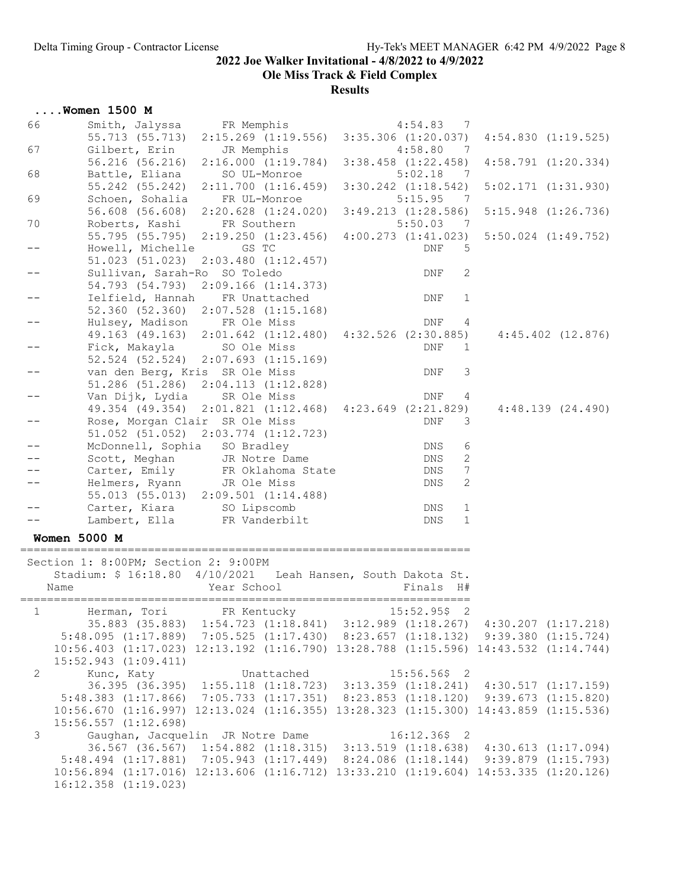Ole Miss Track & Field Complex

|                | $\ldots$ Women 1500 M                |                                                                                                                 |                                     |                         |
|----------------|--------------------------------------|-----------------------------------------------------------------------------------------------------------------|-------------------------------------|-------------------------|
| 66             | Smith, Jalyssa FR Memphis            |                                                                                                                 | 4:54.83<br>$\overline{7}$           |                         |
|                | 55.713 (55.713)                      | $2:15.269$ $(1:19.556)$                                                                                         | $3:35.306$ $(1:20.037)$             | $4:54.830$ $(1:19.525)$ |
| 67             | Gilbert, Erin                        | JR Memphis                                                                                                      | 4:58.80<br>- 7                      |                         |
|                | 56.216 (56.216)                      | 2:16.000(1:19.784)                                                                                              | $3:38.458$ $(1:22.458)$             | $4:58.791$ $(1:20.334)$ |
| 68             | Battle, Eliana                       | SO UL-Monroe                                                                                                    | 5:02.18<br>$\overline{7}$           |                         |
|                |                                      | 55.242 (55.242) 2:11.700 (1:16.459)                                                                             | $3:30.242$ $(1:18.542)$             | $5:02.171$ $(1:31.930)$ |
| 69             | Schoen, Sohalia                      | FR UL-Monroe                                                                                                    | 5:15.95<br>- 7                      |                         |
|                |                                      | 56.608 (56.608) 2:20.628 (1:24.020) 3:49.213 (1:28.586)                                                         |                                     | $5:15.948$ $(1:26.736)$ |
| 70             | Roberts, Kashi                       | FR Southern<br>55.795 (55.795) 2:19.250 (1:23.456) 4:00.273 (1:41.023)                                          | 5:50.03<br>$\overline{\phantom{a}}$ | $5:50.024$ $(1:49.752)$ |
|                | Howell, Michelle                     | GS TC                                                                                                           | <b>DNF</b><br>5                     |                         |
|                |                                      | 51.023 (51.023) 2:03.480 (1:12.457)                                                                             |                                     |                         |
|                | Sullivan, Sarah-Ro SO Toledo         |                                                                                                                 | 2<br>DNF                            |                         |
|                |                                      | 54.793 (54.793) 2:09.166 (1:14.373)                                                                             |                                     |                         |
|                |                                      | Ielfield, Hannah FR Unattached                                                                                  | DNF<br>1                            |                         |
|                |                                      | 52.360 (52.360) 2:07.528 (1:15.168)                                                                             |                                     |                         |
|                | Hulsey, Madison FR Ole Miss          |                                                                                                                 | DNF<br>4                            |                         |
|                |                                      | 49.163 (49.163) 2:01.642 (1:12.480) 4:32.526 (2:30.885)                                                         |                                     | $4:45.402$ $(12.876)$   |
|                | Fick, Makayla SO Ole Miss            |                                                                                                                 | DNF<br>1                            |                         |
|                |                                      | 52.524 (52.524) 2:07.693 (1:15.169)                                                                             |                                     |                         |
|                | van den Berg, Kris SR Ole Miss       |                                                                                                                 | 3<br>DNF                            |                         |
|                |                                      | $51.286$ (51.286) $2:04.113$ (1:12.828)                                                                         |                                     |                         |
|                | Van Dijk, Lydia                      | SR Ole Miss<br>49.354 (49.354) 2:01.821 (1:12.468) 4:23.649 (2:21.829)                                          | DNF<br>4                            |                         |
|                | Rose, Morgan Clair SR Ole Miss       |                                                                                                                 | <b>DNF</b><br>3                     | 4:48.139(24.490)        |
|                |                                      | 51.052 (51.052) 2:03.774 (1:12.723)                                                                             |                                     |                         |
|                | McDonnell, Sophia SO Bradley         |                                                                                                                 | DNS<br>6                            |                         |
|                |                                      | Scott, Meghan JR Notre Dame                                                                                     | 2<br>DNS                            |                         |
|                |                                      | Carter, Emily FR Oklahoma State                                                                                 | DNS<br>7                            |                         |
|                | Helmers, Ryann                       | JR Ole Miss                                                                                                     | 2<br>DNS                            |                         |
|                |                                      | 55.013 (55.013) 2:09.501 (1:14.488)                                                                             |                                     |                         |
|                | Carter, Kiara SO Lipscomb            |                                                                                                                 | $\mathbf 1$<br>DNS                  |                         |
|                | Lambert, Ella                        | FR Vanderbilt                                                                                                   | $\mathbf 1$<br>DNS                  |                         |
|                | <b>Women 5000 M</b>                  |                                                                                                                 |                                     |                         |
|                |                                      |                                                                                                                 | ----------------------------        |                         |
|                | Section 1: 8:00PM; Section 2: 9:00PM |                                                                                                                 |                                     |                         |
|                |                                      | Stadium: \$ 16:18.80 4/10/2021 Leah Hansen, South Dakota St.                                                    |                                     |                         |
| Name           |                                      | Year School                                                                                                     | Finals H#                           |                         |
| $\mathbf{1}$   | Herman, Tori FR Kentucky             |                                                                                                                 | $15:52.95\%$ 2                      |                         |
|                |                                      | 35.883 (35.883) 1:54.723 (1:18.841) 3:12.989 (1:18.267) 4:30.207 (1:17.218)                                     |                                     |                         |
|                |                                      | 5:48.095 (1:17.889) 7:05.525 (1:17.430) 8:23.657 (1:18.132) 9:39.380 (1:15.724)                                 |                                     |                         |
|                |                                      | 10:56.403 (1:17.023) 12:13.192 (1:16.790) 13:28.788 (1:15.596) 14:43.532 (1:14.744)                             |                                     |                         |
|                | $15:52.943$ $(1:09.411)$             |                                                                                                                 |                                     |                         |
| $\overline{2}$ | Kunc, Katy                           | Unattached                                                                                                      | $15:56.56$ \$2                      |                         |
|                |                                      | 36.395 (36.395) 1:55.118 (1:18.723) 3:13.359 (1:18.241) 4:30.517 (1:17.159)                                     |                                     |                         |
|                | $5:48.383$ $(1:17.866)$              | 7:05.733 (1:17.351) 8:23.853 (1:18.120) 9:39.673 (1:15.820)                                                     |                                     |                         |
|                |                                      | $10:56.670$ $(1:16.997)$ $12:13.024$ $(1:16.355)$ $13:28.323$ $(1:15.300)$ $14:43.859$ $(1:15.536)$             |                                     |                         |
|                | 15:56.557 (1:12.698)                 |                                                                                                                 |                                     |                         |
| $\mathcal{S}$  |                                      | Gaughan, Jacquelin JR Notre Dame<br>36.567 (36.567) 1:54.882 (1:18.315) 3:13.519 (1:18.638) 4:30.613 (1:17.094) | $16:12.36\$ 2                       |                         |
|                |                                      | 5:48.494 (1:17.881) 7:05.943 (1:17.449) 8:24.086 (1:18.144) 9:39.879 (1:15.793)                                 |                                     |                         |
|                |                                      | $10:56.894$ $(1:17.016)$ $12:13.606$ $(1:16.712)$ $13:33.210$ $(1:19.604)$ $14:53.335$ $(1:20.126)$             |                                     |                         |
|                | $16:12.358$ $(1:19.023)$             |                                                                                                                 |                                     |                         |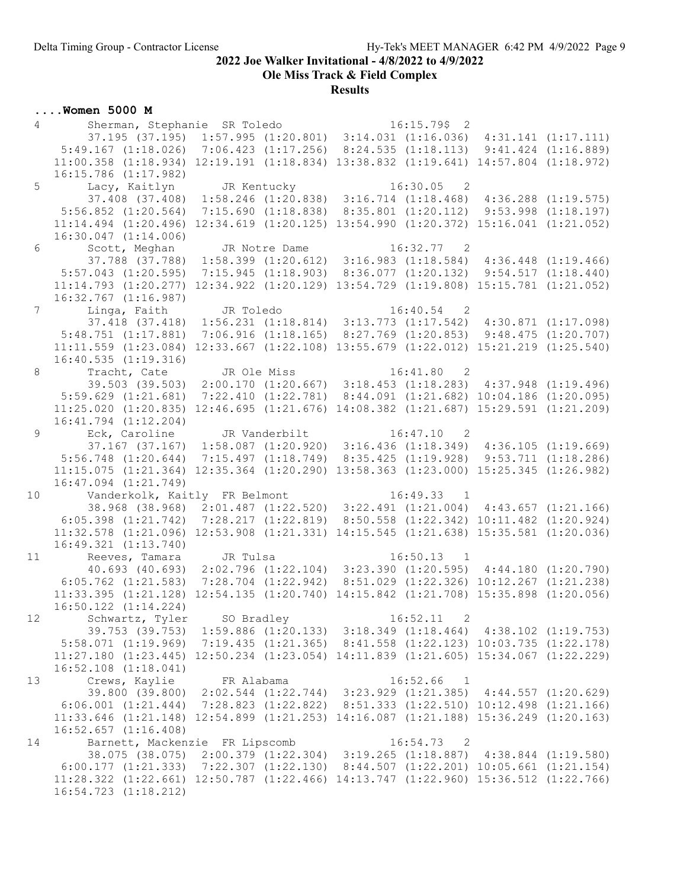16:54.723 (1:18.212)

#### 2022 Joe Walker Invitational - 4/8/2022 to 4/9/2022

Ole Miss Track & Field Complex

#### Results

#### ....Women 5000 M 4 Sherman, Stephanie SR Toledo 16:15.79\$ 2 37.195 (37.195) 1:57.995 (1:20.801) 3:14.031 (1:16.036) 4:31.141 (1:17.111) 5:49.167 (1:18.026) 7:06.423 (1:17.256) 8:24.535 (1:18.113) 9:41.424 (1:16.889) 11:00.358 (1:18.934) 12:19.191 (1:18.834) 13:38.832 (1:19.641) 14:57.804 (1:18.972) 16:15.786 (1:17.982) 5 Lacy, Kaitlyn JR Kentucky 16:30.05 2 37.408 (37.408) 1:58.246 (1:20.838) 3:16.714 (1:18.468) 4:36.288 (1:19.575) 5:56.852 (1:20.564) 7:15.690 (1:18.838) 8:35.801 (1:20.112) 9:53.998 (1:18.197) 11:14.494 (1:20.496) 12:34.619 (1:20.125) 13:54.990 (1:20.372) 15:16.041 (1:21.052) 16:30.047 (1:14.006) 6 Scott, Meghan JR Notre Dame 16:32.77 2 37.788 (37.788) 1:58.399 (1:20.612) 3:16.983 (1:18.584) 4:36.448 (1:19.466) 5:57.043 (1:20.595) 7:15.945 (1:18.903) 8:36.077 (1:20.132) 9:54.517 (1:18.440) 11:14.793 (1:20.277) 12:34.922 (1:20.129) 13:54.729 (1:19.808) 15:15.781 (1:21.052) 16:32.767 (1:16.987)<br>7 Iinga, Faith Linga, Faith JR Toledo 16:40.54 2 37.418 (37.418) 1:56.231 (1:18.814) 3:13.773 (1:17.542) 4:30.871 (1:17.098) 5:48.751 (1:17.881) 7:06.916 (1:18.165) 8:27.769 (1:20.853) 9:48.475 (1:20.707) 11:11.559 (1:23.084) 12:33.667 (1:22.108) 13:55.679 (1:22.012) 15:21.219 (1:25.540) 16:40.535 (1:19.316) 8 Tracht, Cate JR Ole Miss 16:41.80 2 39.503 (39.503) 2:00.170 (1:20.667) 3:18.453 (1:18.283) 4:37.948 (1:19.496) 5:59.629 (1:21.681) 7:22.410 (1:22.781) 8:44.091 (1:21.682) 10:04.186 (1:20.095) 11:25.020 (1:20.835) 12:46.695 (1:21.676) 14:08.382 (1:21.687) 15:29.591 (1:21.209) 16:41.794 (1:12.204) 9 Eck, Caroline JR Vanderbilt 16:47.10 2 37.167 (37.167) 1:58.087 (1:20.920) 3:16.436 (1:18.349) 4:36.105 (1:19.669) 5:56.748 (1:20.644) 7:15.497 (1:18.749) 8:35.425 (1:19.928) 9:53.711 (1:18.286) 11:15.075 (1:21.364) 12:35.364 (1:20.290) 13:58.363 (1:23.000) 15:25.345 (1:26.982) 16:47.094 (1:21.749)<br>10 Vanderkolk, Kai Vanderkolk, Kaitly FR Belmont 16:49.33 1 38.968 (38.968) 2:01.487 (1:22.520) 3:22.491 (1:21.004) 4:43.657 (1:21.166) 6:05.398 (1:21.742) 7:28.217 (1:22.819) 8:50.558 (1:22.342) 10:11.482 (1:20.924) 11:32.578 (1:21.096) 12:53.908 (1:21.331) 14:15.545 (1:21.638) 15:35.581 (1:20.036) 16:49.321 (1:13.740) 11 Reeves, Tamara JR Tulsa 16:50.13 1 40.693 (40.693) 2:02.796 (1:22.104) 3:23.390 (1:20.595) 4:44.180 (1:20.790) 6:05.762 (1:21.583) 7:28.704 (1:22.942) 8:51.029 (1:22.326) 10:12.267 (1:21.238) 11:33.395 (1:21.128) 12:54.135 (1:20.740) 14:15.842 (1:21.708) 15:35.898 (1:20.056) 16:50.122 (1:14.224) 12 Schwartz, Tyler SO Bradley 16:52.11 2 39.753 (39.753) 1:59.886 (1:20.133) 3:18.349 (1:18.464) 4:38.102 (1:19.753) 5:58.071 (1:19.969) 7:19.435 (1:21.365) 8:41.558 (1:22.123) 10:03.735 (1:22.178) 11:27.180 (1:23.445) 12:50.234 (1:23.054) 14:11.839 (1:21.605) 15:34.067 (1:22.229) 16:52.108 (1:18.041) 13 Crews, Kaylie FR Alabama 16:52.66 1 39.800 (39.800) 2:02.544 (1:22.744) 3:23.929 (1:21.385) 4:44.557 (1:20.629) 6:06.001 (1:21.444) 7:28.823 (1:22.822) 8:51.333 (1:22.510) 10:12.498 (1:21.166) 11:33.646 (1:21.148) 12:54.899 (1:21.253) 14:16.087 (1:21.188) 15:36.249 (1:20.163) 16:52.657 (1:16.408) 14 Barnett, Mackenzie FR Lipscomb 16:54.73 2 38.075 (38.075) 2:00.379 (1:22.304) 3:19.265 (1:18.887) 4:38.844 (1:19.580) 6:00.177 (1:21.333) 7:22.307 (1:22.130) 8:44.507 (1:22.201) 10:05.661 (1:21.154) 11:28.322 (1:22.661) 12:50.787 (1:22.466) 14:13.747 (1:22.960) 15:36.512 (1:22.766)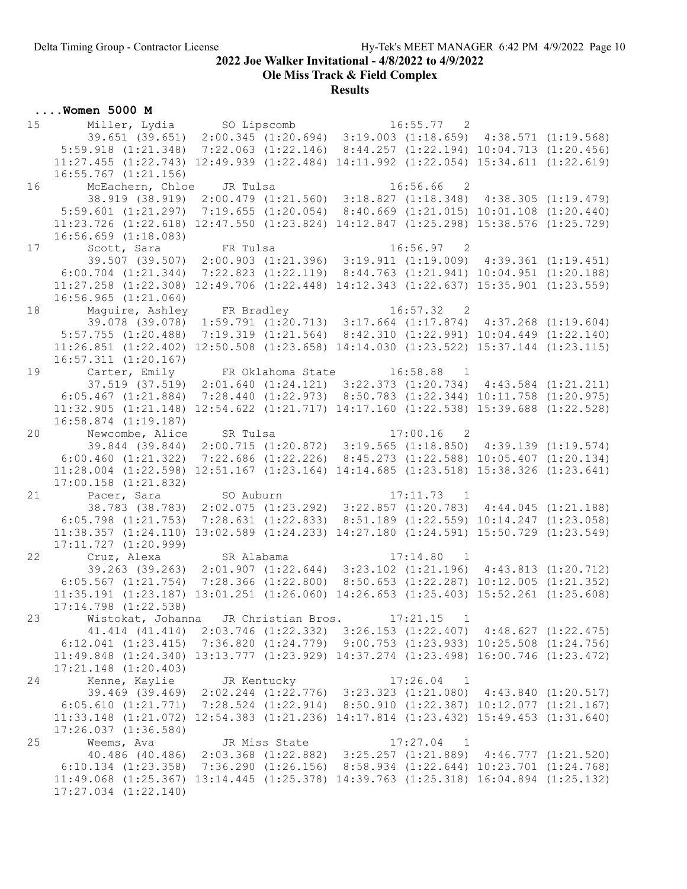Ole Miss Track & Field Complex

| Miller, Lydia so Lipscomb 16:55.77 2<br>39.651 (39.651) 2:00.345 (1:20.694) 3:19.003 (1:18.659) 4:38.571 (1:19.568)<br>15<br>$5:59.918$ $(1:21.348)$<br>$7:22.063$ $(1:22.146)$ $8:44.257$ $(1:22.194)$ $10:04.713$ $(1:20.456)$<br>$11:27.455$ $(1:22.743)$ $12:49.939$ $(1:22.484)$ $14:11.992$ $(1:22.054)$ $15:34.611$ $(1:22.619)$<br>16:55.767 (1:21.156)<br>16:56.66<br>McEachern, Chloe JR Tulsa<br>$\overline{2}$<br>16<br>38.919 (38.919) 2:00.479 (1:21.560) 3:18.827 (1:18.348) 4:38.305 (1:19.479)<br>$7:19.655$ (1:20.054) 8:40.669 (1:21.015) 10:01.108 (1:20.440)<br>$5:59.601$ $(1:21.297)$<br>11:23.726 (1:22.618) 12:47.550 (1:23.824) 14:12.847 (1:25.298) 15:38.576 (1:25.729)<br>$16:56.659$ $(1:18.083)$ |  |
|---------------------------------------------------------------------------------------------------------------------------------------------------------------------------------------------------------------------------------------------------------------------------------------------------------------------------------------------------------------------------------------------------------------------------------------------------------------------------------------------------------------------------------------------------------------------------------------------------------------------------------------------------------------------------------------------------------------------------------|--|
|                                                                                                                                                                                                                                                                                                                                                                                                                                                                                                                                                                                                                                                                                                                                 |  |
|                                                                                                                                                                                                                                                                                                                                                                                                                                                                                                                                                                                                                                                                                                                                 |  |
|                                                                                                                                                                                                                                                                                                                                                                                                                                                                                                                                                                                                                                                                                                                                 |  |
|                                                                                                                                                                                                                                                                                                                                                                                                                                                                                                                                                                                                                                                                                                                                 |  |
|                                                                                                                                                                                                                                                                                                                                                                                                                                                                                                                                                                                                                                                                                                                                 |  |
|                                                                                                                                                                                                                                                                                                                                                                                                                                                                                                                                                                                                                                                                                                                                 |  |
|                                                                                                                                                                                                                                                                                                                                                                                                                                                                                                                                                                                                                                                                                                                                 |  |
|                                                                                                                                                                                                                                                                                                                                                                                                                                                                                                                                                                                                                                                                                                                                 |  |
|                                                                                                                                                                                                                                                                                                                                                                                                                                                                                                                                                                                                                                                                                                                                 |  |
|                                                                                                                                                                                                                                                                                                                                                                                                                                                                                                                                                                                                                                                                                                                                 |  |
| Scott, Sara FR Tulsa<br>17<br>$16:56.97$ 2<br>39.507 (39.507) 2:00.903 (1:21.396) 3:19.911 (1:19.009) 4:39.361 (1:19.451)                                                                                                                                                                                                                                                                                                                                                                                                                                                                                                                                                                                                       |  |
| $6:00.704$ $(1:21.344)$ $7:22.823$ $(1:22.119)$ $8:44.763$ $(1:21.941)$ $10:04.951$ $(1:20.188)$                                                                                                                                                                                                                                                                                                                                                                                                                                                                                                                                                                                                                                |  |
| 11:27.258 (1:22.308) 12:49.706 (1:22.448) 14:12.343 (1:22.637) 15:35.901 (1:23.559)                                                                                                                                                                                                                                                                                                                                                                                                                                                                                                                                                                                                                                             |  |
| $16:56.965$ $(1:21.064)$                                                                                                                                                                                                                                                                                                                                                                                                                                                                                                                                                                                                                                                                                                        |  |
| 18                                                                                                                                                                                                                                                                                                                                                                                                                                                                                                                                                                                                                                                                                                                              |  |
| Maguire, Ashley FR Bradley 16:57.32 2<br>39.078 (39.078) 1:59.791 (1:20.713) 3:17.664 (1:17.874) 4:37.268 (1:19.604)                                                                                                                                                                                                                                                                                                                                                                                                                                                                                                                                                                                                            |  |
| 5:57.755 (1:20.488) 7:19.319 (1:21.564) 8:42.310 (1:22.991) 10:04.449 (1:22.140)                                                                                                                                                                                                                                                                                                                                                                                                                                                                                                                                                                                                                                                |  |
| 12:50.508 (1:23.658) 14:14.030 (1:23.522) 15:37.144 (1:23.115)<br>$11:26.851$ $(1:22.402)$                                                                                                                                                                                                                                                                                                                                                                                                                                                                                                                                                                                                                                      |  |
| $16:57.311$ $(1:20.167)$                                                                                                                                                                                                                                                                                                                                                                                                                                                                                                                                                                                                                                                                                                        |  |
| 19                                                                                                                                                                                                                                                                                                                                                                                                                                                                                                                                                                                                                                                                                                                              |  |
| Carter, Emily       FR Oklahoma State         16:58.88     1<br>37.519 (37.519)  2:01.640 (1:24.121)  3:22.373 (1:20.734)   4:43.584 (1:21.211)                                                                                                                                                                                                                                                                                                                                                                                                                                                                                                                                                                                 |  |
| 7:28.440 (1:22.973) 8:50.783 (1:22.344) 10:11.758 (1:20.975)<br>6:05.467(1:21.884)                                                                                                                                                                                                                                                                                                                                                                                                                                                                                                                                                                                                                                              |  |
| 11:32.905 (1:21.148) 12:54.622 (1:21.717) 14:17.160 (1:22.538) 15:39.688 (1:22.528)                                                                                                                                                                                                                                                                                                                                                                                                                                                                                                                                                                                                                                             |  |
| $16:58.874$ $(1:19.187)$                                                                                                                                                                                                                                                                                                                                                                                                                                                                                                                                                                                                                                                                                                        |  |
| 20<br>Newcombe, Alice<br>$17:00.16$ 2<br>SR Tulsa                                                                                                                                                                                                                                                                                                                                                                                                                                                                                                                                                                                                                                                                               |  |
| $2:00.715$ (1:20.872) 3:19.565 (1:18.850) 4:39.139 (1:19.574)<br>39.844 (39.844)                                                                                                                                                                                                                                                                                                                                                                                                                                                                                                                                                                                                                                                |  |
| 7:22.686 (1:22.226) 8:45.273 (1:22.588) 10:05.407 (1:20.134)<br>6:00.460(1:21.322)                                                                                                                                                                                                                                                                                                                                                                                                                                                                                                                                                                                                                                              |  |
| 11:28.004 (1:22.598) 12:51.167 (1:23.164) 14:14.685 (1:23.518) 15:38.326 (1:23.641)                                                                                                                                                                                                                                                                                                                                                                                                                                                                                                                                                                                                                                             |  |
| $17:00.158$ $(1:21.832)$                                                                                                                                                                                                                                                                                                                                                                                                                                                                                                                                                                                                                                                                                                        |  |
| 21<br>Pacer, Sara SO Auburn<br>$17:11.73$ 1<br>38.783 (38.783) 2:02.075 (1:23.292) 3:22.857 (1:20.783) 4:44.045 (1:21.188)                                                                                                                                                                                                                                                                                                                                                                                                                                                                                                                                                                                                      |  |
| $6:05.798$ $(1:21.753)$<br>7:28.631 (1:22.833) 8:51.189 (1:22.559) 10:14.247 (1:23.058)                                                                                                                                                                                                                                                                                                                                                                                                                                                                                                                                                                                                                                         |  |
| 11:38.357 (1:24.110) 13:02.589 (1:24.233) 14:27.180 (1:24.591) 15:50.729 (1:23.549)                                                                                                                                                                                                                                                                                                                                                                                                                                                                                                                                                                                                                                             |  |
| $17:11.727$ $(1:20.999)$                                                                                                                                                                                                                                                                                                                                                                                                                                                                                                                                                                                                                                                                                                        |  |
| Cruz, Alexa SR Alabama<br>22<br>17:14.80 1                                                                                                                                                                                                                                                                                                                                                                                                                                                                                                                                                                                                                                                                                      |  |
| 39.263 (39.263) 2:01.907 (1:22.644) 3:23.102 (1:21.196) 4:43.813 (1:20.712)                                                                                                                                                                                                                                                                                                                                                                                                                                                                                                                                                                                                                                                     |  |
| $6:05.567$ $(1:21.754)$ $7:28.366$ $(1:22.800)$ $8:50.653$ $(1:22.287)$ $10:12.005$ $(1:21.352)$                                                                                                                                                                                                                                                                                                                                                                                                                                                                                                                                                                                                                                |  |
| $11:35.191$ $(1:23.187)$ $13:01.251$ $(1:26.060)$ $14:26.653$ $(1:25.403)$ $15:52.261$ $(1:25.608)$                                                                                                                                                                                                                                                                                                                                                                                                                                                                                                                                                                                                                             |  |
| 17:14.798 (1:22.538)                                                                                                                                                                                                                                                                                                                                                                                                                                                                                                                                                                                                                                                                                                            |  |
| 23<br>Wistokat, Johanna JR Christian Bros. 17:21.15 1                                                                                                                                                                                                                                                                                                                                                                                                                                                                                                                                                                                                                                                                           |  |
| 41.414 (41.414) 2:03.746 (1:22.332) 3:26.153 (1:22.407) 4:48.627 (1:22.475)                                                                                                                                                                                                                                                                                                                                                                                                                                                                                                                                                                                                                                                     |  |
| $6:12.041$ $(1:23.415)$ $7:36.820$ $(1:24.779)$ $9:00.753$ $(1:23.933)$ $10:25.508$ $(1:24.756)$                                                                                                                                                                                                                                                                                                                                                                                                                                                                                                                                                                                                                                |  |
| 11:49.848 (1:24.340) 13:13.777 (1:23.929) 14:37.274 (1:23.498) 16:00.746 (1:23.472)                                                                                                                                                                                                                                                                                                                                                                                                                                                                                                                                                                                                                                             |  |
| $17:21.148$ $(1:20.403)$                                                                                                                                                                                                                                                                                                                                                                                                                                                                                                                                                                                                                                                                                                        |  |
| Kenne, Kaylie JR Kentucky<br>24<br>$17:26.04$ 1                                                                                                                                                                                                                                                                                                                                                                                                                                                                                                                                                                                                                                                                                 |  |
| 39.469 (39.469) 2:02.244 (1:22.776) 3:23.323 (1:21.080) 4:43.840 (1:20.517)                                                                                                                                                                                                                                                                                                                                                                                                                                                                                                                                                                                                                                                     |  |
| 6:05.610 (1:21.771) 7:28.524 (1:22.914) 8:50.910 (1:22.387) 10:12.077 (1:21.167)                                                                                                                                                                                                                                                                                                                                                                                                                                                                                                                                                                                                                                                |  |
| 11:33.148 (1:21.072) 12:54.383 (1:21.236) 14:17.814 (1:23.432) 15:49.453 (1:31.640)                                                                                                                                                                                                                                                                                                                                                                                                                                                                                                                                                                                                                                             |  |
|                                                                                                                                                                                                                                                                                                                                                                                                                                                                                                                                                                                                                                                                                                                                 |  |
| $17:26.037$ $(1:36.584)$                                                                                                                                                                                                                                                                                                                                                                                                                                                                                                                                                                                                                                                                                                        |  |
| 25                                                                                                                                                                                                                                                                                                                                                                                                                                                                                                                                                                                                                                                                                                                              |  |
|                                                                                                                                                                                                                                                                                                                                                                                                                                                                                                                                                                                                                                                                                                                                 |  |
| $6:10.134$ $(1:23.358)$ $7:36.290$ $(1:26.156)$ $8:58.934$ $(1:22.644)$ $10:23.701$ $(1:24.768)$<br>11:49.068 (1:25.367) 13:14.445 (1:25.378) 14:39.763 (1:25.318) 16:04.894 (1:25.132)                                                                                                                                                                                                                                                                                                                                                                                                                                                                                                                                         |  |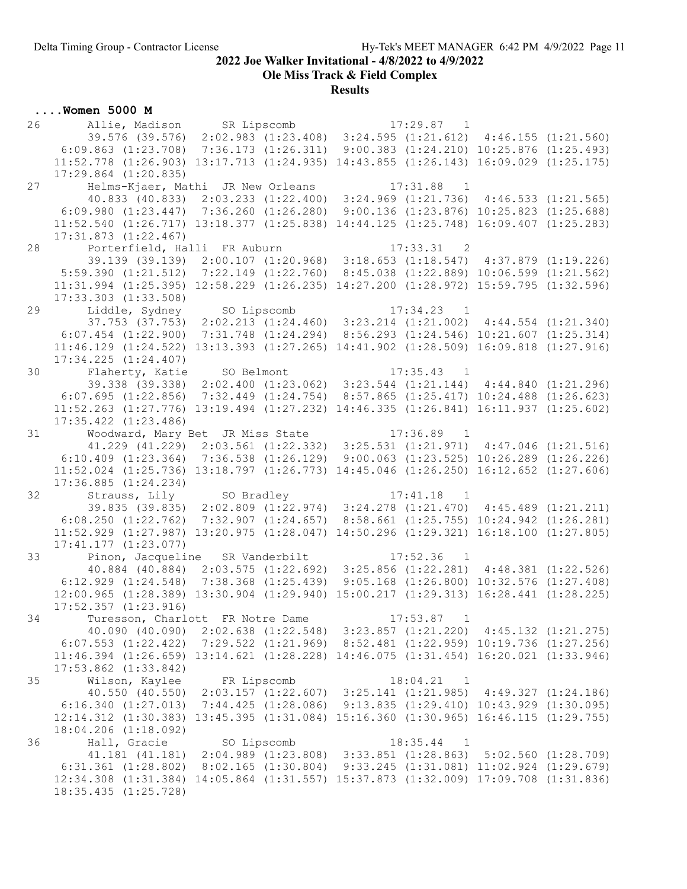Ole Miss Track & Field Complex

|    | $\ldots$ Women 5000 M                                                                                                                                                           |  |                                                              |  |
|----|---------------------------------------------------------------------------------------------------------------------------------------------------------------------------------|--|--------------------------------------------------------------|--|
| 26 | Allie, Madison        SR Lipscomb                            17:29.87    1<br>39.576 (39.576)   2:02.983 (1:23.408)   3:24.595 (1:21.612)   4:46.155 (1:21.560)                 |  |                                                              |  |
|    |                                                                                                                                                                                 |  |                                                              |  |
|    | 6:09.863 (1:23.708) 7:36.173 (1:26.311) 9:00.383 (1:24.210) 10:25.876 (1:25.493)                                                                                                |  |                                                              |  |
|    | $11:52.778$ $(1:26.903)$ $13:17.713$ $(1:24.935)$ $14:43.855$ $(1:26.143)$ $16:09.029$ $(1:25.175)$                                                                             |  |                                                              |  |
|    | $17:29.864$ $(1:20.835)$                                                                                                                                                        |  |                                                              |  |
| 27 | Helms-Kjaer, Mathi JR New Orleans                                                                                                                                               |  | $17:31.88$ 1                                                 |  |
|    | 40.833 (40.833) 2:03.233 (1:22.400) 3:24.969 (1:21.736) 4:46.533 (1:21.565)                                                                                                     |  |                                                              |  |
|    | $6:09.980$ $(1:23.447)$ $7:36.260$ $(1:26.280)$ $9:00.136$ $(1:23.876)$ $10:25.823$ $(1:25.688)$                                                                                |  |                                                              |  |
|    | 11:52.540 (1:26.717) 13:18.377 (1:25.838) 14:44.125 (1:25.748) 16:09.407 (1:25.283)                                                                                             |  |                                                              |  |
|    | 17:31.873 (1:22.467)                                                                                                                                                            |  |                                                              |  |
| 28 | Porterfield, Halli FR Auburn                                                                                                                                                    |  | 17:33.31<br>$\overline{\phantom{0}}^2$                       |  |
|    | 39.139 (39.139) 2:00.107 (1:20.968) 3:18.653 (1:18.547) 4:37.879 (1:19.226)<br>$5:59.390$ $(1:21.512)$ $7:22.149$ $(1:22.760)$ $8:45.038$ $(1:22.889)$ $10:06.599$ $(1:21.562)$ |  |                                                              |  |
|    | 11:31.994 (1:25.395) 12:58.229 (1:26.235) 14:27.200 (1:28.972) 15:59.795 (1:32.596)                                                                                             |  |                                                              |  |
|    | $17:33.303$ $(1:33.508)$                                                                                                                                                        |  |                                                              |  |
| 29 |                                                                                                                                                                                 |  |                                                              |  |
|    | Liddle, Sydney SO Lipscomb 17:34.23 1<br>37.753 (37.753) 2:02.213 (1:24.460) 3:23.214 (1:21.002) 4:44.554 (1:21.340)                                                            |  |                                                              |  |
|    | $6:07.454$ $(1:22.900)$ $7:31.748$ $(1:24.294)$ $8:56.293$ $(1:24.546)$ $10:21.607$ $(1:25.314)$                                                                                |  |                                                              |  |
|    | 11:46.129 (1:24.522) 13:13.393 (1:27.265) 14:41.902 (1:28.509) 16:09.818 (1:27.916)                                                                                             |  |                                                              |  |
|    | $17:34.225$ $(1:24.407)$                                                                                                                                                        |  |                                                              |  |
| 30 | Flaherty, Katie SO Belmont<br>Flaherty, Katie SO Belmont 17:35.43 1<br>39.338 (39.338) 2:02.400 (1:23.062) 3:23.544 (1:21.144) 4:44.840 (1:21.296)                              |  | $17:35.43$ 1                                                 |  |
|    |                                                                                                                                                                                 |  |                                                              |  |
|    | 6:07.695(1:22.856)                                                                                                                                                              |  | 7:32.449 (1:24.754) 8:57.865 (1:25.417) 10:24.488 (1:26.623) |  |
|    | 11:52.263 (1:27.776) 13:19.494 (1:27.232) 14:46.335 (1:26.841) 16:11.937 (1:25.602)                                                                                             |  |                                                              |  |
| 31 | $17:35.422$ $(1:23.486)$                                                                                                                                                        |  |                                                              |  |
|    | Woodward, Mary Bet JR Miss State 17:36.89 1<br>41.229 (41.229) 2:03.561 (1:22.332) 3:25.531 (1:21.971) 4:47.046 (1:21.516)                                                      |  |                                                              |  |
|    | $6:10.409$ $(1:23.364)$ $7:36.538$ $(1:26.129)$ $9:00.063$ $(1:23.525)$ $10:26.289$ $(1:26.226)$                                                                                |  |                                                              |  |
|    | $11:52.024$ $(1:25.736)$ $13:18.797$ $(1:26.773)$ $14:45.046$ $(1:26.250)$ $16:12.652$ $(1:27.606)$                                                                             |  |                                                              |  |
|    | $17:36.885$ $(1:24.234)$                                                                                                                                                        |  |                                                              |  |
| 32 | Strauss, Lily SO Bradley                                                                                                                                                        |  | $17:41.18$ 1                                                 |  |
|    | 39.835 (39.835) 2:02.809 (1:22.974) 3:24.278 (1:21.470) 4:45.489 (1:21.211)                                                                                                     |  |                                                              |  |
|    | $6:08.250$ $(1:22.762)$ $7:32.907$ $(1:24.657)$ $8:58.661$ $(1:25.755)$ $10:24.942$ $(1:26.281)$                                                                                |  |                                                              |  |
|    | 11:52.929 (1:27.987) 13:20.975 (1:28.047) 14:50.296 (1:29.321) 16:18.100 (1:27.805)                                                                                             |  |                                                              |  |
|    | 17:41.177 (1:23.077)                                                                                                                                                            |  |                                                              |  |
| 33 | Pinon, Jacqueline SR Vanderbilt                                                                                                                                                 |  | 17:52.36<br>$\overline{1}$                                   |  |
|    | 40.884 (40.884) 2:03.575 (1:22.692) 3:25.856 (1:22.281) 4:48.381 (1:22.526)<br>$6:12.929$ $(1:24.548)$ $7:38.368$ $(1:25.439)$ $9:05.168$ $(1:26.800)$ $10:32.576$ $(1:27.408)$ |  |                                                              |  |
|    | 12:00.965 (1:28.389) 13:30.904 (1:29.940) 15:00.217 (1:29.313) 16:28.441 (1:28.225)                                                                                             |  |                                                              |  |
|    | 17:52.357 (1:23.916)                                                                                                                                                            |  |                                                              |  |
| 34 | Turesson, Charlott FR Notre Dame                                                                                                                                                |  | $17:53.87$ 1                                                 |  |
|    | 40.090 (40.090) 2:02.638 (1:22.548) 3:23.857 (1:21.220) 4:45.132 (1:21.275)                                                                                                     |  |                                                              |  |
|    | $6:07.553$ $(1:22.422)$ $7:29.522$ $(1:21.969)$ $8:52.481$ $(1:22.959)$ $10:19.736$ $(1:27.256)$                                                                                |  |                                                              |  |
|    | 11:46.394 (1:26.659) 13:14.621 (1:28.228) 14:46.075 (1:31.454) 16:20.021 (1:33.946)                                                                                             |  |                                                              |  |
|    | $17:53.862$ $(1:33.842)$                                                                                                                                                        |  |                                                              |  |
| 35 | Wilson, Kaylee FR Lipscomb                                                                                                                                                      |  | 18:04.21 1                                                   |  |
|    | 40.550 (40.550) 2:03.157 (1:22.607) 3:25.141 (1:21.985) 4:49.327 (1:24.186)                                                                                                     |  |                                                              |  |
|    | 6:16.340 (1:27.013) 7:44.425 (1:28.086) 9:13.835 (1:29.410) 10:43.929 (1:30.095)                                                                                                |  |                                                              |  |
|    | 12:14.312 (1:30.383) 13:45.395 (1:31.084) 15:16.360 (1:30.965) 16:46.115 (1:29.755)                                                                                             |  |                                                              |  |
| 36 | 18:04.206 (1:18.092)                                                                                                                                                            |  |                                                              |  |
|    | Hall, Gracie SO Lipscomb 18:35.44 1<br>41.181 (41.181) 2:04.989 (1:23.808) 3:33.851 (1:28.863) 5:02.560 (1:28.709)                                                              |  |                                                              |  |
|    | 6:31.361 (1:28.802) 8:02.165 (1:30.804) 9:33.245 (1:31.081) 11:02.924 (1:29.679)                                                                                                |  |                                                              |  |
|    | 12:34.308 (1:31.384) 14:05.864 (1:31.557) 15:37.873 (1:32.009) 17:09.708 (1:31.836)                                                                                             |  |                                                              |  |
|    | 18:35.435 (1:25.728)                                                                                                                                                            |  |                                                              |  |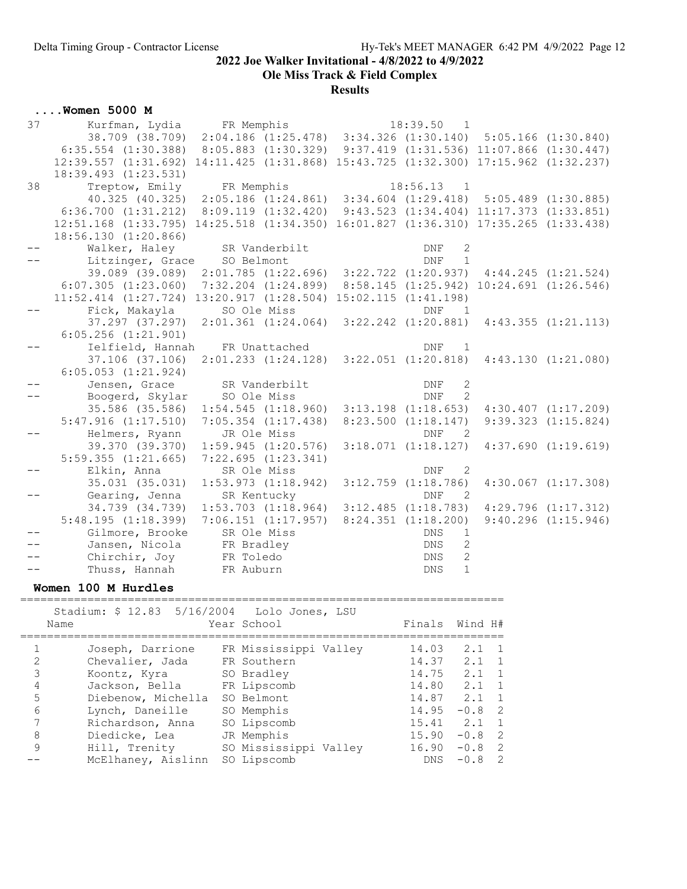Ole Miss Track & Field Complex

## Results

|  |  | $\ldots$ . Women 5000 M |  |
|--|--|-------------------------|--|
|  |  |                         |  |

| 37 | Kurfman, Lydia FR Memphis   |                                                                                                  | 18:39.50<br>$\overline{1}$   |                         |
|----|-----------------------------|--------------------------------------------------------------------------------------------------|------------------------------|-------------------------|
|    | 38.709 (38.709)             | $2:04.186$ (1:25.478) 3:34.326 (1:30.140) 5:05.166 (1:30.840)                                    |                              |                         |
|    |                             | 6:35.554 (1:30.388) 8:05.883 (1:30.329) 9:37.419 (1:31.536) 11:07.866 (1:30.447)                 |                              |                         |
|    |                             | 12:39.557 (1:31.692) 14:11.425 (1:31.868) 15:43.725 (1:32.300) 17:15.962 (1:32.237)              |                              |                         |
|    | 18:39.493 (1:23.531)        |                                                                                                  |                              |                         |
| 38 | Treptow, Emily FR Memphis   |                                                                                                  | $18:56.13$ 1                 |                         |
|    |                             | 40.325 (40.325) 2:05.186 (1:24.861) 3:34.604 (1:29.418) 5:05.489 (1:30.885)                      |                              |                         |
|    |                             | 6:36.700 (1:31.212) 8:09.119 (1:32.420) 9:43.523 (1:34.404) 11:17.373 (1:33.851)                 |                              |                         |
|    |                             | 12:51.168 (1:33.795) 14:25.518 (1:34.350) 16:01.827 (1:36.310) 17:35.265 (1:33.438)              |                              |                         |
|    | 18:56.130 (1:20.866)        |                                                                                                  |                              |                         |
|    |                             | Walker, Haley SR Vanderbilt                                                                      | <b>DNF</b><br>2              |                         |
|    | Litzinger, Grace SO Belmont |                                                                                                  | $\overline{1}$<br><b>DNF</b> |                         |
|    |                             | 39.089 (39.089) 2:01.785 (1:22.696) 3:22.722 (1:20.937) 4:44.245 (1:21.524)                      |                              |                         |
|    |                             | $6:07.305$ $(1:23.060)$ $7:32.204$ $(1:24.899)$ $8:58.145$ $(1:25.942)$ $10:24.691$ $(1:26.546)$ |                              |                         |
|    |                             | $11:52.414$ $(1:27.724)$ $13:20.917$ $(1:28.504)$ $15:02.115$ $(1:41.198)$                       |                              |                         |
|    | Fick, Makayla               | SO Ole Miss                                                                                      | <b>DNF</b><br>$\overline{1}$ |                         |
|    |                             | 37.297 (37.297) 2:01.361 (1:24.064) 3:22.242 (1:20.881)                                          |                              | 4:43.355(1:21.113)      |
|    | $6:05.256$ $(1:21.901)$     |                                                                                                  |                              |                         |
|    |                             | Ielfield, Hannah FR Unattached                                                                   | <b>DNF</b><br>$\overline{1}$ |                         |
|    | 37.106 (37.106)             | $2:01.233$ $(1:24.128)$ $3:22.051$ $(1:20.818)$                                                  |                              | 4:43.130(1:21.080)      |
|    | $6:05.053$ $(1:21.924)$     |                                                                                                  |                              |                         |
|    | Jensen, Grace               | SR Vanderbilt                                                                                    | 2<br>DNF                     |                         |
|    | Boogerd, Skylar             | SO Ole Miss                                                                                      | $\overline{2}$<br><b>DNF</b> |                         |
|    |                             | 35.586 (35.586) 1:54.545 (1:18.960)                                                              | $3:13.198$ $(1:18.653)$      | $4:30.407$ $(1:17.209)$ |
|    | $5:47.916$ $(1:17.510)$     | $7:05.354$ $(1:17.438)$                                                                          | $8:23.500$ $(1:18.147)$      | $9:39.323$ $(1:15.824)$ |
|    | Helmers, Ryann              | JR Ole Miss                                                                                      | <b>DNF</b><br>$\overline{2}$ |                         |
|    | 39.370 (39.370)             | $1:59.945$ $(1:20.576)$                                                                          | 3:18.071(1:18.127)           | 4:37.690(1:19.619)      |
|    | $5:59.355$ $(1:21.665)$     | 7:22.695(1:23.341)                                                                               |                              |                         |
|    | Elkin, Anna                 | SR Ole Miss                                                                                      | 2<br><b>DNF</b>              |                         |
|    | 35.031 (35.031)             | $1:53.973$ $(1:18.942)$                                                                          | $3:12.759$ $(1:18.786)$      | $4:30.067$ $(1:17.308)$ |
|    | Gearing, Jenna              | SR Kentucky                                                                                      | <b>DNF</b><br>$\overline{2}$ |                         |
|    | 34.739 (34.739)             | $1:53.703$ $(1:18.964)$                                                                          | $3:12.485$ $(1:18.783)$      | $4:29.796$ $(1:17.312)$ |
|    | 5:48.195(1:18.399)          | $7:06.151$ $(1:17.957)$ $8:24.351$ $(1:18.200)$                                                  |                              | $9:40.296$ $(1:15.946)$ |
|    | Gilmore, Brooke             | SR Ole Miss                                                                                      | DNS<br>$\mathbf{1}$          |                         |
|    | Jansen, Nicola              | FR Bradley                                                                                       | $\mathbf{2}$<br>DNS          |                         |
|    | Chirchir, Joy               | FR Toledo                                                                                        | $\overline{2}$<br>DNS        |                         |
|    | Thuss, Hannah FR Auburn     |                                                                                                  | $\mathbf{1}$<br><b>DNS</b>   |                         |

## Women 100 M Hurdles

|   | Stadium: \$ 12.83 5/16/2004 Lolo Jones, LSU<br>Name | Year School           | Finals Wind H#  |               |                |
|---|-----------------------------------------------------|-----------------------|-----------------|---------------|----------------|
|   | Joseph, Darrione                                    | FR Mississippi Valley | 14.03           | $2.1 \quad 1$ |                |
| 2 | Chevalier, Jada                                     | FR Southern           | 14.37           | $2.1 \quad 1$ |                |
| 3 | Koontz, Kyra                                        | SO Bradley            | 14.75           | 2.1 1         |                |
| 4 | Jackson, Bella                                      | FR Lipscomb           | 14.80           | $2.1 \quad 1$ |                |
| 5 | Diebenow, Michella                                  | SO Belmont            | $14.87$ $2.1$ 1 |               |                |
| 6 | Lynch, Daneille                                     | SO Memphis            | $14.95 - 0.8$ 2 |               |                |
| 7 | Richardson, Anna                                    | SO Lipscomb           | $15.41$ $2.1$ 1 |               |                |
| 8 | Diedicke, Lea                                       | JR Memphis            | $15.90 - 0.8$ 2 |               |                |
| 9 | Hill, Trenity                                       | SO Mississippi Valley | $16.90 - 0.8$ 2 |               |                |
|   | McElhaney, Aislinn                                  | SO Lipscomb           | DNS             | $-0.8$        | $\overline{2}$ |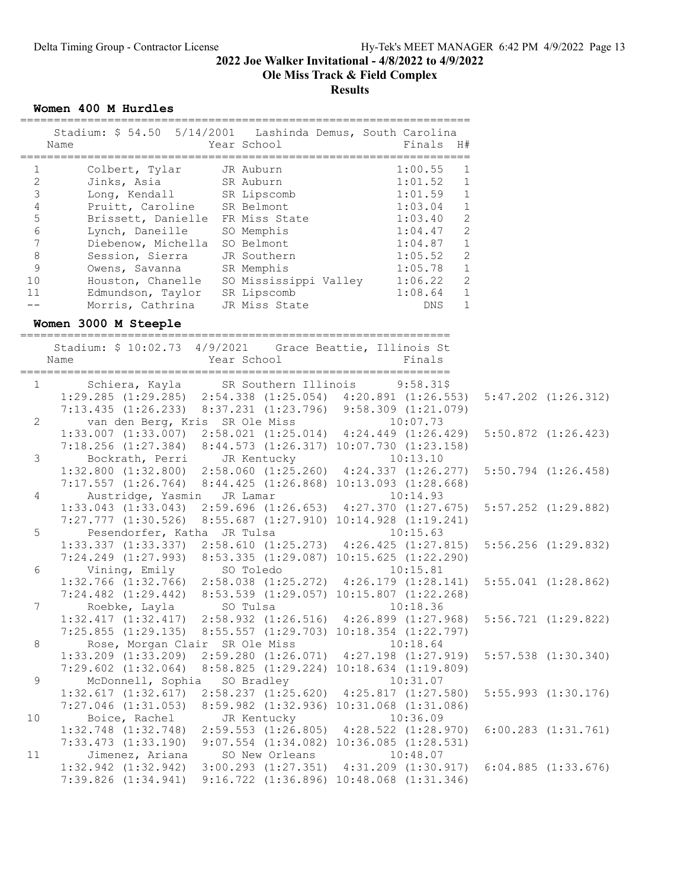## Ole Miss Track & Field Complex

#### **Results**

===================================================================

Women 400 M Hurdles

|                                                                                                                                | Stadium: \$ 54.50 5/14/2001 Lashinda Demus, South Carolina<br>Year School<br>Finals H#<br>Name                                                                                                                                                                                                                                                                                                                                                                                                                                                                                                                                                                                 |                         |
|--------------------------------------------------------------------------------------------------------------------------------|--------------------------------------------------------------------------------------------------------------------------------------------------------------------------------------------------------------------------------------------------------------------------------------------------------------------------------------------------------------------------------------------------------------------------------------------------------------------------------------------------------------------------------------------------------------------------------------------------------------------------------------------------------------------------------|-------------------------|
| 1<br>$\mathbf{2}$<br>$\mathsf 3$<br>$\sqrt{4}$<br>$\mathsf S$<br>$6\,$<br>$\overline{7}$<br>$\,8\,$<br>$\mathsf 9$<br>10<br>11 | ============<br>JR Auburn<br>Colbert, Tylar<br>1<br>$1:00.55$<br>$1:01.52$<br>$1:01.59$<br>Jinks, Asia<br>Long, Kendall<br>Pruitt, Caroline<br>SR Belmont<br>SR Belmont<br>$\mathbf 1$<br>$\mathbf{1}$<br>1:03.04<br>$\mathbf 1$<br>Brissett, Danielle FR Miss State 1:03.40<br>2<br>1:04.47<br>Lynch, Daneille SO Memphis<br>2<br>1:04.87<br>1:05.52<br>1:05.78<br>Diebenow, Michella SO Belmont<br>$\mathbf 1$<br>Session, Sierra JR Southern<br>2<br>Owens, Savanna SR Memphis 1.05.78<br>Houston, Chanelle SO Mississippi Valley 1:06.22<br>$\mathbf{1}$<br>2<br>1:08.64<br>Edmundson, Taylor SR Lipscomb<br>$\mathbf{1}$<br>Morris, Cathrina<br>JR Miss State<br>1<br>DNS |                         |
|                                                                                                                                | Women 3000 M Steeple                                                                                                                                                                                                                                                                                                                                                                                                                                                                                                                                                                                                                                                           |                         |
|                                                                                                                                | Stadium: \$ 10:02.73 4/9/2021 Grace Beattie, Illinois St<br>Year School<br>Finals<br>Name                                                                                                                                                                                                                                                                                                                                                                                                                                                                                                                                                                                      |                         |
|                                                                                                                                | Schiera, Kayla SR Southern Illinois 9:58.31\$<br>1:29.285 (1:29.285) 2:54.338 (1:25.054) 4:20.891 (1:26.553) 5:47.202 (1:26.312)<br>$1 \qquad \qquad$                                                                                                                                                                                                                                                                                                                                                                                                                                                                                                                          |                         |
| $\mathbf{2}$                                                                                                                   | 7:13.435 (1:26.233) 8:37.231 (1:23.796) 9:58.309 (1:21.079)<br>van den Berg, Kris SR Ole Miss<br>10:07.73                                                                                                                                                                                                                                                                                                                                                                                                                                                                                                                                                                      |                         |
|                                                                                                                                | 1:33.007 (1:33.007) 2:58.021 (1:25.014) 4:24.449 (1:26.429) 5:50.872 (1:26.423)<br>7:18.256 (1:27.384) 8:44.573 (1:26.317) 10:07.730 (1:23.158)                                                                                                                                                                                                                                                                                                                                                                                                                                                                                                                                |                         |
| 3                                                                                                                              | Bockrath, Perri JR Kentucky 10:13.10<br>1:32.800 (1:32.800) 2:58.060 (1:25.260) 4:24.337 (1:26.277)<br>7:17.557 (1:26.764) $8:44.425$ (1:26.868) 10:13.093 (1:28.668)                                                                                                                                                                                                                                                                                                                                                                                                                                                                                                          | $5:50.794$ $(1:26.458)$ |
| 4                                                                                                                              | Austridge, Yasmin JR Lamar<br>10:14.93<br>1:33.043 (1:33.043) 2:59.696 (1:26.653) 4:27.370 (1:27.675) 5:57.252 (1:29.882)                                                                                                                                                                                                                                                                                                                                                                                                                                                                                                                                                      |                         |
| 5                                                                                                                              | 7:27.777 (1:30.526) 8:55.687 (1:27.910) 10:14.928 (1:19.241)<br>Pesendorfer, Katha JR Tulsa<br>10:15.63                                                                                                                                                                                                                                                                                                                                                                                                                                                                                                                                                                        |                         |
| 6                                                                                                                              | 1:33.337 (1:33.337) 2:58.610 (1:25.273) 4:26.425 (1:27.815) 5:56.256 (1:29.832)<br>7:24.249 (1:27.993) 8:53.335 (1:29.087) 10:15.625 (1:22.290)<br>Vining, Emily SO Toledo<br>10:15.81                                                                                                                                                                                                                                                                                                                                                                                                                                                                                         |                         |
|                                                                                                                                | 1:32.766 (1:32.766) 2:58.038 (1:25.272) 4:26.179 (1:28.141) 5:55.041 (1:28.862)<br>7:24.482 (1:29.442) 8:53.539 (1:29.057) 10:15.807 (1:22.268)                                                                                                                                                                                                                                                                                                                                                                                                                                                                                                                                |                         |
| $7\phantom{.0}$                                                                                                                |                                                                                                                                                                                                                                                                                                                                                                                                                                                                                                                                                                                                                                                                                |                         |
| 8                                                                                                                              | 7:25.855 (1:29.135) 8:55.557 (1:29.703) 10:18.354 (1:22.797)<br>Rose, Morgan Clair SR Ole Miss<br>10:18.64                                                                                                                                                                                                                                                                                                                                                                                                                                                                                                                                                                     |                         |
| $\mathcal{G}$                                                                                                                  | $2:59.280$ $(1:26.071)$ $4:27.198$ $(1:27.919)$<br>$1:33.209$ $(1:33.209)$<br>$7:29.602$ $(1:32.064)$<br>8:58.825 (1:29.224) 10:18.634 (1:19.809)<br>SO Bradley<br>10:31.07                                                                                                                                                                                                                                                                                                                                                                                                                                                                                                    | $5:57.538$ $(1:30.340)$ |
|                                                                                                                                | McDonnell, Sophia<br>$2:58.237$ $(1:25.620)$ $4:25.817$ $(1:27.580)$<br>1:32.617(1:32.617)<br>$7:27.046$ $(1:31.053)$<br>8:59.982 (1:32.936) 10:31.068 (1:31.086)                                                                                                                                                                                                                                                                                                                                                                                                                                                                                                              | $5:55.993$ $(1:30.176)$ |
| 10                                                                                                                             | Boice, Rachel<br>JR Kentucky<br>10:36.09<br>$1:32.748$ $(1:32.748)$<br>$2:59.553$ $(1:26.805)$ $4:28.522$ $(1:28.970)$                                                                                                                                                                                                                                                                                                                                                                                                                                                                                                                                                         | $6:00.283$ $(1:31.761)$ |
| 11                                                                                                                             | $7:33.473$ $(1:33.190)$<br>$9:07.554$ $(1:34.082)$ $10:36.085$ $(1:28.531)$<br>Jimenez, Ariana<br>SO New Orleans<br>10:48.07                                                                                                                                                                                                                                                                                                                                                                                                                                                                                                                                                   |                         |
|                                                                                                                                | $1:32.942$ $(1:32.942)$<br>$3:00.293$ $(1:27.351)$ $4:31.209$ $(1:30.917)$<br>7:39.826 (1:34.941) 9:16.722 (1:36.896) 10:48.068 (1:31.346)                                                                                                                                                                                                                                                                                                                                                                                                                                                                                                                                     | $6:04.885$ $(1:33.676)$ |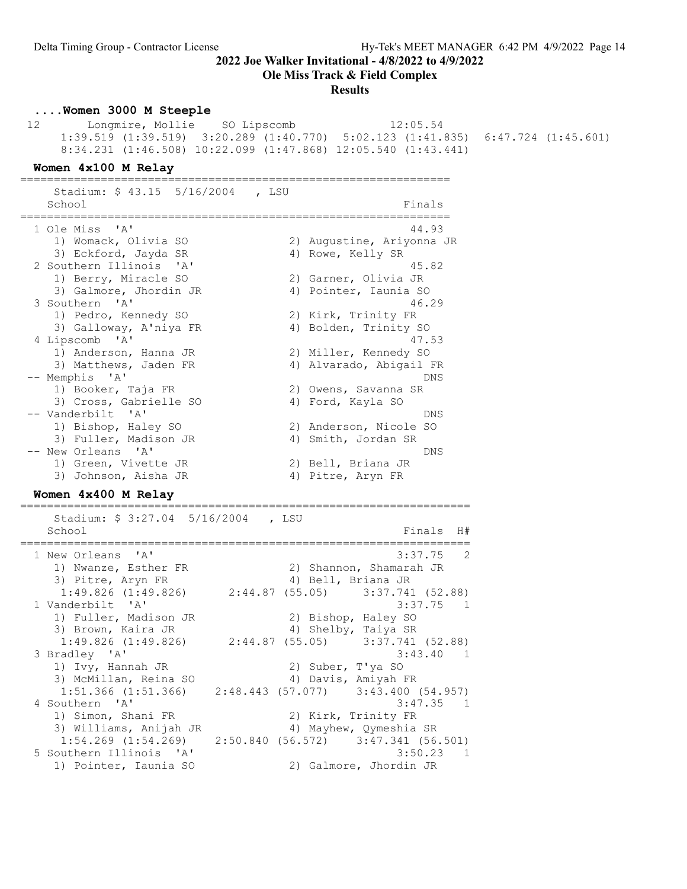Ole Miss Track & Field Complex

#### **Results**

#### ....Women 3000 M Steeple

 12 Longmire, Mollie SO Lipscomb 12:05.54 1:39.519 (1:39.519) 3:20.289 (1:40.770) 5:02.123 (1:41.835) 6:47.724 (1:45.601) 8:34.231 (1:46.508) 10:22.099 (1:47.868) 12:05.540 (1:43.441)

#### Women 4x100 M Relay

================================================================ Stadium: \$ 43.15 5/16/2004 , LSU

School **Finals** ================================================================ 1 Ole Miss 'A' 44.93 1) Womack, Olivia SO 2) Augustine, Ariyonna JR 3) Eckford, Jayda SR 4) Rowe, Kelly SR 2 Southern Illinois 'A' 45.82 1) Berry, Miracle SO 2) Garner, Olivia JR 3) Galmore, Jhordin JR 4) Pointer, Iaunia SO 3 Southern 'A' 46.29 1) Pedro, Kennedy SO 2) Kirk, Trinity FR 3) Galloway, A'niya FR 4) Bolden, Trinity SO 4 Lipscomb 'A' 47.53 1) Anderson, Hanna JR 2) Miller, Kennedy SO 3) Matthews, Jaden FR 4) Alvarado, Abigail FR -- Memphis 'A' DNS 1) Booker, Taja FR 2) Owens, Savanna SR 3) Cross, Gabrielle SO 4) Ford, Kayla SO -- Vanderbilt 'A' DNS 1) Bishop, Haley SO 2) Anderson, Nicole SO 3) Fuller, Madison JR 4) Smith, Jordan SR -- New Orleans 'A' DNS 1) Green, Vivette JR 2) Bell, Briana JR 3) Johnson, Aisha JR 4) Pitre, Aryn FR

#### Women 4x400 M Relay

=================================================================== Stadium: \$ 3:27.04 5/16/2004 , LSU School Finals H# =================================================================== 1 New Orleans 'A' 3:37.75 2 1) Nwanze, Esther FR 2) Shannon, Shamarah JR 3) Pitre, Aryn FR 4) Bell, Briana JR 1:49.826 (1:49.826) 2:44.87 (55.05) 3:37.741 (52.88) 1 Vanderbilt 'A' 3:37.75 1 1) Fuller, Madison JR 2) Bishop, Haley SO 3) Brown, Kaira JR 4) Shelby, Taiya SR 1:49.826 (1:49.826) 2:44.87 (55.05) 3:37.741 (52.88) 3 Bradley 'A' 3:43.40 1 1) Ivy, Hannah JR 2) Suber, T'ya SO 3) McMillan, Reina SO 4) Davis, Amiyah FR 1:51.366 (1:51.366) 2:48.443 (57.077) 3:43.400 (54.957) 4 Southern 'A' 3:47.35 1 1) Simon, Shani FR 2) Kirk, Trinity FR 3) Williams, Anijah JR 4) Mayhew, Qymeshia SR 1:54.269 (1:54.269) 2:50.840 (56.572) 3:47.341 (56.501) 5 Southern Illinois 'A' 3:50.23 1 1) Pointer, Iaunia SO 2) Galmore, Jhordin JR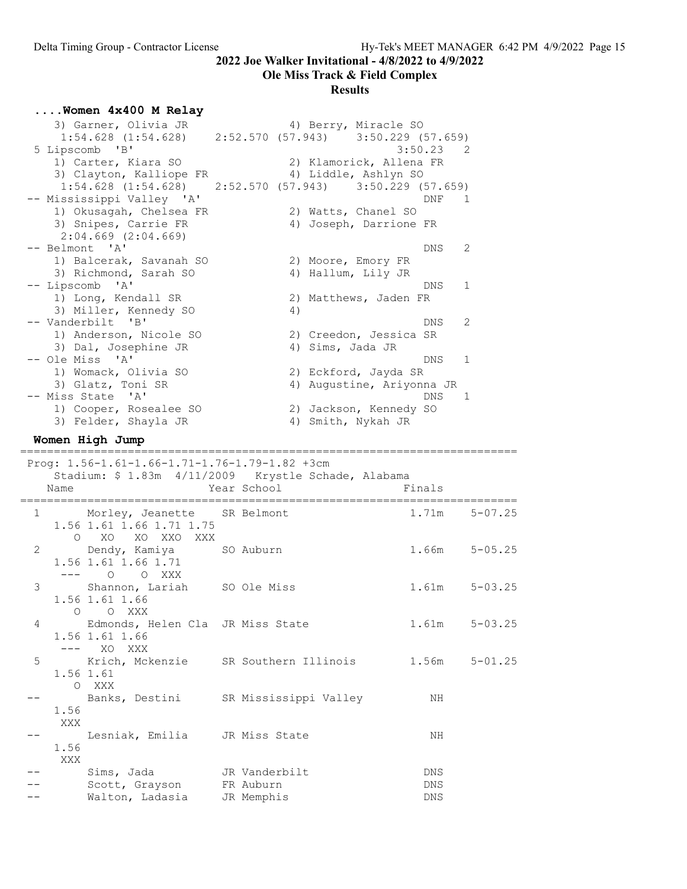# Ole Miss Track & Field Complex

|   | Women 4x400 M Relay                                                 |                            |                                                   |                               |
|---|---------------------------------------------------------------------|----------------------------|---------------------------------------------------|-------------------------------|
|   | 3) Garner, Olivia JR                                                |                            | 4) Berry, Miracle SO                              |                               |
|   | $1:54.628$ (1:54.628) $2:52.570$ (57.943) $3:50.229$ (57.659)       |                            |                                                   |                               |
|   | 5 Lipscomb 'B'                                                      |                            | 3:50.23                                           | - 2                           |
|   | 1) Carter, Kiara SO<br>3) Clayton, Kalliope FR                      |                            | 2) Klamorick, Allena FR<br>4) Liddle, Ashlyn SO   |                               |
|   | $1:54.628$ $(1:54.628)$ $2:52.570$ $(57.943)$ $3:50.229$ $(57.659)$ |                            |                                                   |                               |
|   | -- Mississippi Valley 'A'                                           |                            |                                                   | DNF<br>1                      |
|   | 1) Okusagah, Chelsea FR                                             |                            | 2) Watts, Chanel SO                               |                               |
|   | 3) Snipes, Carrie FR                                                |                            | 4) Joseph, Darrione FR                            |                               |
|   | $2:04.669$ $(2:04.669)$                                             |                            |                                                   |                               |
|   | -- Belmont 'A'                                                      |                            |                                                   | 2<br>DNS                      |
|   | 1) Balcerak, Savanah SO                                             |                            | 2) Moore, Emory FR                                |                               |
|   | 3) Richmond, Sarah SO<br>-- Lipscomb 'A'                            |                            | 4) Hallum, Lily JR                                | 1<br>DNS                      |
|   | 1) Long, Kendall SR                                                 |                            | 2) Matthews, Jaden FR                             |                               |
|   | 3) Miller, Kennedy SO                                               | 4)                         |                                                   |                               |
|   | -- Vanderbilt 'B'                                                   |                            |                                                   | 2<br>DNS                      |
|   | 1) Anderson, Nicole SO                                              |                            | 2) Creedon, Jessica SR                            |                               |
|   | 3) Dal, Josephine JR                                                |                            | 4) Sims, Jada JR                                  |                               |
|   | -- Ole Miss 'A'                                                     |                            |                                                   | 1<br>DNS                      |
|   | 1) Womack, Olivia SO                                                |                            | 2) Eckford, Jayda SR<br>4) Augustine, Ariyonna JR |                               |
|   | 3) Glatz, Toni SR<br>-- Miss State 'A'                              |                            |                                                   | DNS.<br>1                     |
|   | 1) Cooper, Rosealee SO                                              |                            | 2) Jackson, Kennedy SO                            |                               |
|   | 3) Felder, Shayla JR                                                |                            | 4) Smith, Nykah JR                                |                               |
|   | Women High Jump                                                     |                            |                                                   |                               |
|   |                                                                     |                            |                                                   |                               |
|   |                                                                     |                            |                                                   |                               |
|   | Prog: 1.56-1.61-1.66-1.71-1.76-1.79-1.82 +3cm                       |                            |                                                   |                               |
|   | Stadium: \$ 1.83m 4/11/2009 Krystle Schade, Alabama                 |                            |                                                   |                               |
|   | Name                                                                | Year School                | Finals                                            |                               |
| 1 | Morley, Jeanette SR Belmont                                         |                            | 1.71m                                             | $5 - 07.25$                   |
|   | 1.56 1.61 1.66 1.71 1.75                                            |                            |                                                   |                               |
|   | O XO XO XXO XXX                                                     |                            |                                                   |                               |
| 2 | Dendy, Kamiya                                                       | SO Auburn                  |                                                   | $5 - 05.25$<br>1.66m          |
|   | 1.56 1.61 1.66 1.71                                                 |                            |                                                   |                               |
|   | $\Omega$<br>O XXX                                                   |                            |                                                   |                               |
| 3 | Shannon, Lariah SO Ole Miss<br>1.56 1.61 1.66                       |                            |                                                   | 1 <b>.</b> 61m<br>$5 - 03.25$ |
|   | O XXX<br>0                                                          |                            |                                                   |                               |
| 4 | Edmonds, Helen Cla JR Miss State                                    |                            |                                                   | $5 - 03.25$<br>1.61m          |
|   | 1.56 1.61 1.66                                                      |                            |                                                   |                               |
|   | XO XXX<br>$---$                                                     |                            |                                                   |                               |
| 5 | Krich, Mckenzie SR Southern Illinois                                |                            |                                                   | $5 - 01.25$<br>1.56m          |
|   | 1.56 1.61                                                           |                            |                                                   |                               |
|   | O XXX                                                               |                            |                                                   |                               |
|   | Banks, Destini<br>1.56                                              | SR Mississippi Valley      |                                                   | ΝH                            |
|   | XXX                                                                 |                            |                                                   |                               |
|   | Lesniak, Emilia                                                     | JR Miss State              |                                                   | ΝH                            |
|   | 1.56                                                                |                            |                                                   |                               |
|   | XXX                                                                 |                            |                                                   |                               |
|   | Sims, Jada<br>Scott, Grayson                                        | JR Vanderbilt<br>FR Auburn |                                                   | DNS<br><b>DNS</b>             |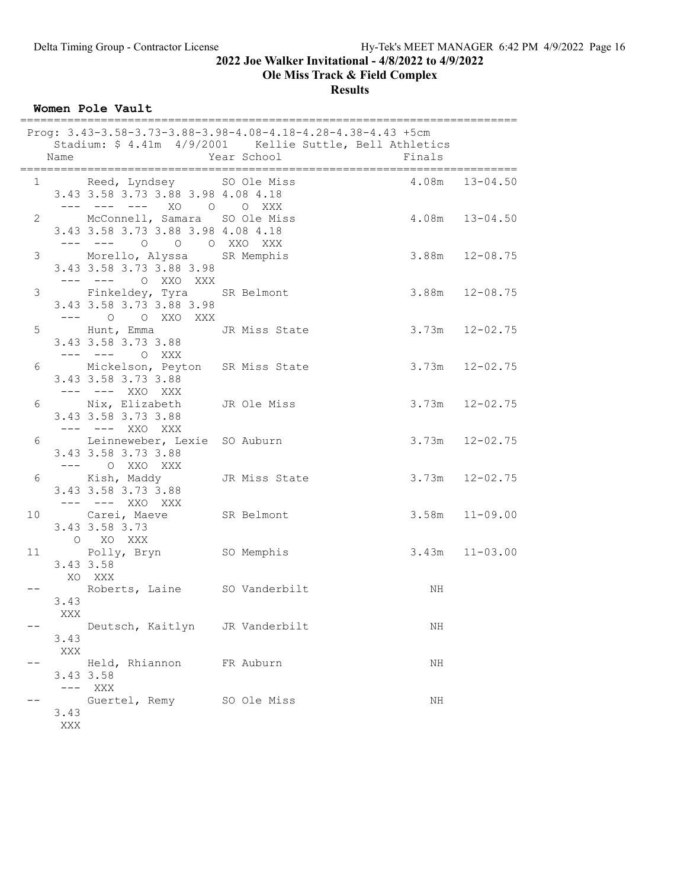Ole Miss Track & Field Complex

**Results** 

Women Pole Vault

|   | Name                                                                                            | Prog: 3.43-3.58-3.73-3.88-3.98-4.08-4.18-4.28-4.38-4.43 +5cm<br>Stadium: \$ 4.41m 4/9/2001 Kellie Suttle, Bell Athletics<br>Year School | ===========================<br>Finals |                    |
|---|-------------------------------------------------------------------------------------------------|-----------------------------------------------------------------------------------------------------------------------------------------|---------------------------------------|--------------------|
|   | 3.43 3.58 3.73 3.88 3.98 4.08 4.18                                                              | 1 Reed, Lyndsey SO Ole Miss                                                                                                             | $4.08m$ $13-04.50$                    |                    |
|   | --- --- --- XO O O XXX<br>2 McConnell, Samara SO Ole Miss<br>3.43 3.58 3.73 3.88 3.98 4.08 4.18 |                                                                                                                                         | $4.08m$ $13-04.50$                    |                    |
|   | --- --- 0 0 0 XXO XXX<br>3 Morello, Alyssa SR Memphis<br>3.43 3.58 3.73 3.88 3.98               |                                                                                                                                         | $3.88m$ $12-08.75$                    |                    |
|   | --- --- 0 XX0 XXX<br>3.43 3.58 3.73 3.88 3.98<br>$---$ 0 0 XXO XXX                              | 3 Finkeldey, Tyra SR Belmont 3.88m 12-08.75                                                                                             |                                       |                    |
|   | $-- ---$ 0 XXX                                                                                  | 5 Hunt, Emma<br>3.43 3.58 3.73 3.88                                                                                                     | $3.73m$ $12-02.75$                    |                    |
|   | 3.43 3.58 3.73 3.88<br>--- --- XXO XXX                                                          | 6 Mickelson, Peyton SR Miss State 3.73m 12-02.75                                                                                        |                                       |                    |
| 6 | 3.43 3.58 3.73 3.88<br>--- --- XXO XXX                                                          | Nix, Elizabeth JR Ole Miss                                                                                                              |                                       | $3.73m$ $12-02.75$ |
|   | 3.43 3.58 3.73 3.88<br>$--- \qquad \qquad \circ \quad \text{XXO} \qquad \text{XXX}$             | 6 Leinneweber, Lexie SO Auburn 3.73m 12-02.75                                                                                           |                                       |                    |
|   | 3.43 3.58 3.73 3.88<br>--- --- XXO XXX                                                          | 6 Kish, Maddy JR Miss State 3.73m 12-02.75                                                                                              |                                       |                    |
|   | 3.43 3.58 3.73<br>O XO XXX                                                                      | 10 Carei, Maeve SR Belmont                                                                                                              | $3.58m$ $11-09.00$                    |                    |
|   | 11 Polly, Bryn SO Memphis<br>3.43 3.58<br>XO XXX                                                |                                                                                                                                         | $3.43m$ $11-03.00$                    |                    |
|   | Roberts, Laine SO Vanderbilt<br>3.43<br>XXX                                                     |                                                                                                                                         | NH                                    |                    |
|   | Deutsch, Kaitlyn<br>3.43<br>XXX                                                                 | JR Vanderbilt                                                                                                                           | ΝH                                    |                    |
|   | Held, Rhiannon<br>3.43 3.58<br>$---$<br>XXX                                                     | FR Auburn                                                                                                                               | ΝH                                    |                    |
|   | 3.43<br>XXX                                                                                     | Guertel, Remy SO Ole Miss                                                                                                               | ΝH                                    |                    |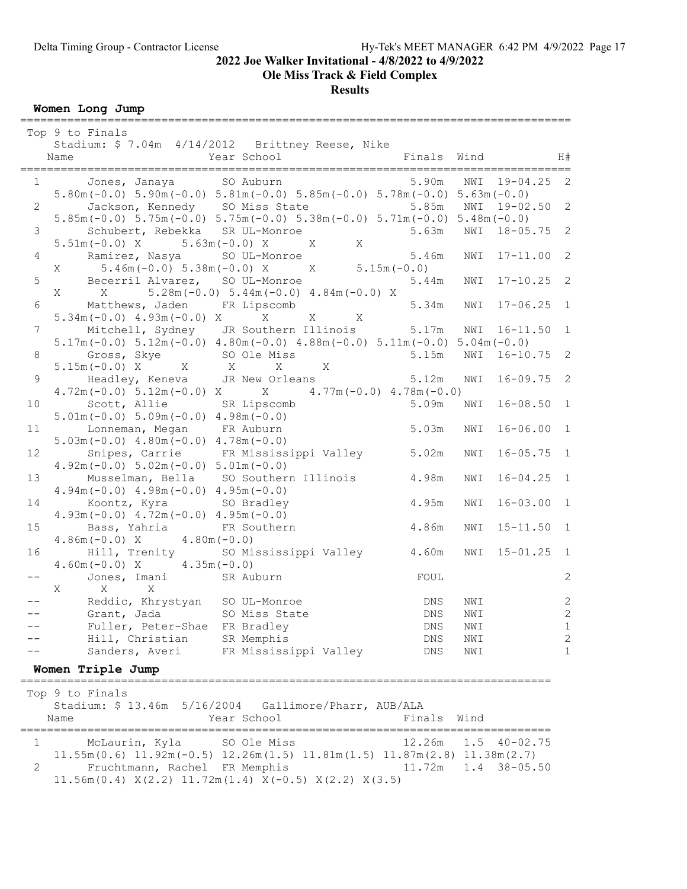Ole Miss Track & Field Complex

Results

Women Long Jump

|                | Top 9 to Finals                                                                                                                                                                     |                              |
|----------------|-------------------------------------------------------------------------------------------------------------------------------------------------------------------------------------|------------------------------|
|                | Stadium: \$ 7.04m 4/14/2012 Brittney Reese, Nike<br>Year School<br>Finals Wind<br>Name<br>_____________________________                                                             | H#                           |
|                | 5.90m<br>$1 \qquad \qquad$<br>Jones, Janaya SO Auburn<br>NWI<br>$19 - 04.25$<br>$5.80m(-0.0)$ $5.90m(-0.0)$ $5.81m(-0.0)$ $5.85m(-0.0)$ $5.78m(-0.0)$ $5.63m(-0.0)$                 | $\overline{c}$               |
| $2^{\circ}$    | Jackson, Kennedy SO Miss State<br>NWI 19-02.50 2<br>5.85m<br>$5.85m(-0.0)$ $5.75m(-0.0)$ $5.75m(-0.0)$ $5.38m(-0.0)$ $5.71m(-0.0)$ $5.48m(-0.0)$                                    |                              |
| 3              | $18 - 05.75$ 2<br>Schubert, Rebekka SR UL-Monroe<br>5.63m<br>NWI<br>$5.51m(-0.0)$ X $5.63m(-0.0)$ X<br>$\mathbf{X}$<br>X                                                            |                              |
| $\overline{4}$ | Ramirez, Nasya SO UL-Monroe<br>5.46m<br>NWI<br>17-11.00<br>$5.46m(-0.0)$ $5.38m(-0.0)$ X $X$ $5.15m(-0.0)$<br>X                                                                     | 2                            |
| 5              | Becerril Alvarez, SO UL-Monroe<br>NWI 17-10.25 2<br>5.44m<br>$5.28m(-0.0)$ $5.44m(-0.0)$ $4.84m(-0.0)$ X                                                                            |                              |
|                | X X<br>5.34m<br>$17 - 06.25$ 1<br>6 Matthews, Jaden FR Lipscomb<br>NWI<br>$X$ X                                                                                                     |                              |
| 7 <sup>7</sup> | $5.34m(-0.0)$ 4.93m $(-0.0)$ X X<br>Mitchell, Sydney JR Southern Illinois 5.17m NWI 16-11.50<br>$5.17m(-0.0)$ $5.12m(-0.0)$ $4.80m(-0.0)$ $4.88m(-0.0)$ $5.11m(-0.0)$ $5.04m(-0.0)$ | $\sqrt{1}$                   |
| 8              | NWI 16-10.75 2<br>Gross, Skye SO Ole Miss<br>5.15m<br>$5.15m(-0.0) X$ X X X<br>X                                                                                                    |                              |
| 9              | 5.12m<br>$16 - 09.75$ 2<br>Headley, Keneva JR New Orleans<br>NWI<br>$4.72m(-0.0)$ 5.12m(-0.0) X $\qquad$ $\qquad$ $4.77m(-0.0)$ $4.78m(-0.0)$                                       |                              |
| 10             | Scott, Allie SR Lipscomb<br>$16 - 08.50$ 1<br>5.09m<br>NWI<br>$5.01m(-0.0) 5.09m(-0.0) 4.98m(-0.0)$                                                                                 |                              |
| 11             | Lonneman, Megan FR Auburn<br>5.03m<br>$16 - 06.00$ 1<br>NWI<br>$5.03m(-0.0)$ 4.80m $(-0.0)$ 4.78m $(-0.0)$                                                                          |                              |
| 12             | Snipes, Carrie FR Mississippi Valley 5.02m<br>$16 - 05.75$ 1<br>NWI<br>$4.92m(-0.0) 5.02m(-0.0) 5.01m(-0.0)$                                                                        |                              |
| 13             | Musselman, Bella SO Southern Illinois<br>4.98m<br>$16 - 04.25$ 1<br>NWI<br>$4.94m(-0.0)$ $4.98m(-0.0)$ $4.95m(-0.0)$                                                                |                              |
| 14             | Koontz, Kyra SO Bradley<br>4.95m<br>$16 - 03.00$ 1<br>NWI<br>$4.93m(-0.0)$ $4.72m(-0.0)$ $4.95m(-0.0)$                                                                              |                              |
| 15             | 4.86m<br>Bass, Yahria<br>FR Southern<br>NWI<br>$15 - 11.50$ 1<br>$4.80m(-0.0)$<br>$4.86m(-0.0) X$                                                                                   |                              |
| 16             | Hill, Trenity<br>SO Mississippi Valley 4.60m<br>NWI<br>$15 - 01.25$ 1<br>$4.60m(-0.0) X$ $4.35m(-0.0)$                                                                              |                              |
|                | Jones, Imani SR Auburn<br>FOUL<br>$\mathbf{X}$<br>X<br>Χ                                                                                                                            | 2                            |
|                | Reddic, Khrystyan SO UL-Monroe<br>NWI<br>DNS<br>Grant, Jada<br>SO Miss State<br><b>DNS</b><br>NWI                                                                                   | $\sqrt{2}$<br>$\overline{2}$ |
|                | Fuller, Peter-Shae FR Bradley<br>DNS<br>NWI                                                                                                                                         | 1                            |
|                | Hill, Christian<br>SR Memphis<br>DNS<br>NWI                                                                                                                                         | $\mathbf{2}$                 |
|                | FR Mississippi Valley<br>Sanders, Averi<br><b>DNS</b><br>NWI                                                                                                                        | 1                            |
|                | Women Triple Jump<br>=====================================                                                                                                                          |                              |
|                | Top 9 to Finals<br>Stadium: \$13.46m 5/16/2004 Gallimore/Pharr, AUB/ALA<br>Year School<br>Finals<br>Wind<br>Name                                                                    |                              |
| 1              | =====<br>12.26m<br>1.5<br>$40 - 02.75$<br>McLaurin, Kyla<br>SO Ole Miss                                                                                                             |                              |
| 2              | $11.55m(0.6)$ $11.92m(-0.5)$ $12.26m(1.5)$ $11.81m(1.5)$ $11.87m(2.8)$ $11.38m(2.7)$<br>Fruchtmann, Rachel FR Memphis<br>11.72m<br>1.4<br>$38 - 05.50$                              |                              |

11.56m(0.4) X(2.2) 11.72m(1.4) X(-0.5) X(2.2) X(3.5)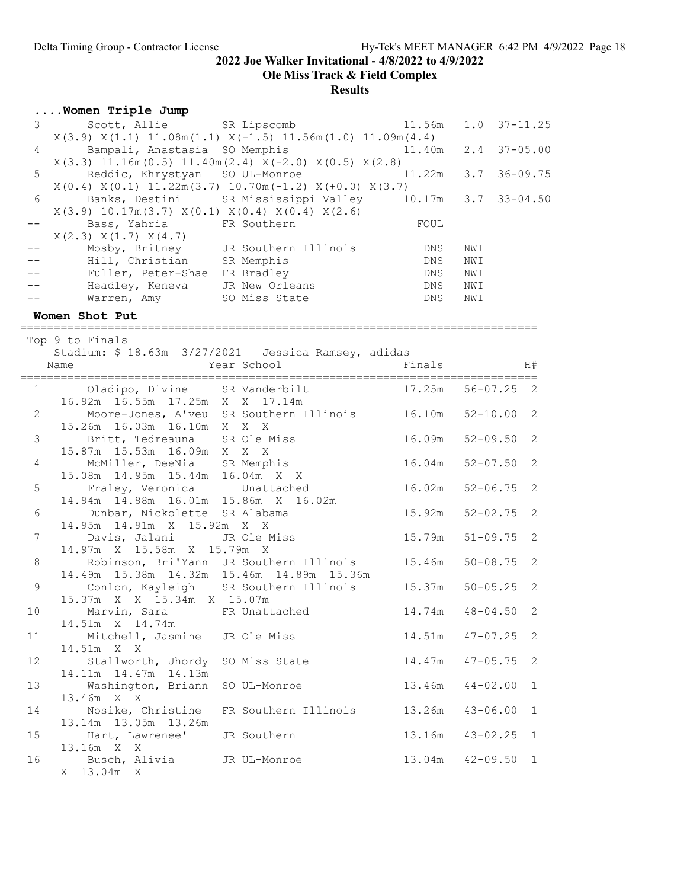Ole Miss Track & Field Complex

# **Results**

# ....Women Triple Jump

| 3 <sup>7</sup> |                                                                         | Scott, Allie SR Lipscomb                                 | 11.56m | $1.0$ $37-11.25$    |              |
|----------------|-------------------------------------------------------------------------|----------------------------------------------------------|--------|---------------------|--------------|
|                | $X(3.9) X(1.1) 11.08m(1.1) X(-1.5) 11.56m(1.0) 11.09m(4.4)$             |                                                          |        |                     |              |
| $\overline{4}$ | Bampali, Anastasia SO Memphis                                           |                                                          | 11.40m | $2.4$ 37-05.00      |              |
|                | $X(3.3)$ 11.16m $(0.5)$ 11.40m $(2.4)$ $X(-2.0)$ $X(0.5)$ $X(2.8)$      |                                                          |        |                     |              |
| $\overline{5}$ |                                                                         | Reddic, Khrystyan SO UL-Monroe                           | 11.22m | $3.7$ $36-09.75$    |              |
|                | $X(0.4) X(0.1) 11.22m(3.7) 10.70m(-1.2) X(+0.0) X(3.7)$                 |                                                          |        |                     |              |
| 6              |                                                                         | Banks, Destini SR Mississippi Valley 10.17m 3.7 33-04.50 |        |                     |              |
|                | $X(3.9)$ 10.17m $(3.7)$ $X(0.1)$ $X(0.4)$ $X(0.4)$ $X(2.6)$             |                                                          |        |                     |              |
| $--$           | Bass, Yahria                                                            | FR Southern                                              | FOUL   |                     |              |
|                | X(2.3) X(1.7) X(4.7)                                                    |                                                          |        |                     |              |
| $ -$           |                                                                         | Mosby, Britney JR Southern Illinois                      | DNS    | NWI                 |              |
|                | Hill, Christian SR Memphis                                              |                                                          | DNS    | NWI                 |              |
|                | Fuller, Peter-Shae FR Bradley                                           |                                                          | DNS    | NWI                 |              |
|                | Headley, Keneva JR New Orleans                                          |                                                          | DNS    | NWI                 |              |
|                | Warren, Amy                                                             | SO Miss State                                            | DNS    | NWI                 |              |
|                | Women Shot Put                                                          |                                                          |        |                     |              |
|                |                                                                         |                                                          |        |                     |              |
|                | Top 9 to Finals<br>Stadium: \$ 18.63m 3/27/2021  Jessica Ramsey, adidas |                                                          |        |                     |              |
|                | Name                                                                    | Year School                                              | Finals |                     | H#           |
|                |                                                                         |                                                          |        |                     |              |
|                | 1 Oladipo, Divine SR Vanderbilt                                         |                                                          | 17.25m | $56 - 07.25$ 2      |              |
|                | 16.92m  16.55m  17.25m  X  X  17.14m                                    |                                                          |        |                     |              |
| $\overline{2}$ | Moore-Jones, A'veu SR Southern Illinois 16.10m                          |                                                          |        | $52 - 10.00$        | 2            |
|                | 15.26m  16.03m  16.10m  X  X  X                                         |                                                          |        |                     |              |
| 3              | Britt, Tedreauna SR Ole Miss                                            |                                                          | 16.09m | $52 - 09.50$        | 2            |
|                | 15.87m  15.53m  16.09m  X  X  X                                         |                                                          |        |                     |              |
| 4              | McMiller, DeeNia SR Memphis                                             |                                                          | 16.04m | $52 - 07.50$        | 2            |
|                | 15.08m  14.95m  15.44m  16.04m  X  X                                    |                                                          |        |                     |              |
| 5              | Fraley, Veronica Unattached                                             |                                                          | 16.02m | $52 - 06.75$        | 2            |
|                | 14.94m  14.88m  16.01m  15.86m  X  16.02m                               |                                                          |        |                     |              |
| 6              | Dunbar, Nickolette SR Alabama                                           |                                                          | 15.92m | $52 - 02.75$        | $\mathbf{2}$ |
|                | 14.95m 14.91m X 15.92m X X                                              |                                                          |        |                     |              |
| $\overline{7}$ | Davis, Jalani JR Ole Miss                                               |                                                          | 15.79m | $51 - 09.75$        | 2            |
|                | 14.97m X 15.58m X 15.79m X                                              |                                                          |        |                     |              |
| 8              |                                                                         | Robinson, Bri'Yann JR Southern Illinois                  | 15.46m | $50 - 08.75$        | 2            |
|                | 14.49m  15.38m  14.32m  15.46m  14.89m  15.36m                          |                                                          |        |                     |              |
| 9              |                                                                         | Conlon, Kayleigh SR Southern Illinois                    | 15.37m | $50 - 05.25$        | 2            |
|                | 15.37m X X 15.34m X 15.07m                                              |                                                          |        |                     |              |
| 10             | Marvin, Sara FR Unattached                                              |                                                          |        | 14.74m  48-04.50  2 |              |
|                | 14.51m X 14.74m                                                         |                                                          |        |                     |              |
| 11             | Mitchell, Jasmine                                                       | JR Ole Miss                                              |        | $14.51m$ $47-07.25$ | 2            |
|                | 14.51m X X                                                              |                                                          |        |                     |              |
| 12             | Stallworth, Jhordy                                                      | SO Miss State                                            | 14.47m | $47 - 05.75$        | 2            |
|                | 14.11m  14.47m  14.13m                                                  |                                                          |        |                     |              |
| 13             | Washington, Briann                                                      | SO UL-Monroe                                             | 13.46m | $44 - 02.00$        | 1            |
|                | 13.46m X X                                                              |                                                          |        |                     |              |
| 14             | Nosike, Christine                                                       | FR Southern Illinois                                     | 13.26m | $43 - 06.00$        | 1            |
|                | 13.14m  13.05m  13.26m                                                  |                                                          |        |                     |              |
| 15             | Hart, Lawrenee'                                                         | JR Southern                                              | 13.16m | $43 - 02.25$        | 1            |
|                | 13.16m X X                                                              |                                                          |        |                     |              |
| 16             | Busch, Alivia                                                           | JR UL-Monroe                                             | 13.04m | $42 - 09.50$        | 1            |
|                | X 13.04m X                                                              |                                                          |        |                     |              |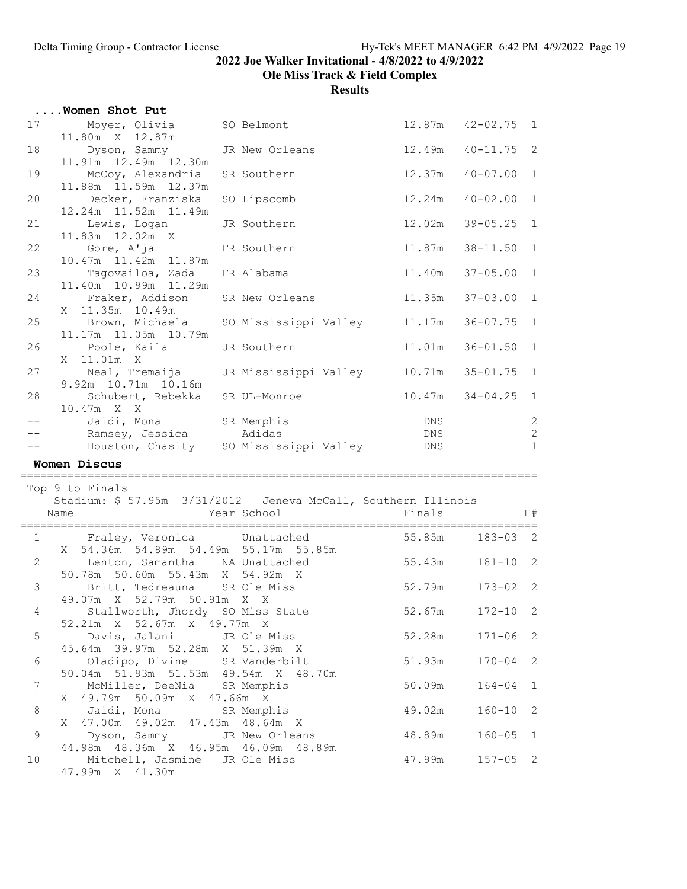Ole Miss Track & Field Complex

|                  | Women Shot Put                                                                               |                      |                 |                     |                                |
|------------------|----------------------------------------------------------------------------------------------|----------------------|-----------------|---------------------|--------------------------------|
| 17               | Moyer, Olivia SO Belmont<br>11.80m X 12.87m                                                  |                      |                 | 12.87m  42-02.75  1 |                                |
| 18               | Dyson, Sammy JR New Orleans<br>11.91m  12.49m  12.30m                                        |                      | 12.49m          | $40 - 11.75$ 2      |                                |
| 19               | McCoy, Alexandria<br>11.88m  11.59m  12.37m                                                  | SR Southern          | 12.37m          | $40 - 07.00$        | $\mathbf{1}$                   |
| 20               | Decker, Franziska<br>12.24m  11.52m  11.49m                                                  | SO Lipscomb          | 12.24m          | $40 - 02.00$        | $\mathbf{1}$                   |
| 21               | Lewis, Logan<br>11.83m 12.02m X                                                              | JR Southern          | 12.02m          | $39 - 05.25$        | $\mathbf{1}$                   |
| 22               | Gore, A'ja<br>10.47m  11.42m  11.87m                                                         | FR Southern          | 11.87m          | $38 - 11.50$        | $\mathbf{1}$                   |
| 23               | Tagovailoa, Zada<br>11.40m  10.99m  11.29m                                                   | FR Alabama           | 11.40m          | $37 - 05.00$ 1      |                                |
| 24               | Fraker, Addison<br>X 11.35m 10.49m                                                           | SR New Orleans       | 11.35m          | $37 - 03.00$ 1      |                                |
| 25               | Brown, Michaela SO Mississippi Valley 11.17m<br>11.17m  11.05m  10.79m                       |                      |                 | $36 - 07.75$        | 1                              |
| 26               | Poole, Kaila<br>X 11.01m X                                                                   | JR Southern          | 11.01m          | $36 - 01.50$        | $\mathbf{1}$                   |
| 27               | Neal, Tremaija     JR Mississippi Valley      10.71m<br>9.92m 10.71m 10.16m                  |                      |                 | $35 - 01.75$ 1      |                                |
| 28               | Schubert, Rebekka SR UL-Monroe<br>$10.47m$ X X                                               |                      |                 |                     | $\mathbf{1}$                   |
|                  | Jaidi, Mona<br>-- Ramsey, Jessica                                                            | SR Memphis<br>Adidas | DNS<br>DNS      |                     | $\overline{c}$<br>$\mathbf{2}$ |
|                  |                                                                                              |                      |                 |                     |                                |
|                  |                                                                                              |                      |                 |                     |                                |
|                  | Houston, Chasity SO Mississippi Valley                                                       |                      | DNS             |                     | $\mathbf{1}$                   |
|                  | Women Discus                                                                                 |                      |                 |                     |                                |
|                  | Top 9 to Finals                                                                              |                      |                 |                     |                                |
|                  | Stadium: \$57.95m 3/31/2012 Jeneva McCall, Southern Illinois                                 |                      |                 |                     |                                |
|                  | Name                                                                                         | Year School          | Finals          |                     | H#                             |
|                  | 1 Fraley, Veronica Unattached<br>X 54.36m 54.89m 54.49m 55.17m 55.85m                        |                      | 55.85m 183-03 2 |                     |                                |
|                  | 2 Lenton, Samantha NA Unattached<br>50.78m 50.60m 55.43m X 54.92m X                          | 55.43m               |                 | $181 - 10$ 2        |                                |
| 3                | Britt, Tedreauna SR Ole Miss<br>49.07m X 52.79m 50.91m X X                                   |                      | 52.79m          | $173 - 02$ 2        |                                |
| 4                | Stallworth, Jhordy SO Miss State<br>52.21m X 52.67m X 49.77m X                               |                      | 52.67m          | $172 - 10$          | 2                              |
| 5                | Davis, Jalani JR Ole Miss                                                                    |                      | 52.28m          | $171 - 06$          | 2                              |
| 6                | 45.64m 39.97m 52.28m X 51.39m X<br>Oladipo, Divine SR Vanderbilt                             |                      | 51.93m          | $170 - 04$          | 2                              |
| $\boldsymbol{7}$ | 50.04m 51.93m 51.53m 49.54m X 48.70m<br>McMiller, DeeNia SR Memphis                          |                      | 50.09m          | $164 - 04$          | $\mathbf{1}$                   |
| $\,8\,$          | X 49.79m 50.09m X 47.66m X<br>Jaidi, Mona                                                    | SR Memphis           | 49.02m          | $160 - 10$          | -2                             |
| $\,9$            | X 47.00m 49.02m 47.43m 48.64m X<br>Dyson, Sammy<br>44.98m  48.36m  X  46.95m  46.09m  48.89m | JR New Orleans       | 48.89m          | $160 - 05$          | <sup>1</sup>                   |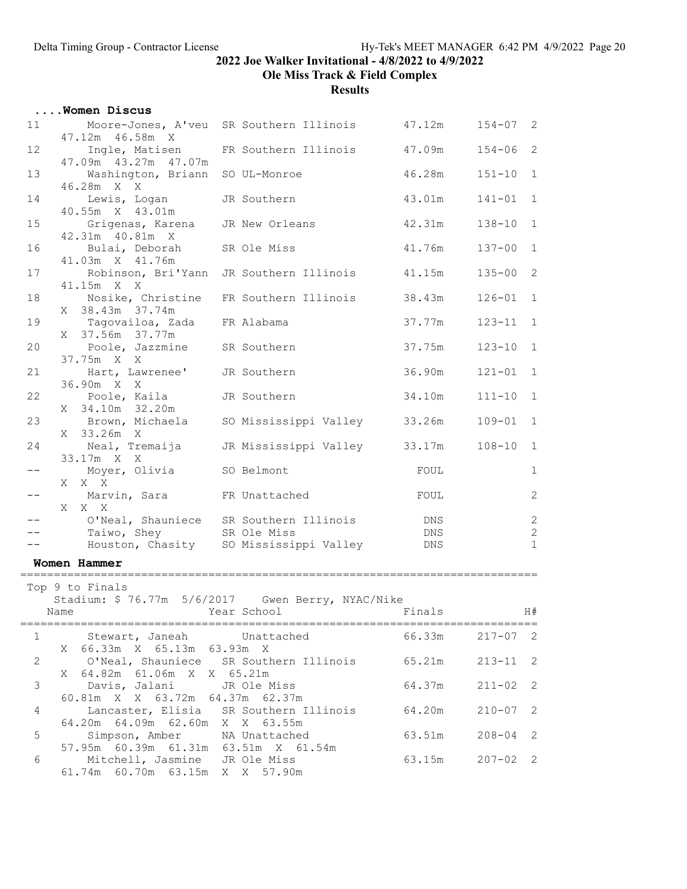Ole Miss Track & Field Complex

|                | Women Discus                                                                                             |                                                                                  |                   |              |                                   |
|----------------|----------------------------------------------------------------------------------------------------------|----------------------------------------------------------------------------------|-------------------|--------------|-----------------------------------|
| 11             | 47.12m  46.58m  X                                                                                        | Moore-Jones, A'veu SR Southern Illinois 47.12m                                   |                   | $154 - 07$ 2 |                                   |
| 12             | 47.09m  43.27m  47.07m                                                                                   | Ingle, Matisen FR Southern Illinois                                              | 47.09m            | $154 - 06$ 2 |                                   |
| 13             | Washington, Briann SO UL-Monroe<br>46.28m X X                                                            |                                                                                  | 46.28m            | $151 - 10$   | $\mathbf{1}$                      |
| 14             | Lewis, Logan<br>40.55m X 43.01m                                                                          | JR Southern                                                                      | 43.01m            | $141 - 01$   | $\mathbf{1}$                      |
| 15             | Grigenas, Karena JR New Orleans<br>42.31m  40.81m  X                                                     |                                                                                  | 42.31m            | $138 - 10$   | $1\,$                             |
| 16             | Bulai, Deborah<br>41.03m X 41.76m                                                                        | SR Ole Miss                                                                      | 41.76m            | $137 - 00$   | $\mathbf{1}$                      |
| 17             | 41.15m X X                                                                                               | Robinson, Bri'Yann JR Southern Illinois                                          | 41.15m            | $135 - 00$   | $\overline{2}$                    |
| 18             | Nosike, Christine<br>38.43m 37.74m<br>X                                                                  | FR Southern Illinois                                                             | 38.43m            | $126 - 01$   | $\mathbf{1}$                      |
| 19             | Tagovailoa, Zada FR Alabama<br>X 37.56m 37.77m                                                           |                                                                                  | 37.77m            | $123 - 11$   | $\mathbf{1}$                      |
| 20             | Poole, Jazzmine SR Southern<br>37.75m X X                                                                |                                                                                  | 37.75m            | $123 - 10$   | $\mathbf{1}$                      |
| 21             | Hart, Lawrenee' JR Southern<br>36.90m X X                                                                |                                                                                  | 36.90m            | $121 - 01$   | $\mathbf{1}$                      |
| 22             | Poole, Kaila JR Southern<br>X 34.10m 32.20m                                                              |                                                                                  | 34.10m            | $111 - 10$   | $\mathbf{1}$                      |
| 23             |                                                                                                          | Brown, Michaela     SO Mississippi Valley                                        | 33.26m            | $109 - 01$   | $\mathbf{1}$                      |
| 24             | X 33.26m X                                                                                               | Neal, Tremaija JR Mississippi Valley 33.17m                                      |                   | $108 - 10$   | $\mathbf{1}$                      |
| $-\,-$         | 33.17m X X<br>Moyer, Olivia                                                                              | SO Belmont                                                                       | FOUL              |              | $\mathbf 1$                       |
| $- -$          | X X X<br>Marvin, Sara FR Unattached<br>X X X                                                             |                                                                                  | FOUL              |              | $\mathbf{2}$                      |
|                | Taiwo, Shey SR Ole Miss                                                                                  | O'Neal, Shauniece SR Southern Illinois<br>Houston, Chasity SO Mississippi Valley | DNS<br>DNS<br>DNS |              | $\sqrt{2}$<br>$\sqrt{2}$<br>$1\,$ |
|                | Women Hammer                                                                                             |                                                                                  |                   |              |                                   |
|                | Top 9 to Finals<br>Name                                                                                  | Stadium: \$76.77m 5/6/2017 Gwen Berry, NYAC/Nike<br>Year School                  | Finals            |              | H#                                |
| $\mathbf 1$    | Stewart, Janeah                                                                                          | Unattached                                                                       | 66.33m            | $217 - 07$   | 2                                 |
| $\mathbf{2}$   | 66.33m X 65.13m 63.93m X<br>X<br>64.82m 61.06m X X 65.21m                                                | O'Neal, Shauniece SR Southern Illinois 65.21m                                    |                   | $213 - 11$   | 2                                 |
| $\mathfrak{Z}$ | X<br>Davis, Jalani                                                                                       | JR Ole Miss                                                                      | 64.37m            | $211 - 02$   | $\mathbf{2}$                      |
| 4              | 60.81m X X 63.72m 64.37m 62.37m<br>Lancaster, Elisia<br>64.20m 64.09m 62.60m X X 63.55m                  | SR Southern Illinois                                                             | 64.20m            | $210 - 07$ 2 |                                   |
| 5              | Simpson, Amber NA Unattached                                                                             |                                                                                  | 63.51m            | $208 - 04$   | 2                                 |
| 6              | 57.95m 60.39m 61.31m 63.51m X 61.54m<br>Mitchell, Jasmine JR Ole Miss<br>61.74m 60.70m 63.15m X X 57.90m |                                                                                  | 63.15m            | $207 - 02$ 2 |                                   |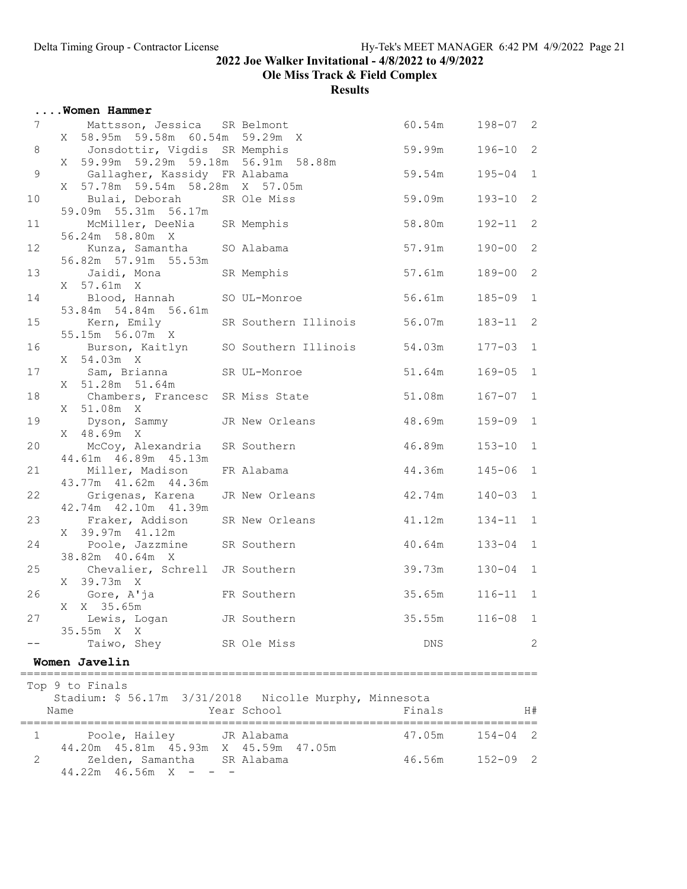Ole Miss Track & Field Complex

|                | Women Hammer                                                                                          |                                         |        |              |                |
|----------------|-------------------------------------------------------------------------------------------------------|-----------------------------------------|--------|--------------|----------------|
| 7 <sup>7</sup> | Mattsson, Jessica SR Belmont<br>X 58.95m 59.58m 60.54m 59.29m X                                       |                                         | 60.54m | $198 - 07$ 2 |                |
| $8\,$          | Jonsdottir, Vigdis SR Memphis<br>X 59.99m 59.29m 59.18m 56.91m 58.88m                                 |                                         | 59.99m | $196 - 10$   | 2              |
| $\mathsf 9$    | Gallagher, Kassidy FR Alabama<br>X 57.78m 59.54m 58.28m X 57.05m                                      |                                         | 59.54m | $195 - 04$   | $1\,$          |
| 10             | Bulai, Deborah SR Ole Miss                                                                            |                                         | 59.09m | $193 - 10$   | $\mathbf{2}$   |
| 11             | 59.09m 55.31m 56.17m<br>McMiller, DeeNia SR Memphis                                                   |                                         | 58.80m | $192 - 11$   | 2              |
| 12             | 56.24m 58.80m X<br>Kunza, Samantha SO Alabama                                                         |                                         | 57.91m | $190 - 00$ 2 |                |
| 13             | 56.82m 57.91m 55.53m<br>Jaidi, Mona SR Memphis                                                        |                                         | 57.61m | $189 - 00$ 2 |                |
| 14             | X 57.61m X<br>Blood, Hannah SO UL-Monroe                                                              |                                         | 56.61m | $185 - 09$   | $\sqrt{1}$     |
| 15             | 53.84m 54.84m 56.61m                                                                                  | Kern, Emily SR Southern Illinois 56.07m |        | $183 - 11$   | 2              |
| 16             | 55.15m 56.07m X<br>Burson, Kaitlyn SO Southern Illinois                                               |                                         | 54.03m | $177 - 03$   | $\mathbf{1}$   |
| 17             | X 54.03m X<br>Sam, Brianna SR UL-Monroe                                                               |                                         | 51.64m | $169 - 05$   | $\overline{1}$ |
| 18             | X 51.28m 51.64m<br>Chambers, Francesc SR Miss State                                                   |                                         | 51.08m | $167 - 07$   | $\mathbf{1}$   |
| 19             | X 51.08m X<br>Dyson, Sammy JR New Orleans                                                             |                                         | 48.69m | $159 - 09$ 1 |                |
| 20             | X 48.69m X<br>McCoy, Alexandria SR Southern                                                           |                                         | 46.89m | $153 - 10$   | $\sqrt{1}$     |
| 21             | 44.61m  46.89m  45.13m<br>Miller, Madison                                                             | FR Alabama                              | 44.36m | $145 - 06$   | $\mathbf{1}$   |
| 22             | 43.77m  41.62m  44.36m<br>Grigenas, Karena JR New Orleans                                             |                                         | 42.74m | $140 - 03$   | $\mathbf{1}$   |
| 23             | 42.74m  42.10m  41.39m<br>Fraker, Addison SR New Orleans                                              |                                         | 41.12m | $134 - 11$   | $\mathbf{1}$   |
| 24             | X 39.97m 41.12m<br>Poole, Jazzmine SR Southern                                                        |                                         | 40.64m | $133 - 04$   | $\mathbf{1}$   |
| 25             | 38.82m 40.64m X<br>Chevalier, Schrell JR Southern                                                     |                                         | 39.73m | $130 - 04$ 1 |                |
| 26             | X 39.73m X<br>Gore, A'ja                                                                              | FR Southern                             | 35.65m | $116 - 11$ 1 |                |
| 27             | X X 35.65m<br>Lewis, Logan                                                                            | JR Southern                             | 35.55m | $116 - 08$ 1 |                |
|                | 35.55m X X<br>Taiwo, Shey                                                                             | SR Ole Miss                             | DNS.   |              | 2              |
|                | Women Javelin                                                                                         |                                         |        |              |                |
|                | Top 9 to Finals                                                                                       |                                         |        |              |                |
|                | Stadium: \$56.17m 3/31/2018 Nicolle Murphy, Minnesota<br>Name                                         | Year School                             | Finals |              | H#             |
| 1              | Poole, Hailey JR Alabama                                                                              |                                         | 47.05m | $154 - 04$ 2 |                |
| 2              | 44.20m  45.81m  45.93m  X  45.59m  47.05m<br>Zelden, Samantha SR Alabama<br>$44.22m$ $46.56m$ X - - - |                                         | 46.56m | $152 - 09$ 2 |                |
|                |                                                                                                       |                                         |        |              |                |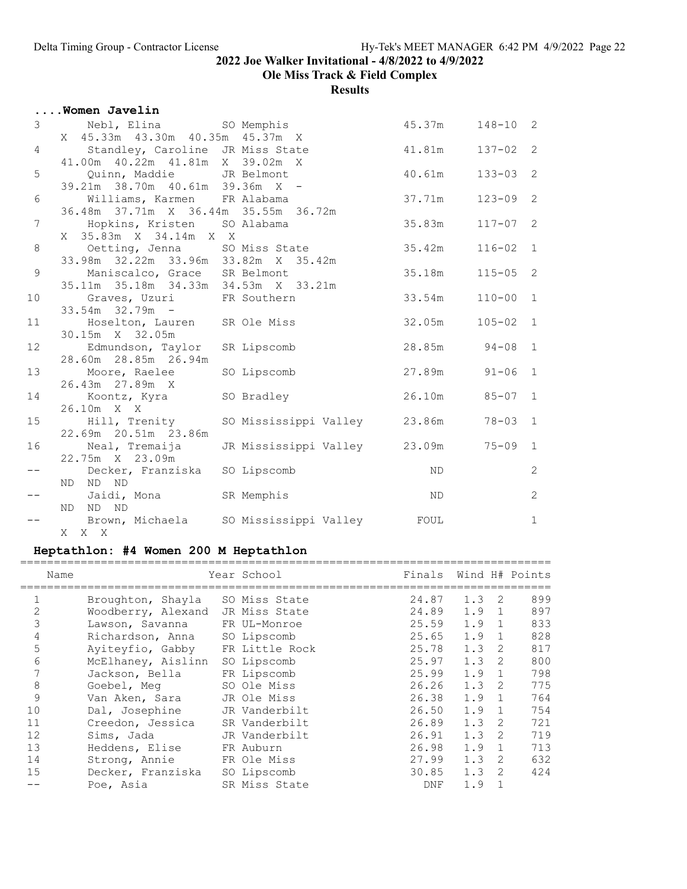Ole Miss Track & Field Complex

Results

|                 | Women Javelin                                                        |                                            |                  |              |                |
|-----------------|----------------------------------------------------------------------|--------------------------------------------|------------------|--------------|----------------|
| $\mathcal{S}$   | Nebl, Elina SO Memphis<br>X 45.33m 43.30m 40.35m 45.37m X            |                                            | 45.37m           | $148 - 10$ 2 |                |
| $\overline{4}$  | Standley, Caroline JR Miss State                                     |                                            | 41 <b>.</b> 81m  | $137 - 02$ 2 |                |
| 5               | 41.00m  40.22m  41.81m  X  39.02m  X<br>Quinn, Maddie JR Belmont     |                                            | 40.61m           | $133 - 03$   | 2              |
| 6               | 39.21m 38.70m 40.61m 39.36m X -<br>Williams, Karmen FR Alabama       |                                            | 37.71m           | $123 - 09$   | $\overline{2}$ |
| $7\phantom{.}$  | 36.48m 37.71m X 36.44m 35.55m 36.72m<br>Hopkins, Kristen SO Alabama  |                                            | 35.83m           | $117 - 07$ 2 |                |
| 8               | X 35.83m X 34.14m X X<br>Oetting, Jenna SO Miss State                |                                            | 35.42m           | $116 - 02$ 1 |                |
| $\mathsf 9$     | 33.98m 32.22m 33.96m 33.82m X 35.42m<br>Maniscalco, Grace SR Belmont |                                            | 35.18m           | $115 - 05$ 2 |                |
| 10              | 35.11m 35.18m 34.33m 34.53m X 33.21m<br>Graves, Uzuri FR Southern    |                                            | 33.54m           | $110 - 00$ 1 |                |
| 11              | $33.54m$ $32.79m$ -<br>Hoselton, Lauren SR Ole Miss                  |                                            | 32.05m           | $105 - 02$ 1 |                |
| 12 <sup>2</sup> | 30.15m X 32.05m<br>Edmundson, Taylor SR Lipscomb                     |                                            | $28.85m$ $94-08$ |              | $\overline{1}$ |
| 13              | 28.60m 28.85m 26.94m<br>Moore, Raelee                                | SO Lipscomb                                | $27.89m$ $91-06$ |              | $\mathbf{1}$   |
| 14              | 26.43m 27.89m X<br>Koontz, Kyra SO Bradley                           |                                            | 26.10m 85-07     |              | 1              |
| 15              | 26.10m X X<br>Hill, Trenity<br>22.69m 20.51m 23.86m                  | SO Mississippi Valley 23.86m 78-03         |                  |              | $\overline{1}$ |
| 16              | Neal, Tremaija<br>22.75m X 23.09m                                    | JR Mississippi Valley 23.09m 75-09 1       |                  |              |                |
| $- -$           | Decker, Franziska SO Lipscomb<br>ND ND ND                            |                                            | ND               |              | $\mathbf{2}$   |
|                 | Jaidi, Mona SR Memphis<br>ND ND ND                                   |                                            | ND <sub>N</sub>  |              | $\mathbf{2}$   |
|                 | X X X                                                                | Brown, Michaela SO Mississippi Valley FOUL |                  |              | $\mathbf{1}$   |

# Heptathlon: #4 Women 200 M Heptathlon

| Name           |                    | Year School    | Finals     |               |                | Wind H# Points |
|----------------|--------------------|----------------|------------|---------------|----------------|----------------|
|                | Broughton, Shayla  | SO Miss State  | 24.87      | $1.3 \quad 2$ |                | 899            |
| $\overline{2}$ | Woodberry, Alexand | JR Miss State  | 24.89      | $1.9 \quad 1$ |                | 897            |
| 3              | Lawson, Savanna    | FR UL-Monroe   | 25.59      | 1.9           | $\overline{1}$ | 833            |
| 4              | Richardson, Anna   | SO Lipscomb    | 25.65      | 1.9           | $\mathbf{1}$   | 828            |
| 5              | Ayiteyfio, Gabby   | FR Little Rock | 25.78      | 1.3           | $\mathcal{L}$  | 817            |
| 6              | McElhaney, Aislinn | SO Lipscomb    | 25.97      | 1.3           | $\mathcal{L}$  | 800            |
|                | Jackson, Bella     | FR Lipscomb    | 25.99      | 1.9           | $\mathbf{1}$   | 798            |
| 8              | Goebel, Meg        | SO Ole Miss    | 26.26      | 1.3           | 2              | 775            |
| 9              | Van Aken, Sara     | JR Ole Miss    | 26.38      | 1.9           | $\mathbf{1}$   | 764            |
| 10             | Dal, Josephine     | JR Vanderbilt  | 26.50      | 1.9           | $\mathbf{1}$   | 754            |
| 11             | Creedon, Jessica   | SR Vanderbilt  | 26.89      | 1.3           | $\mathcal{L}$  | 721            |
| 12             | Sims, Jada         | JR Vanderbilt  | 26.91      | 1.3           | $\mathcal{L}$  | 719            |
| 13             | Heddens, Elise     | FR Auburn      | 26.98      | 1.9           | $\mathbf{1}$   | 713            |
| 14             | Strong, Annie      | FR Ole Miss    | 27.99      | 1.3           | 2              | 632            |
| 15             | Decker, Franziska  | SO Lipscomb    | 30.85      | 1.3           | 2              | 424            |
|                | Poe, Asia          | SR Miss State  | <b>DNF</b> | 1.9           |                |                |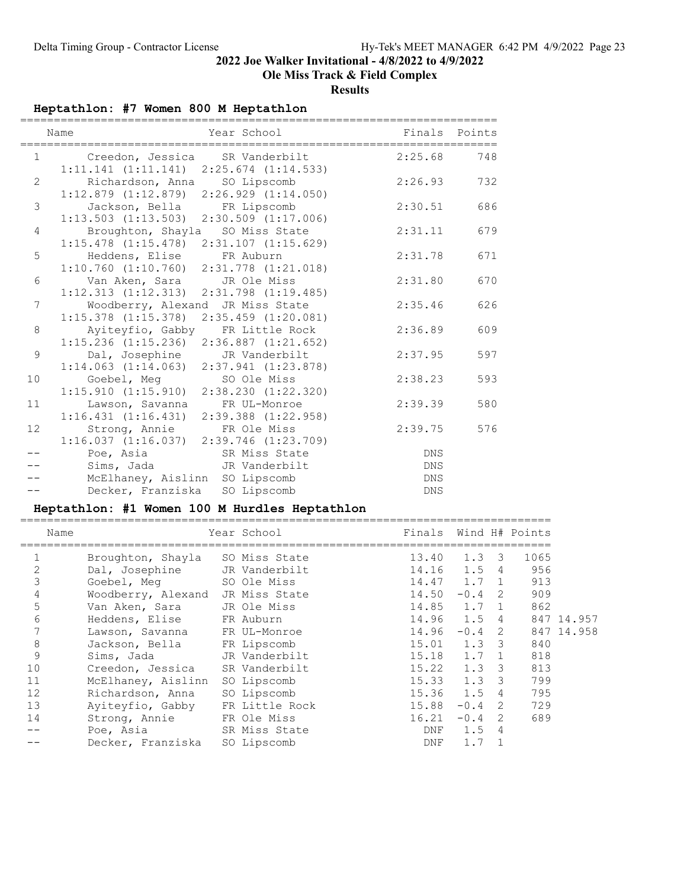## Ole Miss Track & Field Complex

Results

## Heptathlon: #7 Women 800 M Heptathlon

|                   | Year School<br>Name<br>===========<br>=========================                     |            | Finals Points |
|-------------------|-------------------------------------------------------------------------------------|------------|---------------|
|                   | 1 Creedon, Jessica SR Vanderbilt<br>$1:11.141 (1:11.141) 2:25.674 (1:14.533)$       | 2:25.68    | 748           |
| $\overline{2}$    | Richardson, Anna SO Lipscomb<br>$1:12.879$ $(1:12.879)$ $2:26.929$ $(1:14.050)$     | 2:26.93    | 732           |
| 3                 | Jackson, Bella FR Lipscomb<br>$1:13.503$ $(1:13.503)$ $2:30.509$ $(1:17.006)$       | 2:30.51    | 686           |
| 4                 | Broughton, Shayla SO Miss State<br>$1:15.478$ $(1:15.478)$ $2:31.107$ $(1:15.629)$  | 2:31.11    | 679           |
| 5                 | Heddens, Elise FR Auburn<br>$1:10.760$ $(1:10.760)$ $2:31.778$ $(1:21.018)$         | 2:31.78    | 671           |
| 6                 | Van Aken, Sara     JR Ole Miss<br>$1:12.313$ $(1:12.313)$ $2:31.798$ $(1:19.485)$   | 2:31.80    | 670           |
| $7\phantom{.0}$   | Woodberry, Alexand JR Miss State<br>$1:15.378$ $(1:15.378)$ $2:35.459$ $(1:20.081)$ | 2:35.46    | 626           |
| 8                 | Ayiteyfio, Gabby FR Little Rock<br>$1:15.236$ $(1:15.236)$ $2:36.887$ $(1:21.652)$  | 2:36.89    | 609           |
| 9                 | Dal, Josephine JR Vanderbilt<br>$1:14.063$ $(1:14.063)$ $2:37.941$ $(1:23.878)$     | 2:37.95    | 597           |
| 10                | Goebel, Meg SO Ole Miss<br>$1:15.910$ $(1:15.910)$ $2:38.230$ $(1:22.320)$          | 2:38.23    | 593           |
| 11                | Lawson, Savanna FR UL-Monroe<br>$1:16.431$ $(1:16.431)$ $2:39.388$ $(1:22.958)$     | 2:39.39    | 580           |
| $12 \overline{ }$ | Strong, Annie FR Ole Miss<br>$1:16.037$ $(1:16.037)$ $2:39.746$ $(1:23.709)$        | 2:39.75    | 576           |
|                   | Poe, Asia SR Miss State                                                             | DNS        |               |
|                   | Sims, Jada JR Vanderbilt                                                            | DNS        |               |
|                   | McElhaney, Aislinn SO Lipscomb                                                      | DNS        |               |
|                   | Decker, Franziska<br>SO Lipscomb                                                    | <b>DNS</b> |               |

# Heptathlon: #1 Women 100 M Hurdles Heptathlon

| Name |                    | Year School    | Finals          |          |                         | Wind H# Points |            |
|------|--------------------|----------------|-----------------|----------|-------------------------|----------------|------------|
|      | Broughton, Shayla  | SO Miss State  | 13.40           | 1.3      | $\overline{\mathbf{3}}$ | 1065           |            |
| 2    | Dal, Josephine     | JR Vanderbilt  | 14.16           | 1.5      | $\overline{4}$          | 956            |            |
| 3    | Goebel, Meg        | SO Ole Miss    | $14.47$ $1.7$ 1 |          |                         | 913            |            |
| 4    | Woodberry, Alexand | JR Miss State  | 14.50           | $-0.4$ 2 |                         | 909            |            |
| 5    | Van Aken, Sara     | JR Ole Miss    | 14.85           | 1.7 1    |                         | 862            |            |
| 6    | Heddens, Elise     | FR Auburn      | 14.96           | 1.5 4    |                         |                | 847 14.957 |
|      | Lawson, Savanna    | FR UL-Monroe   | 14.96           | $-0.4$ 2 |                         |                | 847 14.958 |
| 8    | Jackson, Bella     | FR Lipscomb    | $15.01$ $1.3$ 3 |          |                         | 840            |            |
| 9    | Sims, Jada         | JR Vanderbilt  | 15.18           | 1.7      | $\overline{1}$          | 818            |            |
| 10   | Creedon, Jessica   | SR Vanderbilt  | $15.22 \t1.3$   |          | $\overline{\mathbf{3}}$ | 813            |            |
| 11   | McElhaney, Aislinn | SO Lipscomb    | $15.33$ $1.3$   |          | - 3                     | 799            |            |
| 12   | Richardson, Anna   | SO Lipscomb    | 15.36           | 1.5      | 4                       | 795            |            |
| 13   | Ayiteyfio, Gabby   | FR Little Rock | 15.88           | $-0.4$   | 2                       | 729            |            |
| 14   | Strong, Annie      | FR Ole Miss    | 16.21           | $-0.4$   | 2                       | 689            |            |
|      | Poe, Asia          | SR Miss State  | DNF             | 1.5      | 4                       |                |            |
|      | Decker, Franziska  | SO Lipscomb    | DNF             | 1.7      |                         |                |            |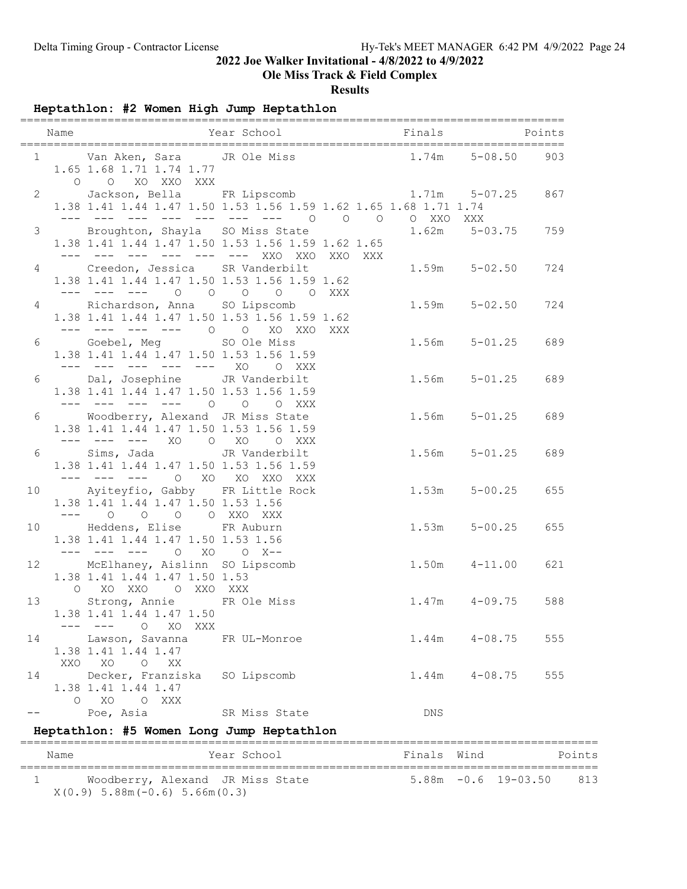## Ole Miss Track & Field Complex

#### Results

Heptathlon: #2 Women High Jump Heptathlon

|       | Name | Year School Finals Points                                                                                          | =============== |  |     |                   |     |
|-------|------|--------------------------------------------------------------------------------------------------------------------|-----------------|--|-----|-------------------|-----|
|       |      | 1 Van Aken, Sara JR Ole Miss 1.74m 5-08.50<br>1.65 1.68 1.71 1.74 1.77<br>O O XO XXO XXX                           |                 |  |     |                   | 903 |
|       |      | 2 Jackson, Bella FR Lipscomb 1.71m 5-07.25 867<br>1.38 1.41 1.44 1.47 1.50 1.53 1.56 1.59 1.62 1.65 1.68 1.71 1.74 |                 |  |     |                   |     |
|       |      | 3 Broughton, Shayla SO Miss State<br>1.38 1.41 1.44 1.47 1.50 1.53 1.56 1.59 1.62 1.65                             |                 |  |     | 1.62m 5-03.75 759 |     |
|       |      | 4 Creedon, Jessica SR Vanderbilt<br>1.38 1.41 1.44 1.47 1.50 1.53 1.56 1.59 1.62<br>--- --- --- 0 0 0 0 0 XXX      |                 |  |     | $1.59m$ $5-02.50$ | 724 |
|       |      | 4 Richardson, Anna SO Lipscomb<br>1.38 1.41 1.44 1.47 1.50 1.53 1.56 1.59 1.62<br>--- --- --- --- 0 0 XO XXO XXX   |                 |  |     | $1.59m$ $5-02.50$ | 724 |
|       |      | 6 Goebel, Meg SO Ole Miss<br>1.38 1.41 1.44 1.47 1.50 1.53 1.56 1.59<br>--- --- --- --- --- XO O XXX               |                 |  |     | $1.56m$ $5-01.25$ | 689 |
|       |      | 6 Dal, Josephine JR Vanderbilt<br>1.38 1.41 1.44 1.47 1.50 1.53 1.56 1.59<br>--- --- --- --- 0 0 0 XXX             |                 |  |     | $1.56m$ $5-01.25$ | 689 |
| 6     |      | Woodberry, Alexand JR Miss State<br>1.38 1.41 1.44 1.47 1.50 1.53 1.56 1.59<br>--- --- --- XO O XO O XXX           |                 |  |     | $1.56m$ $5-01.25$ | 689 |
|       |      | 6 Sims, Jada JR Vanderbilt<br>1.38 1.41 1.44 1.47 1.50 1.53 1.56 1.59<br>--- --- --- O XO XO XXO XXX               |                 |  |     | $1.56m$ $5-01.25$ | 689 |
|       |      | 10 Ayiteyfio, Gabby FR Little Rock<br>1.38 1.41 1.44 1.47 1.50 1.53 1.56<br>--- 0 0 0 0 XXO XXX                    |                 |  |     | $1.53m$ $5-00.25$ | 655 |
|       |      | 10 Heddens, Elise FR Auburn<br>1.38 1.41 1.44 1.47 1.50 1.53 1.56<br>--- --- --- 0 XO 0 X--                        |                 |  |     | $1.53m$ $5-00.25$ | 655 |
| 12    |      | McElhaney, Aislinn SO Lipscomb<br>1.38 1.41 1.44 1.47 1.50 1.53<br>O XO XXO O XXO XXX                              |                 |  |     | $1.50m$ $4-11.00$ | 621 |
|       |      | 13 Strong, Annie FR Ole Miss<br>1.38 1.41 1.44 1.47 1.50<br>$---$<br>O XO XXX                                      |                 |  |     | $1.47m$ $4-09.75$ | 588 |
| 14    |      | Lawson, Savanna<br>1.38 1.41 1.44 1.47<br>XXO XO<br>O XX                                                           | FR UL-Monroe    |  |     | $1.44m$ $4-08.75$ | 555 |
| 14    |      | Decker, Franziska<br>1.38 1.41 1.44 1.47<br>O XO O XXX                                                             | SO Lipscomb     |  |     | $1.44m$ $4-08.75$ | 555 |
| $- -$ |      | Poe, Asia                                                                                                          | SR Miss State   |  | DNS |                   |     |

## Heptathlon: #5 Women Long Jump Heptathlon

| Name | Year School                                                           | Finals Wind |                            | Points |
|------|-----------------------------------------------------------------------|-------------|----------------------------|--------|
|      | Woodberry, Alexand JR Miss State<br>$X(0.9)$ 5.88m (-0.6) 5.66m (0.3) |             | $5.88m - 0.6$ 19-03.50 813 |        |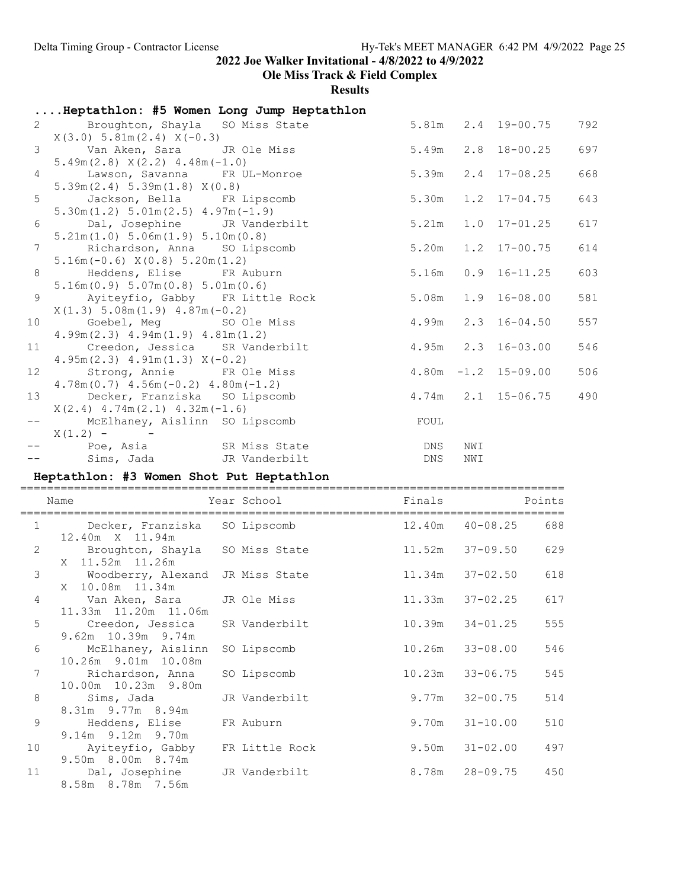# Ole Miss Track & Field Complex

Results

|                 | Heptathlon: #5 Women Long Jump Heptathlon                                                                     |                                   |             |     |                          |     |
|-----------------|---------------------------------------------------------------------------------------------------------------|-----------------------------------|-------------|-----|--------------------------|-----|
|                 | $X(3.0)$ 5.81m $(2.4)$ $X(-0.3)$                                                                              | 2 Broughton, Shayla SO Miss State |             |     | 5.81m  2.4  19-00.75     | 792 |
|                 | 3 Van Aken, Sara JR Ole Miss                                                                                  |                                   |             |     | $5.49m$ $2.8$ $18-00.25$ | 697 |
|                 | $5.49m(2.8)$ $X(2.2)$ $4.48m(-1.0)$<br>4 Lawson, Savanna FR UL-Monroe                                         |                                   |             |     | $5.39m$ $2.4$ $17-08.25$ | 668 |
|                 | 5.39m(2.4) 5.39m(1.8) X(0.8)<br>5 Jackson, Bella FR Lipscomb<br>$5.30m(1.2) 5.01m(2.5) 4.97m(-1.9)$           |                                   |             |     | 5.30m 1.2 17-04.75       | 643 |
|                 | 6 Dal, Josephine JR Vanderbilt<br>5.21m(1.0) 5.06m(1.9) 5.10m(0.8)                                            |                                   |             |     | $5.21m$ $1.0$ $17-01.25$ | 617 |
|                 | 7 Richardson, Anna SO Lipscomb                                                                                |                                   |             |     | 5.20m 1.2 17-00.75       | 614 |
|                 | $5.16m(-0.6) X(0.8) 5.20m(1.2)$<br>8 Heddens, Elise FR Auburn<br>5.16m(0.9) 5.07m(0.8) 5.01m(0.6)             |                                   |             |     | $5.16m$ 0.9 16-11.25     | 603 |
| 9               | Ayiteyfio, Gabby FR Little Rock                                                                               |                                   |             |     | $5.08m$ $1.9$ $16-08.00$ | 581 |
|                 | $X(1.3)$ 5.08m $(1.9)$ 4.87m $(-0.2)$<br>10 Goebel, Meg SO Ole Miss<br>$4.99m(2.3)$ $4.94m(1.9)$ $4.81m(1.2)$ |                                   |             |     | 4.99m 2.3 16-04.50       | 557 |
| 11              | Creedon, Jessica SR Vanderbilt<br>$4.95m(2.3)$ $4.91m(1.3)$ $X(-0.2)$                                         |                                   |             |     | $4.95m$ $2.3$ $16-03.00$ | 546 |
| 12 <sup>7</sup> | Strong, Annie FR Ole Miss<br>$4.78m(0.7)$ $4.56m(-0.2)$ $4.80m(-1.2)$                                         |                                   |             |     | $4.80m - 1.2$ 15-09.00   | 506 |
|                 | 13 Decker, Franziska SO Lipscomb                                                                              |                                   |             |     | $4.74m$ $2.1$ $15-06.75$ | 490 |
|                 | $X(2, 4)$ 4.74m $(2, 1)$ 4.32m $(-1, 6)$<br>-- McElhaney, Aislinn SO Lipscomb                                 |                                   | <b>EOUL</b> |     |                          |     |
|                 | $X(1.2) -$<br>-- Poe, Asia SR Miss State                                                                      |                                   | DNS         | NWI |                          |     |
|                 | -- Sims, Jada JR Vanderbilt                                                                                   |                                   | DNS         | NWI |                          |     |

# Heptathlon: #3 Women Shot Put Heptathlon

|                | Name                                                     | Year School   | Finals |                     | Points |
|----------------|----------------------------------------------------------|---------------|--------|---------------------|--------|
| $\mathbf{1}$   | Decker, Franziska SO Lipscomb<br>12.40m X 11.94m         |               |        | $12.40m$ $40-08.25$ | 688    |
| $\overline{2}$ | Broughton, Shayla SO Miss State<br>X 11.52m 11.26m       |               |        | $11.52m$ $37-09.50$ | 629    |
| $\mathfrak{Z}$ | Woodberry, Alexand<br>X 10.08m 11.34m                    | JR Miss State | 11.34m | 37-02.50            | 618    |
| $\overline{4}$ | Van Aken, Sara     JR Ole Miss<br>11.33m  11.20m  11.06m |               | 11.33m | $37 - 02.25$        | 617    |
| 5              | Creedon, Jessica<br>9.62m 10.39m 9.74m                   | SR Vanderbilt | 10.39m | $34 - 01.25$        | 555    |
| 6              | McElhaney, Aislinn<br>10.26m 9.01m 10.08m                | SO Lipscomb   | 10.26m | $33 - 08.00$        | 546    |
| 7              | Richardson, Anna<br>10.00m  10.23m  9.80m                | SO Lipscomb   | 10.23m | $33 - 06.75$        | 545    |
| 8              | Sims, Jada<br>8.31m 9.77m 8.94m                          | JR Vanderbilt | 9.77m  | $32 - 00.75$        | 514    |
| 9              | Heddens, Elise<br>9.14m 9.12m 9.70m                      | FR Auburn     | 9.70m  | $31 - 10.00$        | 510    |
| 10             | Ayiteyfio, Gabby FR Little Rock<br>9.50m 8.00m 8.74m     |               | 9.50m  | $31 - 02.00$        | 497    |
| 11             | Dal, Josephine JR Vanderbilt<br>8.58m 8.78m 7.56m        |               | 8.78m  | 28-09.75            | 450    |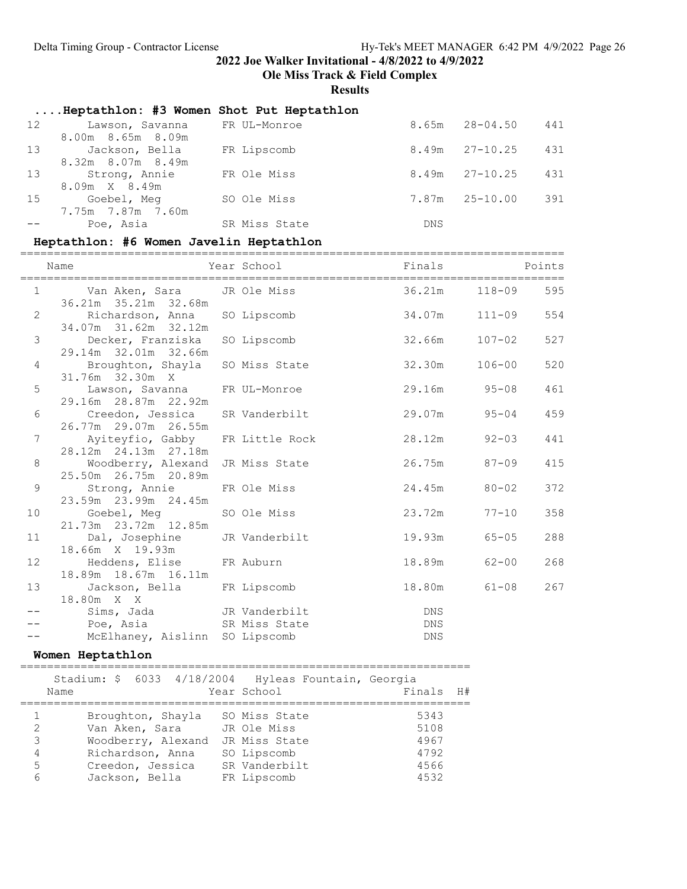Ole Miss Track & Field Complex

### Results

|    | Heptathlon: #3 Women Shot Put Heptathlon |               |            |                    |     |
|----|------------------------------------------|---------------|------------|--------------------|-----|
| 12 | Lawson, Savanna                          | FR UL-Monroe  | 8.65m      | 28-04.50           | 441 |
|    | 8.00m 8.65m 8.09m                        |               |            |                    |     |
|    | 13 Jackson, Bella                        | FR Lipscomb   |            | $8.49m$ $27-10.25$ | 431 |
|    | 8.32m 8.07m 8.49m                        |               |            |                    |     |
| 13 | Strong, Annie                            | FR Ole Miss   |            | $8.49m$ $27-10.25$ | 431 |
|    | 8.09m X 8.49m                            |               |            |                    |     |
| 15 | Goebel, Meg                              | SO Ole Miss   |            | $7.87m$ $25-10.00$ | 391 |
|    | 7.75m 7.87m 7.60m                        |               |            |                    |     |
|    | Poe, Asia                                | SR Miss State | <b>DNS</b> |                    |     |

# Heptathlon: #6 Women Javelin Heptathlon

|                | Name                                                          | <b>Example 19</b> Finals<br>Year School |                          | <b>Example 19</b> Points |     |
|----------------|---------------------------------------------------------------|-----------------------------------------|--------------------------|--------------------------|-----|
|                | 1 Van Aken, Sara JR Ole Miss<br>36.21m 35.21m 32.68m          |                                         | 36.21m 118-09            |                          | 595 |
| $\overline{2}$ | Richardson, Anna SO Lipscomb<br>34.07m 31.62m 32.12m          |                                         | $34.07m$ $111-09$        |                          | 554 |
| $\mathcal{S}$  | Decker, Franziska<br>29.14m 32.01m 32.66m                     | SO Lipscomb                             | $32.66m$ $107-02$        |                          | 527 |
| $\overline{4}$ | Broughton, Shayla SO Miss State<br>31.76m 32.30m X            |                                         | 32.30m                   | $106 - 00$               | 520 |
| 5              | Lawson, Savanna FR UL-Monroe<br>29.16m  28.87m  22.92m        |                                         | 29.16m 95-08             |                          | 461 |
| 6              | Creedon, Jessica<br>26.77m 29.07m 26.55m                      | SR Vanderbilt                           | 29.07m                   | $95 - 04$                | 459 |
| 7              | Ayiteyfio, Gabby FR Little Rock<br>28.12m  24.13m  27.18m     |                                         | 28.12m                   | $92 - 03$                | 441 |
| 8              | Woodberry, Alexand<br>25.50m 26.75m 20.89m                    | JR Miss State                           | 26.75m 87-09             |                          | 415 |
| 9              | Strong, Annie<br>23.59m 23.99m 24.45m                         | FR Ole Miss                             | 24.45m                   | $80 - 02$                | 372 |
| 10             | Goebel, Meg SO Ole Miss<br>21.73m   23.72m   12.85m           |                                         | 23.72m                   | $77 - 10$                | 358 |
| 11             | Dal, Josephine JR Vanderbilt<br>18.66m X 19.93m               |                                         | 19.93m                   | $65 - 05$                | 288 |
| 12             | Heddens, Elise FR Auburn<br>18.89m 18.67m 16.11m              |                                         | 18.89m                   | $62 - 00$                | 268 |
| 13             | Jackson, Bella FR Lipscomb<br>18.80m X X                      |                                         | 18.80m                   | $61 - 08$                | 267 |
|                | Sims, Jada JR Vanderbilt                                      |                                         | <b>EXECUTE DNS</b>       |                          |     |
|                | Poe, Asia and SR Miss State<br>McElhaney, Aislinn SO Lipscomb |                                         | <b>DNS</b><br><b>DNS</b> |                          |     |

#### Women Heptathlon

|                       | Stadium: \$ 6033 4/18/2004 Hyleas Fountain, Georgia<br>Name                                                         | Year School                                                                                  | Finals                                       | H# |
|-----------------------|---------------------------------------------------------------------------------------------------------------------|----------------------------------------------------------------------------------------------|----------------------------------------------|----|
| 2<br>3<br>4<br>5<br>6 | Broughton, Shayla<br>Van Aken, Sara<br>Woodberry, Alexand<br>Richardson, Anna<br>Creedon, Jessica<br>Jackson, Bella | SO Miss State<br>JR Ole Miss<br>JR Miss State<br>SO Lipscomb<br>SR Vanderbilt<br>FR Lipscomb | 5343<br>5108<br>4967<br>4792<br>4566<br>4532 |    |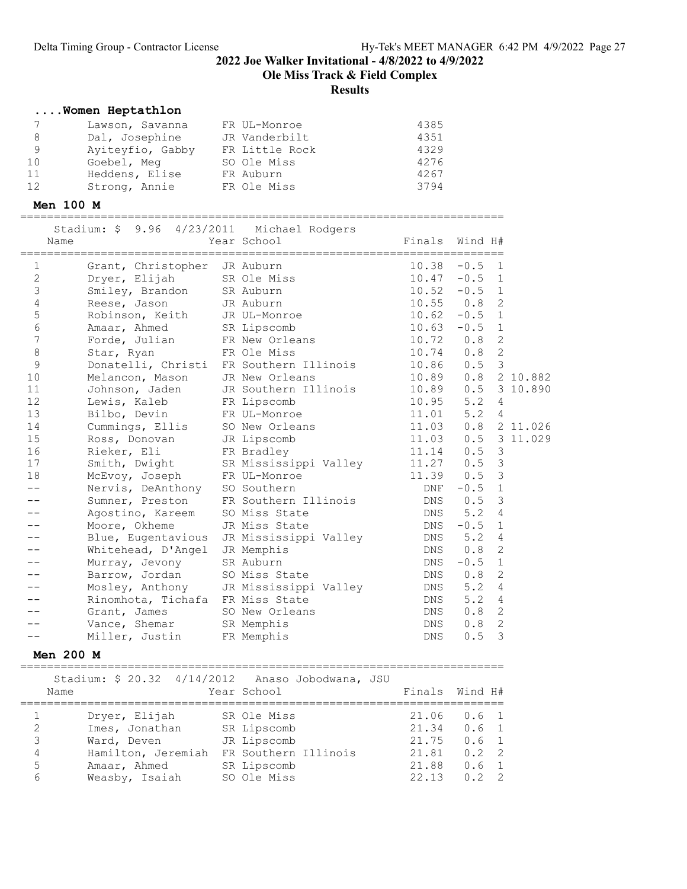Ole Miss Track & Field Complex

#### Results

#### ....Women Heptathlon

|    | Lawson, Savanna  | FR UL-Monroe   | 4385 |
|----|------------------|----------------|------|
| 8  | Dal, Josephine   | JR Vanderbilt  | 4351 |
| 9  | Ayiteyfio, Gabby | FR Little Rock | 4329 |
| 10 | Goebel, Meg      | SO Ole Miss    | 4276 |
| 11 | Heddens, Elise   | FR Auburn      | 4267 |
| 12 | Strong, Annie    | FR Ole Miss    | 3794 |

#### Men 100 M

========================================================================

|                  | Stadium: \$ 9.96 4/23/2011 Michael Rodgers |                            |            |                                 |                |
|------------------|--------------------------------------------|----------------------------|------------|---------------------------------|----------------|
|                  | Name                                       | Year School                |            | Finals Wind H#                  |                |
|                  |                                            |                            |            |                                 |                |
| 1                | Grant, Christopher JR Auburn               |                            | 10.38      | $-0.5$<br>1                     |                |
| $\sqrt{2}$       | Dryer, Elijah SR Ole Miss                  |                            |            | $10.47 - 0.5$ 1                 |                |
| 3                | Smiley, Brandon                            | SR Auburn                  | 10.52      | $-0.5$ 1                        |                |
| 4                | Reese, Jason                               | JR Auburn                  |            | $10.55$ $0.8$<br>$\overline{c}$ |                |
| 5                | Robinson, Keith                            | JR UL-Monroe               | 10.62      | $\mathbf{1}$<br>$-0.5$          |                |
| 6                | Amaar, Ahmed                               | SR Lipscomb                | 10.63      | $-0.5$<br>$\mathbf{1}$          |                |
| $\boldsymbol{7}$ | Forde, Julian                              | FR New Orleans             | 10.72      | $\mathbf{2}$<br>0.8             |                |
| $\,8\,$          | Star, Ryan                                 | FR Ole Miss                | 10.74      | $\overline{c}$<br>0.8           |                |
| $\overline{9}$   | Donatelli, Christi                         | FR Southern Illinois 10.86 |            | $\mathfrak{Z}$<br>0.5           |                |
| 10               | Melancon, Mason                            | JR New Orleans             | 10.89      |                                 | $0.8$ 2 10.882 |
| 11               | Johnson, Jaden                             | JR Southern Illinois 10.89 |            |                                 | $0.5$ 3 10.890 |
| 12               | Lewis, Kaleb                               | FR Lipscomb                | 10.95      | 5.24                            |                |
| 13               | Bilbo, Devin                               | FR UL-Monroe               | 11.01      | 5.24                            |                |
| 14               | Cummings, Ellis                            | SO New Orleans             | 11.03      |                                 | $0.8$ 2 11.026 |
| 15               | Ross, Donovan                              | JR Lipscomb                | 11.03      |                                 | $0.5$ 3 11.029 |
| 16               | Rieker, Eli                                | FR Bradley                 | 11.14      | 0.5<br>3                        |                |
| 17               | Smith, Dwight                              | SR Mississippi Valley      | 11.27      | $\mathcal{S}$<br>0.5            |                |
| 18               | McEvoy, Joseph                             | FR UL-Monroe               | 11.39      | 0.5<br>3                        |                |
|                  | Nervis, DeAnthony                          | SO Southern                | DNF        | $\mathbf{1}$<br>$-0.5$          |                |
|                  | Sumner, Preston                            | FR Southern Illinois       | DNS        | 3<br>0.5                        |                |
|                  | Agostino, Kareem                           | SO Miss State              | DNS        | 5.2<br>$\overline{4}$           |                |
|                  | Moore, Okheme                              | JR Miss State              | DNS        | $-0.5$<br>$\mathbf{1}$          |                |
|                  | Blue, Eugentavious                         | JR Mississippi Valley      | DNS        | $\overline{4}$<br>5.2           |                |
|                  | Whitehead, D'Angel                         | JR Memphis                 | DNS        | $\overline{2}$<br>0.8           |                |
|                  | Murray, Jevony                             | SR Auburn                  | DNS        | $\mathbf{1}$<br>$-0.5$          |                |
|                  | Barrow, Jordan                             | SO Miss State              | DNS        | $\overline{c}$<br>0.8           |                |
|                  | Mosley, Anthony                            | JR Mississippi Valley      | DNS        | 5.2<br>$\overline{4}$           |                |
|                  | Rinomhota, Tichafa FR Miss State           |                            | DNS        | $\overline{4}$<br>5.2           |                |
|                  | Grant, James                               | SO New Orleans             | DNS        | $\overline{c}$<br>0.8           |                |
|                  | Vance, Shemar                              | SR Memphis                 | DNS        | $\overline{2}$<br>0.8           |                |
| --               | Miller, Justin                             | FR Memphis                 | <b>DNS</b> | 3<br>0.5                        |                |
|                  |                                            |                            |            |                                 |                |

#### Men 200 M

======================================================================== Stadium: \$ 20.32 4/14/2012 Anaso Jobodwana, JSU Name  $Year School$  Finals Wind H# ======================================================================== 1 Dryer, Elijah SR Ole Miss 21.06 0.6 1 2 Imes, Jonathan SR Lipscomb 21.34 0.6 1 3 Ward, Deven JR Lipscomb 21.75 0.6 1 4 Hamilton, Jeremiah FR Southern Illinois 21.81 0.2 2 5 Amaar, Ahmed SR Lipscomb 21.88 0.6 1 6 Weasby, Isaiah SO Ole Miss 22.13 0.2 2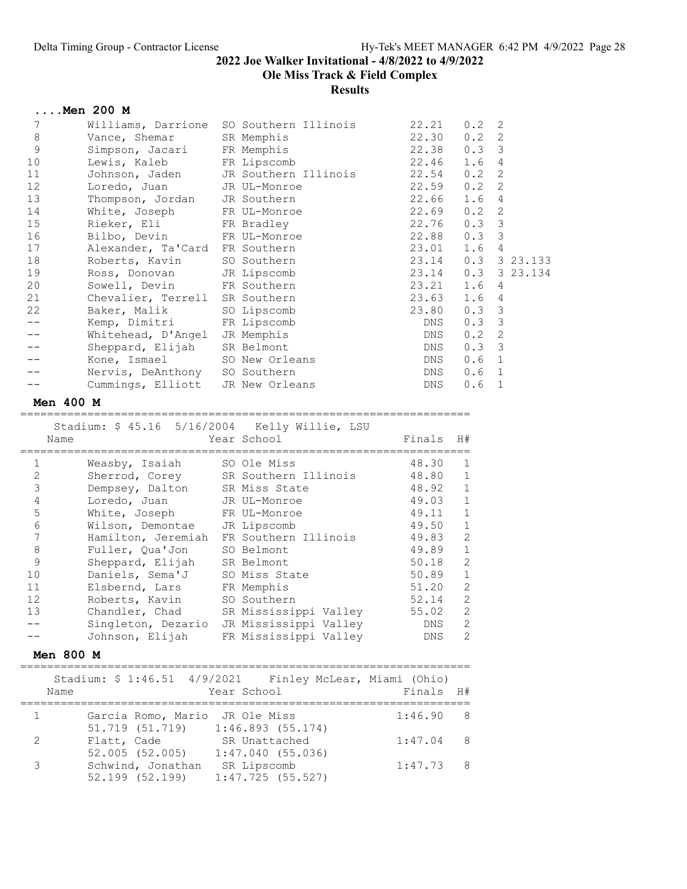Ole Miss Track & Field Complex

Results

|         | Men 200 M          |                                         |            |                  |                |
|---------|--------------------|-----------------------------------------|------------|------------------|----------------|
| 7       |                    | Williams, Darrione SO Southern Illinois | 22.21      | 0.2              | 2              |
| $\,8\,$ | Vance, Shemar      | SR Memphis                              | 22.30      | 0.2              | 2              |
| 9       | Simpson, Jacari    | FR Memphis                              | 22.38      | 0.33             |                |
| 10      | Lewis, Kaleb       | FR Lipscomb                             | 22.46      | 1.6              | $\overline{4}$ |
| 11      | Johnson, Jaden     | JR Southern Illinois 22.54              |            | 0.2              | 2              |
| 12      | Loredo, Juan       | JR UL-Monroe                            | 22.59      | 0.2              | 2              |
| 13      | Thompson, Jordan   | JR Southern                             | 22.66      | 1.6              | $\overline{4}$ |
| 14      | White, Joseph      | FR UL-Monroe                            | 22.69      | 0.2              | 2              |
| 15      | Rieker, Eli        | FR Bradley                              | 22.76      | 0.3              | -3             |
| 16      | Bilbo, Devin       | FR UL-Monroe                            | 22.88      | 0.3              | 3              |
| 17      | Alexander, Ta'Card | FR Southern                             | 23.01      | 1.6              | $\overline{4}$ |
| 18      | Roberts, Kavin     | SO Southern                             | 23.14      |                  | $0.3$ 3 23.133 |
| 19      | Ross, Donovan      | JR Lipscomb                             | 23.14      |                  | $0.3$ 3 23.134 |
| 20      | Sowell, Devin      | FR Southern                             | 23.21      | 1.6 4            |                |
| 21      | Chevalier, Terrell | SR Southern                             | 23.63      | 1.6              | $\overline{4}$ |
| 22      | Baker, Malik       | SO Lipscomb                             | 23.80      | 0.3              | 3              |
|         | Kemp, Dimitri      | FR Lipscomb                             | DNS        | $0.3 \quad 3$    |                |
|         | Whitehead, D'Angel | JR Memphis                              | DNS        | 0.2              | 2              |
|         | Sheppard, Elijah   | SR Belmont                              | DNS        | 0.33             |                |
|         | Kone, Ismael       | SO New Orleans                          | DNS        | 0.6 <sub>1</sub> |                |
|         | Nervis, DeAnthony  | SO Southern                             | DNS        | 0.6              | 1              |
|         | Cummings, Elliott  | JR New Orleans                          | <b>DNS</b> | 0.6              | 1              |

#### Men 400 M

===================================================================

|    | Stadium: \$ 45.16 5/16/2004 Kelly Willie, LSU<br>Name | Year School           | Finals     | H#             |
|----|-------------------------------------------------------|-----------------------|------------|----------------|
| 1  | Weasby, Isaiah                                        | SO Ole Miss           | 48.30      | 1              |
| 2  | Sherrod, Corey                                        | SR Southern Illinois  | 48.80      | $\mathbf{1}$   |
| 3  | Dempsey, Dalton                                       | SR Miss State         | 48.92      | $\overline{1}$ |
| 4  | Loredo, Juan                                          | JR UL-Monroe          | 49.03      | $\mathbf{1}$   |
| 5  | White, Joseph                                         | FR UL-Monroe          | 49.11      | $\mathbf{1}$   |
| 6  | Wilson, Demontae                                      | JR Lipscomb           | 49.50      | $\mathbf{1}$   |
|    | Hamilton, Jeremiah                                    | FR Southern Illinois  | 49.83      | 2              |
| 8  | Fuller, Qua'Jon                                       | SO Belmont            | 49.89      | 1              |
| 9  | Sheppard, Elijah                                      | SR Belmont            | 50.18      | 2              |
| 10 | Daniels, Sema'J                                       | SO Miss State         | 50.89      | 1              |
| 11 | Elsbernd, Lars                                        | FR Memphis            | 51.20      | 2              |
| 12 | Roberts, Kavin                                        | SO Southern           | 52.14      | 2              |
| 13 | Chandler, Chad                                        | SR Mississippi Valley | 55.02      | 2              |
|    | Singleton, Dezario                                    | JR Mississippi Valley | DNS.       | 2              |
|    | Johnson, Elijah                                       | FR Mississippi Valley | <b>DNS</b> | 2              |

#### Men 800 M

|               | Stadium: \$ 1:46.51 4/9/2021    Finley McLear, Miami (Ohio)<br>Name | Year School                       | Finals H#      |
|---------------|---------------------------------------------------------------------|-----------------------------------|----------------|
|               | Garcia Romo, Mario JR Ole Miss                                      |                                   | 1:46.90<br>8   |
| $\mathcal{L}$ | 51.719 (51.719)<br>Flatt, Cade                                      | 1:46.893(55.174)<br>SR Unattached | 1:47.04<br>- 8 |
|               | 52.005(52.005)<br>Schwind, Jonathan                                 | 1:47.040(55.036)<br>SR Lipscomb   | $1:47.73$ 8    |
|               | 52.199 (52.199)                                                     | $1:47.725$ (55.527)               |                |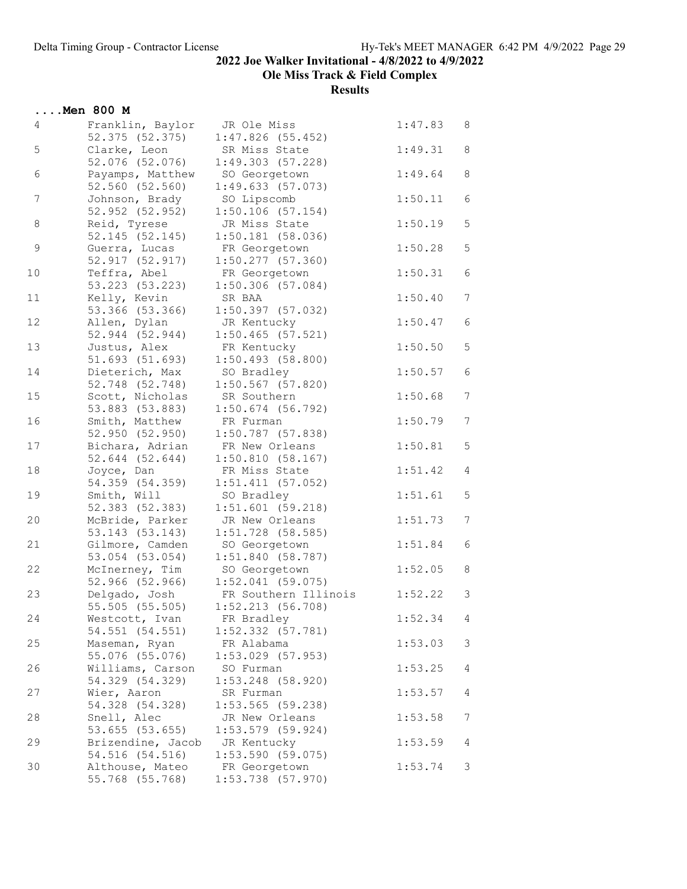Ole Miss Track & Field Complex

|             | $\ldots$ . Men 800 M                                 |                                                          |         |                 |
|-------------|------------------------------------------------------|----------------------------------------------------------|---------|-----------------|
| 4           | Franklin, Baylor<br>52.375 (52.375)                  | JR Ole Miss<br>$1:47.826$ (55.452)                       | 1:47.83 | 8               |
| 5           | Clarke, Leon<br>52.076 (52.076)                      | SR Miss State<br>1:49.303(57.228)                        | 1:49.31 | 8               |
| $\epsilon$  | Payamps, Matthew<br>52.560 (52.560)                  | SO Georgetown<br>1:49.633(57.073)                        | 1:49.64 | $\,8\,$         |
| 7           | Johnson, Brady<br>52.952 (52.952)                    | SO Lipscomb<br>1:50.106(57.154)                          | 1:50.11 | $\epsilon$      |
| 8           | Reid, Tyrese<br>52.145 (52.145)                      | JR Miss State<br>1:50.181(58.036)                        | 1:50.19 | $\mathsf S$     |
| $\mathsf 9$ | Guerra, Lucas<br>52.917 (52.917)                     | FR Georgetown<br>$1:50.277$ (57.360)                     | 1:50.28 | $\mathsf S$     |
| 10          | Teffra, Abel<br>53.223 (53.223)                      | FR Georgetown<br>$1:50.306$ (57.084)                     | 1:50.31 | $\epsilon$      |
| 11          | Kelly, Kevin<br>53.366 (53.366)                      | SR BAA<br>$1:50.397$ (57.032)                            | 1:50.40 | $7\phantom{.0}$ |
| 12          | Allen, Dylan<br>52.944 (52.944)                      | JR Kentucky<br>$1:50.465$ (57.521)                       | 1:50.47 | $6\,$           |
| 13          | Justus, Alex<br>51.693 (51.693)                      | FR Kentucky<br>$1:50.493$ (58.800)                       | 1:50.50 | $\overline{5}$  |
| 14          | Dieterich, Max<br>52.748 (52.748)                    | SO Bradley<br>$1:50.567$ (57.820)                        | 1:50.57 | $\epsilon$      |
| 15          | Scott, Nicholas<br>53.883 (53.883)                   | SR Southern                                              | 1:50.68 | $7\phantom{.0}$ |
| 16          | Smith, Matthew                                       | $1:50.674$ (56.792)<br>FR Furman                         | 1:50.79 | 7 <sup>7</sup>  |
| 17          | 52.950 (52.950)<br>Bichara, Adrian                   | $1:50.787$ (57.838)<br>FR New Orleans                    | 1:50.81 | 5               |
| 18          | 52.644 (52.644)<br>Joyce, Dan                        | 1:50.810(58.167)<br>FR Miss State                        | 1:51.42 | 4               |
| 19          | 54.359 (54.359)<br>Smith, Will                       | 1:51.411(57.052)<br>SO Bradley                           | 1:51.61 | 5               |
| 20          | 52.383 (52.383)<br>McBride, Parker                   | $1:51.601$ (59.218)<br>JR New Orleans                    | 1:51.73 | 7               |
| 21          | 53.143 (53.143)<br>Gilmore, Camden                   | $1:51.728$ (58.585)<br>SO Georgetown                     | 1:51.84 | $\epsilon$      |
| 22          | 53.054 (53.054)<br>McInerney, Tim<br>52.966 (52.966) | 1:51.840(58.787)<br>SO Georgetown<br>$1:52.041$ (59.075) | 1:52.05 | $\,8\,$         |
| 23          | Delgado, Josh<br>55.505 (55.505)                     | FR Southern Illinois<br>$1:52.213$ (56.708)              | 1:52.22 | 3               |
| 24          | Westcott, Ivan<br>54.551 (54.551)                    | FR Bradley<br>$1:52.332$ $(57.781)$                      | 1:52.34 | 4               |
| 25          | Maseman, Ryan<br>55.076 (55.076)                     | FR Alabama<br>$1:53.029$ (57.953)                        | 1:53.03 | 3               |
| 26          | Williams, Carson<br>54.329 (54.329)                  | SO Furman<br>$1:53.248$ (58.920)                         | 1:53.25 | 4               |
| 27          | Wier, Aaron<br>54.328 (54.328)                       | SR Furman<br>$1:53.565$ (59.238)                         | 1:53.57 | 4               |
| 28          | Snell, Alec<br>53.655 (53.655)                       | JR New Orleans<br>$1:53.579$ (59.924)                    | 1:53.58 | 7               |
| 29          | Brizendine, Jacob<br>54.516 (54.516)                 | JR Kentucky<br>1:53.590(59.075)                          | 1:53.59 | $\overline{4}$  |
| 30          | Althouse, Mateo<br>55.768 (55.768)                   | FR Georgetown<br>$1:53.738$ (57.970)                     | 1:53.74 | 3               |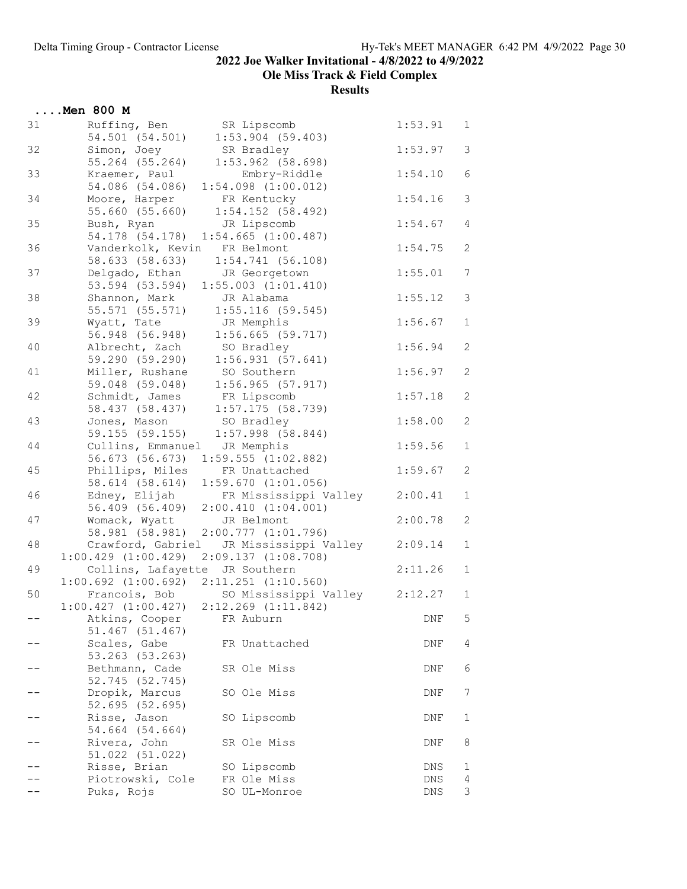Ole Miss Track & Field Complex

|    | $\ldots$ Men 800 M                                                                |                                             |         |                |
|----|-----------------------------------------------------------------------------------|---------------------------------------------|---------|----------------|
| 31 | Ruffing, Ben<br>54.501 (54.501)                                                   | SR Lipscomb<br>$1:53.904$ (59.403)          | 1:53.91 | $\mathbf 1$    |
| 32 | Simon, Joey<br>55.264 (55.264)                                                    | SR Bradley<br>$1:53.962$ (58.698)           | 1:53.97 | 3              |
| 33 | Kraemer, Paul<br>54.086 (54.086)                                                  | Embry-Riddle<br>$1:54.098$ $(1:00.012)$     | 1:54.10 | 6              |
| 34 | Moore, Harper<br>55.660 (55.660)                                                  | FR Kentucky<br>$1:54.152$ (58.492)          | 1:54.16 | 3              |
| 35 | Bush, Ryan<br>54.178 (54.178)                                                     | JR Lipscomb<br>$1:54.665$ $(1:00.487)$      | 1:54.67 | $\overline{4}$ |
| 36 | Vanderkolk, Kevin FR Belmont<br>58.633 (58.633)                                   | 1:54.741(56.108)                            | 1:54.75 | $\mathbf{2}$   |
| 37 | Delgado, Ethan JR Georgetown<br>53.594 (53.594) 1:55.003 (1:01.410)               |                                             | 1:55.01 | 7              |
| 38 | Shannon, Mark<br>55.571 (55.571)                                                  | JR Alabama<br>$1:55.116$ (59.545)           | 1:55.12 | 3              |
| 39 | Wyatt, Tate<br>56.948 (56.948)                                                    | JR Memphis<br>$1:56.665$ (59.717)           | 1:56.67 | $\mathbf 1$    |
| 40 | Albrecht, Zach<br>59.290 (59.290)                                                 | SO Bradley<br>1:56.931(57.641)              | 1:56.94 | $\mathbf{2}$   |
| 41 | Miller, Rushane<br>59.048 (59.048)                                                | SO Southern<br>$1:56.965$ (57.917)          | 1:56.97 | $\mathbf{2}$   |
| 42 | Schmidt, James<br>58.437 (58.437)                                                 | FR Lipscomb<br>$1:57.175$ (58.739)          | 1:57.18 | $\mathbf{2}$   |
| 43 | Jones, Mason<br>59.155 (59.155)                                                   | SO Bradley<br>$1:57.998$ (58.844)           | 1:58.00 | $\mathbf{2}$   |
| 44 | Cullins, Emmanuel JR Memphis<br>56.673 (56.673)                                   | $1:59.555$ $(1:02.882)$                     | 1:59.56 | $1\,$          |
| 45 | Phillips, Miles<br>58.614 (58.614)                                                | FR Unattached<br>1:59.670(1:01.056)         | 1:59.67 | $\mathbf{2}$   |
| 46 | Edney, Elijah<br>56.409 (56.409)                                                  | FR Mississippi Valley<br>2:00.410(1:04.001) | 2:00.41 | $\mathbf 1$    |
| 47 | Womack, Wyatt<br>58.981 (58.981)                                                  | JR Belmont<br>$2:00.777$ $(1:01.796)$       | 2:00.78 | $\mathbf{2}$   |
| 48 | Crawford, Gabriel<br>$1:00.429$ $(1:00.429)$ $2:09.137$ $(1:08.708)$              | JR Mississippi Valley                       | 2:09.14 | $\mathbf 1$    |
| 49 | Collins, Lafayette JR Southern<br>$1:00.692$ $(1:00.692)$ $2:11.251$ $(1:10.560)$ |                                             | 2:11.26 | $\mathbf 1$    |
| 50 | $1:00.427$ $(1:00.427)$ $2:12.269$ $(1:11.842)$                                   | Francois, Bob SO Mississippi Valley         | 2:12.27 | $\mathbf{1}$   |
|    | Atkins, Cooper<br>51.467 (51.467)                                                 | FR Auburn                                   | DNF     | 5              |
|    | Scales, Gabe<br>53.263 (53.263)                                                   | FR Unattached                               | DNF     | 4              |
|    | Bethmann, Cade<br>52.745 (52.745)                                                 | SR Ole Miss                                 | DNF     | 6              |
|    | Dropik, Marcus<br>52.695 (52.695)                                                 | SO Ole Miss                                 | DNF     | 7              |
|    | Risse, Jason<br>54.664 (54.664)                                                   | SO Lipscomb                                 | DNF     | 1              |
|    | Rivera, John<br>51.022 (51.022)                                                   | SR Ole Miss                                 | DNF     | 8              |
|    | Risse, Brian                                                                      | SO Lipscomb                                 | DNS     | 1              |
|    | Piotrowski, Cole                                                                  | FR Ole Miss                                 | DNS     | 4              |
|    | Puks, Rojs                                                                        | SO UL-Monroe                                | DNS     | 3              |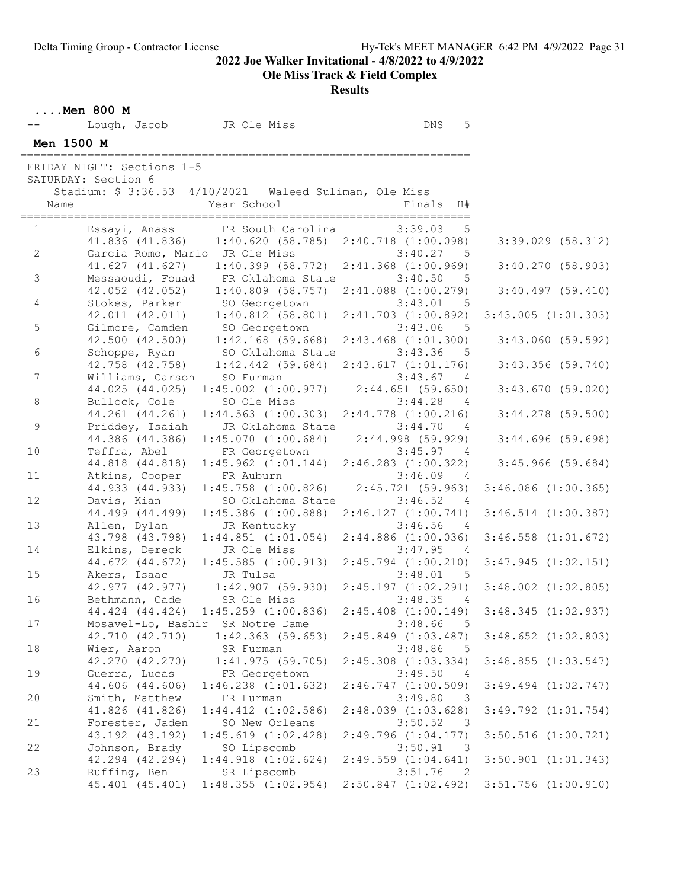Ole Miss Track & Field Complex

|  | Men 800 M |  |
|--|-----------|--|

|                | Lough, Jacob                                      | JR Ole Miss                                                                                   | $\mathop{\rm DNS}$<br>5                                       |                         |
|----------------|---------------------------------------------------|-----------------------------------------------------------------------------------------------|---------------------------------------------------------------|-------------------------|
| Men 1500 M     |                                                   |                                                                                               |                                                               |                         |
|                | FRIDAY NIGHT: Sections 1-5                        |                                                                                               |                                                               |                         |
|                | SATURDAY: Section 6                               |                                                                                               |                                                               |                         |
|                |                                                   | Stadium: \$ 3:36.53 4/10/2021 Waleed Suliman, Ole Miss                                        |                                                               |                         |
| Name           |                                                   | Year School                                                                                   | Finals H#                                                     |                         |
| =========      |                                                   | ====================                                                                          |                                                               |                         |
| $1 \quad$      |                                                   | Essayi, Anass FR South Carolina                                                               | 3:39.03<br>5                                                  |                         |
|                | 41.836 (41.836)                                   |                                                                                               | $1:40.620$ (58.785) $2:40.718$ (1:00.098)                     | $3:39.029$ $(58.312)$   |
| $\mathbf{2}$   | Garcia Romo, Mario JR Ole Miss<br>41.627 (41.627) | $1:40.399$ (58.772)                                                                           | 3:40.27<br>5<br>$2:41.368$ $(1:00.969)$                       | 3:40.270(58.903)        |
| $\mathfrak{Z}$ | Messaoudi, Fouad                                  | FR Oklahoma State                                                                             | 3:40.50<br>5                                                  |                         |
|                | 42.052 (42.052)                                   | $1:40.809$ (58.757)                                                                           | $2:41.088$ $(1:00.279)$                                       | 3:40.497(59.410)        |
| 4              | Stokes, Parker                                    | SO Georgetown                                                                                 | 3:43.01<br>5                                                  |                         |
|                | 42.011 (42.011)                                   | $1:40.812$ (58.801)                                                                           | $2:41.703$ $(1:00.892)$                                       | $3:43.005$ $(1:01.303)$ |
| 5              | Gilmore, Camden                                   | SO Georgetown                                                                                 | 3:43.06<br>5                                                  |                         |
|                | 42.500 (42.500)                                   | $1:42.168$ (59.668)                                                                           | $2:43.468$ $(1:01.300)$                                       | $3:43.060$ (59.592)     |
| 6              |                                                   | Schoppe, Ryan SO Oklahoma State                                                               | 3:43.36<br>- 5                                                |                         |
|                |                                                   | 42.758 (42.758) 1:42.442 (59.684)                                                             | 2:43.617(1:01.176)                                            | $3:43.356$ (59.740)     |
| $\overline{7}$ | Williams, Carson<br>44.025 (44.025)               | SO Furman<br>$1:45.002$ $(1:00.977)$ $2:44.651$ $(59.650)$                                    | 3:43.67<br>4                                                  | 3:43.670(59.020)        |
| 8              | Bullock, Cole                                     | SO Ole Miss                                                                                   | 3:44.28<br>4                                                  |                         |
|                | 44.261 (44.261)                                   | $1:44.563$ $(1:00.303)$                                                                       | $2:44.778$ $(1:00.216)$                                       | $3:44.278$ (59.500)     |
| 9              | Priddey, Isaiah                                   | JR Oklahoma State                                                                             | 3:44.70<br>4                                                  |                         |
|                | 44.386 (44.386)                                   | 1:45.070(1:00.684)                                                                            | $2:44.998$ (59.929)                                           | 3:44.696(59.698)        |
| 10             | Teffra, Abel                                      | FR Georgetown                                                                                 | 3:45.97 4                                                     |                         |
|                | 44.818 (44.818)                                   | $1:45.962$ $(1:01.144)$                                                                       | $2:46.283$ $(1:00.322)$                                       | $3:45.966$ (59.684)     |
| 11             | Atkins, Cooper                                    | FR Auburn                                                                                     | 3:46.09<br>4                                                  |                         |
|                | 44.933 (44.933)                                   | $1:45.758$ $(1:00.826)$                                                                       | 2:45.721(59.963)                                              | $3:46.086$ $(1:00.365)$ |
| 12             | Davis, Kian<br>44.499 (44.499)                    | SO Oklahoma State<br>$1:45.386$ $(1:00.888)$                                                  | 3:46.52<br>4                                                  |                         |
| 13             | Allen, Dylan                                      | JR Kentucky                                                                                   | 2:46.127(1:00.741)<br>3:46.56<br>4                            | $3:46.514$ $(1:00.387)$ |
|                | 43.798 (43.798)                                   | $1:44.851$ $(1:01.054)$                                                                       | $2:44.886$ $(1:00.036)$                                       | $3:46.558$ $(1:01.672)$ |
| 14             | Elkins, Dereck                                    | JR Ole Miss                                                                                   | 3:47.95<br>4                                                  |                         |
|                | 44.672 (44.672)                                   | $1:45.585$ $(1:00.913)$                                                                       | $2:45.794$ $(1:00.210)$                                       | $3:47.945$ $(1:02.151)$ |
| 15             | Akers, Isaac JR Tulsa                             |                                                                                               | 3:48.01<br>$-5$                                               |                         |
|                |                                                   | 42.977 (42.977) 1:42.907 (59.930) 2:45.197 (1:02.291)<br>Bethmann, Cade SR Ole Miss 3:48.35 4 |                                                               | $3:48.002$ $(1:02.805)$ |
| 16             |                                                   |                                                                                               |                                                               |                         |
|                |                                                   | 44.424 (44.424) 1:45.259 (1:00.836)                                                           | $2:45.408$ $(1:00.149)$                                       | $3:48.345$ $(1:02.937)$ |
| 17             | Mosavel-Lo, Bashir<br>42.710 (42.710)             | SR Notre Dame<br>$1:42.363$ (59.653)                                                          | 3:48.66<br>5<br>$2:45.849$ $(1:03.487)$                       | $3:48.652$ $(1:02.803)$ |
| 18             | Wier, Aaron                                       | SR Furman                                                                                     | 3:48.86<br>- 5                                                |                         |
|                | 42.270 (42.270)                                   | 1:41.975(59.705)                                                                              | $2:45.308$ $(1:03.334)$                                       | $3:48.855$ $(1:03.547)$ |
| 19             | Guerra, Lucas                                     | FR Georgetown                                                                                 | 3:49.50<br>- 4                                                |                         |
|                | 44.606 (44.606)                                   | $1:46.238$ $(1:01.632)$                                                                       | 2:46.747(1:00.509)                                            | $3:49.494$ $(1:02.747)$ |
| 20             | Smith, Matthew                                    | FR Furman                                                                                     | 3:49.80<br>- 3                                                |                         |
|                | 41.826 (41.826)                                   | $1:44.412$ $(1:02.586)$                                                                       | $2:48.039$ $(1:03.628)$                                       | $3:49.792$ $(1:01.754)$ |
| 21             | Forester, Jaden                                   | SO New Orleans                                                                                | 3:50.52<br>$\overline{\mathbf{3}}$                            |                         |
|                | 43.192 (43.192)                                   | 1:45.619(1:02.428)                                                                            | 2:49.796(1:04.177)                                            | $3:50.516$ $(1:00.721)$ |
| 22             | Johnson, Brady<br>42.294 (42.294)                 | SO Lipscomb<br>$1:44.918$ $(1:02.624)$                                                        | 3:50.91<br>$\overline{\mathbf{3}}$<br>$2:49.559$ $(1:04.641)$ | $3:50.901$ $(1:01.343)$ |
| 23             | Ruffing, Ben                                      | SR Lipscomb                                                                                   | 3:51.76<br>$\overline{2}$                                     |                         |
|                | 45.401 (45.401)                                   | 1:48.355(1:02.954)                                                                            | $2:50.847$ $(1:02.492)$                                       | $3:51.756$ $(1:00.910)$ |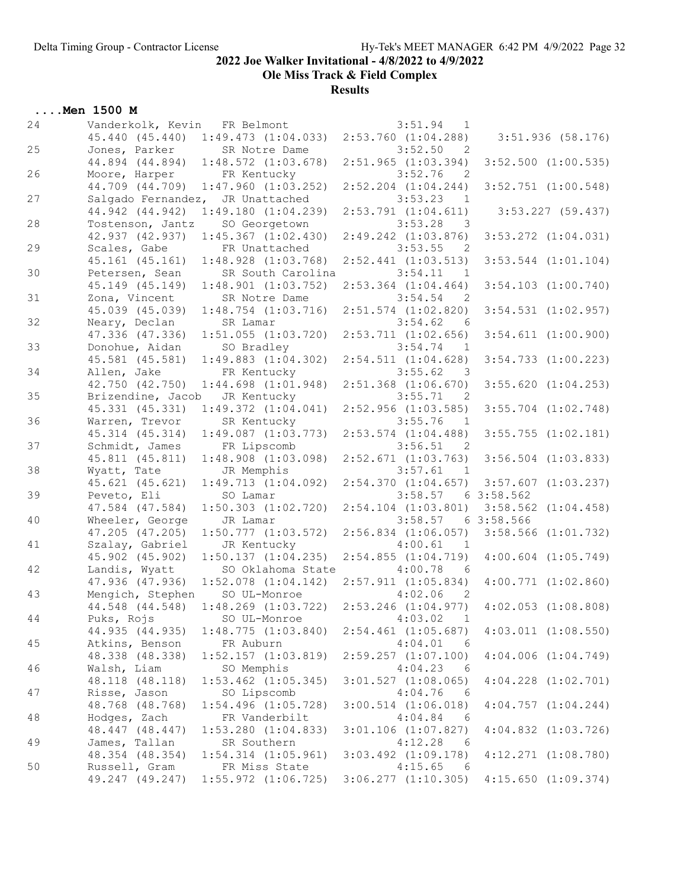Ole Miss Track & Field Complex

|    | Men 1500 M                   |                                     |                                           |           |                         |
|----|------------------------------|-------------------------------------|-------------------------------------------|-----------|-------------------------|
| 24 | Vanderkolk, Kevin FR Belmont |                                     | 3:51.94<br>1                              |           |                         |
|    | 45.440 (45.440)              | $1:49.473$ $(1:04.033)$             | $2:53.760$ $(1:04.288)$                   |           | $3:51.936$ (58.176)     |
| 25 | Jones, Parker SR Notre Dame  |                                     | 3:52.50<br>$\overline{2}$                 |           |                         |
|    | 44.894 (44.894)              | $1:48.572$ $(1:03.678)$             | $2:51.965$ $(1:03.394)$                   |           | $3:52.500$ $(1:00.535)$ |
| 26 | Moore, Harper                | FR Kentucky                         | 3:52.76<br>$\overline{2}$                 |           |                         |
|    | 44.709 (44.709)              | $1:47.960$ $(1:03.252)$             | $2:52.204$ $(1:04.244)$                   |           | $3:52.751$ $(1:00.548)$ |
| 27 | Salgado Fernandez,           | JR Unattached                       | 3:53.23<br>$\mathbf{1}$                   |           |                         |
|    | 44.942 (44.942)              | 1:49.180(1:04.239)                  | $2:53.791$ $(1:04.611)$                   |           | $3:53.227$ (59.437)     |
| 28 | Tostenson, Jantz             | SO Georgetown                       | 3:53.28<br>$\overline{\phantom{a}}$       |           |                         |
|    | 42.937 (42.937)              | $1:45.367$ $(1:02.430)$             | $2:49.242$ $(1:03.876)$                   |           | $3:53.272$ $(1:04.031)$ |
| 29 | Scales, Gabe                 | FR Unattached                       | 3:53.55<br>$\overline{2}$                 |           |                         |
|    | 45.161 (45.161)              | $1:48.928$ $(1:03.768)$             | $2:52.441$ $(1:03.513)$                   |           |                         |
| 30 |                              | SR South Carolina                   | 3:54.11                                   |           | $3:53.544$ $(1:01.104)$ |
|    | Petersen, Sean               |                                     | $\overline{1}$<br>$2:53.364$ $(1:04.464)$ |           | $3:54.103$ $(1:00.740)$ |
|    | 45.149 (45.149)              | $1:48.901$ $(1:03.752)$             |                                           |           |                         |
| 31 | Zona, Vincent                | SR Notre Dame                       | 3:54.54<br>$\overline{\phantom{0}}^2$     |           |                         |
|    | 45.039 (45.039)              | $1:48.754$ $(1:03.716)$             | $2:51.574$ $(1:02.820)$                   |           | $3:54.531$ $(1:02.957)$ |
| 32 | Neary, Declan                | SR Lamar                            | 3:54.62<br>- 6                            |           |                         |
|    | 47.336 (47.336)              | $1:51.055$ $(1:03.720)$             | $2:53.711$ $(1:02.656)$                   |           | $3:54.611$ $(1:00.900)$ |
| 33 | Donohue, Aidan               | SO Bradley                          | 3:54.74<br>$\overline{1}$                 |           |                         |
|    | 45.581 (45.581)              | $1:49.883$ $(1:04.302)$             | $2:54.511$ $(1:04.628)$                   |           | $3:54.733$ $(1:00.223)$ |
| 34 | Allen, Jake                  | FR Kentucky                         | 3:55.62<br>$\overline{\phantom{a}}$       |           |                         |
|    | 42.750 (42.750)              | $1:44.698$ $(1:01.948)$             | $2:51.368$ $(1:06.670)$                   |           | $3:55.620$ $(1:04.253)$ |
| 35 | Brizendine, Jacob            | JR Kentucky                         | 3:55.71<br>$\overline{2}$                 |           |                         |
|    | 45.331 (45.331)              | 1:49.372(1:04.041)                  | $2:52.956$ $(1:03.585)$                   |           | $3:55.704$ $(1:02.748)$ |
| 36 | Warren, Trevor               | SR Kentucky                         | 3:55.76<br>$\mathbf{1}$                   |           |                         |
|    | 45.314 (45.314)              | $1:49.087$ $(1:03.773)$             | $2:53.574$ $(1:04.488)$                   |           | $3:55.755$ $(1:02.181)$ |
| 37 | Schmidt, James               | FR Lipscomb                         | 3:56.51<br>$\overline{2}$                 |           |                         |
|    | 45.811 (45.811)              | $1:48.908$ $(1:03.098)$             | $2:52.671$ $(1:03.763)$                   |           | $3:56.504$ $(1:03.833)$ |
| 38 | Wyatt, Tate                  | JR Memphis                          | 3:57.61<br>$\overline{1}$                 |           |                         |
|    | 45.621 (45.621)              | 1:49.713(1:04.092)                  | 2:54.370(1:04.657)                        |           | $3:57.607$ $(1:03.237)$ |
| 39 | Peveto, Eli                  | SO Lamar                            | 3:58.57                                   | 63:58.562 |                         |
|    | 47.584 (47.584)              | $1:50.303$ $(1:02.720)$             | $2:54.104$ $(1:03.801)$                   |           | $3:58.562$ $(1:04.458)$ |
| 40 | Wheeler, George              | JR Lamar                            | 3:58.57                                   | 63:58.566 |                         |
|    | 47.205 (47.205)              | $1:50.777$ $(1:03.572)$             | $2:56.834$ $(1:06.057)$                   |           | $3:58.566$ $(1:01.732)$ |
| 41 | Szalay, Gabriel              | JR Kentucky                         | 4:00.61<br>$\overline{1}$                 |           |                         |
|    | 45.902 (45.902)              | 1:50.137(1:04.235)                  | $2:54.855$ $(1:04.719)$                   |           | $4:00.604$ $(1:05.749)$ |
| 42 | Landis, Wyatt                | SO Oklahoma State                   | 4:00.78<br>- 6                            |           |                         |
|    | 47.936 (47.936)              | $1:52.078$ $(1:04.142)$             | $2:57.911$ $(1:05.834)$                   |           | $4:00.771$ $(1:02.860)$ |
| 43 | Mengich, Stephen             | SO UL-Monroe                        | 4:02.06<br>2                              |           |                         |
|    |                              | 44.548 (44.548) 1:48.269 (1:03.722) | 2:53.246 (1:04.977) 4:02.053 (1:08.808)   |           |                         |
| 44 | Puks, Rojs                   | SO UL-Monroe                        | 4:03.02<br>$\overline{1}$                 |           |                         |
|    | 44.935 (44.935)              | 1:48.775(1:03.840)                  | $2:54.461$ $(1:05.687)$                   |           | $4:03.011$ $(1:08.550)$ |
| 45 | Atkins, Benson               | FR Auburn                           | 4:04.01<br>- 6                            |           |                         |
|    | 48.338 (48.338)              | $1:52.157$ $(1:03.819)$             | $2:59.257$ $(1:07.100)$                   |           | $4:04.006$ $(1:04.749)$ |
| 46 | Walsh, Liam                  | SO Memphis                          | 4:04.23<br>- 6                            |           |                         |
|    | 48.118 (48.118)              | $1:53.462$ $(1:05.345)$             | $3:01.527$ $(1:08.065)$                   |           | $4:04.228$ $(1:02.701)$ |
| 47 | Risse, Jason                 | SO Lipscomb                         | 4:04.76<br>- 6                            |           |                         |
|    | 48.768 (48.768)              | $1:54.496$ $(1:05.728)$             | $3:00.514$ $(1:06.018)$                   |           | $4:04.757$ $(1:04.244)$ |
| 48 | Hodges, Zach                 | FR Vanderbilt                       | 4:04.84<br>- 6                            |           |                         |
|    | 48.447 (48.447)              | $1:53.280$ $(1:04.833)$             | $3:01.106$ $(1:07.827)$                   |           | $4:04.832$ $(1:03.726)$ |
| 49 | James, Tallan                | SR Southern                         | 4:12.28<br>- 6                            |           |                         |
|    | 48.354 (48.354)              | $1:54.314$ $(1:05.961)$             | $3:03.492$ $(1:09.178)$                   |           | $4:12.271$ $(1:08.780)$ |
| 50 | Russell, Gram                | FR Miss State                       | 4:15.65<br>- 6                            |           |                         |
|    | 49.247 (49.247)              | $1:55.972$ $(1:06.725)$             | 3:06.277(1:10.305)                        |           | $4:15.650$ $(1:09.374)$ |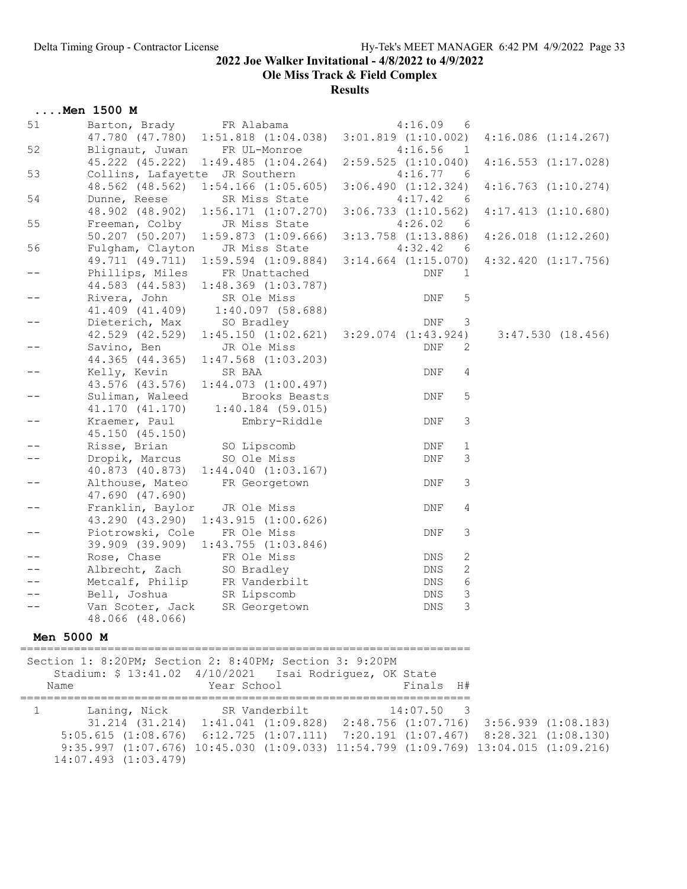Ole Miss Track & Field Complex

|                   | $\ldots$ . Men 1500 M                           |                                                                                    |                         |            |              |                         |
|-------------------|-------------------------------------------------|------------------------------------------------------------------------------------|-------------------------|------------|--------------|-------------------------|
| 51                | Barton, Brady FR Alabama                        |                                                                                    |                         | 4:16.09    | 6            |                         |
|                   | 47.780 (47.780)                                 | $1:51.818$ $(1:04.038)$                                                            | $3:01.819$ $(1:10.002)$ |            |              | 4:16.086(1:14.267)      |
| 52                | Blignaut, Juwan                                 | FR UL-Monroe                                                                       |                         | 4:16.56    | $\mathbf{1}$ |                         |
|                   | 45.222 (45.222)                                 | 1:49.485(1:04.264)                                                                 | $2:59.525$ $(1:10.040)$ |            |              | $4:16.553$ $(1:17.028)$ |
| 53                | Collins, Lafayette JR Southern                  |                                                                                    |                         | 4:16.77    | 6            |                         |
|                   |                                                 | 48.562 (48.562) 1:54.166 (1:05.605)                                                | 3:06.490(1:12.324)      |            |              | $4:16.763$ $(1:10.274)$ |
| 54                | Dunne, Reese                                    | SR Miss State                                                                      |                         | 4:17.42    | - 6          |                         |
|                   | 48.902 (48.902)                                 | $1:56.171$ $(1:07.270)$                                                            | $3:06.733$ $(1:10.562)$ |            |              | $4:17.413$ $(1:10.680)$ |
| 55                | Freeman, Colby                                  | JR Miss State                                                                      |                         | 4:26.02    | - 6          |                         |
| 56                | $50.207$ $(50.207)$                             | 1:59.873(1:09.666)                                                                 | $3:13.758$ $(1:13.886)$ |            |              | $4:26.018$ $(1:12.260)$ |
|                   | Fulgham, Clayton                                | JR Miss State<br>49.711 (49.711) 1:59.594 (1:09.884)                               | $3:14.664$ $(1:15.070)$ | 4:32.42    | 6            | $4:32.420$ $(1:17.756)$ |
| $- -$             | Phillips, Miles                                 | FR Unattached                                                                      |                         | DNF        | 1            |                         |
|                   | 44.583 (44.583)                                 | $1:48.369$ $(1:03.787)$                                                            |                         |            |              |                         |
| $-\,-$            | Rivera, John                                    | SR Ole Miss                                                                        |                         | DNF        | $\mathsf S$  |                         |
|                   | 41.409 (41.409)                                 | $1:40.097$ (58.688)                                                                |                         |            |              |                         |
| --                | Dieterich, Max                                  | SO Bradley                                                                         |                         | DNF        | 3            |                         |
|                   | 42.529 (42.529)                                 | $1:45.150$ $(1:02.621)$ $3:29.074$ $(1:43.924)$                                    |                         |            |              | 3:47.530(18.456)        |
| --                | Savino, Ben                                     | JR Ole Miss                                                                        |                         | DNF        | 2            |                         |
|                   | 44.365 (44.365)                                 | $1:47.568$ $(1:03.203)$                                                            |                         |            |              |                         |
| $- -$             | Kelly, Kevin                                    | SR BAA                                                                             |                         | DNF        | 4            |                         |
|                   |                                                 | 43.576 (43.576) 1:44.073 (1:00.497)                                                |                         |            |              |                         |
| $\qquad \qquad -$ | Suliman, Waleed                                 | Brooks Beasts                                                                      |                         | DNF        | 5            |                         |
|                   | 41.170 (41.170)                                 | $1:40.184$ (59.015)                                                                |                         |            |              |                         |
| $\qquad \qquad -$ | Kraemer, Paul                                   | Embry-Riddle                                                                       |                         | DNF        | 3            |                         |
|                   | 45.150 (45.150)                                 |                                                                                    |                         |            |              |                         |
| --                | Risse, Brian                                    | SO Lipscomb                                                                        |                         | DNF        | $\mathbf 1$  |                         |
|                   | Dropik, Marcus                                  | SO Ole Miss                                                                        |                         | <b>DNF</b> | 3            |                         |
|                   |                                                 | 40.873 (40.873) 1:44.040 (1:03.167)                                                |                         |            |              |                         |
| $- -$             | Althouse, Mateo                                 | FR Georgetown                                                                      |                         | DNF        | 3            |                         |
|                   | 47.690 (47.690)                                 |                                                                                    |                         |            |              |                         |
| $- -$             | Franklin, Baylor                                | JR Ole Miss                                                                        |                         | DNF        | 4            |                         |
|                   | 43.290 (43.290)                                 | 1:43.915(1:00.626)                                                                 |                         |            |              |                         |
| --                | Piotrowski, Cole                                | FR Ole Miss                                                                        |                         | DNF        | 3            |                         |
|                   |                                                 | 39.909 (39.909) 1:43.755 (1:03.846)                                                |                         |            |              |                         |
|                   | Rose, Chase                                     | FR Ole Miss<br>SO Bradley                                                          |                         | DNS        | 2            |                         |
|                   | Albrecht, Zach<br>Metcalf, Philip FR Vanderbilt |                                                                                    |                         | DNS<br>DNS | 2<br>6       |                         |
|                   | Bell, Joshua                                    | SR Lipscomb                                                                        |                         | DNS        | 3            |                         |
|                   |                                                 | Van Scoter, Jack SR Georgetown                                                     |                         | DNS        | 3            |                         |
|                   | 48.066 (48.066)                                 |                                                                                    |                         |            |              |                         |
|                   |                                                 |                                                                                    |                         |            |              |                         |
| Men 5000 M        |                                                 |                                                                                    |                         |            |              |                         |
|                   |                                                 | Section 1: 8:20PM; Section 2: 8:40PM; Section 3: 9:20PM                            |                         |            |              |                         |
|                   |                                                 | Stadium: \$ 13:41.02 4/10/2021  Isai Rodriguez, OK State                           |                         |            |              |                         |
| Name              |                                                 | Year School                                                                        |                         | Finals H#  |              |                         |
|                   |                                                 |                                                                                    |                         |            |              |                         |
| $\mathbf{1}$      | Laning, Nick                                    | SR Vanderbilt                                                                      |                         | 14:07.50   | - 3          |                         |
|                   |                                                 | 31.214 (31.214) 1:41.041 (1:09.828) 2:48.756 (1:07.716) 3:56.939 (1:08.183)        |                         |            |              |                         |
|                   |                                                 | $5:05.615$ (1:08.676) 6:12.725 (1:07.111) 7:20.191 (1:07.467) 8:28.321 (1:08.130)  |                         |            |              |                         |
|                   |                                                 | 9:35.997 (1:07.676) 10:45.030 (1:09.033) 11:54.799 (1:09.769) 13:04.015 (1:09.216) |                         |            |              |                         |
|                   | 14:07.493 (1:03.479)                            |                                                                                    |                         |            |              |                         |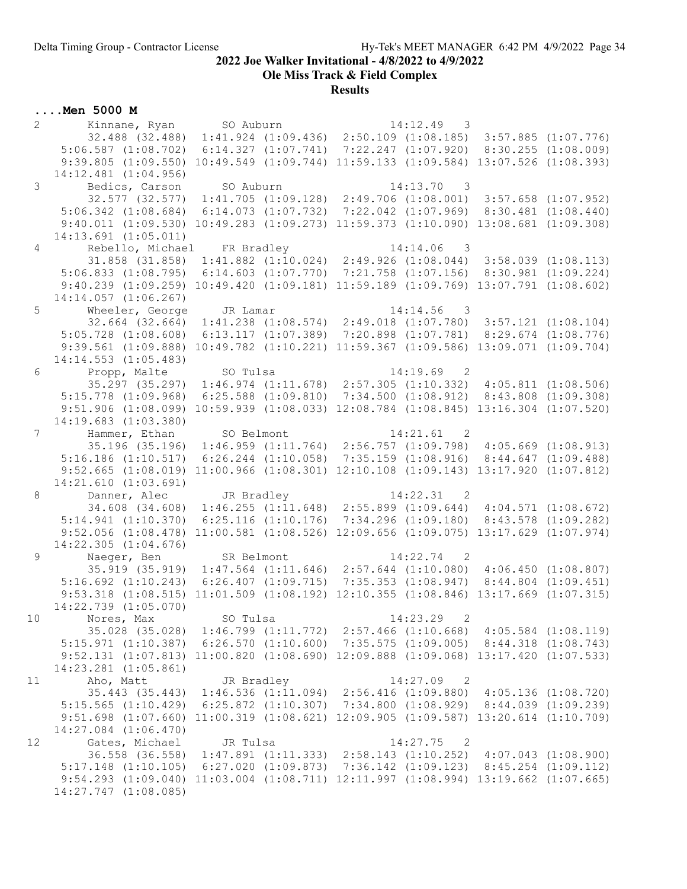Ole Miss Track & Field Complex

**Results** 

| $\overline{2}$ | Kinnane, Ryan                                                                                    | SO Auburn  |                                                 | 14:12.49<br>$\overline{\phantom{a}}$                                       |                         |
|----------------|--------------------------------------------------------------------------------------------------|------------|-------------------------------------------------|----------------------------------------------------------------------------|-------------------------|
|                | 32.488 (32.488) 1:41.924 (1:09.436) 2:50.109 (1:08.185) 3:57.885 (1:07.776)                      |            |                                                 |                                                                            |                         |
|                | $5:06.587$ $(1:08.702)$                                                                          |            |                                                 | $6:14.327$ $(1:07.741)$ $7:22.247$ $(1:07.920)$ $8:30.255$ $(1:08.009)$    |                         |
|                | $9:39.805$ $(1:09.550)$                                                                          |            |                                                 | $10:49.549$ $(1:09.744)$ $11:59.133$ $(1:09.584)$ $13:07.526$ $(1:08.393)$ |                         |
|                | 14:12.481 (1:04.956)                                                                             |            |                                                 |                                                                            |                         |
| 3              | Bedics, Carson                                                                                   | SO Auburn  |                                                 | 14:13.70<br>$\overline{\phantom{a}}$                                       |                         |
|                | 32.577 (32.577) 1:41.705 (1:09.128) 2:49.706 (1:08.001) 3:57.658 (1:07.952)                      |            |                                                 |                                                                            |                         |
|                | $5:06.342$ $(1:08.684)$                                                                          |            |                                                 | $6:14.073$ $(1:07.732)$ $7:22.042$ $(1:07.969)$ $8:30.481$ $(1:08.440)$    |                         |
|                | 9:40.011 (1:09.530) 10:49.283 (1:09.273) 11:59.373 (1:10.090) 13:08.681 (1:09.308)               |            |                                                 |                                                                            |                         |
|                | 14:13.691 (1:05.011)                                                                             |            |                                                 |                                                                            |                         |
| $\overline{4}$ | Rebello, Michael FR Bradley                                                                      |            |                                                 | 14:14.06<br>$\overline{\phantom{a}}$ 3                                     |                         |
|                | 31.858 (31.858)                                                                                  |            |                                                 | $1:41.882$ $(1:10.024)$ $2:49.926$ $(1:08.044)$                            | $3:58.039$ $(1:08.113)$ |
|                | $5:06.833$ $(1:08.795)$                                                                          |            |                                                 | $6:14.603$ $(1:07.770)$ $7:21.758$ $(1:07.156)$ $8:30.981$ $(1:09.224)$    |                         |
|                | 9:40.239 (1:09.259) 10:49.420 (1:09.181) 11:59.189 (1:09.769) 13:07.791 (1:08.602)               |            |                                                 |                                                                            |                         |
|                | $14:14.057$ $(1:06.267)$                                                                         |            |                                                 |                                                                            |                         |
| 5              | Wheeler, George                                                                                  | JR Lamar   |                                                 | 14:14.56<br>3                                                              |                         |
|                | 32.664 (32.664) 1:41.238 (1:08.574) 2:49.018 (1:07.780) 3:57.121 (1:08.104)                      |            |                                                 |                                                                            |                         |
|                | $5:05.728$ $(1:08.608)$                                                                          |            | 6:13.117(1:07.389)                              | 7:20.898 (1:07.781)                                                        | $8:29.674$ $(1:08.776)$ |
|                | 9:39.561 (1:09.888) 10:49.782 (1:10.221) 11:59.367 (1:09.586) 13:09.071 (1:09.704)               |            |                                                 |                                                                            |                         |
|                | $14:14.553$ $(1:05.483)$                                                                         |            |                                                 |                                                                            |                         |
| 6              | Propp, Malte                                                                                     | SO Tulsa   |                                                 | $14:19.69$ 2                                                               |                         |
|                | 35.297 (35.297) 1:46.974 (1:11.678) 2:57.305 (1:10.332) 4:05.811 (1:08.506)                      |            |                                                 |                                                                            |                         |
|                | $5:15.778$ $(1:09.968)$                                                                          |            | $6:25.588$ $(1:09.810)$                         | $7:34.500$ $(1:08.912)$                                                    | $8:43.808$ $(1:09.308)$ |
|                | $9:51.906$ $(1:08.099)$                                                                          |            |                                                 | 10:59.939 (1:08.033) 12:08.784 (1:08.845) 13:16.304 (1:07.520)             |                         |
|                | $14:19.683$ $(1:03.380)$                                                                         |            |                                                 |                                                                            |                         |
| $7^{\circ}$    | Hammer, Ethan SO Belmont                                                                         |            |                                                 | 14:21.61<br>$\overline{\phantom{0}}^2$                                     |                         |
|                | 35.196 (35.196) 1:46.959 (1:11.764) 2:56.757 (1:09.798) 4:05.669 (1:08.913)                      |            |                                                 |                                                                            |                         |
|                | $5:16.186$ $(1:10.517)$                                                                          |            |                                                 | $6:26.244$ (1:10.058) 7:35.159 (1:08.916) 8:44.647 (1:09.488)              |                         |
|                | $9:52.665$ $(1:08.019)$                                                                          |            |                                                 | $11:00.966$ $(1:08.301)$ $12:10.108$ $(1:09.143)$ $13:17.920$ $(1:07.812)$ |                         |
|                | 14:21.610(1:03.691)                                                                              |            |                                                 |                                                                            |                         |
| 8              | Danner, Alec JR Bradley                                                                          |            |                                                 | $14:22.31$ 2                                                               |                         |
|                | 34.608 (34.608)                                                                                  |            |                                                 | $1:46.255$ $(1:11.648)$ $2:55.899$ $(1:09.644)$ $4:04.571$ $(1:08.672)$    |                         |
|                | $5:14.941$ $(1:10.370)$                                                                          |            |                                                 | $6:25.116$ $(1:10.176)$ $7:34.296$ $(1:09.180)$                            | $8:43.578$ $(1:09.282)$ |
|                | $9:52.056$ $(1:08.478)$                                                                          |            |                                                 | $11:00.581$ (1:08.526) 12:09.656 (1:09.075) 13:17.629 (1:07.974)           |                         |
|                | $14:22.305$ $(1:04.676)$                                                                         |            |                                                 |                                                                            |                         |
| 9              | Naeger, Ben                                                                                      | SR Belmont |                                                 | 14:22.74<br>$\overline{\phantom{0}}^2$                                     |                         |
|                | 35.919 (35.919) 1:47.564 (1:11.646) 2:57.644 (1:10.080) 4:06.450 (1:08.807)                      |            |                                                 |                                                                            |                         |
|                | $5:16.692$ $(1:10.243)$                                                                          |            | $6:26.407$ $(1:09.715)$ $7:35.353$ $(1:08.947)$ |                                                                            | $8:44.804$ $(1:09.451)$ |
|                | 9:53.318 $(1:08.515)$ $11:01.509$ $(1:08.192)$ $12:10.355$ $(1:08.846)$ $13:17.669$ $(1:07.315)$ |            |                                                 |                                                                            |                         |
|                | 14:22.739 (1:05.070)                                                                             |            |                                                 |                                                                            |                         |
|                | 10 Nores, Max                                                                                    | SO Tulsa   |                                                 | 14:23.29<br>2                                                              |                         |
|                | 35.028 (35.028) 1:46.799 (1:11.772) 2:57.466 (1:10.668) 4:05.584 (1:08.119)                      |            |                                                 |                                                                            |                         |
|                | 5:15.971 (1:10.387) 6:26.570 (1:10.600) 7:35.575 (1:09.005) 8:44.318 (1:08.743)                  |            |                                                 |                                                                            |                         |
|                | 9:52.131 (1:07.813) 11:00.820 (1:08.690) 12:09.888 (1:09.068) 13:17.420 (1:07.533)               |            |                                                 |                                                                            |                         |
|                | 14:23.281 (1:05.861)                                                                             |            |                                                 |                                                                            |                         |
| 11             | Aho, Matt                                                                                        | JR Bradley |                                                 | $14:27.09$ 2                                                               |                         |
|                | 35.443 (35.443) 1:46.536 (1:11.094) 2:56.416 (1:09.880) 4:05.136 (1:08.720)                      |            |                                                 |                                                                            |                         |
|                | $5:15.565$ $(1:10.429)$                                                                          |            |                                                 | $6:25.872$ (1:10.307) 7:34.800 (1:08.929) 8:44.039 (1:09.239)              |                         |
|                | 9:51.698 (1:07.660) 11:00.319 (1:08.621) 12:09.905 (1:09.587) 13:20.614 (1:10.709)               |            |                                                 |                                                                            |                         |
|                | 14:27.084 (1:06.470)                                                                             |            |                                                 |                                                                            |                         |
| 12             | Gates, Michael                                                                                   | JR Tulsa   |                                                 | $14:27.75$ 2                                                               |                         |
|                | 36.558 (36.558) 1:47.891 (1:11.333) 2:58.143 (1:10.252) 4:07.043 (1:08.900)                      |            |                                                 |                                                                            |                         |
|                | 5:17.148 (1:10.105) 6:27.020 (1:09.873) 7:36.142 (1:09.123) 8:45.254 (1:09.112)                  |            |                                                 |                                                                            |                         |
|                | 9:54.293 (1:09.040) 11:03.004 (1:08.711) 12:11.997 (1:08.994) 13:19.662 (1:07.665)               |            |                                                 |                                                                            |                         |
|                | 14:27.747 (1:08.085)                                                                             |            |                                                 |                                                                            |                         |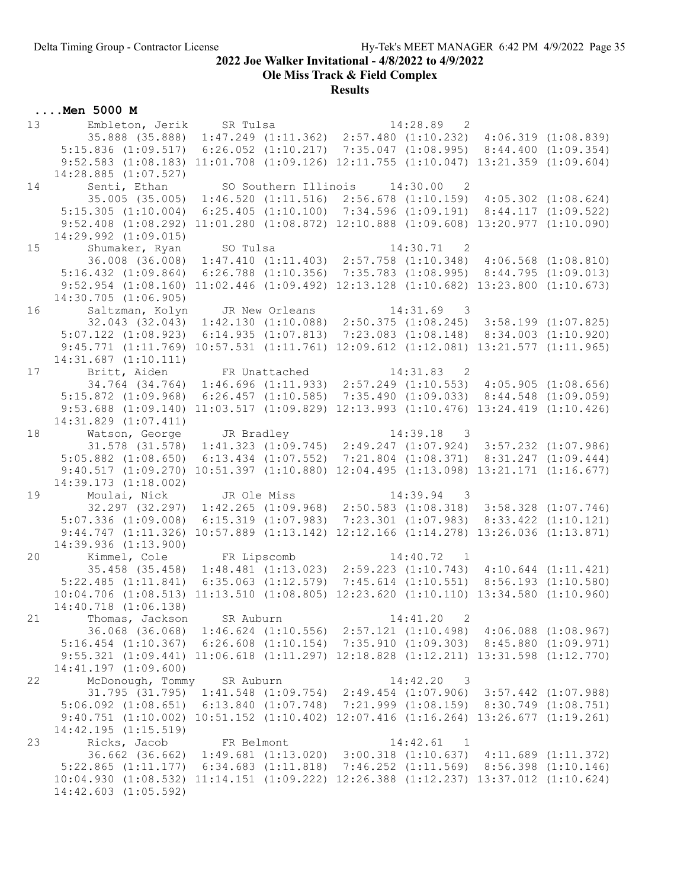Ole Miss Track & Field Complex

# **Results**

| 13 | Embleton, Jerik                                                                       | SR Tulsa                                                                   |                         |                               | 14:28.89 2                                                                 |                     |
|----|---------------------------------------------------------------------------------------|----------------------------------------------------------------------------|-------------------------|-------------------------------|----------------------------------------------------------------------------|---------------------|
|    | 35.888 (35.888)                                                                       |                                                                            |                         |                               | $1:47.249$ (1:11.362) 2:57.480 (1:10.232) 4:06.319 (1:08.839)              |                     |
|    | $5:15.836$ $(1:09.517)$                                                               |                                                                            |                         |                               | $6:26.052$ (1:10.217) 7:35.047 (1:08.995) 8:44.400 (1:09.354)              |                     |
|    | 9:52.583 (1:08.183) 11:01.708 (1:09.126) 12:11.755 (1:10.047) 13:21.359 (1:09.604)    |                                                                            |                         |                               |                                                                            |                     |
|    | $14:28.885$ $(1:07.527)$                                                              |                                                                            |                         |                               |                                                                            |                     |
| 14 | Senti, Ethan                                                                          |                                                                            |                         | SO Southern Illinois 14:30.00 | $\overline{2}$                                                             |                     |
|    | 35.005 (35.005)                                                                       |                                                                            |                         |                               | $1:46.520$ (1:11.516) $2:56.678$ (1:10.159) $4:05.302$ (1:08.624)          |                     |
|    | $5:15.305$ $(1:10.004)$                                                               |                                                                            |                         |                               | $6:25.405$ $(1:10.100)$ $7:34.596$ $(1:09.191)$ $8:44.117$ $(1:09.522)$    |                     |
|    | $9:52.408$ $(1:08.292)$                                                               |                                                                            |                         |                               | $11:01.280$ $(1:08.872)$ $12:10.888$ $(1:09.608)$ $13:20.977$ $(1:10.090)$ |                     |
|    | 14:29.992 (1:09.015)                                                                  |                                                                            |                         |                               |                                                                            |                     |
| 15 | Shumaker, Ryan                                                                        | SO Tulsa                                                                   |                         |                               | $14:30.71$ 2                                                               |                     |
|    | 36.008 (36.008)                                                                       |                                                                            |                         |                               | $1:47.410$ $(1:11.403)$ $2:57.758$ $(1:10.348)$ $4:06.568$ $(1:08.810)$    |                     |
|    | $5:16.432$ $(1:09.864)$                                                               |                                                                            |                         |                               | $6:26.788$ (1:10.356) 7:35.783 (1:08.995) 8:44.795 (1:09.013)              |                     |
|    | 9:52.954 (1:08.160) 11:02.446 (1:09.492) 12:13.128 (1:10.682) 13:23.800 (1:10.673)    |                                                                            |                         |                               |                                                                            |                     |
|    | $14:30.705$ $(1:06.905)$                                                              |                                                                            |                         |                               |                                                                            |                     |
| 16 | Saltzman, Kolyn                                                                       |                                                                            | JR New Orleans          |                               | $14:31.69$ 3                                                               |                     |
|    | 32.043 (32.043)                                                                       |                                                                            |                         |                               | $1:42.130$ $(1:10.088)$ $2:50.375$ $(1:08.245)$ $3:58.199$ $(1:07.825)$    |                     |
|    | $5:07.122$ $(1:08.923)$                                                               |                                                                            |                         |                               | $6:14.935$ $(1:07.813)$ $7:23.083$ $(1:08.148)$ $8:34.003$ $(1:10.920)$    |                     |
|    | 9:45.771 (1:11.769) 10:57.531 (1:11.761) 12:09.612 (1:12.081) 13:21.577 (1:11.965)    |                                                                            |                         |                               |                                                                            |                     |
|    | $14:31.687$ $(1:10.111)$                                                              |                                                                            |                         |                               |                                                                            |                     |
| 17 | Britt, Aiden FR Unattached                                                            |                                                                            |                         |                               | 14:31.83 2                                                                 |                     |
|    | 34.764 (34.764) 1:46.696 (1:11.933) 2:57.249 (1:10.553) 4:05.905 (1:08.656)           |                                                                            |                         |                               |                                                                            |                     |
|    | $5:15.872$ $(1:09.968)$                                                               | $6:26.457$ $(1:10.585)$                                                    |                         |                               | 7:35.490(1:09.033)                                                         | 8:44.548 (1:09.059) |
|    | $9:53.688$ $(1:09.140)$                                                               | $11:03.517$ $(1:09.829)$ $12:13.993$ $(1:10.476)$ $13:24.419$ $(1:10.426)$ |                         |                               |                                                                            |                     |
|    | 14:31.829 (1:07.411)                                                                  |                                                                            |                         |                               |                                                                            |                     |
| 18 | Watson, George JR Bradley                                                             |                                                                            |                         |                               | 14:39.18<br>$\overline{\phantom{a}}$                                       |                     |
|    | $31.578$ (31.578) 1:41.323 (1:09.745) 2:49.247 (1:07.924) 3:57.232 (1:07.986)         |                                                                            |                         |                               |                                                                            |                     |
|    | $5:05.882$ $(1:08.650)$                                                               |                                                                            |                         |                               | $6:13.434$ $(1:07.552)$ $7:21.804$ $(1:08.371)$ $8:31.247$ $(1:09.444)$    |                     |
|    | 9:40.517(1:09.270)                                                                    |                                                                            |                         |                               | $10:51.397$ $(1:10.880)$ $12:04.495$ $(1:13.098)$ $13:21.171$ $(1:16.677)$ |                     |
|    | 14:39.173 (1:18.002)                                                                  |                                                                            |                         |                               |                                                                            |                     |
| 19 | Moulai, Nick JR Ole Miss                                                              |                                                                            |                         |                               | $14:39.94$ 3                                                               |                     |
|    | 32.297 (32.297)                                                                       |                                                                            |                         |                               | $1:42.265$ (1:09.968) 2:50.583 (1:08.318) 3:58.328 (1:07.746)              |                     |
|    | $5:07.336$ $(1:09.008)$                                                               |                                                                            | $6:15.319$ $(1:07.983)$ |                               | $7:23.301$ $(1:07.983)$ $8:33.422$ $(1:10.121)$                            |                     |
|    | 9:44.747(1:11.326)                                                                    |                                                                            |                         |                               | $10:57.889$ $(1:13.142)$ $12:12.166$ $(1:14.278)$ $13:26.036$ $(1:13.871)$ |                     |
|    | 14:39.936 (1:13.900)                                                                  |                                                                            |                         |                               |                                                                            |                     |
| 20 | Kimmel, Cole                                                                          | FR Lipscomb                                                                |                         |                               | $14:40.72$ 1                                                               |                     |
|    | 35.458 (35.458) 1:48.481 (1:13.023) 2:59.223 (1:10.743) 4:10.644 (1:11.421)           |                                                                            |                         |                               |                                                                            |                     |
|    | $5:22.485$ $(1:11.841)$                                                               | $6:35.063$ $(1:12.579)$ $7:45.614$ $(1:10.551)$ $8:56.193$ $(1:10.580)$    |                         |                               |                                                                            |                     |
|    | $10:04.706$ (1:08.513) 11:13.510 (1:08.805) 12:23.620 (1:10.110) 13:34.580 (1:10.960) |                                                                            |                         |                               |                                                                            |                     |
|    | 14:40.718 (1:06.138)                                                                  |                                                                            |                         |                               |                                                                            |                     |
| 21 | Thomas, Jackson                                                                       | SR Auburn                                                                  |                         |                               | 14:41.20<br>2                                                              |                     |
|    | 36.068 (36.068) 1:46.624 (1:10.556) 2:57.121 (1:10.498) 4:06.088 (1:08.967)           |                                                                            |                         |                               |                                                                            |                     |
|    | 5:16.454 (1:10.367) 6:26.608 (1:10.154) 7:35.910 (1:09.303) 8:45.880 (1:09.971)       |                                                                            |                         |                               |                                                                            |                     |
|    | 9:55.321 (1:09.441) 11:06.618 (1:11.297) 12:18.828 (1:12.211) 13:31.598 (1:12.770)    |                                                                            |                         |                               |                                                                            |                     |
|    | $14:41.197$ $(1:09.600)$                                                              |                                                                            |                         |                               |                                                                            |                     |
| 22 | McDonough, Tommy                                                                      | SR Auburn                                                                  |                         |                               | 14:42.20<br>$\overline{\phantom{a}}$                                       |                     |
|    | 31.795 (31.795) 1:41.548 (1:09.754) 2:49.454 (1:07.906) 3:57.442 (1:07.988)           |                                                                            |                         |                               |                                                                            |                     |
|    | $5:06.092$ $(1:08.651)$                                                               |                                                                            |                         |                               | $6:13.840$ $(1:07.748)$ $7:21.999$ $(1:08.159)$ $8:30.749$ $(1:08.751)$    |                     |
|    | 9:40.751 (1:10.002) 10:51.152 (1:10.402) 12:07.416 (1:16.264) 13:26.677 (1:19.261)    |                                                                            |                         |                               |                                                                            |                     |
|    | 14:42.195(1:15.519)                                                                   |                                                                            |                         |                               |                                                                            |                     |
| 23 | Ricks, Jacob                                                                          | FR Belmont                                                                 |                         |                               | 14:42.61<br>$\overline{1}$                                                 |                     |
|    | 36.662 (36.662) 1:49.681 (1:13.020) 3:00.318 (1:10.637) 4:11.689 (1:11.372)           |                                                                            |                         |                               |                                                                            |                     |
|    | $5:22.865$ $(1:11.177)$                                                               | $6:34.683$ $(1:11.818)$                                                    |                         |                               | $7:46.252$ $(1:11.569)$ $8:56.398$ $(1:10.146)$                            |                     |
|    | 10:04.930 (1:08.532) 11:14.151 (1:09.222) 12:26.388 (1:12.237) 13:37.012 (1:10.624)   |                                                                            |                         |                               |                                                                            |                     |
|    | $14:42.603$ $(1:05.592)$                                                              |                                                                            |                         |                               |                                                                            |                     |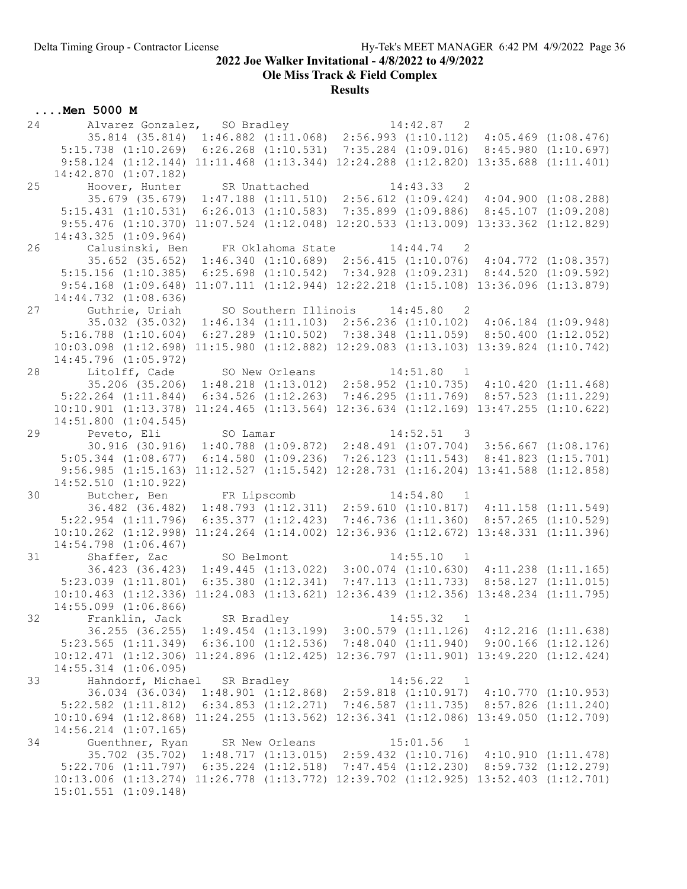Ole Miss Track & Field Complex

# **Results**

| Alvarez Gonzalez, SO Bradley 14:42.87 2<br>35.814 (35.814) 1:46.882 (1:11.068) 2:56.993 (1:10.112) 4:05.469 (1:08.476)<br>5:15.738 (1:10.269) 6:26.268 (1:10.531) 7:35.284 (1:09.016) 8:45.980 (1:10.697)<br>9:58.124 (1:12.144) 11:11.468 (1:13.344) 12:24.288 (1:12.820) 13:35.688 (1:11.401)<br>$14:42.870$ $(1:07.182)$<br>Hoover, Hunter SR Unattached<br>25<br>$14:43.33$ 2<br>35.679 (35.679) 1:47.188 (1:11.510) 2:56.612 (1:09.424) 4:04.900 (1:08.288)<br>$6:26.013$ $(1:10.583)$ $7:35.899$ $(1:09.886)$ $8:45.107$ $(1:09.208)$<br>$5:15.431$ $(1:10.531)$<br>9:55.476 (1:10.370) 11:07.524 (1:12.048) 12:20.533 (1:13.009) 13:33.362 (1:12.829)<br>$14:43.325$ $(1:09.964)$<br>26<br>Calusinski, Ben<br>FR Oklahoma State 14:44.74 2<br>35.652 (35.652)<br>$1:46.340$ (1:10.689) 2:56.415 (1:10.076) 4:04.772 (1:08.357)<br>$5:15.156$ $(1:10.385)$<br>$6:25.698$ $(1:10.542)$ $7:34.928$ $(1:09.231)$ $8:44.520$ $(1:09.592)$<br>9:54.168 (1:09.648) 11:07.111 (1:12.944) 12:22.218 (1:15.108) 13:36.096 (1:13.879)<br>14:44.732 (1:08.636)<br>27<br>Guthrie, Uriah<br>SO Southern Illinois 14:45.80 2<br>35.032 (35.032)<br>$1:46.134$ $(1:11.103)$ $2:56.236$ $(1:10.102)$ $4:06.184$ $(1:09.948)$<br>$5:16.788$ $(1:10.604)$<br>$6:27.289$ $(1:10.502)$ $7:38.348$ $(1:11.059)$ $8:50.400$ $(1:12.052)$<br>11:15.980 (1:12.882) 12:29.083 (1:13.103) 13:39.824 (1:10.742)<br>$10:03.098$ $(1:12.698)$<br>14:45.796 (1:05.972)<br>28<br>Litolff, Cade SO New Orleans<br>14:51.80 1<br>35.206 (35.206) 1:48.218 (1:13.012) 2:58.952 (1:10.735) 4:10.420 (1:11.468)<br>$7:46.295$ $(1:11.769)$ $8:57.523$ $(1:11.229)$<br>$5:22.264$ $(1:11.844)$<br>$6:34.526$ $(1:12.263)$<br>$10:10.901$ $(1:13.378)$ $11:24.465$ $(1:13.564)$ $12:36.634$ $(1:12.169)$ $13:47.255$ $(1:10.622)$<br>$14:51.800$ $(1:04.545)$<br>Peveto, Eli SO Lamar<br>29<br>$14:52.51$ 3<br>30.916 (30.916) 1:40.788 (1:09.872) 2:48.491 (1:07.704) 3:56.667 (1:08.176)<br>$6:14.580$ $(1:09.236)$ $7:26.123$ $(1:11.543)$ $8:41.823$ $(1:15.701)$<br>$5:05.344$ $(1:08.677)$<br>$11:12.527$ $(1:15.542)$ $12:28.731$ $(1:16.204)$ $13:41.588$ $(1:12.858)$<br>9:56.985(1:15.163)<br>14:52.510 (1:10.922)<br>Butcher, Ben FR Lipscomb 14:54.80 1<br>36.482 (36.482) 1:48.793 (1:12.311) 2:59.610 (1:10.817) 4:11.158 (1:11.549)<br>30<br>$6:35.377$ $(1:12.423)$ $7:46.736$ $(1:11.360)$ $8:57.265$ $(1:10.529)$ |
|-----------------------------------------------------------------------------------------------------------------------------------------------------------------------------------------------------------------------------------------------------------------------------------------------------------------------------------------------------------------------------------------------------------------------------------------------------------------------------------------------------------------------------------------------------------------------------------------------------------------------------------------------------------------------------------------------------------------------------------------------------------------------------------------------------------------------------------------------------------------------------------------------------------------------------------------------------------------------------------------------------------------------------------------------------------------------------------------------------------------------------------------------------------------------------------------------------------------------------------------------------------------------------------------------------------------------------------------------------------------------------------------------------------------------------------------------------------------------------------------------------------------------------------------------------------------------------------------------------------------------------------------------------------------------------------------------------------------------------------------------------------------------------------------------------------------------------------------------------------------------------------------------------------------------------------------------------------------------------------------------------------------------------------------------------------------------------------------------------------------------------------------------------------------------------------------------------------------------------------------------------------------------------------------------------------------------------------------------------------------------------------------------------|
|                                                                                                                                                                                                                                                                                                                                                                                                                                                                                                                                                                                                                                                                                                                                                                                                                                                                                                                                                                                                                                                                                                                                                                                                                                                                                                                                                                                                                                                                                                                                                                                                                                                                                                                                                                                                                                                                                                                                                                                                                                                                                                                                                                                                                                                                                                                                                                                                     |
|                                                                                                                                                                                                                                                                                                                                                                                                                                                                                                                                                                                                                                                                                                                                                                                                                                                                                                                                                                                                                                                                                                                                                                                                                                                                                                                                                                                                                                                                                                                                                                                                                                                                                                                                                                                                                                                                                                                                                                                                                                                                                                                                                                                                                                                                                                                                                                                                     |
|                                                                                                                                                                                                                                                                                                                                                                                                                                                                                                                                                                                                                                                                                                                                                                                                                                                                                                                                                                                                                                                                                                                                                                                                                                                                                                                                                                                                                                                                                                                                                                                                                                                                                                                                                                                                                                                                                                                                                                                                                                                                                                                                                                                                                                                                                                                                                                                                     |
|                                                                                                                                                                                                                                                                                                                                                                                                                                                                                                                                                                                                                                                                                                                                                                                                                                                                                                                                                                                                                                                                                                                                                                                                                                                                                                                                                                                                                                                                                                                                                                                                                                                                                                                                                                                                                                                                                                                                                                                                                                                                                                                                                                                                                                                                                                                                                                                                     |
|                                                                                                                                                                                                                                                                                                                                                                                                                                                                                                                                                                                                                                                                                                                                                                                                                                                                                                                                                                                                                                                                                                                                                                                                                                                                                                                                                                                                                                                                                                                                                                                                                                                                                                                                                                                                                                                                                                                                                                                                                                                                                                                                                                                                                                                                                                                                                                                                     |
|                                                                                                                                                                                                                                                                                                                                                                                                                                                                                                                                                                                                                                                                                                                                                                                                                                                                                                                                                                                                                                                                                                                                                                                                                                                                                                                                                                                                                                                                                                                                                                                                                                                                                                                                                                                                                                                                                                                                                                                                                                                                                                                                                                                                                                                                                                                                                                                                     |
|                                                                                                                                                                                                                                                                                                                                                                                                                                                                                                                                                                                                                                                                                                                                                                                                                                                                                                                                                                                                                                                                                                                                                                                                                                                                                                                                                                                                                                                                                                                                                                                                                                                                                                                                                                                                                                                                                                                                                                                                                                                                                                                                                                                                                                                                                                                                                                                                     |
|                                                                                                                                                                                                                                                                                                                                                                                                                                                                                                                                                                                                                                                                                                                                                                                                                                                                                                                                                                                                                                                                                                                                                                                                                                                                                                                                                                                                                                                                                                                                                                                                                                                                                                                                                                                                                                                                                                                                                                                                                                                                                                                                                                                                                                                                                                                                                                                                     |
|                                                                                                                                                                                                                                                                                                                                                                                                                                                                                                                                                                                                                                                                                                                                                                                                                                                                                                                                                                                                                                                                                                                                                                                                                                                                                                                                                                                                                                                                                                                                                                                                                                                                                                                                                                                                                                                                                                                                                                                                                                                                                                                                                                                                                                                                                                                                                                                                     |
|                                                                                                                                                                                                                                                                                                                                                                                                                                                                                                                                                                                                                                                                                                                                                                                                                                                                                                                                                                                                                                                                                                                                                                                                                                                                                                                                                                                                                                                                                                                                                                                                                                                                                                                                                                                                                                                                                                                                                                                                                                                                                                                                                                                                                                                                                                                                                                                                     |
|                                                                                                                                                                                                                                                                                                                                                                                                                                                                                                                                                                                                                                                                                                                                                                                                                                                                                                                                                                                                                                                                                                                                                                                                                                                                                                                                                                                                                                                                                                                                                                                                                                                                                                                                                                                                                                                                                                                                                                                                                                                                                                                                                                                                                                                                                                                                                                                                     |
|                                                                                                                                                                                                                                                                                                                                                                                                                                                                                                                                                                                                                                                                                                                                                                                                                                                                                                                                                                                                                                                                                                                                                                                                                                                                                                                                                                                                                                                                                                                                                                                                                                                                                                                                                                                                                                                                                                                                                                                                                                                                                                                                                                                                                                                                                                                                                                                                     |
|                                                                                                                                                                                                                                                                                                                                                                                                                                                                                                                                                                                                                                                                                                                                                                                                                                                                                                                                                                                                                                                                                                                                                                                                                                                                                                                                                                                                                                                                                                                                                                                                                                                                                                                                                                                                                                                                                                                                                                                                                                                                                                                                                                                                                                                                                                                                                                                                     |
|                                                                                                                                                                                                                                                                                                                                                                                                                                                                                                                                                                                                                                                                                                                                                                                                                                                                                                                                                                                                                                                                                                                                                                                                                                                                                                                                                                                                                                                                                                                                                                                                                                                                                                                                                                                                                                                                                                                                                                                                                                                                                                                                                                                                                                                                                                                                                                                                     |
|                                                                                                                                                                                                                                                                                                                                                                                                                                                                                                                                                                                                                                                                                                                                                                                                                                                                                                                                                                                                                                                                                                                                                                                                                                                                                                                                                                                                                                                                                                                                                                                                                                                                                                                                                                                                                                                                                                                                                                                                                                                                                                                                                                                                                                                                                                                                                                                                     |
|                                                                                                                                                                                                                                                                                                                                                                                                                                                                                                                                                                                                                                                                                                                                                                                                                                                                                                                                                                                                                                                                                                                                                                                                                                                                                                                                                                                                                                                                                                                                                                                                                                                                                                                                                                                                                                                                                                                                                                                                                                                                                                                                                                                                                                                                                                                                                                                                     |
|                                                                                                                                                                                                                                                                                                                                                                                                                                                                                                                                                                                                                                                                                                                                                                                                                                                                                                                                                                                                                                                                                                                                                                                                                                                                                                                                                                                                                                                                                                                                                                                                                                                                                                                                                                                                                                                                                                                                                                                                                                                                                                                                                                                                                                                                                                                                                                                                     |
|                                                                                                                                                                                                                                                                                                                                                                                                                                                                                                                                                                                                                                                                                                                                                                                                                                                                                                                                                                                                                                                                                                                                                                                                                                                                                                                                                                                                                                                                                                                                                                                                                                                                                                                                                                                                                                                                                                                                                                                                                                                                                                                                                                                                                                                                                                                                                                                                     |
|                                                                                                                                                                                                                                                                                                                                                                                                                                                                                                                                                                                                                                                                                                                                                                                                                                                                                                                                                                                                                                                                                                                                                                                                                                                                                                                                                                                                                                                                                                                                                                                                                                                                                                                                                                                                                                                                                                                                                                                                                                                                                                                                                                                                                                                                                                                                                                                                     |
|                                                                                                                                                                                                                                                                                                                                                                                                                                                                                                                                                                                                                                                                                                                                                                                                                                                                                                                                                                                                                                                                                                                                                                                                                                                                                                                                                                                                                                                                                                                                                                                                                                                                                                                                                                                                                                                                                                                                                                                                                                                                                                                                                                                                                                                                                                                                                                                                     |
|                                                                                                                                                                                                                                                                                                                                                                                                                                                                                                                                                                                                                                                                                                                                                                                                                                                                                                                                                                                                                                                                                                                                                                                                                                                                                                                                                                                                                                                                                                                                                                                                                                                                                                                                                                                                                                                                                                                                                                                                                                                                                                                                                                                                                                                                                                                                                                                                     |
|                                                                                                                                                                                                                                                                                                                                                                                                                                                                                                                                                                                                                                                                                                                                                                                                                                                                                                                                                                                                                                                                                                                                                                                                                                                                                                                                                                                                                                                                                                                                                                                                                                                                                                                                                                                                                                                                                                                                                                                                                                                                                                                                                                                                                                                                                                                                                                                                     |
|                                                                                                                                                                                                                                                                                                                                                                                                                                                                                                                                                                                                                                                                                                                                                                                                                                                                                                                                                                                                                                                                                                                                                                                                                                                                                                                                                                                                                                                                                                                                                                                                                                                                                                                                                                                                                                                                                                                                                                                                                                                                                                                                                                                                                                                                                                                                                                                                     |
|                                                                                                                                                                                                                                                                                                                                                                                                                                                                                                                                                                                                                                                                                                                                                                                                                                                                                                                                                                                                                                                                                                                                                                                                                                                                                                                                                                                                                                                                                                                                                                                                                                                                                                                                                                                                                                                                                                                                                                                                                                                                                                                                                                                                                                                                                                                                                                                                     |
|                                                                                                                                                                                                                                                                                                                                                                                                                                                                                                                                                                                                                                                                                                                                                                                                                                                                                                                                                                                                                                                                                                                                                                                                                                                                                                                                                                                                                                                                                                                                                                                                                                                                                                                                                                                                                                                                                                                                                                                                                                                                                                                                                                                                                                                                                                                                                                                                     |
|                                                                                                                                                                                                                                                                                                                                                                                                                                                                                                                                                                                                                                                                                                                                                                                                                                                                                                                                                                                                                                                                                                                                                                                                                                                                                                                                                                                                                                                                                                                                                                                                                                                                                                                                                                                                                                                                                                                                                                                                                                                                                                                                                                                                                                                                                                                                                                                                     |
|                                                                                                                                                                                                                                                                                                                                                                                                                                                                                                                                                                                                                                                                                                                                                                                                                                                                                                                                                                                                                                                                                                                                                                                                                                                                                                                                                                                                                                                                                                                                                                                                                                                                                                                                                                                                                                                                                                                                                                                                                                                                                                                                                                                                                                                                                                                                                                                                     |
|                                                                                                                                                                                                                                                                                                                                                                                                                                                                                                                                                                                                                                                                                                                                                                                                                                                                                                                                                                                                                                                                                                                                                                                                                                                                                                                                                                                                                                                                                                                                                                                                                                                                                                                                                                                                                                                                                                                                                                                                                                                                                                                                                                                                                                                                                                                                                                                                     |
|                                                                                                                                                                                                                                                                                                                                                                                                                                                                                                                                                                                                                                                                                                                                                                                                                                                                                                                                                                                                                                                                                                                                                                                                                                                                                                                                                                                                                                                                                                                                                                                                                                                                                                                                                                                                                                                                                                                                                                                                                                                                                                                                                                                                                                                                                                                                                                                                     |
|                                                                                                                                                                                                                                                                                                                                                                                                                                                                                                                                                                                                                                                                                                                                                                                                                                                                                                                                                                                                                                                                                                                                                                                                                                                                                                                                                                                                                                                                                                                                                                                                                                                                                                                                                                                                                                                                                                                                                                                                                                                                                                                                                                                                                                                                                                                                                                                                     |
|                                                                                                                                                                                                                                                                                                                                                                                                                                                                                                                                                                                                                                                                                                                                                                                                                                                                                                                                                                                                                                                                                                                                                                                                                                                                                                                                                                                                                                                                                                                                                                                                                                                                                                                                                                                                                                                                                                                                                                                                                                                                                                                                                                                                                                                                                                                                                                                                     |
|                                                                                                                                                                                                                                                                                                                                                                                                                                                                                                                                                                                                                                                                                                                                                                                                                                                                                                                                                                                                                                                                                                                                                                                                                                                                                                                                                                                                                                                                                                                                                                                                                                                                                                                                                                                                                                                                                                                                                                                                                                                                                                                                                                                                                                                                                                                                                                                                     |
| $5:22.954$ $(1:11.796)$                                                                                                                                                                                                                                                                                                                                                                                                                                                                                                                                                                                                                                                                                                                                                                                                                                                                                                                                                                                                                                                                                                                                                                                                                                                                                                                                                                                                                                                                                                                                                                                                                                                                                                                                                                                                                                                                                                                                                                                                                                                                                                                                                                                                                                                                                                                                                                             |
| $10:10.262$ $(1:12.998)$ $11:24.264$ $(1:14.002)$ $12:36.936$ $(1:12.672)$ $13:48.331$ $(1:11.396)$                                                                                                                                                                                                                                                                                                                                                                                                                                                                                                                                                                                                                                                                                                                                                                                                                                                                                                                                                                                                                                                                                                                                                                                                                                                                                                                                                                                                                                                                                                                                                                                                                                                                                                                                                                                                                                                                                                                                                                                                                                                                                                                                                                                                                                                                                                 |
| 14:54.798 (1:06.467)                                                                                                                                                                                                                                                                                                                                                                                                                                                                                                                                                                                                                                                                                                                                                                                                                                                                                                                                                                                                                                                                                                                                                                                                                                                                                                                                                                                                                                                                                                                                                                                                                                                                                                                                                                                                                                                                                                                                                                                                                                                                                                                                                                                                                                                                                                                                                                                |
| Shaffer, Zac<br>31<br>SO Belmont<br>14:55.10<br>$\frac{1}{2}$                                                                                                                                                                                                                                                                                                                                                                                                                                                                                                                                                                                                                                                                                                                                                                                                                                                                                                                                                                                                                                                                                                                                                                                                                                                                                                                                                                                                                                                                                                                                                                                                                                                                                                                                                                                                                                                                                                                                                                                                                                                                                                                                                                                                                                                                                                                                       |
| 36.423 (36.423) 1:49.445 (1:13.022) 3:00.074 (1:10.630) 4:11.238 (1:11.165)                                                                                                                                                                                                                                                                                                                                                                                                                                                                                                                                                                                                                                                                                                                                                                                                                                                                                                                                                                                                                                                                                                                                                                                                                                                                                                                                                                                                                                                                                                                                                                                                                                                                                                                                                                                                                                                                                                                                                                                                                                                                                                                                                                                                                                                                                                                         |
| $5:23.039$ $(1:11.801)$<br>6:35.380(1:12.341)<br>8:58.127(1:11.015)<br>7:47.113 (1:11.733)                                                                                                                                                                                                                                                                                                                                                                                                                                                                                                                                                                                                                                                                                                                                                                                                                                                                                                                                                                                                                                                                                                                                                                                                                                                                                                                                                                                                                                                                                                                                                                                                                                                                                                                                                                                                                                                                                                                                                                                                                                                                                                                                                                                                                                                                                                          |
| 10:10.463 (1:12.336) 11:24.083 (1:13.621) 12:36.439 (1:12.356) 13:48.234 (1:11.795)                                                                                                                                                                                                                                                                                                                                                                                                                                                                                                                                                                                                                                                                                                                                                                                                                                                                                                                                                                                                                                                                                                                                                                                                                                                                                                                                                                                                                                                                                                                                                                                                                                                                                                                                                                                                                                                                                                                                                                                                                                                                                                                                                                                                                                                                                                                 |
| $14:55.099$ $(1:06.866)$                                                                                                                                                                                                                                                                                                                                                                                                                                                                                                                                                                                                                                                                                                                                                                                                                                                                                                                                                                                                                                                                                                                                                                                                                                                                                                                                                                                                                                                                                                                                                                                                                                                                                                                                                                                                                                                                                                                                                                                                                                                                                                                                                                                                                                                                                                                                                                            |
| 32<br>Franklin, Jack<br>14:55.32<br>SR Bradley<br>$\mathbf{1}$                                                                                                                                                                                                                                                                                                                                                                                                                                                                                                                                                                                                                                                                                                                                                                                                                                                                                                                                                                                                                                                                                                                                                                                                                                                                                                                                                                                                                                                                                                                                                                                                                                                                                                                                                                                                                                                                                                                                                                                                                                                                                                                                                                                                                                                                                                                                      |
| 36.255 (36.255) 1:49.454 (1:13.199) 3:00.579 (1:11.126) 4:12.216 (1:11.638)                                                                                                                                                                                                                                                                                                                                                                                                                                                                                                                                                                                                                                                                                                                                                                                                                                                                                                                                                                                                                                                                                                                                                                                                                                                                                                                                                                                                                                                                                                                                                                                                                                                                                                                                                                                                                                                                                                                                                                                                                                                                                                                                                                                                                                                                                                                         |
| $5:23.565$ $(1:11.349)$ $6:36.100$ $(1:12.536)$ $7:48.040$ $(1:11.940)$ $9:00.166$ $(1:12.126)$                                                                                                                                                                                                                                                                                                                                                                                                                                                                                                                                                                                                                                                                                                                                                                                                                                                                                                                                                                                                                                                                                                                                                                                                                                                                                                                                                                                                                                                                                                                                                                                                                                                                                                                                                                                                                                                                                                                                                                                                                                                                                                                                                                                                                                                                                                     |
| 10:12.471 (1:12.306) 11:24.896 (1:12.425) 12:36.797 (1:11.901) 13:49.220 (1:12.424)                                                                                                                                                                                                                                                                                                                                                                                                                                                                                                                                                                                                                                                                                                                                                                                                                                                                                                                                                                                                                                                                                                                                                                                                                                                                                                                                                                                                                                                                                                                                                                                                                                                                                                                                                                                                                                                                                                                                                                                                                                                                                                                                                                                                                                                                                                                 |
| 14:55.314 (1:06.095)                                                                                                                                                                                                                                                                                                                                                                                                                                                                                                                                                                                                                                                                                                                                                                                                                                                                                                                                                                                                                                                                                                                                                                                                                                                                                                                                                                                                                                                                                                                                                                                                                                                                                                                                                                                                                                                                                                                                                                                                                                                                                                                                                                                                                                                                                                                                                                                |
| 33<br>Hahndorf, Michael SR Bradley<br>14:56.22 1                                                                                                                                                                                                                                                                                                                                                                                                                                                                                                                                                                                                                                                                                                                                                                                                                                                                                                                                                                                                                                                                                                                                                                                                                                                                                                                                                                                                                                                                                                                                                                                                                                                                                                                                                                                                                                                                                                                                                                                                                                                                                                                                                                                                                                                                                                                                                    |
| 36.034 (36.034)<br>$1:48.901$ (1:12.868) 2:59.818 (1:10.917) 4:10.770 (1:10.953)                                                                                                                                                                                                                                                                                                                                                                                                                                                                                                                                                                                                                                                                                                                                                                                                                                                                                                                                                                                                                                                                                                                                                                                                                                                                                                                                                                                                                                                                                                                                                                                                                                                                                                                                                                                                                                                                                                                                                                                                                                                                                                                                                                                                                                                                                                                    |
| $5:22.582$ $(1:11.812)$<br>$6:34.853$ $(1:12.271)$<br>$7:46.587$ $(1:11.735)$ $8:57.826$ $(1:11.240)$                                                                                                                                                                                                                                                                                                                                                                                                                                                                                                                                                                                                                                                                                                                                                                                                                                                                                                                                                                                                                                                                                                                                                                                                                                                                                                                                                                                                                                                                                                                                                                                                                                                                                                                                                                                                                                                                                                                                                                                                                                                                                                                                                                                                                                                                                               |
| 10:10.694 (1:12.868) 11:24.255 (1:13.562) 12:36.341 (1:12.086) 13:49.050 (1:12.709)                                                                                                                                                                                                                                                                                                                                                                                                                                                                                                                                                                                                                                                                                                                                                                                                                                                                                                                                                                                                                                                                                                                                                                                                                                                                                                                                                                                                                                                                                                                                                                                                                                                                                                                                                                                                                                                                                                                                                                                                                                                                                                                                                                                                                                                                                                                 |
| 14:56.214 (1:07.165)                                                                                                                                                                                                                                                                                                                                                                                                                                                                                                                                                                                                                                                                                                                                                                                                                                                                                                                                                                                                                                                                                                                                                                                                                                                                                                                                                                                                                                                                                                                                                                                                                                                                                                                                                                                                                                                                                                                                                                                                                                                                                                                                                                                                                                                                                                                                                                                |
| Guenthner, Ryan<br>34<br>15:01.56<br>SR New Orleans<br>$\overline{1}$                                                                                                                                                                                                                                                                                                                                                                                                                                                                                                                                                                                                                                                                                                                                                                                                                                                                                                                                                                                                                                                                                                                                                                                                                                                                                                                                                                                                                                                                                                                                                                                                                                                                                                                                                                                                                                                                                                                                                                                                                                                                                                                                                                                                                                                                                                                               |
| 35.702 (35.702) 1:48.717 (1:13.015) 2:59.432 (1:10.716) 4:10.910 (1:11.478)                                                                                                                                                                                                                                                                                                                                                                                                                                                                                                                                                                                                                                                                                                                                                                                                                                                                                                                                                                                                                                                                                                                                                                                                                                                                                                                                                                                                                                                                                                                                                                                                                                                                                                                                                                                                                                                                                                                                                                                                                                                                                                                                                                                                                                                                                                                         |
| $7:47.454$ $(1:12.230)$ $8:59.732$ $(1:12.279)$<br>$5:22.706$ $(1:11.797)$<br>$6:35.224$ $(1:12.518)$                                                                                                                                                                                                                                                                                                                                                                                                                                                                                                                                                                                                                                                                                                                                                                                                                                                                                                                                                                                                                                                                                                                                                                                                                                                                                                                                                                                                                                                                                                                                                                                                                                                                                                                                                                                                                                                                                                                                                                                                                                                                                                                                                                                                                                                                                               |
| 10:13.006 (1:13.274) 11:26.778 (1:13.772) 12:39.702 (1:12.925) 13:52.403 (1:12.701)                                                                                                                                                                                                                                                                                                                                                                                                                                                                                                                                                                                                                                                                                                                                                                                                                                                                                                                                                                                                                                                                                                                                                                                                                                                                                                                                                                                                                                                                                                                                                                                                                                                                                                                                                                                                                                                                                                                                                                                                                                                                                                                                                                                                                                                                                                                 |
| $15:01.551$ $(1:09.148)$                                                                                                                                                                                                                                                                                                                                                                                                                                                                                                                                                                                                                                                                                                                                                                                                                                                                                                                                                                                                                                                                                                                                                                                                                                                                                                                                                                                                                                                                                                                                                                                                                                                                                                                                                                                                                                                                                                                                                                                                                                                                                                                                                                                                                                                                                                                                                                            |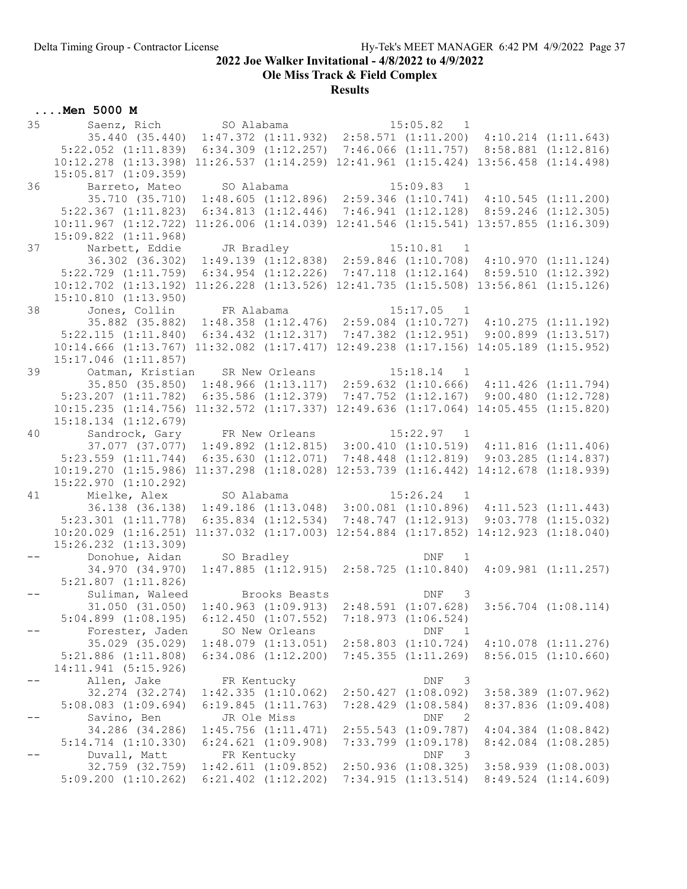Ole Miss Track & Field Complex

# **Results**

| 35 | Saenz, Rich                                                                                 | SO Alabama                                                                      |               | $15:05.82$ 1                                                                |                         |
|----|---------------------------------------------------------------------------------------------|---------------------------------------------------------------------------------|---------------|-----------------------------------------------------------------------------|-------------------------|
|    | 35.440 (35.440) 1:47.372 (1:11.932) 2:58.571 (1:11.200) 4:10.214 (1:11.643)                 |                                                                                 |               |                                                                             |                         |
|    | $5:22.052$ $(1:11.839)$                                                                     | $6:34.309$ $(1:12.257)$ 7:46.066 $(1:11.757)$ 8:58.881 $(1:12.816)$             |               |                                                                             |                         |
|    | $10:12.278$ $(1:13.398)$                                                                    | $11:26.537$ $(1:14.259)$ $12:41.961$ $(1:15.424)$ $13:56.458$ $(1:14.498)$      |               |                                                                             |                         |
|    | $15:05.817$ $(1:09.359)$                                                                    |                                                                                 |               |                                                                             |                         |
| 36 | Barreto, Mateo                                                                              | SO Alabama                                                                      |               | 15:09.83 1                                                                  |                         |
|    | 35.710 (35.710)                                                                             | $1:48.605$ (1:12.896) 2:59.346 (1:10.741) 4:10.545 (1:11.200)                   |               |                                                                             |                         |
|    | $5:22.367$ $(1:11.823)$                                                                     | $6:34.813$ $(1:12.446)$ $7:46.941$ $(1:12.128)$ $8:59.246$ $(1:12.305)$         |               |                                                                             |                         |
|    | $10:11.967$ $(1:12.722)$                                                                    | $11:26.006$ $(1:14.039)$ $12:41.546$ $(1:15.541)$ $13:57.855$ $(1:16.309)$      |               |                                                                             |                         |
|    | $15:09.822$ $(1:11.968)$                                                                    |                                                                                 |               |                                                                             |                         |
| 37 | Narbett, Eddie                                                                              | JR Bradley                                                                      |               | $15:10.81$ 1                                                                |                         |
|    | 36.302 (36.302)                                                                             | $1:49.139$ $(1:12.838)$ $2:59.846$ $(1:10.708)$                                 |               |                                                                             | 4:10.970(1:11.124)      |
|    | $5:22.729$ $(1:11.759)$                                                                     | $6:34.954$ $(1:12.226)$ $7:47.118$ $(1:12.164)$ $8:59.510$ $(1:12.392)$         |               |                                                                             |                         |
|    | $10:12.702$ $(1:13.192)$                                                                    | $11:26.228$ $(1:13.526)$ $12:41.735$ $(1:15.508)$ $13:56.861$ $(1:15.126)$      |               |                                                                             |                         |
|    | 15:10.810 (1:13.950)                                                                        |                                                                                 |               |                                                                             |                         |
| 38 | Jones, Collin FR Alabama                                                                    |                                                                                 |               | $15:17.05$ 1                                                                |                         |
|    | 35.882 (35.882)                                                                             | $1:48.358$ $(1:12.476)$ $2:59.084$ $(1:10.727)$ $4:10.275$ $(1:11.192)$         |               |                                                                             |                         |
|    | $5:22.115$ $(1:11.840)$                                                                     | $6:34.432$ $(1:12.317)$ $7:47.382$ $(1:12.951)$ $9:00.899$ $(1:13.517)$         |               |                                                                             |                         |
|    | 10:14.666 (1:13.767) 11:32.082 (1:17.417) 12:49.238 (1:17.156) 14:05.189 (1:15.952)         |                                                                                 |               |                                                                             |                         |
| 39 | 15:17.046 (1:11.857)                                                                        |                                                                                 |               | $15:18.14$ 1                                                                |                         |
|    | Oatman, Kristian<br>35.850 (35.850)                                                         | SR New Orleans<br>$1:48.966$ (1:13.117) 2:59.632 (1:10.666) 4:11.426 (1:11.794) |               |                                                                             |                         |
|    | $5:23.207$ $(1:11.782)$                                                                     | $6:35.586$ $(1:12.379)$                                                         |               | $7:47.752$ $(1:12.167)$                                                     | 9:00.480(1:12.728)      |
|    | 10:15.235 (1:14.756) 11:32.572 (1:17.337) 12:49.636 (1:17.064) 14:05.455 (1:15.820)         |                                                                                 |               |                                                                             |                         |
|    | $15:18.134$ $(1:12.679)$                                                                    |                                                                                 |               |                                                                             |                         |
| 40 | Sandrock, Gary FR New Orleans                                                               |                                                                                 |               | $15:22.97$ 1                                                                |                         |
|    | $37.077$ $(37.077)$ $1:49.892$ $(1:12.815)$ $3:00.410$ $(1:10.519)$ $4:11.816$ $(1:11.406)$ |                                                                                 |               |                                                                             |                         |
|    | $5:23.559$ $(1:11.744)$                                                                     | $6:35.630$ $(1:12.071)$ $7:48.448$ $(1:12.819)$ $9:03.285$ $(1:14.837)$         |               |                                                                             |                         |
|    | $10:19.270$ $(1:15.986)$                                                                    | $11:37.298$ $(1:18.028)$                                                        |               | 12:53.739 (1:16.442) 14:12.678 (1:18.939)                                   |                         |
|    | 15:22.970 (1:10.292)                                                                        |                                                                                 |               |                                                                             |                         |
| 41 | Mielke, Alex SO Alabama                                                                     |                                                                                 |               | $15:26.24$ 1                                                                |                         |
|    | 36.138 (36.138) 1:49.186 (1:13.048) 3:00.081 (1:10.896) 4:11.523 (1:11.443)                 |                                                                                 |               |                                                                             |                         |
|    | $5:23.301$ $(1:11.778)$                                                                     | $6:35.834$ $(1:12.534)$                                                         |               | 7:48.747(1:12.913)                                                          | $9:03.778$ $(1:15.032)$ |
|    | $10:20.029$ $(1:16.251)$                                                                    | $11:37.032$ $(1:17.003)$ $12:54.884$ $(1:17.852)$ $14:12.923$ $(1:18.040)$      |               |                                                                             |                         |
|    | 15:26.232 (1:13.309)                                                                        |                                                                                 |               |                                                                             |                         |
|    | Donohue, Aidan                                                                              | SO Bradley                                                                      |               | DNF<br>$\overline{\phantom{1}}$                                             |                         |
|    | 34.970 (34.970)                                                                             | $1:47.885$ $(1:12.915)$ $2:58.725$ $(1:10.840)$                                 |               |                                                                             | $4:09.981$ $(1:11.257)$ |
|    | $5:21.807$ $(1:11.826)$                                                                     |                                                                                 |               |                                                                             |                         |
|    | Suliman, Waleed                                                                             |                                                                                 | Brooks Beasts | DNF<br>3                                                                    |                         |
|    | 31.050 (31.050)                                                                             | $1:40.963$ $(1:09.913)$ $2:48.591$ $(1:07.628)$                                 |               |                                                                             | $3:56.704$ $(1:08.114)$ |
|    | $5:04.899$ $(1:08.195)$                                                                     | $6:12.450$ $(1:07.552)$                                                         |               | 7:18.973 (1:06.524)                                                         |                         |
|    | Forester, Jaden                                                                             | SO New Orleans                                                                  |               | DNF<br>$\overline{1}$                                                       |                         |
|    | 35.029 (35.029)                                                                             | $1:48.079$ $(1:13.051)$                                                         |               | $2:58.803$ $(1:10.724)$                                                     | $4:10.078$ $(1:11.276)$ |
|    | $5:21.886$ $(1:11.808)$                                                                     | $6:34.086$ $(1:12.200)$                                                         |               | 7:45.355(1:11.269)                                                          | 8:56.015(1:10.660)      |
|    | 14:11.941 (5:15.926)                                                                        |                                                                                 |               |                                                                             |                         |
|    | Allen, Jake                                                                                 | FR Kentucky                                                                     |               | DNF<br>3                                                                    |                         |
|    | 32.274 (32.274)                                                                             | 1:42.335(1:10.062)                                                              |               | $2:50.427$ $(1:08.092)$                                                     | $3:58.389$ $(1:07.962)$ |
|    | $5:08.083$ $(1:09.694)$<br>Savino, Ben                                                      | 6:19.845(1:11.763)<br>JR Ole Miss                                               |               | $7:28.429$ $(1:08.584)$<br>$\mathop{\rm DNF}$<br>$\overline{\phantom{0}}^2$ | $8:37.836$ $(1:09.408)$ |
|    | 34.286 (34.286)                                                                             | $1:45.756$ $(1:11.471)$                                                         |               | $2:55.543$ $(1:09.787)$                                                     | $4:04.384$ $(1:08.842)$ |
|    | $5:14.714$ $(1:10.330)$                                                                     | $6:24.621$ $(1:09.908)$                                                         |               | $7:33.799$ $(1:09.178)$                                                     | $8:42.084$ $(1:08.285)$ |
|    | Duvall, Matt                                                                                | FR Kentucky                                                                     |               | $\texttt{DNF}$<br>$\overline{\phantom{a}}$                                  |                         |
|    | 32.759 (32.759)                                                                             | $1:42.611$ $(1:09.852)$                                                         |               | $2:50.936$ $(1:08.325)$                                                     | $3:58.939$ $(1:08.003)$ |
|    | $5:09.200$ $(1:10.262)$                                                                     | $6:21.402$ $(1:12.202)$                                                         |               | 7:34.915(1:13.514)                                                          | $8:49.524$ $(1:14.609)$ |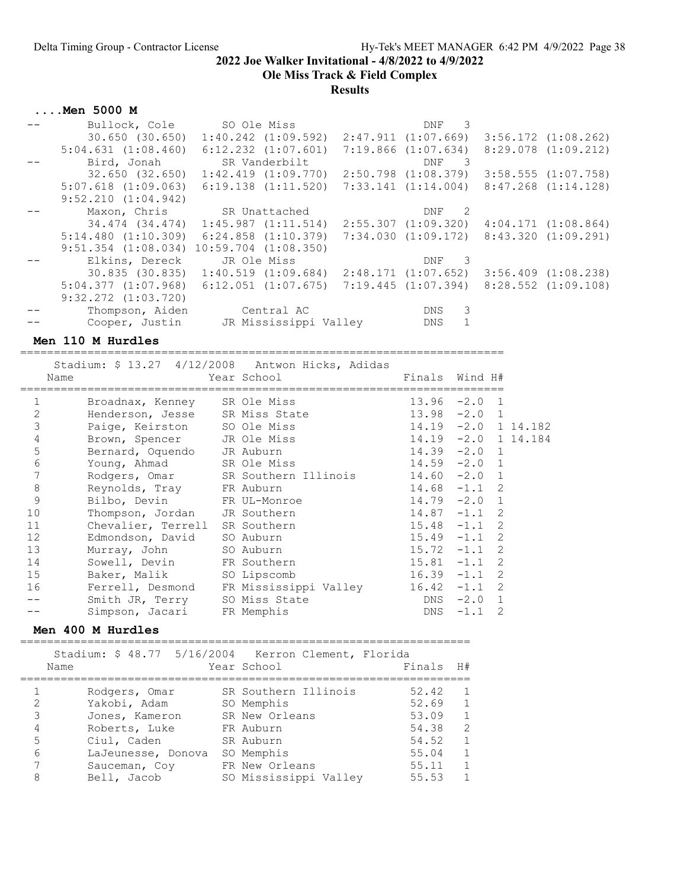Ole Miss Track & Field Complex

Results

### ....Men 5000 M

| Bullock, Cole              | SO Ole Miss                                                             | DNF<br>-3                                       |                         |
|----------------------------|-------------------------------------------------------------------------|-------------------------------------------------|-------------------------|
|                            | $30.650$ $(30.650)$ $1:40.242$ $(1:09.592)$                             | 2:47.911 (1:07.669)                             | $3:56.172$ $(1:08.262)$ |
| $5:04.631$ $(1:08.460)$    | $6:12.232$ $(1:07.601)$                                                 | $7:19.866$ $(1:07.634)$                         | $8:29.078$ $(1:09.212)$ |
| Bird, Jonah                | SR Vanderbilt                                                           | DNF <sub>3</sub>                                |                         |
|                            | $32.650$ $(32.650)$ $1:42.419$ $(1:09.770)$                             | 2:50.798 (1:08.379)                             | $3:58.555$ $(1:07.758)$ |
| $5:07.618$ $(1:09.063)$    | $6:19.138$ $(1:11.520)$                                                 | $7:33.141$ $(1:14.004)$                         | $8:47.268$ $(1:14.128)$ |
| $9:52.210$ $(1:04.942)$    |                                                                         |                                                 |                         |
|                            | Maxon, Chris SR Unattached                                              | DNF 2                                           |                         |
|                            | 34.474 (34.474) 1:45.987 (1:11.514)                                     | $2:55.307$ $(1:09.320)$ $4:04.171$ $(1:08.864)$ |                         |
|                            | $5:14.480$ $(1:10.309)$ $6:24.858$ $(1:10.379)$                         | 7:34.030 (1:09.172)                             | 8:43.320 (1:09.291)     |
| $9:51.354$ $(1:08.034)$    | $10:59.704$ $(1:08.350)$                                                |                                                 |                         |
| Elkins, Dereck JR Ole Miss |                                                                         | DNF<br>-3                                       |                         |
|                            | $30.835$ (30.835) 1:40.519 (1:09.684)                                   | 2:48.171 (1:07.652)                             | $3:56.409$ $(1:08.238)$ |
|                            | $5:04.377$ $(1:07.968)$ $6:12.051$ $(1:07.675)$ $7:19.445$ $(1:07.394)$ |                                                 | 8:28.552 (1:09.108)     |
| $9:32.272$ $(1:03.720)$    |                                                                         |                                                 |                         |
|                            | Thompson, Aiden Central AC                                              | 3<br><b>DNS</b>                                 |                         |
|                            | Cooper, Justin      JR Mississippi Vallev                               | $\mathbf{1}$<br>DNS                             |                         |

### Men 110 M Hurdles

|              | Stadium: \$ 13.27 4/12/2008 Antwon Hicks, Adidas |                                                     |               |                       |  |
|--------------|--------------------------------------------------|-----------------------------------------------------|---------------|-----------------------|--|
|              | Name                                             | Year School                                         |               | Finals Wind H#        |  |
| $\mathbf{1}$ | Broadnax, Kenney SR Ole Miss                     |                                                     |               | $13.96 -2.0 1$        |  |
| $\mathbf{2}$ | Henderson, Jesse SR Miss State                   |                                                     |               | $13.98 - 2.0$ 1       |  |
| 3            | Paige, Keirston SO Ole Miss                      |                                                     |               | $14.19 -2.0 1 14.182$ |  |
| 4            | Brown, Spencer JR Ole Miss                       |                                                     |               | $14.19 - 2.0 114.184$ |  |
| 5            | Bernard, Oquendo JR Auburn                       |                                                     |               | $14.39 - 2.0$ 1       |  |
| 6            | Young, Ahmad SR Ole Miss                         |                                                     |               | $14.59 - 2.0 1$       |  |
| 7            |                                                  | Rodgers, Omar SR Southern Illinois 14.60 -2.0 1     |               |                       |  |
| $\,8\,$      | Reynolds, Tray FR Auburn                         |                                                     |               | $14.68 - 1.1 2$       |  |
| 9            | Bilbo, Devin FR UL-Monroe                        |                                                     |               | $14.79 - 2.0$ 1       |  |
| 10           | Thompson, Jordan JR Southern                     |                                                     |               | $14.87 - 1.1$ 2       |  |
| 11           | Chevalier, Terrell                               | SR Southern                                         |               | $15.48 - 1.1$ 2       |  |
| 12           | Edmondson, David SO Auburn                       |                                                     |               | $15.49 - 1.1$ 2       |  |
| 13           | Murray, John SO Auburn                           |                                                     |               | $15.72 -1.1$ 2        |  |
| 14           | Sowell, Devin                                    | FR Southern                                         | $15.81 - 1.1$ | $\mathcal{L}$         |  |
| 15           | Baker, Malik                                     | SO Lipscomb                                         |               | $16.39 - 1.1$ 2       |  |
| 16           |                                                  | Ferrell, Desmond FR Mississippi Valley 16.42 -1.1 2 |               |                       |  |
|              | Smith JR, Terry                                  | SO Miss State                                       |               | $DNS -2.0 1$          |  |
|              | Simpson, Jacari                                  | FR Memphis                                          | DNS           | 2<br>$-1.1$           |  |

#### Men 400 M Hurdles

=================================================================== Stadium: \$ 48.77 5/16/2004 Kerron Clement, Florida

|   | Name |                    | pradidm, y to, n yarda karibu ciement, riorida<br>Year School | Finals | H#             |
|---|------|--------------------|---------------------------------------------------------------|--------|----------------|
|   |      | Rodgers, Omar      | SR Southern Illinois                                          | 52.42  | $\overline{1}$ |
| 2 |      | Yakobi, Adam       | SO Memphis                                                    | 52.69  | 1              |
| 3 |      | Jones, Kameron     | SR New Orleans                                                | 53.09  | $\overline{1}$ |
| 4 |      | Roberts, Luke      | FR Auburn                                                     | 54.38  | 2              |
| 5 |      | Ciul, Caden        | SR Auburn                                                     | 54.52  | 1              |
| 6 |      | LaJeunesse, Donova | SO Memphis                                                    | 55.04  | 1              |
| 7 |      | Sauceman, Coy      | FR New Orleans                                                | 55.11  | 1              |
| 8 |      | Bell, Jacob        | SO Mississippi Valley                                         | 55.53  | $\overline{1}$ |
|   |      |                    |                                                               |        |                |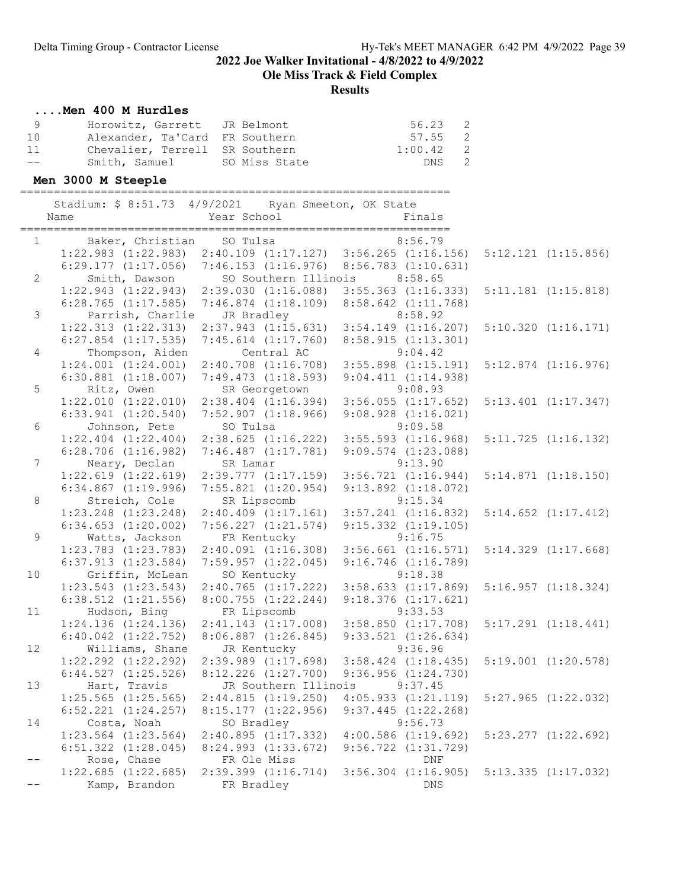Ole Miss Track & Field Complex

## Results

# ....Men 400 M Hurdles

| - 9   | Horowitz, Garrett JR Belmont   | 56.23 2     |  |
|-------|--------------------------------|-------------|--|
| 10    | Alexander, Ta'Card FR Southern | 57.55 2     |  |
| 11    | Chevalier, Terrell SR Southern | $1:00.42$ 2 |  |
| $- -$ | Smith, Samuel SO Miss State    | DNS 2       |  |

# Men 3000 M Steeple

|                 | Stadium: \$ 8:51.73 4/9/2021 Ryan Smeeton, OK State<br>Name           | Year School                                                                                                      | Finals                                                                                                               |                         |
|-----------------|-----------------------------------------------------------------------|------------------------------------------------------------------------------------------------------------------|----------------------------------------------------------------------------------------------------------------------|-------------------------|
|                 | Baker, Christian SO Tulsa<br>$1 \qquad \qquad$                        |                                                                                                                  | 8:56.79                                                                                                              | $5:12.121$ $(1:15.856)$ |
| $\overline{2}$  |                                                                       | $6:29.177$ (1:17.056) 7:46.153 (1:16.976) 8:56.783 (1:10.631)<br>Smith, Dawson SO Southern Illinois              | 8:58.65                                                                                                              |                         |
|                 |                                                                       | $1:22.943$ $(1:22.943)$ $2:39.030$ $(1:16.088)$<br>$6:28.765$ (1:17.585) 7:46.874 (1:18.109) 8:58.642 (1:11.768) | $3:55.363$ $(1:16.333)$                                                                                              | $5:11.181$ $(1:15.818)$ |
| 3               | Parrish, Charlie JR Bradley                                           |                                                                                                                  | 8:58.92<br>$1:22.313$ $(1:22.313)$ $2:37.943$ $(1:15.631)$ $3:54.149$ $(1:16.207)$                                   | 5:10.320(1:16.171)      |
| $\overline{4}$  | $6:27.854$ $(1:17.535)$                                               | $7:45.614$ $(1:17.760)$<br>Thompson, Aiden Central AC                                                            | 8:58.915 (1:13.301)<br>9:04.42                                                                                       |                         |
| 5               | Ritz, Owen                                                            | $6:30.881$ (1:18.007) 7:49.473 (1:18.593) 9:04.411 (1:14.938)<br>SR Georgetown                                   | $1:24.001$ $(1:24.001)$ $2:40.708$ $(1:16.708)$ $3:55.898$ $(1:15.191)$<br>9:08.93                                   | $5:12.874$ $(1:16.976)$ |
|                 | 6:33.941(1:20.540)                                                    |                                                                                                                  | $1:22.010$ $(1:22.010)$ $2:38.404$ $(1:16.394)$ $3:56.055$ $(1:17.652)$<br>$7:52.907$ (1:18.966) 9:08.928 (1:16.021) | $5:13.401$ $(1:17.347)$ |
| 6               | Johnson, Pete<br>$1:22.404$ $(1:22.404)$                              | SO Tulsa<br>$2:38.625$ $(1:16.222)$                                                                              | 9:09.58<br>$3:55.593$ $(1:16.968)$                                                                                   | $5:11.725$ $(1:16.132)$ |
| $7\overline{ }$ | $6:28.706$ $(1:16.982)$<br>Neary, Declan                              | $7:46.487$ $(1:17.781)$<br>SR Lamar                                                                              | $9:09.574$ $(1:23.088)$<br>9:13.90                                                                                   |                         |
|                 | $6:34.867$ $(1:19.996)$                                               | $1:22.619$ $(1:22.619)$ $2:39.777$ $(1:17.159)$<br>$7:55.821$ $(1:20.954)$                                       | 3:56.721(1:16.944)<br>$9:13.892$ $(1:18.072)$                                                                        | 5:14.871(1:18.150)      |
| 8               | Streich, Cole SR Lipscomb                                             | $1:23.248$ $(1:23.248)$ $2:40.409$ $(1:17.161)$                                                                  | 9:15.34<br>$3:57.241$ $(1:16.832)$                                                                                   | $5:14.652$ $(1:17.412)$ |
| $\overline{9}$  | $6:34.653$ $(1:20.002)$<br>Watts, Jackson FR Kentucky                 | $7:56.227$ $(1:21.574)$ $9:15.332$ $(1:19.105)$                                                                  | 9:16.75                                                                                                              |                         |
|                 | $1:23.783$ $(1:23.783)$<br>$6:37.913$ $(1:23.584)$                    |                                                                                                                  | $2:40.091$ $(1:16.308)$ $3:56.661$ $(1:16.571)$<br>7:59.957 (1:22.045) 9:16.746 (1:16.789)                           | 5:14.329(1:17.668)      |
| 10              | Griffin, McLean<br>$1:23.543$ $(1:23.543)$<br>$6:38.512$ $(1:21.556)$ | SO Kentucky<br>2:40.765(1:17.222)                                                                                | 9:18.38<br>$3:58.633$ $(1:17.869)$<br>$8:00.755$ $(1:22.244)$ $9:18.376$ $(1:17.621)$                                | 5:16.957(1:18.324)      |
| 11              | Hudson, Bing                                                          | FR Lipscomb                                                                                                      | 9:33.53<br>$1:24.136$ (1:24.136) 2:41.143 (1:17.008) 3:58.850 (1:17.708)                                             | $5:17.291$ $(1:18.441)$ |
| 12              | $6:40.042$ $(1:22.752)$<br>Williams, Shane                            | JR Kentucky                                                                                                      | 8:06.887 (1:26.845) 9:33.521 (1:26.634)<br>9:36.96                                                                   |                         |
|                 |                                                                       | $6:44.527$ (1:25.526) $8:12.226$ (1:27.700) $9:36.956$ (1:24.730)                                                | $1:22.292$ $(1:22.292)$ $2:39.989$ $(1:17.698)$ $3:58.424$ $(1:18.435)$                                              | $5:19.001$ $(1:20.578)$ |
| 13              | Hart, Travis<br>$1:25.565$ $(1:25.565)$                               | JR Southern Illinois 9:37.45<br>2:44.815(1:19.250)                                                               | 4:05.933(1:21.119)                                                                                                   | $5:27.965$ $(1:22.032)$ |
| 14              | $6:52.221$ $(1:24.257)$<br>Costa, Noah                                | 8:15.177(1:22.956)<br>SO Bradley                                                                                 | $9:37.445$ $(1:22.268)$<br>9:56.73                                                                                   |                         |
|                 | $1:23.564$ $(1:23.564)$<br>$6:51.322$ $(1:28.045)$                    | 2:40.895(1:17.332)<br>8:24.993 (1:33.672)                                                                        | $4:00.586$ $(1:19.692)$<br>$9:56.722$ $(1:31.729)$                                                                   | $5:23.277$ $(1:22.692)$ |
|                 | Rose, Chase<br>$1:22.685$ $(1:22.685)$                                | FR Ole Miss<br>$2:39.399$ $(1:16.714)$                                                                           | DNF<br>$3:56.304$ $(1:16.905)$                                                                                       | $5:13.335$ $(1:17.032)$ |
| $-\,-$          | Kamp, Brandon                                                         | FR Bradley                                                                                                       | DNS                                                                                                                  |                         |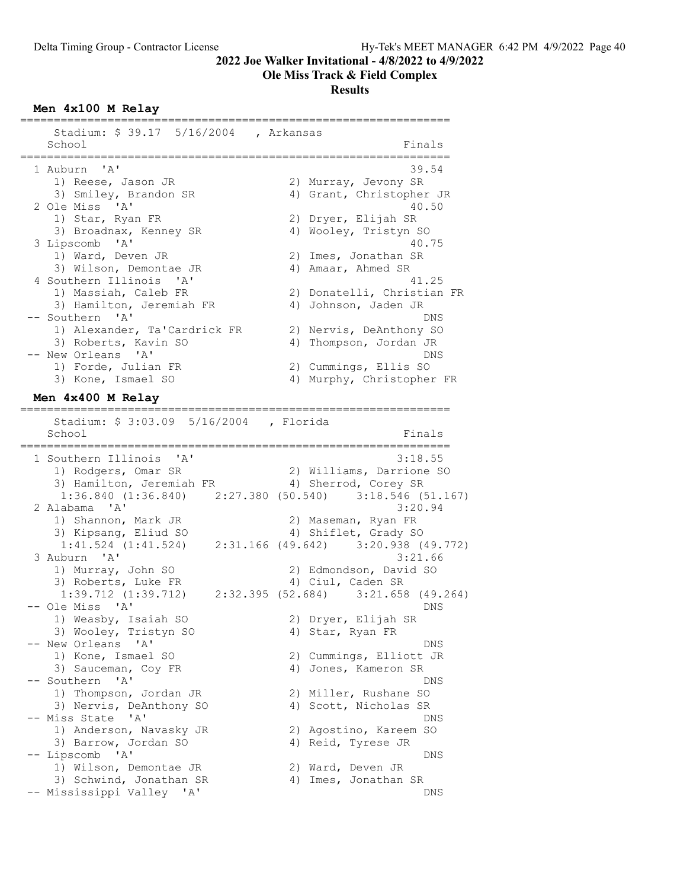#### Ole Miss Track & Field Complex

#### **Results**

#### Men 4x100 M Relay

| Stadium: \$ 39.17 5/16/2004 , Arkansas |                            |
|----------------------------------------|----------------------------|
| School                                 | Finals                     |
| 1 Auburn 'A'                           | 39.54                      |
| 1) Reese, Jason JR                     | 2) Murray, Jevony SR       |
| 3) Smiley, Brandon SR                  | 4) Grant, Christopher JR   |
| 2 Ole Miss 'A'                         | 40.50                      |
| 1) Star, Ryan FR                       | 2) Dryer, Elijah SR        |
| 3) Broadnax, Kenney SR                 | 4) Wooley, Tristyn SO      |
| 3 Lipscomb 'A'                         | 40.75                      |
| 1) Ward, Deven JR                      | 2) Imes, Jonathan SR       |
| 3) Wilson, Demontae JR                 | 4) Amaar, Ahmed SR         |
| 4 Southern Illinois 'A'                | 41.25                      |
| 1) Massiah, Caleb FR                   | 2) Donatelli, Christian FR |
| 3) Hamilton, Jeremiah FR               | 4) Johnson, Jaden JR       |
| -- Southern 'A'                        | DNS                        |
| 1) Alexander, Ta'Cardrick FR           | 2) Nervis, DeAnthony SO    |
| 3) Roberts, Kavin SO                   | Thompson, Jordan JR<br>4)  |
| -- New Orleans 'A'                     | DNS                        |
| 1) Forde, Julian FR                    | 2) Cummings, Ellis SO      |
| 3) Kone, Ismael SO                     | 4) Murphy, Christopher FR  |

#### Men 4x400 M Relay ================================================================

 Stadium: \$ 3:03.09 5/16/2004 , Florida School Finals ================================================================ 1 Southern Illinois 'A' 3:18.55 1) Rodgers, Omar SR 2) Williams, Darrione SO 3) Hamilton, Jeremiah FR 4) Sherrod, Corey SR 1:36.840 (1:36.840) 2:27.380 (50.540) 3:18.546 (51.167)<br>2 Alabama 'A' 3:20.94 2 Alabama 'A' 3:20.94 1) Shannon, Mark JR 2) Maseman, Ryan FR 3) Kipsang, Eliud SO 4) Shiflet, Grady SO 1:41.524 (1:41.524) 2:31.166 (49.642) 3:20.938 (49.772) 3 Auburn 'A' 3:21.66 1) Murray, John SO 2) Edmondson, David SO 3) Roberts, Luke FR 4) Ciul, Caden SR 1:39.712 (1:39.712) 2:32.395 (52.684) 3:21.658 (49.264) -- Ole Miss 'A' DNS 1) Weasby, Isaiah SO 2) Dryer, Elijah SR 3) Wooley, Tristyn SO 4) Star, Ryan FR -- New Orleans 'A' DNS 1) Kone, Ismael SO 2) Cummings, Elliott JR 3) Sauceman, Coy FR 4) Jones, Kameron SR -- Southern 'A' DNS 1) Thompson, Jordan JR 2) Miller, Rushane SO 3) Nervis, DeAnthony SO 4) Scott, Nicholas SR -- Miss State 'A' DNS 1) Anderson, Navasky JR 2) Agostino, Kareem SO 3) Barrow, Jordan SO 4) Reid, Tyrese JR -- Lipscomb 'A' DNS 1) Wilson, Demontae JR 2) Ward, Deven JR 3) Schwind, Jonathan SR 4) Imes, Jonathan SR -- Mississippi Valley 'A' DNS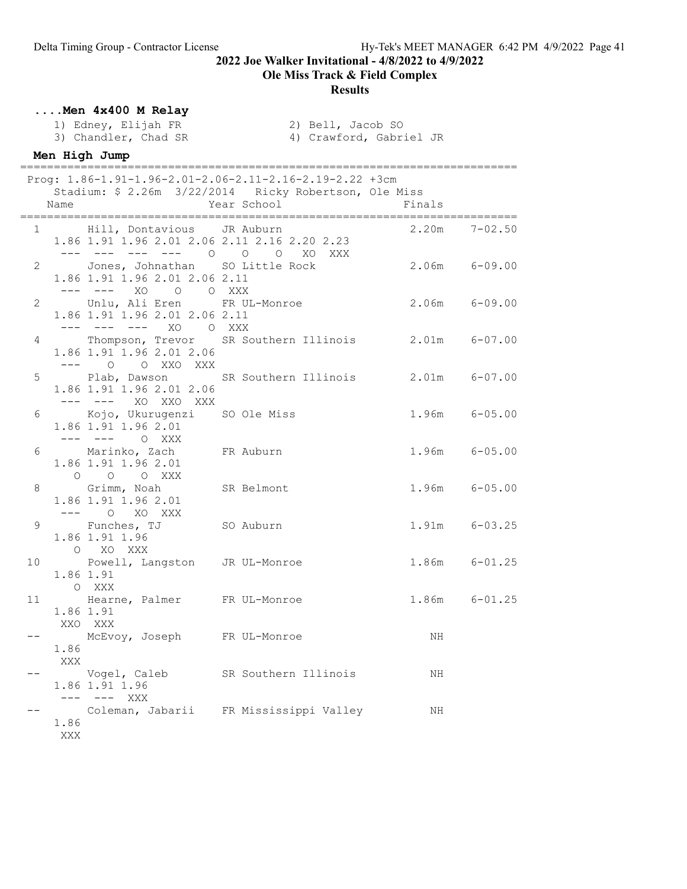## Ole Miss Track & Field Complex

#### Results

## ....Men 4x400 M Relay

1) Edney, Elijah FR 2) Bell, Jacob SO<br>3) Chandler, Chad SR 3) Crawford, Gabr:

- 
- 4) Crawford, Gabriel JR

# Men High Jump

|    | Name               |                                                                     | Prog: 1.86-1.91-1.96-2.01-2.06-2.11-2.16-2.19-2.22 +3cm<br>Stadium: \$ 2.26m 3/22/2014 Ricky Robertson, Ole Miss<br>Year School | Finals            |                   |
|----|--------------------|---------------------------------------------------------------------|---------------------------------------------------------------------------------------------------------------------------------|-------------------|-------------------|
|    |                    | 1 Hill, Dontavious JR Auburn                                        | 1.86 1.91 1.96 2.01 2.06 2.11 2.16 2.20 2.23<br>$       0$ 0 0 $0$ XO XXX                                                       | $2.20m$ $7-02.50$ |                   |
|    |                    | 1.86 1.91 1.96 2.01 2.06 2.11<br>--- --- XO O O XXX                 | 2 Jones, Johnathan SO Little Rock                                                                                               | $2.06m$ $6-09.00$ |                   |
|    |                    | 1.86 1.91 1.96 2.01 2.06 2.11<br>--- --- --- XO O XXX               | 2 Unlu, Ali Eren FR UL-Monroe                                                                                                   |                   | $2.06m$ $6-09.00$ |
|    |                    | 1.86 1.91 1.96 2.01 2.06<br>--- 0 0 XXO XXX                         | 4 Thompson, Trevor SR Southern Illinois 2.01m 6-07.00                                                                           |                   |                   |
|    |                    | 1.86 1.91 1.96 2.01 2.06<br>--- --- XO XXO XXX                      | 5 Plab, Dawson SR Southern Illinois 2.01m 6-07.00                                                                               |                   |                   |
| 6  |                    | 1.86 1.91 1.96 2.01<br>--- --- O XXX                                | Kojo, Ukurugenzi SO Ole Miss                                                                                                    |                   | $1.96m$ $6-05.00$ |
| 6  |                    | Marinko, Zach FR Auburn<br>1.86 1.91 1.96 2.01<br>$O$ $O$ $O$ $XXX$ |                                                                                                                                 |                   | $1.96m$ $6-05.00$ |
|    |                    | 8 Grimm, Noah SR Belmont<br>1.86 1.91 1.96 2.01<br>$---$ 0 XO XXX   |                                                                                                                                 |                   | $1.96m$ $6-05.00$ |
| 9  |                    | Funches, TJ SO Auburn<br>1.86 1.91 1.96<br>O XO XXX                 |                                                                                                                                 |                   | $1.91m$ $6-03.25$ |
| 10 |                    | Powell, Langston JR UL-Monroe<br>1.86 1.91<br>O XXX                 |                                                                                                                                 |                   | $1.86m$ $6-01.25$ |
| 11 |                    | Hearne, Palmer FR UL-Monroe<br>1.86 1.91<br>XXO XXX                 |                                                                                                                                 |                   | $1.86m$ $6-01.25$ |
|    | 1.86<br>XXX        | McEvoy, Joseph FR UL-Monroe                                         |                                                                                                                                 | NH                |                   |
|    |                    | 1.86 1.91 1.96<br>--- --- XXX                                       | Vogel, Caleb SR Southern Illinois MH                                                                                            |                   |                   |
|    | 1.86<br><b>XXX</b> |                                                                     | -- Coleman, Jabarii FR Mississippi Valley NH                                                                                    |                   |                   |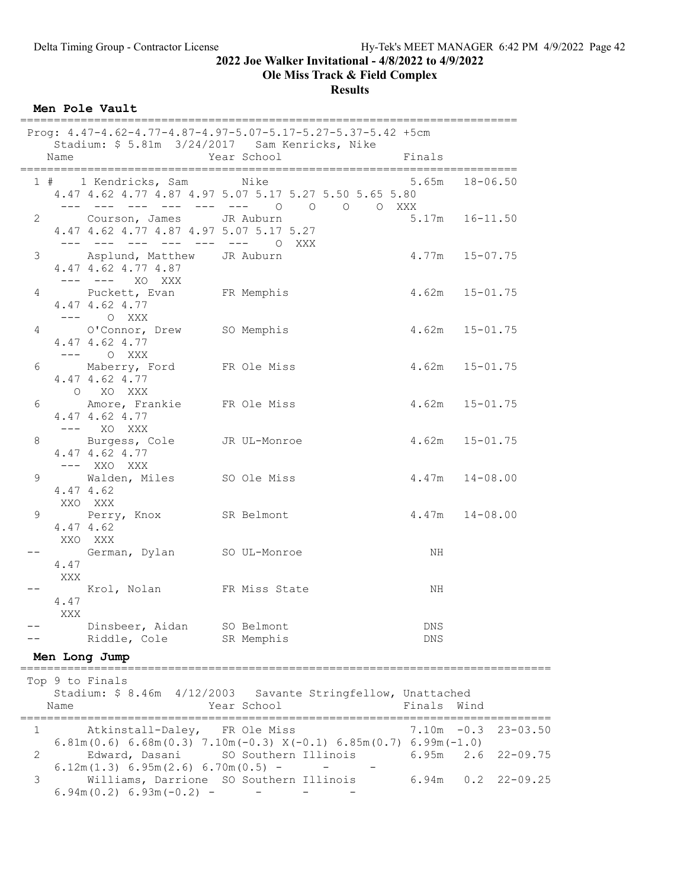Ole Miss Track & Field Complex

**Results** 

Men Pole Vault

|                      |                                                                                                      | Prog: 4.47-4.62-4.77-4.87-4.97-5.07-5.17-5.27-5.37-5.42 +5cm<br>Stadium: \$ 5.81m 3/24/2017 Sam Kenricks, Nike |                    |                    |
|----------------------|------------------------------------------------------------------------------------------------------|----------------------------------------------------------------------------------------------------------------|--------------------|--------------------|
| Name                 |                                                                                                      | Year School                                                                                                    | Finals             |                    |
|                      | 1 # 1 Kendricks, Sam Nike                                                                            | 4.47 4.62 4.77 4.87 4.97 5.07 5.17 5.27 5.50 5.65 5.80<br>--- --- --- --- --- --- 0 0 0 0 XXX                  |                    | $5.65m$ $18-06.50$ |
| $\mathbf{2}$         | Courson, James JR Auburn<br>4.47 4.62 4.77 4.87 4.97 5.07 5.17 5.27<br>--- --- --- --- --- --- 0 XXX |                                                                                                                |                    | $5.17m$ $16-11.50$ |
| 3                    | Asplund, Matthew JR Auburn<br>4.47 4.62 4.77 4.87<br>--- --- XO XXX                                  |                                                                                                                |                    | $4.77m$ $15-07.75$ |
| 4                    | Puckett, Evan FR Memphis<br>4.47 4.62 4.77<br>$--- \qquad \qquad \circ \quad \text{XXX}$             |                                                                                                                |                    | $4.62m$ $15-01.75$ |
| 4                    | O'Connor, Drew SO Memphis<br>4.47 4.62 4.77<br>$--- 0$ XXX                                           |                                                                                                                |                    | $4.62m$ $15-01.75$ |
| 6                    | Maberry, Ford FR Ole Miss<br>4.47 4.62 4.77<br>O XO XXX                                              |                                                                                                                |                    | $4.62m$ $15-01.75$ |
| 6                    | Amore, Frankie FR Ole Miss<br>4.47 4.62 4.77<br>$---$ XO XXX                                         |                                                                                                                | $4.62m$ $15-01.75$ |                    |
| 8                    | Burgess, Cole JR UL-Monroe<br>4.47 4.62 4.77<br>$---$ XXO XXX                                        |                                                                                                                |                    | $4.62m$ $15-01.75$ |
| 4.47 4.62<br>XXO XXX | 9 Walden, Miles SO Ole Miss                                                                          |                                                                                                                | $4.47m$ $14-08.00$ |                    |
| 4.47 4.62<br>XXO XXX | 9 Perry, Knox SR Belmont                                                                             |                                                                                                                | $4.47m$ $14-08.00$ |                    |
| 4.47<br>XXX          | German, Dylan SO UL-Monroe                                                                           |                                                                                                                | ΝH                 |                    |
| 4.47<br>XXX          | Krol, Nolan FR Miss State                                                                            |                                                                                                                | NH                 |                    |
|                      | -- Dinsbeer, Aidan SO Belmont<br>Riddle, Cole SR Memphis                                             |                                                                                                                | DNS<br>DNS         |                    |
| Men Long Jump        |                                                                                                      |                                                                                                                |                    |                    |

 Top 9 to Finals Stadium: \$ 8.46m 4/12/2003 Savante Stringfellow, Unattached Name **Year School** Finals Wind =============================================================================== 1 Atkinstall-Daley, FR Ole Miss 7.10m -0.3 23-03.50 6.81m(0.6) 6.68m(0.3) 7.10m(-0.3)  $X(-0.1)$  6.85m(0.7) 6.99m(-1.0) 2 Edward, Dasani SO Southern Illinois 6.95m 2.6 22-09.75  $6.12m(1.3) 6.95m(2.6) 6.70m(0.5) - -$ <br>3 Williams, Darrione SO Southern Illin 3 Williams, Darrione SO Southern Illinois 6.94m 0.2 22-09.25  $6.94m(0.2) 6.93m(-0.2)$  - - -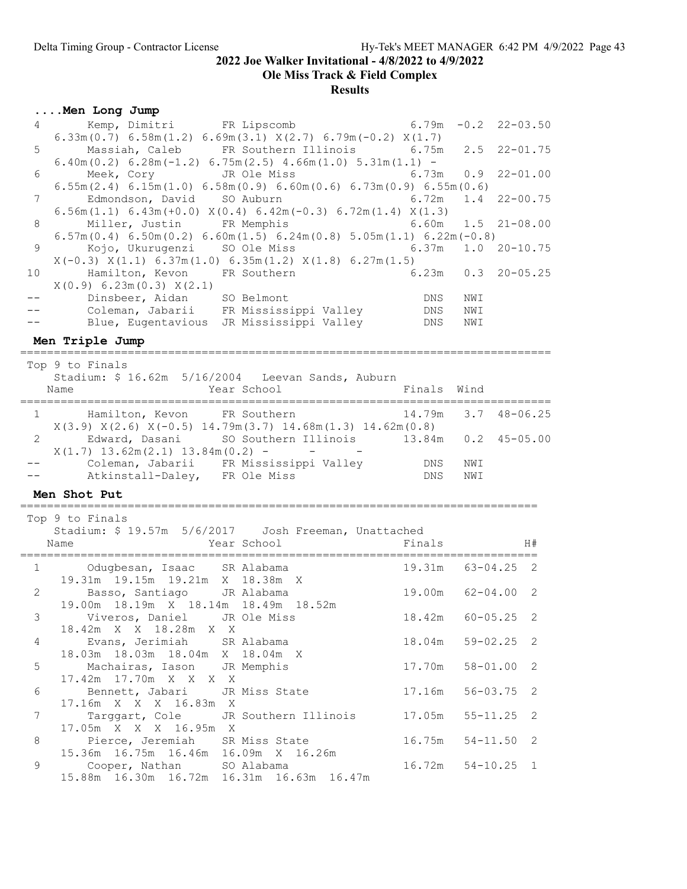17.16m X X X 16.83m X<br>7 Targgart, Cole JR S

15.36m 16.75m 16.46m 16.09m X 16.26m

15.88m 16.30m 16.72m 16.31m 16.63m 16.47m

17.05m X X X 16.95m X

2022 Joe Walker Invitational - 4/8/2022 to 4/9/2022

Ole Miss Track & Field Complex

#### Results

### ....Men Long Jump

| $4 -$           | Kemp, Dimitri FR Lipscomb<br>$6.33m(0.7)$ $6.58m(1.2)$ $6.69m(3.1)$ $X(2.7)$ $6.79m(-0.2)$ $X(1.7)$          | 6.79m               |              | $-0.2$ 22-03.50          |
|-----------------|--------------------------------------------------------------------------------------------------------------|---------------------|--------------|--------------------------|
| 5               | Massiah, Caleb FR Southern Illinois 6.75m 2.5<br>$6.40m(0.2) 6.28m(-1.2) 6.75m(2.5) 4.66m(1.0) 5.31m(1.1) -$ |                     |              | $22 - 01.75$             |
| 6               | Meek, Cory JR Ole Miss<br>$6.55m(2.4)$ $6.15m(1.0)$ $6.58m(0.9)$ $6.60m(0.6)$ $6.73m(0.9)$ $6.55m(0.6)$      | 6.73m               | 0.9          | $22 - 01.00$             |
| 7               | Edmondson, David SO Auburn<br>$6.56m(1.1) 6.43m(+0.0) X(0.4) 6.42m(-0.3) 6.72m(1.4) X(1.3)$                  | 6.72m               | 1.4          | $22 - 00.75$             |
| 8               | Miller, Justin FR Memphis                                                                                    | 6.60m               | 1.5          | $21 - 08.00$             |
|                 | $6.57m(0.4) 6.50m(0.2) 6.60m(1.5) 6.24m(0.8) 5.05m(1.1) 6.22m(-0.8)$                                         |                     |              |                          |
| 9               | Kojo, Ukurugenzi SO Ole Miss                                                                                 | 6.37m               | 1.0          | $20 - 10.75$             |
| 10 <sup>°</sup> | $X(-0.3)$ $X(1.1)$ 6.37m(1.0) 6.35m(1.2) $X(1.8)$ 6.27m(1.5)<br>Hamilton, Kevon FR Southern                  |                     |              | $6.23m$ $0.3$ $20-05.25$ |
|                 | $X(0.9)$ 6.23m(0.3) $X(2.1)$                                                                                 |                     |              |                          |
| $- -$           |                                                                                                              | DNS                 | NWI          |                          |
|                 | Dinsbeer, Aidan SO Belmont<br>Coleman, Jabarii FR Mississippi Valley                                         | DNS                 | NWI          |                          |
|                 | Blue, Eugentavious JR Mississippi Valley                                                                     | DNS                 | NWI          |                          |
|                 | Men Triple Jump                                                                                              |                     |              |                          |
|                 | Top 9 to Finals                                                                                              |                     |              |                          |
|                 | Stadium: \$ 16.62m 5/16/2004 Leevan Sands, Auburn                                                            |                     |              |                          |
|                 | Year School<br>Name                                                                                          | Finals              | Wind         |                          |
|                 | ==================================<br>======================                                                 |                     |              |                          |
|                 |                                                                                                              |                     |              |                          |
|                 | Hamilton, Kevon FR Southern<br>$1 -$                                                                         | 14.79m              |              | $3.7$ 48-06.25           |
| 2               | $X(3.9) X(2.6) X(-0.5) 14.79m(3.7) 14.68m(1.3) 14.62m(0.8)$                                                  |                     |              |                          |
|                 | Edward, Dasani SO Southern Illinois 13.84m 0.2 45-05.00<br>$X(1.7)$ 13.62m(2.1) 13.84m(0.2) - -              |                     |              |                          |
|                 |                                                                                                              | DNS                 | NWI          |                          |
|                 | Coleman, Jabarii FR Mississippi Valley<br>Atkinstall-Daley, FR Ole Miss                                      | DNS                 | NWI          |                          |
|                 | Men Shot Put                                                                                                 |                     |              |                          |
|                 |                                                                                                              |                     |              |                          |
|                 | Top 9 to Finals<br>Stadium: \$ 19.57m 5/6/2017    Josh Freeman, Unattached                                   |                     |              |                          |
|                 | Year School<br>Name                                                                                          | Finals              |              | H#                       |
|                 |                                                                                                              |                     |              |                          |
| $\mathbf{1}$    | Odugbesan, Isaac SR Alabama                                                                                  | 19.31m 63-04.25 2   |              |                          |
| 2               | 19.31m 19.15m 19.21m X 18.38m X                                                                              | 19.00m              |              | 2                        |
|                 | Basso, Santiago<br>JR Alabama<br>19.00m  18.19m  X  18.14m  18.49m  18.52m                                   |                     | $62 - 04.00$ |                          |
| $\mathfrak{Z}$  | Viveros, Daniel JR Ole Miss                                                                                  | 18.42m              | $60 - 05.25$ | 2                        |
|                 | 18.42m X X 18.28m X X                                                                                        |                     |              |                          |
| 4               | Evans, Jerimiah<br>SR Alabama                                                                                | 18.04m              | $59 - 02.25$ | 2                        |
| 5               | 18.03m  18.03m  18.04m  X  18.04m  X<br>Machairas, Iason JR Memphis                                          | $17.70m$ $58-01.00$ |              | 2                        |

6 Bennett, Jabari JR Miss State 17.16m 56-03.75 2

8 Pierce, Jeremiah SR Miss State 16.75m 54-11.50 2

9 Cooper, Nathan SO Alabama 16.72m 54-10.25 1

Targgart, Cole JR Southern Illinois 17.05m 55-11.25 2<br>17.05m X X X 16.95m X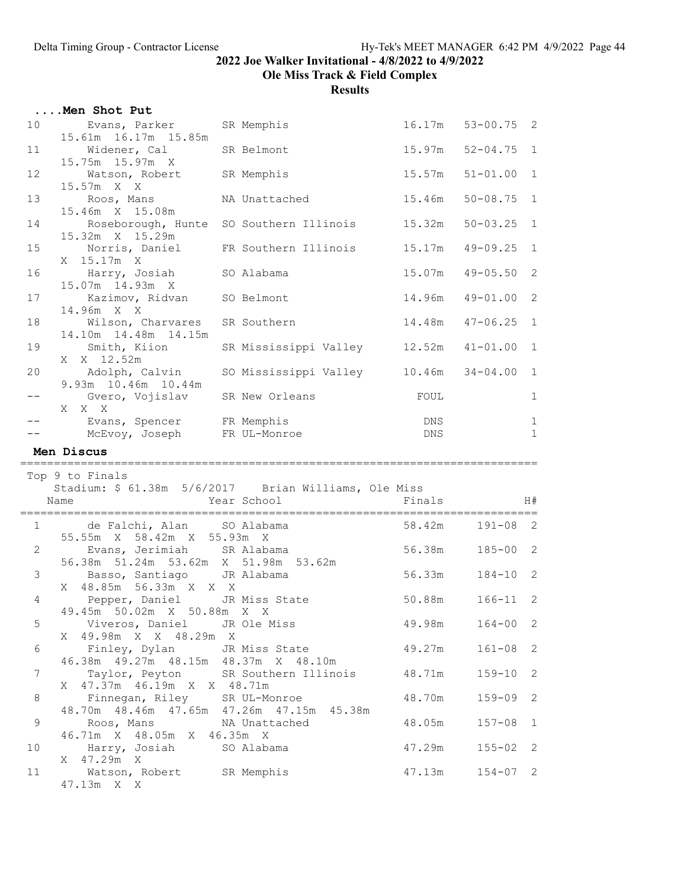Ole Miss Track & Field Complex

|                | Men Shot Put                                                                                         |                              |            |                   |              |
|----------------|------------------------------------------------------------------------------------------------------|------------------------------|------------|-------------------|--------------|
| 10             | Evans, Parker SR Memphis<br>15.61m  16.17m  15.85m                                                   |                              |            | 16.17m 53-00.75 2 |              |
| 11             | Widener, Cal                                                                                         | SR Belmont                   | 15.97m     | $52 - 04.75$ 1    |              |
| 12             | 15.75m 15.97m X<br>Watson, Robert                                                                    | SR Memphis                   | 15.57m     | $51 - 01.00$      | $\mathbf{1}$ |
| 13             | 15.57m X X<br>Roos, Mans                                                                             | NA Unattached                | 15.46m     | $50 - 08.75$      | $\mathbf{1}$ |
| 14             | 15.46m X 15.08m<br>Roseborough, Hunte SO Southern Illinois                                           |                              | 15.32m     | $50 - 03.25$      | $\mathbf{1}$ |
| 15             | 15.32m X 15.29m<br>Norris, Daniel FR Southern Illinois                                               |                              | 15.17m     | $49 - 09.25$      | $\mathbf{1}$ |
| 16             | X 15.17m X<br>Harry, Josiah SO Alabama                                                               |                              | 15.07m     | $49 - 05.50$      | 2            |
|                | 15.07m  14.93m  X                                                                                    |                              |            |                   |              |
| 17             | Kazimov, Ridvan SO Belmont<br>14.96m X X                                                             |                              | 14.96m     | $49 - 01.00$      | 2            |
| 18             | Wilson, Charvares SR Southern<br>14.10m  14.48m  14.15m                                              |                              | 14.48m     | $47 - 06.25$      | $\mathbf{1}$ |
| 19             | Smith, Kiion<br>X X 12.52m                                                                           | SR Mississippi Valley 12.52m |            | $41 - 01.00$      | $\mathbf{1}$ |
| 20             | Adolph, Calvin      SO Mississippi Valley       10.46m<br>9.93m 10.46m 10.44m                        |                              |            | $34 - 04.00$      | $\mathbf{1}$ |
| $ -$           | Gvero, Vojislav SR New Orleans<br>X X X                                                              |                              | FOUL       |                   | $\mathbf{1}$ |
| $- -$          | Evans, Spencer FR Memphis                                                                            |                              | DNS        |                   | 1            |
|                | McEvoy, Joseph FR UL-Monroe<br>Men Discus                                                            |                              | <b>DNS</b> |                   | $\mathbf{1}$ |
|                |                                                                                                      |                              |            |                   |              |
|                | Top 9 to Finals<br>Stadium: \$ 61.38m 5/6/2017   Brian Williams, Ole Miss                            |                              |            |                   |              |
|                | Name                                                                                                 | Year School                  | Finals     |                   | H#           |
|                | de Falchi, Alan SO Alabama<br>$1 \qquad \qquad$<br>55.55m X 58.42m X 55.93m X                        |                              | 58.42m     | $191 - 08$ 2      |              |
| $2^{\circ}$    | Evans, Jerimiah SR Alabama                                                                           |                              | 56.38m     | $185 - 00$ 2      |              |
|                | 56.38m 51.24m 53.62m X 51.98m 53.62m<br>$3 \left( \frac{1}{2} \right)$<br>Basso, Santiago JR Alabama |                              | 56.33m     | $184 - 10$ 2      |              |
| 4              | X 48.85m 56.33m X X X                                                                                |                              |            |                   |              |
|                | Pepper, Daniel JR Miss State                                                                         |                              | 50.88m     | $166 - 11$ 2      |              |
|                | 49.45m 50.02m X 50.88m X X                                                                           |                              |            |                   |              |
| 5              | Viveros, Daniel JR Ole Miss<br>49.98m X X 48.29m X<br>X                                              |                              | 49.98m     | $164 - 00$ 2      |              |
| 6              | Finley, Dylan JR Miss State<br>46.38m  49.27m  48.15m  48.37m  X  48.10m                             |                              | 49.27m     | $161 - 08$        | 2            |
| $\overline{7}$ | Taylor, Peyton SR Southern Illinois<br>X 47.37m 46.19m X X 48.71m                                    |                              | 48.71m     | $159 - 10$        | 2            |
| $\,8\,$        | Finnegan, Riley SR UL-Monroe<br>48.70m  48.46m  47.65m  47.26m  47.15m  45.38m                       |                              | 48.70m     | $159 - 09$        | 2            |
| $\mathsf 9$    | Roos, Mans                                                                                           | NA Unattached                | 48.05m     | $157 - 08$        | 1            |
| 10             | 46.71m X 48.05m X 46.35m X<br>Harry, Josiah                                                          | SO Alabama                   | 47.29m     | $155 - 02$ 2      |              |
| 11             | X 47.29m X<br>Watson, Robert SR Memphis<br>47.13m X X                                                |                              | 47.13m     | $154 - 07$ 2      |              |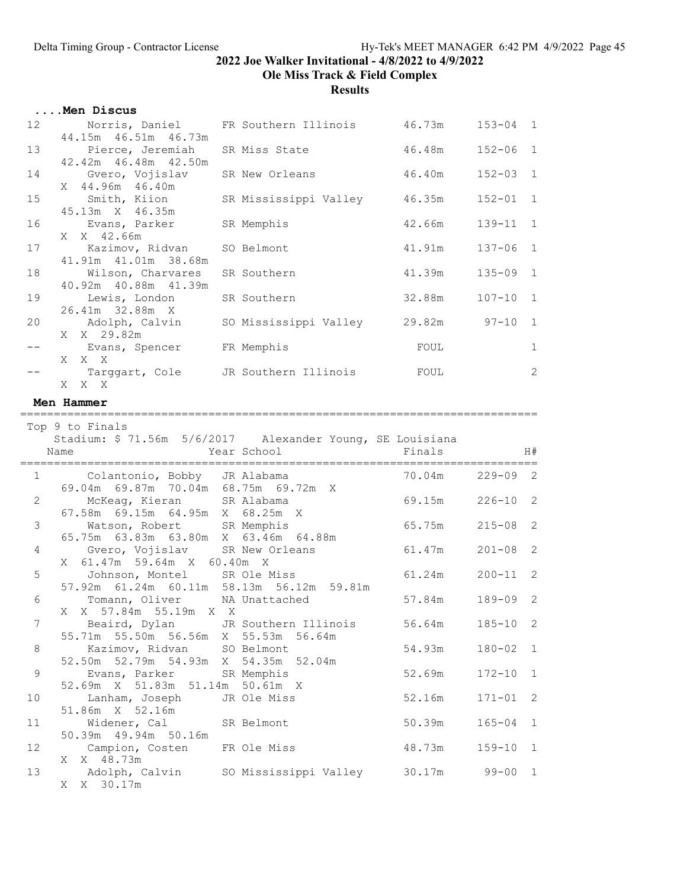Ole Miss Track & Field Complex

|             | Men Discus                                                                   |                                            |                 |              |              |
|-------------|------------------------------------------------------------------------------|--------------------------------------------|-----------------|--------------|--------------|
| 12          | 44.15m  46.51m  46.73m                                                       | Norris, Daniel FR Southern Illinois 46.73m |                 | $153 - 04$ 1 |              |
| 13          | Pierce, Jeremiah<br>42.42m 46.48m 42.50m                                     | SR Miss State                              | 46.48m          | $152 - 06$ 1 |              |
| 14          | Gvero, Vojislav<br>X 44.96m 46.40m                                           | SR New Orleans                             | 46.40m          | $152 - 03$   | $\mathbf{1}$ |
| 15          | Smith, Kiion<br>45.13m X 46.35m                                              | SR Mississippi Valley                      | 46.35m          | $152 - 01$   | $\mathbf{1}$ |
| 16          | Evans, Parker<br>X X 42.66m                                                  | SR Memphis                                 | 42.66m          | 139-11       | <sup>1</sup> |
| 17          | Kazimov, Ridvan<br>41.91m  41.01m  38.68m                                    | SO Belmont                                 | 41 <b>.</b> 91m | $137 - 06$   | $\mathbf{1}$ |
| 18          | Wilson, Charvares<br>40.92m  40.88m  41.39m                                  | SR Southern                                | 41.39m          | $135 - 09$ 1 |              |
| 19          | Lewis, London<br>26.41m 32.88m X                                             | SR Southern                                | 32.88m          | $107 - 10$ 1 |              |
| 20          | Adolph, Calvin<br>X X 29.82m                                                 | SO Mississippi Valley 29.82m 97-10         |                 |              | $\mathbf{1}$ |
| $- -$       | Evans, Spencer FR Memphis<br>X X X                                           |                                            | FOUL            |              | $\mathbf{1}$ |
|             | Targgart, Cole JR Southern Illinois<br>X X X                                 |                                            | FOUL            |              | 2            |
|             | Men Hammer                                                                   |                                            |                 |              |              |
|             | ==================                                                           |                                            |                 |              |              |
|             | Top 9 to Finals<br>Stadium: \$ 71.56m 5/6/2017 Alexander Young, SE Louisiana |                                            |                 |              |              |
|             |                                                                              |                                            |                 |              |              |
|             | Name                                                                         | Year School                                | Finals          |              | H#           |
|             |                                                                              |                                            |                 |              |              |
| 1           | Colantonio, Bobby JR Alabama<br>69.04m 69.87m 70.04m 68.75m 69.72m X         |                                            | 70.04m          | $229 - 09$ 2 |              |
| 2           | McKeag, Kieran<br>67.58m 69.15m 64.95m X 68.25m X                            | SR Alabama                                 | 69.15m          | $226 - 10$ 2 |              |
| 3           | Watson, Robert SR Memphis<br>65.75m  63.83m  63.80m  X  63.46m  64.88m       |                                            | 65.75m          | $215 - 08$ 2 |              |
| 4           | Gvero, Vojislav SR New Orleans                                               |                                            | 61.47m          | $201 - 08$ 2 |              |
| 5           | X 61.47m 59.64m X 60.40m X<br>Johnson, Montel SR Ole Miss                    |                                            | 61.24m          | $200 - 11$ 2 |              |
| 6           | 57.92m 61.24m 60.11m 58.13m 56.12m 59.81m<br>Tomann, Oliver NA Unattached    |                                            | 57.84m          | $189 - 09$ 2 |              |
| 7           | X 57.84m 55.19m X X<br>X<br>Beaird, Dylan                                    | JR Southern Illinois                       | 56.64m          | $185 - 10$   | 2            |
| $\,8\,$     | 55.71m 55.50m 56.56m X 55.53m<br>Kazimov, Ridvan                             | 56.64m<br>SO Belmont                       | 54.93m          | $180 - 02$   | 1            |
| $\mathsf 9$ | 52.79m 54.93m X<br>52.50m<br>Evans, Parker                                   | 54.35m<br>52.04m<br>SR Memphis             | 52.69m          | $172 - 10$   | 1            |
| 10          | 52.69m X 51.83m 51.14m<br>Lanham, Joseph                                     | 50.61m X<br>JR Ole Miss                    | 52.16m          | $171 - 01$   | 2            |
| 11          | 51.86m X 52.16m<br>Widener, Cal                                              | SR Belmont                                 | 50.39m          | $165 - 04$   | 1            |
| 12          | 50.39m  49.94m  50.16m<br>Campion, Costen<br>X 48.73m<br>X.                  | FR Ole Miss                                | 48.73m          | $159 - 10$   | 1            |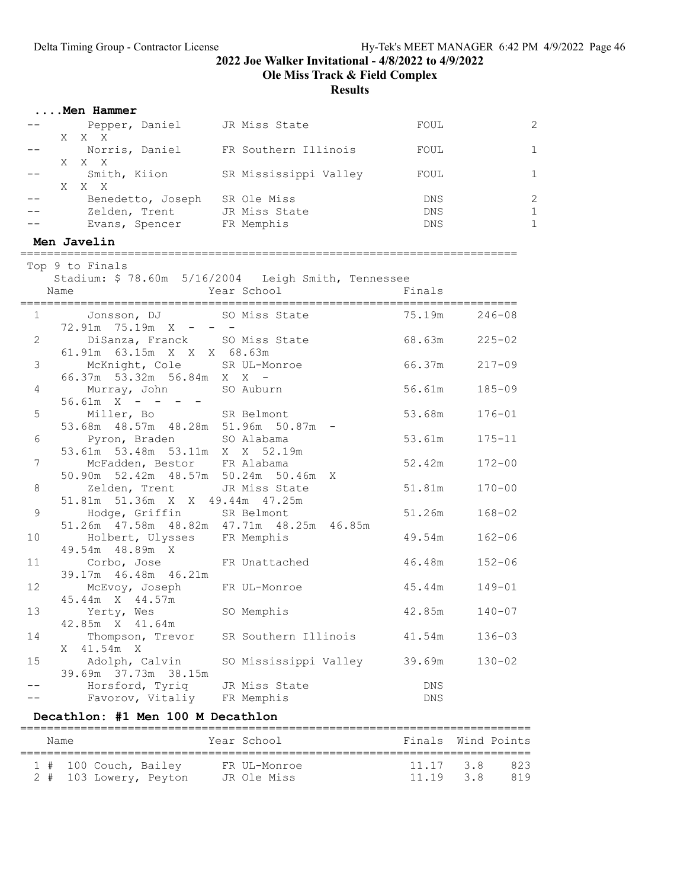Ole Miss Track & Field Complex

Results

| Men Hammer |
|------------|
|------------|

|  | Pepper, Daniel    | JR Miss State         | FOUL       |    |
|--|-------------------|-----------------------|------------|----|
|  | X X X             |                       |            |    |
|  | Norris, Daniel    | FR Southern Illinois  | FOUL       | 1. |
|  | X X X             |                       |            |    |
|  | Smith, Kiion      | SR Mississippi Valley | FOUL       | 1. |
|  | X X X             |                       |            |    |
|  | Benedetto, Joseph | SR Ole Miss           | <b>DNS</b> | 2  |
|  | Zelden, Trent     | JR Miss State         | <b>DNS</b> | 1. |
|  | Evans, Spencer    | FR Memphis            | <b>DNS</b> | 1. |

#### Men Javelin

==========================================================================

|                 | Top 9 to Finals                      |                                                       |               |               |
|-----------------|--------------------------------------|-------------------------------------------------------|---------------|---------------|
|                 |                                      | Stadium: \$78.60m 5/16/2004 Leigh Smith, Tennessee    |               |               |
|                 | Name                                 | Year School                                           | Finals        |               |
|                 |                                      | 1 Jonsson, DJ SO Miss State                           | 75.19m 246-08 |               |
|                 | $72.91m$ $75.19m$ $X - - -$          |                                                       |               |               |
| $\overline{2}$  |                                      | DiSanza, Franck SO Miss State                         | 68.63m 225-02 |               |
|                 | 61.91m  63.15m  X  X  X  68.63m      |                                                       |               |               |
| 3 <sup>7</sup>  | McKnight, Cole SR UL-Monroe          |                                                       |               | 66.37m 217-09 |
|                 | 66.37m 53.32m 56.84m X X -           |                                                       |               |               |
| $4 -$           | Murray, John SO Auburn               |                                                       | 56.61m        | $185 - 09$    |
|                 | $56.61m$ X - - - -                   |                                                       |               |               |
|                 | 5 Miller, Bo SR Belmont              |                                                       | 53.68m        | $176 - 01$    |
|                 | 53.68m 48.57m 48.28m 51.96m 50.87m - |                                                       |               |               |
|                 | 6 Pyron, Braden SO Alabama           |                                                       | 53.61m        | $175 - 11$    |
|                 | 53.61m 53.48m 53.11m X X 52.19m      |                                                       |               |               |
| 7               | McFadden, Bestor FR Alabama          |                                                       | 52.42m        | $172 - 00$    |
|                 | 50.90m 52.42m 48.57m 50.24m 50.46m X |                                                       |               |               |
| 8               | Zelden, Trent JR Miss State          |                                                       | 51.81m        | $170 - 00$    |
|                 | 51.81m 51.36m X X 49.44m 47.25m      |                                                       |               |               |
| 9               | Hodge, Griffin SR Belmont            |                                                       | 51.26m        | $168 - 02$    |
|                 |                                      | 51.26m  47.58m  48.82m  47.71m  48.25m  46.85m        |               |               |
| 10              | Holbert, Ulysses FR Memphis          |                                                       | 49.54m        | $162 - 06$    |
|                 | 49.54m  48.89m  X                    |                                                       |               |               |
| 11              | Corbo, Jose FR Unattached            |                                                       | 46.48m        | $152 - 06$    |
|                 | 39.17m 46.48m 46.21m                 |                                                       |               |               |
| 12 <sup>°</sup> | McEvoy, Joseph FR UL-Monroe          |                                                       | 45.44m        | $149 - 01$    |
|                 | 45.44m X 44.57m                      |                                                       |               |               |
| 13              | Yerty, Wes SO Memphis                |                                                       | 42.85m        | $140 - 07$    |
|                 | 42.85m X 41.64m                      |                                                       |               |               |
| 14              |                                      | Thompson, Trevor SR Southern Illinois 41.54m          |               | $136 - 03$    |
|                 | X 41.54m X                           |                                                       |               |               |
| 15              |                                      | Adolph, Calvin      SO Mississippi Valley      39.69m |               | $130 - 02$    |
|                 | 39.69m 37.73m 38.15m                 |                                                       |               |               |
|                 | Horsford, Tyriq JR Miss State        |                                                       | <b>DNS</b>    |               |
|                 | Favorov, Vitaliy                     | FR Memphis                                            | <b>DNS</b>    |               |

## Decathlon: #1 Men 100 M Decathlon

| Name |                                                 | Year School                 | Finals Wind Points    |            |
|------|-------------------------------------------------|-----------------------------|-----------------------|------------|
|      | 1 # 100 Couch, Bailey<br>2 # 103 Lowery, Peyton | FR UL-Monroe<br>JR Ole Miss | 11.17 3.8<br>11 19 38 | 823<br>819 |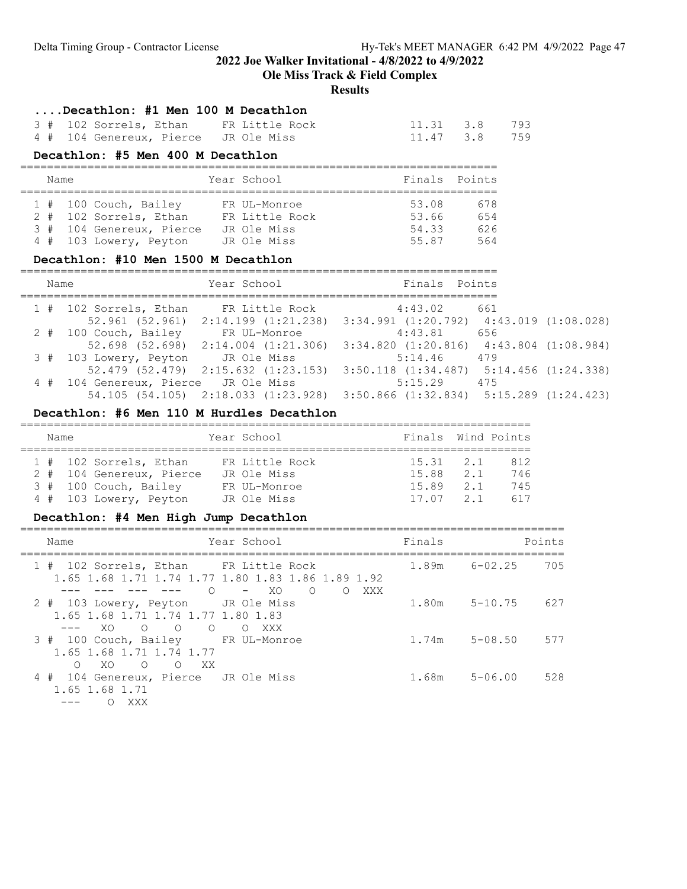Ole Miss Track & Field Complex

#### Results

....Decathlon: #1 Men 100 M Decathlon

| 3 # 102 Sorrels, Ethan               | FR Little Rock | 11.31 3.8 793 |
|--------------------------------------|----------------|---------------|
| 4 # 104 Genereux, Pierce JR Ole Miss |                | 11.47 3.8 759 |

## Decathlon: #5 Men 400 M Decathlon

| Name |                          | Year School    |       | Finals Points |
|------|--------------------------|----------------|-------|---------------|
|      | 1 # 100 Couch, Bailey    | FR UL-Monroe   | 53.08 | 678           |
|      | 2 # 102 Sorrels, Ethan   | FR Little Rock | 53.66 | 654           |
|      | 3 # 104 Genereux, Pierce | JR Ole Miss    | 54.33 | 626           |
|      | 4 # 103 Lowery, Peyton   | JR Ole Miss    | 55.87 | 564           |

## Decathlon: #10 Men 1500 M Decathlon

| Name                                 | Year School                                 | Finals Points                                   |     |  |
|--------------------------------------|---------------------------------------------|-------------------------------------------------|-----|--|
| 1 # 102 Sorrels, Ethan               | FR Little Rock                              | 4:43.02                                         | 661 |  |
|                                      | $52.961$ (52.961) $2:14.199$ (1:21.238)     | $3:34.991$ $(1:20.792)$ $4:43.019$ $(1:08.028)$ |     |  |
| 2 # 100 Couch, Bailey                | FR UL-Monroe                                | 4:43.81                                         | 656 |  |
|                                      | $52.698$ $(52.698)$ $2:14.004$ $(1:21.306)$ | $3:34.820$ $(1:20.816)$ $4:43.804$ $(1:08.984)$ |     |  |
| 3 # 103 Lowery, Peyton               | JR Ole Miss                                 | 5:14.46                                         | 479 |  |
|                                      | 52.479 (52.479) 2:15.632 (1:23.153)         | $3:50.118$ $(1:34.487)$ $5:14.456$ $(1:24.338)$ |     |  |
| 4 # 104 Genereux, Pierce JR Ole Miss |                                             | 5:15.29                                         | 475 |  |
|                                      | 54.105 (54.105) 2:18.033 (1:23.928)         | $3:50.866$ $(1:32.834)$ $5:15.289$ $(1:24.423)$ |     |  |

#### Decathlon: #6 Men 110 M Hurdles Decathlon

| Name |                          | Year School    | Finals Wind Points |     |     |
|------|--------------------------|----------------|--------------------|-----|-----|
|      | 1 # 102 Sorrels, Ethan   | FR Little Rock | $15.31$ $2.1$      |     | 812 |
|      | 2 # 104 Genereux, Pierce | JR Ole Miss    | 15.88              | 2.1 | 746 |
|      | 3 # 100 Couch, Bailey    | FR UL-Monroe   | 15.89              | 2.1 | 745 |
|      | 4 # 103 Lowery, Peyton   | JR Ole Miss    | 17 07 21           |     | 617 |

#### Decathlon: #4 Men High Jump Decathlon

| Name                                                                                                                                     | Year School                                                                                | Finals            | Points             |
|------------------------------------------------------------------------------------------------------------------------------------------|--------------------------------------------------------------------------------------------|-------------------|--------------------|
| 1 # 102 Sorrels, Ethan FR Little Rock<br>$\circ$                                                                                         | 1.65 1.68 1.71 1.74 1.77 1.80 1.83 1.86 1.89 1.92<br>$- XO$<br>XXX<br>$\circ$ 0<br>$\circ$ | $1.89m$ $6-02.25$ | 705                |
| 2 # 103 Lowery, Peyton JR Ole Miss<br>1.65 1.68 1.71 1.74 1.77 1.80 1.83<br>$\begin{matrix} 0 & 0 \end{matrix}$<br>$\overline{O}$<br>XO. | $\circ$<br>XXX                                                                             | 1.80m             | 627<br>$5 - 10.75$ |
| 3 # 100 Couch, Bailey FR UL-Monroe<br>1.65 1.68 1.71 1.74 1.77<br>O O XX<br>XO.<br>$\bigcirc$                                            |                                                                                            | 1.74m             | $5 - 08.50$<br>577 |
| 4 # 104 Genereux, Pierce JR Ole Miss<br>1.65 1.68 1.71<br>XXX                                                                            |                                                                                            | 1.68m             | 528<br>$5 - 06.00$ |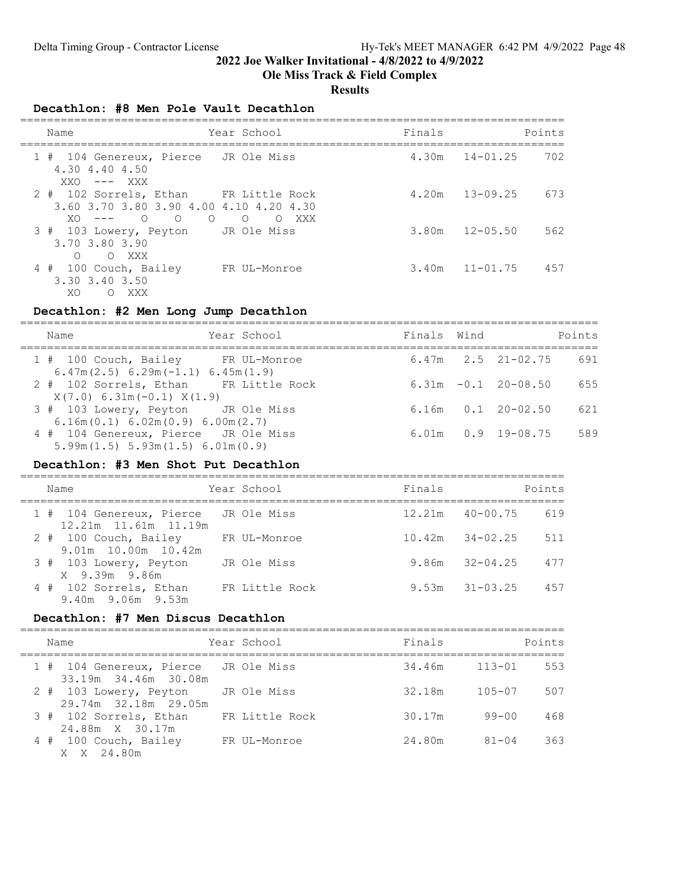## Ole Miss Track & Field Complex

#### **Results**

#### Decathlon: #8 Men Pole Vault Decathlon

| Name                                                                                                                             | Year School                 | Finals |              | Points |
|----------------------------------------------------------------------------------------------------------------------------------|-----------------------------|--------|--------------|--------|
| 1 # 104 Genereux, Pierce JR Ole Miss<br>4.30 4.40 4.50<br>$XXO$ --- $XXX$                                                        |                             | 4.30m  | $14 - 01.25$ | 702    |
| 2 # 102 Sorrels, Ethan FR Little Rock<br>3.60 3.70 3.80 3.90 4.00 4.10 4.20 4.30<br>$\circ$<br>$\circ$<br>$\Omega$<br>$XO$ $---$ | $\Omega$<br>XXX<br>$\Omega$ | 4.20m  | $13 - 09.25$ | 673    |
| 3 # 103 Lowery, Peyton<br>3.70 3.80 3.90<br>$\bigcirc$<br>O XXX                                                                  | JR Ole Miss                 | 3.80m  | $12 - 05.50$ | 562    |
| 4 # 100 Couch, Bailey<br>3.30 3.40 3.50<br>XO.<br>XXX X<br>$\circ$                                                               | FR UL-Monroe                | 3.40m  | $11 - 01.75$ | 457    |

#### Decathlon: #2 Men Long Jump Decathlon

| Name                                                                                       | Year School | Finals Wind |                          | Points |
|--------------------------------------------------------------------------------------------|-------------|-------------|--------------------------|--------|
| 1 # 100 Couch, Bailey FR UL-Monroe<br>$6.47m(2.5) 6.29m(-1.1) 6.45m(1.9)$                  |             |             | $6.47m$ $2.5$ $21-02.75$ | 691    |
| 2 # 102 Sorrels, Ethan FR Little Rock<br>$X(7.0) 6.31m(-0.1) X(1.9)$                       |             |             | $6.31m - 0.1$ 20-08.50   | 655    |
| 3 # 103 Lowery, Peyton JR Ole Miss<br>6.16m(0.1) 6.02m(0.9) 6.00m(2.7)                     |             |             | $6.16m$ $0.1$ $20-02.50$ | 621    |
| 4 # 104 Genereux, Pierce JR Ole Miss<br>$5.99$ m $(1.5)$ $5.93$ m $(1.5)$ $6.01$ m $(0.9)$ |             |             | $6.01m$ $0.9$ $19-08.75$ | 589    |

### Decathlon: #3 Men Shot Put Decathlon

| Name                                                         | Year School    | Finals |                     | Points |
|--------------------------------------------------------------|----------------|--------|---------------------|--------|
| 1 # 104 Genereux, Pierce JR Ole Miss<br>12.21m 11.61m 11.19m |                | 12.21m | 40-00.75            | 619    |
| 2 # 100 Couch, Bailey<br>$9.01m$ 10.00 $m$ 10.42 $m$         | FR UL-Monroe   |        | $10.42m$ $34-02.25$ | 511    |
| 3 # 103 Lowery, Peyton<br>X 9.39m 9.86m                      | JR Ole Miss    |        | $9.86m$ $32-04.25$  | 477    |
| 4 # 102 Sorrels, Ethan<br>9.40m 9.06m 9.53m                  | FR Little Rock | 9.53m  | $31 - 03.25$        | 457    |

#### Decathlon: #7 Men Discus Decathlon

| Name                                                         | Year School    | Finals            | Points            |
|--------------------------------------------------------------|----------------|-------------------|-------------------|
| 1 # 104 Genereux, Pierce JR Ole Miss<br>33.19m 34.46m 30.08m |                | $34.46m$ $113-01$ | 553               |
| 2 # 103 Lowery, Peyton<br>29.74m 32.18m 29.05m               | JR Ole Miss    | 32.18m            | 507<br>$105 - 07$ |
| 3 # 102 Sorrels, Ethan<br>24.88m X 30.17m                    | FR Little Rock | 30.17m            | 468<br>99-00      |
| 4 # 100 Couch, Bailey<br>X X 24.80m                          | FR UL-Monroe   | 24.80m            | 363<br>$81 - 04$  |